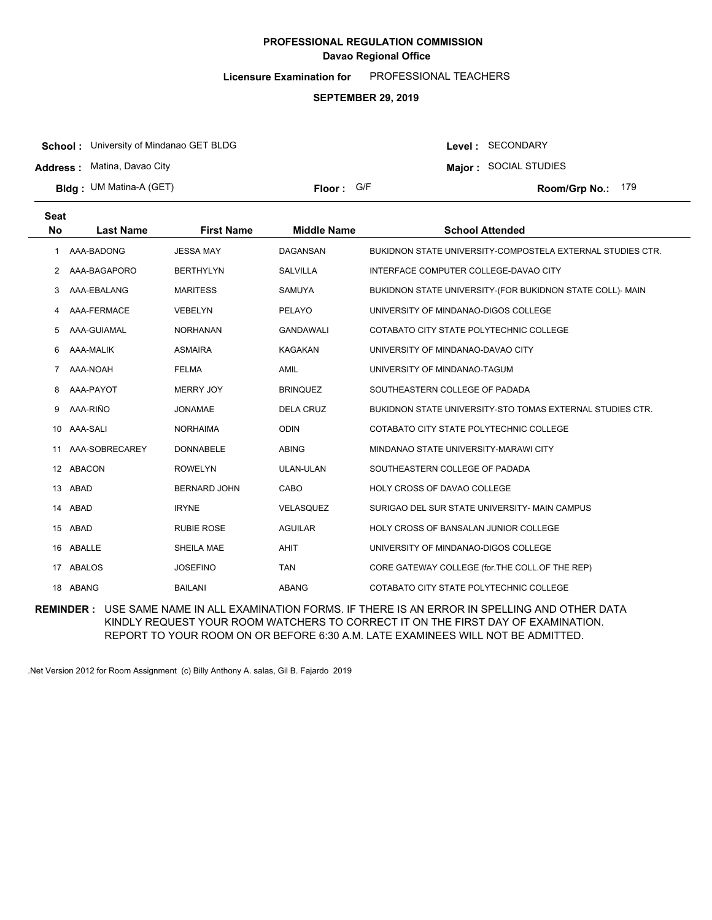**Licensure Examination for**  PROFESSIONAL TEACHERS

#### **SEPTEMBER 29, 2019**

**School :** University of Mindanao GET BLDG

**Address :** Matina, Davao City

**Bldg : Floor : Room/Grp No.:** UM Matina-A (GET)

Floor: G/F **179 Room/Grp No.: 179** 

Level : SECONDARY **Major :** SOCIAL STUDIES

| <b>Seat</b> |                  |                     |                    |                                                            |
|-------------|------------------|---------------------|--------------------|------------------------------------------------------------|
| No          | <b>Last Name</b> | <b>First Name</b>   | <b>Middle Name</b> | <b>School Attended</b>                                     |
| 1.          | AAA-BADONG       | <b>JESSA MAY</b>    | <b>DAGANSAN</b>    | BUKIDNON STATE UNIVERSITY-COMPOSTELA EXTERNAL STUDIES CTR. |
| 2           | AAA-BAGAPORO     | <b>BERTHYLYN</b>    | <b>SALVILLA</b>    | INTERFACE COMPUTER COLLEGE-DAVAO CITY                      |
| 3           | AAA-EBALANG      | <b>MARITESS</b>     | SAMUYA             | BUKIDNON STATE UNIVERSITY-(FOR BUKIDNON STATE COLL)- MAIN  |
|             | AAA-FERMACE      | <b>VEBELYN</b>      | PELAYO             | UNIVERSITY OF MINDANAO-DIGOS COLLEGE                       |
| 5           | AAA-GUIAMAL      | <b>NORHANAN</b>     | <b>GANDAWALI</b>   | COTABATO CITY STATE POLYTECHNIC COLLEGE                    |
| 6           | AAA-MALIK        | <b>ASMAIRA</b>      | <b>KAGAKAN</b>     | UNIVERSITY OF MINDANAO-DAVAO CITY                          |
| 7           | AAA-NOAH         | <b>FELMA</b>        | <b>AMIL</b>        | UNIVERSITY OF MINDANAO-TAGUM                               |
| 8           | AAA-PAYOT        | <b>MERRY JOY</b>    | <b>BRINQUEZ</b>    | SOUTHEASTERN COLLEGE OF PADADA                             |
| 9           | AAA-RIÑO         | <b>JONAMAE</b>      | <b>DELA CRUZ</b>   | BUKIDNON STATE UNIVERSITY-STO TOMAS EXTERNAL STUDIES CTR.  |
| 10          | AAA-SALI         | <b>NORHAIMA</b>     | <b>ODIN</b>        | COTABATO CITY STATE POLYTECHNIC COLLEGE                    |
| 11          | AAA-SOBRECAREY   | <b>DONNABELE</b>    | <b>ABING</b>       | MINDANAO STATE UNIVERSITY-MARAWI CITY                      |
|             | 12 ABACON        | <b>ROWELYN</b>      | <b>ULAN-ULAN</b>   | SOUTHEASTERN COLLEGE OF PADADA                             |
| 13          | ABAD             | <b>BERNARD JOHN</b> | CABO               | HOLY CROSS OF DAVAO COLLEGE                                |
|             | 14 ABAD          | <b>IRYNE</b>        | <b>VELASQUEZ</b>   | SURIGAO DEL SUR STATE UNIVERSITY- MAIN CAMPUS              |
| 15          | ABAD             | <b>RUBIE ROSE</b>   | <b>AGUILAR</b>     | <b>HOLY CROSS OF BANSALAN JUNIOR COLLEGE</b>               |
| 16.         | ABALLE           | SHEILA MAE          | <b>AHIT</b>        | UNIVERSITY OF MINDANAO-DIGOS COLLEGE                       |
| 17          | ABALOS           | <b>JOSEFINO</b>     | <b>TAN</b>         | CORE GATEWAY COLLEGE (for.THE COLL.OF THE REP)             |
|             | 18 ABANG         | <b>BAILANI</b>      | <b>ABANG</b>       | COTABATO CITY STATE POLYTECHNIC COLLEGE                    |

**REMINDER :** USE SAME NAME IN ALL EXAMINATION FORMS. IF THERE IS AN ERROR IN SPELLING AND OTHER DATA KINDLY REQUEST YOUR ROOM WATCHERS TO CORRECT IT ON THE FIRST DAY OF EXAMINATION. REPORT TO YOUR ROOM ON OR BEFORE 6:30 A.M. LATE EXAMINEES WILL NOT BE ADMITTED.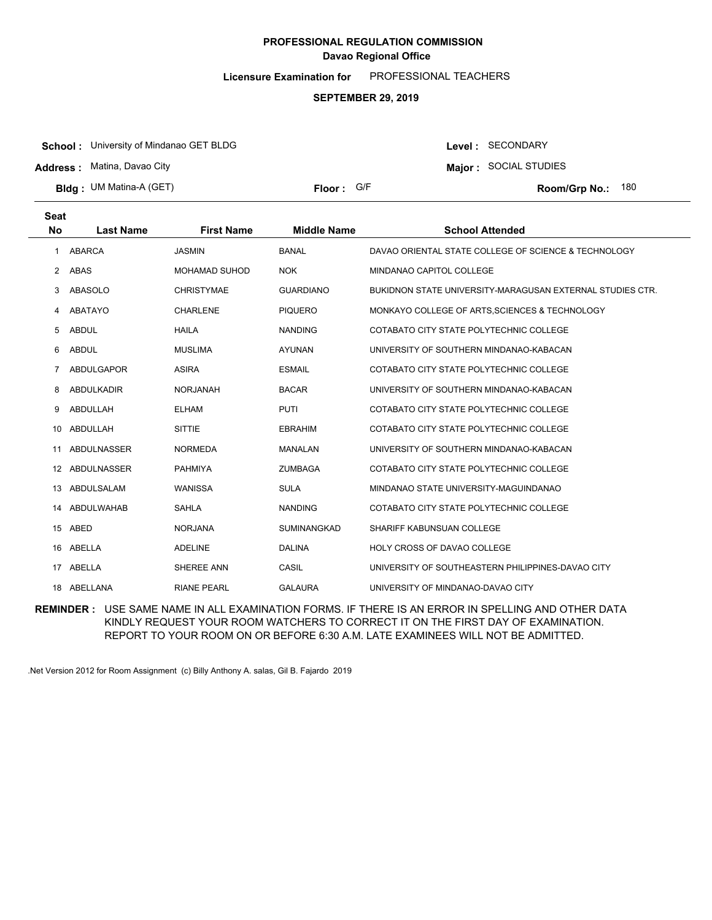**Licensure Examination for**  PROFESSIONAL TEACHERS

#### **SEPTEMBER 29, 2019**

**School :** University of Mindanao GET BLDG

**Address :** Matina, Davao City

**Seat**

**Bldg : Floor : Room/Grp No.:** UM Matina-A (GET)

Floor: G/F **180 Room/Grp No.: 180** 

Level : SECONDARY **Major :** SOCIAL STUDIES

| əeat           |                    |                      |                    |                                                           |
|----------------|--------------------|----------------------|--------------------|-----------------------------------------------------------|
| <b>No</b>      | <b>Last Name</b>   | <b>First Name</b>    | <b>Middle Name</b> | <b>School Attended</b>                                    |
| 1              | ABARCA             | <b>JASMIN</b>        | <b>BANAL</b>       | DAVAO ORIENTAL STATE COLLEGE OF SCIENCE & TECHNOLOGY      |
| $\overline{2}$ | <b>ABAS</b>        | <b>MOHAMAD SUHOD</b> | <b>NOK</b>         | MINDANAO CAPITOL COLLEGE                                  |
| 3              | ABASOLO            | <b>CHRISTYMAE</b>    | <b>GUARDIANO</b>   | BUKIDNON STATE UNIVERSITY-MARAGUSAN EXTERNAL STUDIES CTR. |
| 4              | ABATAYO            | <b>CHARLENE</b>      | <b>PIQUERO</b>     | MONKAYO COLLEGE OF ARTS, SCIENCES & TECHNOLOGY            |
| 5              | <b>ABDUL</b>       | <b>HAILA</b>         | <b>NANDING</b>     | COTABATO CITY STATE POLYTECHNIC COLLEGE                   |
| 6              | <b>ABDUL</b>       | <b>MUSLIMA</b>       | <b>AYUNAN</b>      | UNIVERSITY OF SOUTHERN MINDANAO-KABACAN                   |
| 7              | <b>ABDULGAPOR</b>  | <b>ASIRA</b>         | <b>ESMAIL</b>      | COTABATO CITY STATE POLYTECHNIC COLLEGE                   |
| 8              | <b>ABDULKADIR</b>  | <b>NORJANAH</b>      | <b>BACAR</b>       | UNIVERSITY OF SOUTHERN MINDANAO-KABACAN                   |
| 9              | ABDULLAH           | <b>ELHAM</b>         | <b>PUTI</b>        | COTABATO CITY STATE POLYTECHNIC COLLEGE                   |
| 10             | ABDULLAH           | <b>SITTIE</b>        | <b>EBRAHIM</b>     | COTABATO CITY STATE POLYTECHNIC COLLEGE                   |
| 11             | <b>ABDULNASSER</b> | <b>NORMEDA</b>       | <b>MANALAN</b>     | UNIVERSITY OF SOUTHERN MINDANAO-KABACAN                   |
| 12             | ABDULNASSER        | <b>PAHMIYA</b>       | <b>ZUMBAGA</b>     | COTABATO CITY STATE POLYTECHNIC COLLEGE                   |
| 13             | ABDULSALAM         | <b>WANISSA</b>       | <b>SULA</b>        | MINDANAO STATE UNIVERSITY-MAGUINDANAO                     |
| 14             | ABDULWAHAB         | <b>SAHLA</b>         | <b>NANDING</b>     | COTABATO CITY STATE POLYTECHNIC COLLEGE                   |
| 15             | ABED               | <b>NORJANA</b>       | <b>SUMINANGKAD</b> | SHARIFF KABUNSUAN COLLEGE                                 |
| 16             | ABELLA             | <b>ADELINE</b>       | <b>DALINA</b>      | HOLY CROSS OF DAVAO COLLEGE                               |
|                | 17 ABELLA          | SHEREE ANN           | CASIL              | UNIVERSITY OF SOUTHEASTERN PHILIPPINES-DAVAO CITY         |
|                | 18 ABELLANA        | <b>RIANE PEARL</b>   | <b>GALAURA</b>     | UNIVERSITY OF MINDANAO-DAVAO CITY                         |

**REMINDER :** USE SAME NAME IN ALL EXAMINATION FORMS. IF THERE IS AN ERROR IN SPELLING AND OTHER DATA KINDLY REQUEST YOUR ROOM WATCHERS TO CORRECT IT ON THE FIRST DAY OF EXAMINATION. REPORT TO YOUR ROOM ON OR BEFORE 6:30 A.M. LATE EXAMINEES WILL NOT BE ADMITTED.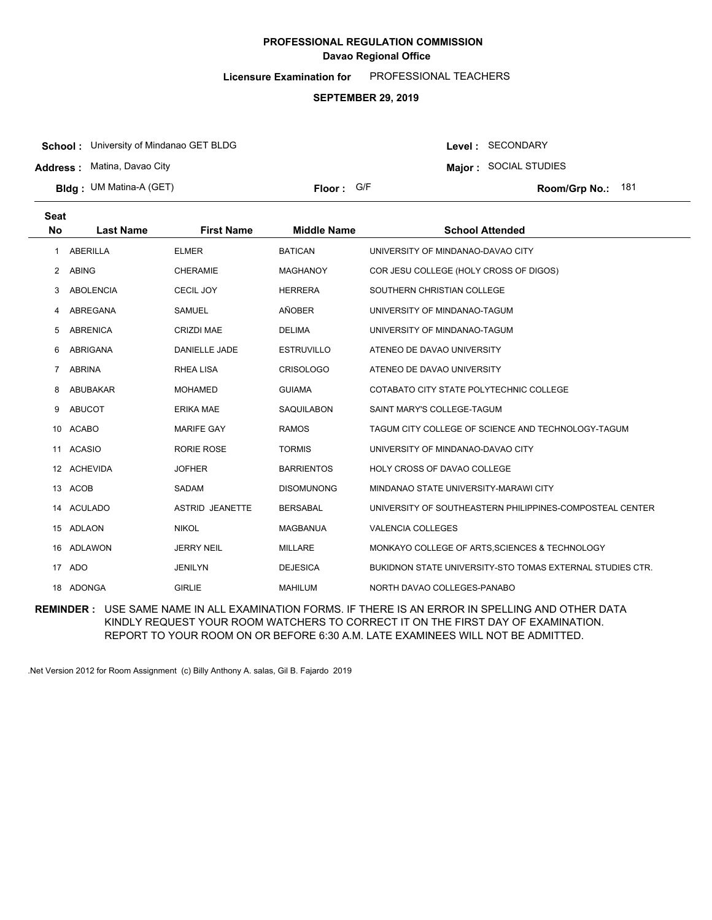**Licensure Examination for**  PROFESSIONAL TEACHERS

#### **SEPTEMBER 29, 2019**

**School :** University of Mindanao GET BLDG

**Address :** Matina, Davao City

**Bldg : Floor : Room/Grp No.:** UM Matina-A (GET)

**Major :** SOCIAL STUDIES Floor: G/F **181 Room/Grp No.: 181** 

Level : SECONDARY

| <b>Seat</b>    |                  |                        |                    |                                                           |
|----------------|------------------|------------------------|--------------------|-----------------------------------------------------------|
| <b>No</b>      | <b>Last Name</b> | <b>First Name</b>      | <b>Middle Name</b> | <b>School Attended</b>                                    |
| 1              | <b>ABERILLA</b>  | <b>ELMER</b>           | <b>BATICAN</b>     | UNIVERSITY OF MINDANAO-DAVAO CITY                         |
| 2              | <b>ABING</b>     | <b>CHERAMIE</b>        | <b>MAGHANOY</b>    | COR JESU COLLEGE (HOLY CROSS OF DIGOS)                    |
| 3              | <b>ABOLENCIA</b> | <b>CECIL JOY</b>       | <b>HERRERA</b>     | SOUTHERN CHRISTIAN COLLEGE                                |
|                | ABREGANA         | <b>SAMUEL</b>          | AÑOBER             | UNIVERSITY OF MINDANAO-TAGUM                              |
| 5              | <b>ABRENICA</b>  | <b>CRIZDI MAE</b>      | <b>DELIMA</b>      | UNIVERSITY OF MINDANAO-TAGUM                              |
| 6              | ABRIGANA         | <b>DANIELLE JADE</b>   | <b>ESTRUVILLO</b>  | ATENEO DE DAVAO UNIVERSITY                                |
| $\overline{7}$ | <b>ABRINA</b>    | <b>RHEA LISA</b>       | <b>CRISOLOGO</b>   | ATENEO DE DAVAO UNIVERSITY                                |
| 8              | ABUBAKAR         | <b>MOHAMED</b>         | <b>GUIAMA</b>      | COTABATO CITY STATE POLYTECHNIC COLLEGE                   |
| 9              | ABUCOT           | <b>ERIKA MAE</b>       | <b>SAQUILABON</b>  | SAINT MARY'S COLLEGE-TAGUM                                |
|                | 10 ACABO         | <b>MARIFE GAY</b>      | <b>RAMOS</b>       | TAGUM CITY COLLEGE OF SCIENCE AND TECHNOLOGY-TAGUM        |
| 11             | <b>ACASIO</b>    | RORIE ROSE             | <b>TORMIS</b>      | UNIVERSITY OF MINDANAO-DAVAO CITY                         |
|                | 12 ACHEVIDA      | <b>JOFHER</b>          | <b>BARRIENTOS</b>  | <b>HOLY CROSS OF DAVAO COLLEGE</b>                        |
| 13             | ACOB             | <b>SADAM</b>           | <b>DISOMUNONG</b>  | MINDANAO STATE UNIVERSITY-MARAWI CITY                     |
| 14             | <b>ACULADO</b>   | <b>ASTRID JEANETTE</b> | <b>BERSABAL</b>    | UNIVERSITY OF SOUTHEASTERN PHILIPPINES-COMPOSTEAL CENTER  |
|                | 15 ADLAON        | <b>NIKOL</b>           | <b>MAGBANUA</b>    | <b>VALENCIA COLLEGES</b>                                  |
|                | 16 ADLAWON       | <b>JERRY NEIL</b>      | <b>MILLARE</b>     | MONKAYO COLLEGE OF ARTS, SCIENCES & TECHNOLOGY            |
|                | 17 ADO           | <b>JENILYN</b>         | <b>DEJESICA</b>    | BUKIDNON STATE UNIVERSITY-STO TOMAS EXTERNAL STUDIES CTR. |
|                | 18 ADONGA        | <b>GIRLIE</b>          | <b>MAHILUM</b>     | NORTH DAVAO COLLEGES-PANABO                               |

**REMINDER :** USE SAME NAME IN ALL EXAMINATION FORMS. IF THERE IS AN ERROR IN SPELLING AND OTHER DATA KINDLY REQUEST YOUR ROOM WATCHERS TO CORRECT IT ON THE FIRST DAY OF EXAMINATION. REPORT TO YOUR ROOM ON OR BEFORE 6:30 A.M. LATE EXAMINEES WILL NOT BE ADMITTED.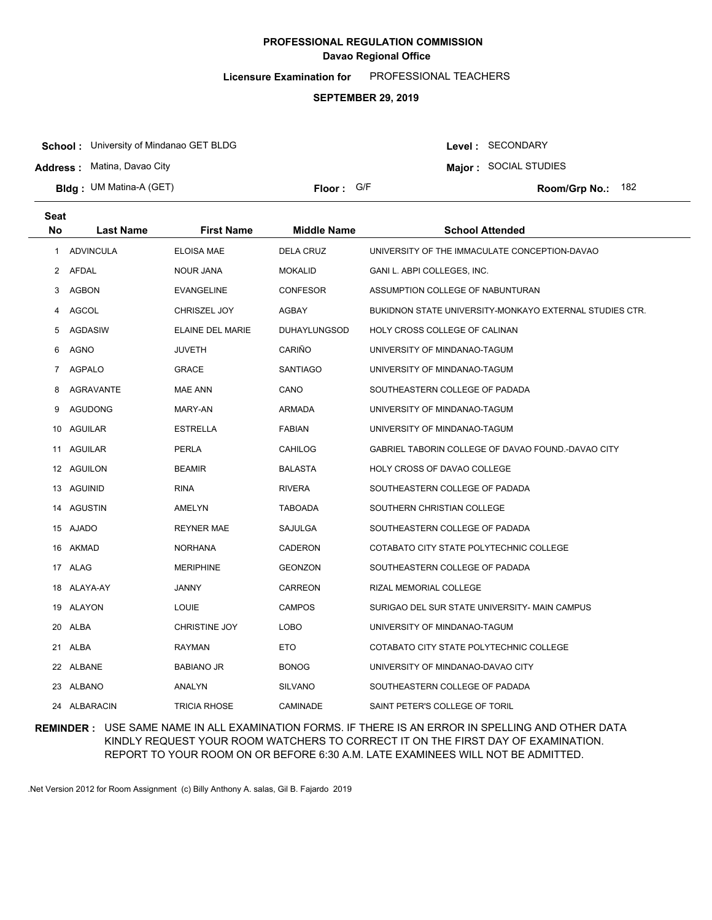**Licensure Examination for**  PROFESSIONAL TEACHERS

#### **SEPTEMBER 29, 2019**

**School :** University of Mindanao GET BLDG

**Address :** Matina, Davao City

**Bldg : Floor : Room/Grp No.:** UM Matina-A (GET)

Floor: G/F **182** Room/Grp No.: 182

Level : SECONDARY **Major :** SOCIAL STUDIES

| <b>Seat</b>  |                  |                      |                     |                                                         |
|--------------|------------------|----------------------|---------------------|---------------------------------------------------------|
| <b>No</b>    | <b>Last Name</b> | <b>First Name</b>    | <b>Middle Name</b>  | <b>School Attended</b>                                  |
| 1            | <b>ADVINCULA</b> | <b>ELOISA MAE</b>    | <b>DELA CRUZ</b>    | UNIVERSITY OF THE IMMACULATE CONCEPTION-DAVAO           |
| $\mathbf{2}$ | AFDAL            | <b>NOUR JANA</b>     | <b>MOKALID</b>      | GANI L. ABPI COLLEGES, INC.                             |
| 3            | <b>AGBON</b>     | <b>EVANGELINE</b>    | <b>CONFESOR</b>     | ASSUMPTION COLLEGE OF NABUNTURAN                        |
| 4            | AGCOL            | CHRISZEL JOY         | AGBAY               | BUKIDNON STATE UNIVERSITY-MONKAYO EXTERNAL STUDIES CTR. |
| 5            | <b>AGDASIW</b>   | ELAINE DEL MARIE     | <b>DUHAYLUNGSOD</b> | HOLY CROSS COLLEGE OF CALINAN                           |
| 6            | AGNO             | <b>JUVETH</b>        | CARIÑO              | UNIVERSITY OF MINDANAO-TAGUM                            |
| 7            | <b>AGPALO</b>    | <b>GRACE</b>         | <b>SANTIAGO</b>     | UNIVERSITY OF MINDANAO-TAGUM                            |
| 8            | AGRAVANTE        | <b>MAE ANN</b>       | CANO                | SOUTHEASTERN COLLEGE OF PADADA                          |
| 9            | AGUDONG          | MARY-AN              | ARMADA              | UNIVERSITY OF MINDANAO-TAGUM                            |
| 10           | AGUILAR          | <b>ESTRELLA</b>      | <b>FABIAN</b>       | UNIVERSITY OF MINDANAO-TAGUM                            |
| 11           | AGUILAR          | <b>PERLA</b>         | CAHILOG             | GABRIEL TABORIN COLLEGE OF DAVAO FOUND.-DAVAO CITY      |
|              | 12 AGUILON       | <b>BEAMIR</b>        | <b>BALASTA</b>      | HOLY CROSS OF DAVAO COLLEGE                             |
|              | 13 AGUINID       | <b>RINA</b>          | <b>RIVERA</b>       | SOUTHEASTERN COLLEGE OF PADADA                          |
|              | 14 AGUSTIN       | AMELYN               | TABOADA             | SOUTHERN CHRISTIAN COLLEGE                              |
|              | 15 AJADO         | <b>REYNER MAE</b>    | SAJULGA             | SOUTHEASTERN COLLEGE OF PADADA                          |
|              | 16 AKMAD         | <b>NORHANA</b>       | CADERON             | COTABATO CITY STATE POLYTECHNIC COLLEGE                 |
|              | 17 ALAG          | <b>MERIPHINE</b>     | <b>GEONZON</b>      | SOUTHEASTERN COLLEGE OF PADADA                          |
|              | 18 ALAYA-AY      | <b>JANNY</b>         | CARREON             | RIZAL MEMORIAL COLLEGE                                  |
|              | 19 ALAYON        | <b>LOUIE</b>         | <b>CAMPOS</b>       | SURIGAO DEL SUR STATE UNIVERSITY- MAIN CAMPUS           |
| 20           | ALBA             | <b>CHRISTINE JOY</b> | LOBO                | UNIVERSITY OF MINDANAO-TAGUM                            |
|              | 21 ALBA          | <b>RAYMAN</b>        | ETO <sub></sub>     | COTABATO CITY STATE POLYTECHNIC COLLEGE                 |
|              | 22 ALBANE        | <b>BABIANO JR</b>    | <b>BONOG</b>        | UNIVERSITY OF MINDANAO-DAVAO CITY                       |
|              | 23 ALBANO        | ANALYN               | <b>SILVANO</b>      | SOUTHEASTERN COLLEGE OF PADADA                          |
|              | 24 ALBARACIN     | <b>TRICIA RHOSE</b>  | CAMINADE            | SAINT PETER'S COLLEGE OF TORIL                          |

### **REMINDER :** USE SAME NAME IN ALL EXAMINATION FORMS. IF THERE IS AN ERROR IN SPELLING AND OTHER DATA KINDLY REQUEST YOUR ROOM WATCHERS TO CORRECT IT ON THE FIRST DAY OF EXAMINATION. REPORT TO YOUR ROOM ON OR BEFORE 6:30 A.M. LATE EXAMINEES WILL NOT BE ADMITTED.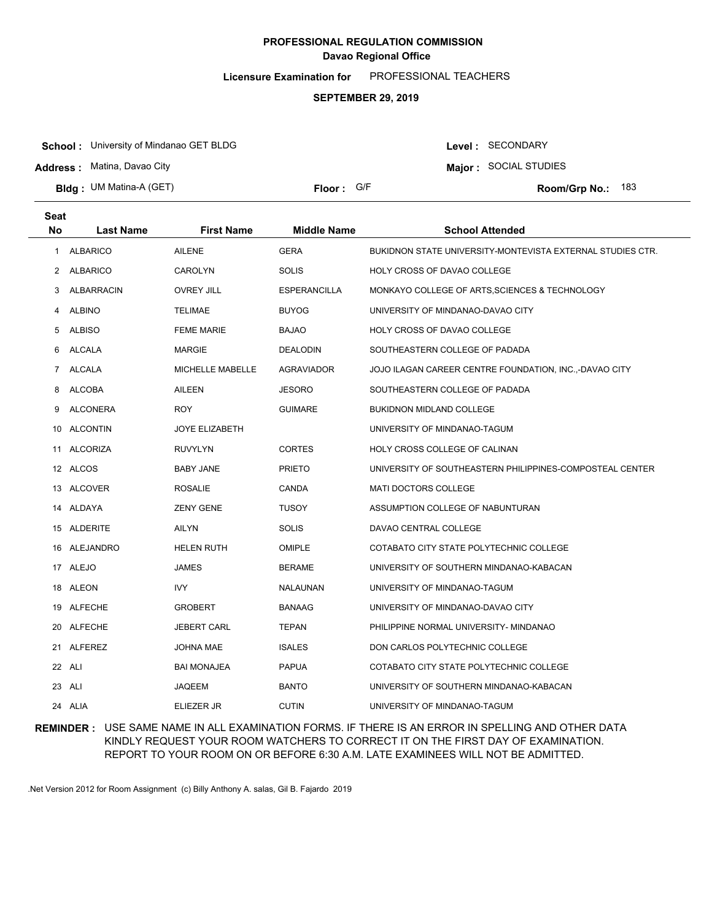**Licensure Examination for**  PROFESSIONAL TEACHERS

#### **SEPTEMBER 29, 2019**

**School :** University of Mindanao GET BLDG

**Address :** Matina, Davao City

**Bldg : Floor : Room/Grp No.:** UM Matina-A (GET)

Floor: G/F **183** Room/Grp No.: 183

Level : SECONDARY **Major :** SOCIAL STUDIES

| <b>Seat</b>  |                   |                       |                     |                                                            |
|--------------|-------------------|-----------------------|---------------------|------------------------------------------------------------|
| <b>No</b>    | <b>Last Name</b>  | <b>First Name</b>     | <b>Middle Name</b>  | <b>School Attended</b>                                     |
| $\mathbf{1}$ | <b>ALBARICO</b>   | <b>AILENE</b>         | <b>GERA</b>         | BUKIDNON STATE UNIVERSITY-MONTEVISTA EXTERNAL STUDIES CTR. |
|              | 2 ALBARICO        | <b>CAROLYN</b>        | <b>SOLIS</b>        | HOLY CROSS OF DAVAO COLLEGE                                |
| 3            | <b>ALBARRACIN</b> | <b>OVREY JILL</b>     | <b>ESPERANCILLA</b> | MONKAYO COLLEGE OF ARTS, SCIENCES & TECHNOLOGY             |
| 4            | <b>ALBINO</b>     | <b>TELIMAE</b>        | <b>BUYOG</b>        | UNIVERSITY OF MINDANAO-DAVAO CITY                          |
| 5            | <b>ALBISO</b>     | <b>FEME MARIE</b>     | <b>BAJAO</b>        | HOLY CROSS OF DAVAO COLLEGE                                |
| 6            | ALCALA            | MARGIE                | <b>DEALODIN</b>     | SOUTHEASTERN COLLEGE OF PADADA                             |
| $7^{\circ}$  | <b>ALCALA</b>     | MICHELLE MABELLE      | <b>AGRAVIADOR</b>   | JOJO ILAGAN CAREER CENTRE FOUNDATION, INC.,-DAVAO CITY     |
| 8            | ALCOBA            | AILEEN                | <b>JESORO</b>       | SOUTHEASTERN COLLEGE OF PADADA                             |
| 9            | ALCONERA          | <b>ROY</b>            | <b>GUIMARE</b>      | <b>BUKIDNON MIDLAND COLLEGE</b>                            |
|              | 10 ALCONTIN       | <b>JOYE ELIZABETH</b> |                     | UNIVERSITY OF MINDANAO-TAGUM                               |
|              | 11 ALCORIZA       | <b>RUVYLYN</b>        | <b>CORTES</b>       | HOLY CROSS COLLEGE OF CALINAN                              |
|              | 12 ALCOS          | <b>BABY JANE</b>      | <b>PRIETO</b>       | UNIVERSITY OF SOUTHEASTERN PHILIPPINES-COMPOSTEAL CENTER   |
|              | 13 ALCOVER        | <b>ROSALIE</b>        | CANDA               | <b>MATI DOCTORS COLLEGE</b>                                |
|              | 14 ALDAYA         | <b>ZENY GENE</b>      | <b>TUSOY</b>        | ASSUMPTION COLLEGE OF NABUNTURAN                           |
|              | 15 ALDERITE       | AILYN                 | <b>SOLIS</b>        | DAVAO CENTRAL COLLEGE                                      |
|              | 16 ALEJANDRO      | <b>HELEN RUTH</b>     | <b>OMIPLE</b>       | COTABATO CITY STATE POLYTECHNIC COLLEGE                    |
|              | 17 ALEJO          | JAMES                 | <b>BERAME</b>       | UNIVERSITY OF SOUTHERN MINDANAO-KABACAN                    |
|              | 18 ALEON          | <b>IVY</b>            | NALAUNAN            | UNIVERSITY OF MINDANAO-TAGUM                               |
|              | 19 ALFECHE        | <b>GROBERT</b>        | <b>BANAAG</b>       | UNIVERSITY OF MINDANAO-DAVAO CITY                          |
|              | 20 ALFECHE        | <b>JEBERT CARL</b>    | <b>TEPAN</b>        | PHILIPPINE NORMAL UNIVERSITY- MINDANAO                     |
|              | 21 ALFEREZ        | JOHNA MAE             | <b>ISALES</b>       | DON CARLOS POLYTECHNIC COLLEGE                             |
|              | 22 ALI            | <b>BAI MONAJEA</b>    | <b>PAPUA</b>        | COTABATO CITY STATE POLYTECHNIC COLLEGE                    |
|              | 23 ALI            | JAQEEM                | <b>BANTO</b>        | UNIVERSITY OF SOUTHERN MINDANAO-KABACAN                    |
|              | 24 ALIA           | <b>ELIEZER JR</b>     | <b>CUTIN</b>        | UNIVERSITY OF MINDANAO-TAGUM                               |

### **REMINDER :** USE SAME NAME IN ALL EXAMINATION FORMS. IF THERE IS AN ERROR IN SPELLING AND OTHER DATA KINDLY REQUEST YOUR ROOM WATCHERS TO CORRECT IT ON THE FIRST DAY OF EXAMINATION. REPORT TO YOUR ROOM ON OR BEFORE 6:30 A.M. LATE EXAMINEES WILL NOT BE ADMITTED.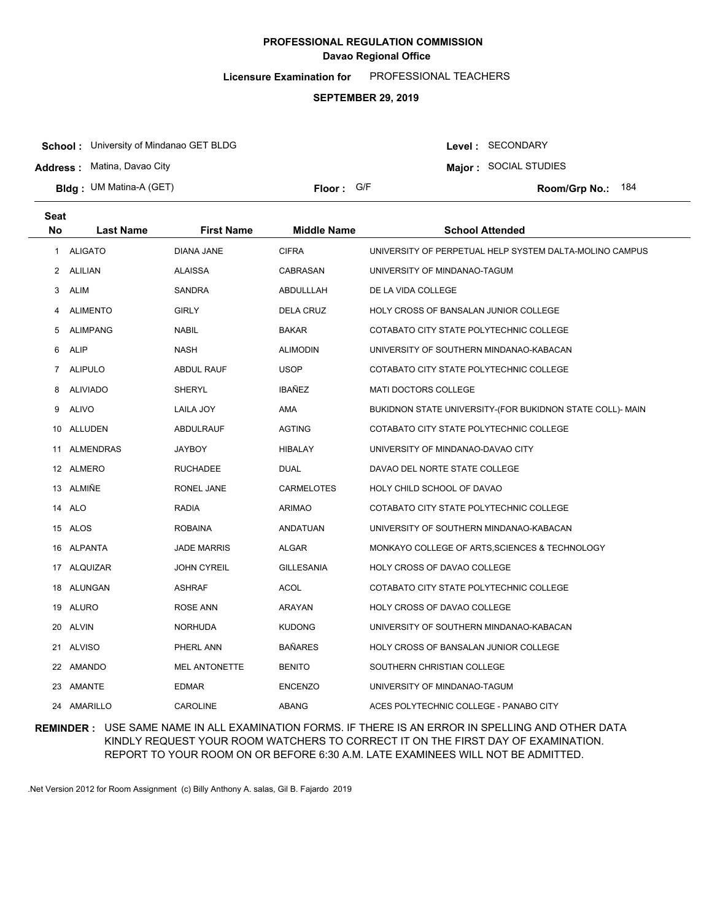**Licensure Examination for**  PROFESSIONAL TEACHERS

#### **SEPTEMBER 29, 2019**

**School :** University of Mindanao GET BLDG

**Address :** Matina, Davao City

**Bldg : Floor : Room/Grp No.:** UM Matina-A (GET)

**Major :** SOCIAL STUDIES Floor: G/F **184** Room/Grp No.: 184

Level : SECONDARY

| Seat<br>No.    | <b>Last Name</b> | <b>First Name</b>  | <b>Middle Name</b> | <b>School Attended</b>                                    |
|----------------|------------------|--------------------|--------------------|-----------------------------------------------------------|
| $\mathbf{1}$   | <b>ALIGATO</b>   | <b>DIANA JANE</b>  | <b>CIFRA</b>       | UNIVERSITY OF PERPETUAL HELP SYSTEM DALTA-MOLINO CAMPUS   |
|                | 2 ALILIAN        | <b>ALAISSA</b>     | CABRASAN           | UNIVERSITY OF MINDANAO-TAGUM                              |
| 3              | <b>ALIM</b>      | SANDRA             | ABDULLLAH          | DE LA VIDA COLLEGE                                        |
| 4              | <b>ALIMENTO</b>  | <b>GIRLY</b>       | <b>DELA CRUZ</b>   | HOLY CROSS OF BANSALAN JUNIOR COLLEGE                     |
| 5              | <b>ALIMPANG</b>  | <b>NABIL</b>       | <b>BAKAR</b>       | COTABATO CITY STATE POLYTECHNIC COLLEGE                   |
| 6              | <b>ALIP</b>      | <b>NASH</b>        | <b>ALIMODIN</b>    | UNIVERSITY OF SOUTHERN MINDANAO-KABACAN                   |
| $\overline{7}$ | ALIPULO          | <b>ABDUL RAUF</b>  | <b>USOP</b>        | COTABATO CITY STATE POLYTECHNIC COLLEGE                   |
| 8              | <b>ALIVIADO</b>  | <b>SHERYL</b>      | <b>IBAÑEZ</b>      | MATI DOCTORS COLLEGE                                      |
| 9              | <b>ALIVO</b>     | LAILA JOY          | AMA                | BUKIDNON STATE UNIVERSITY-(FOR BUKIDNON STATE COLL)- MAIN |
|                | 10 ALLUDEN       | ABDULRAUF          | <b>AGTING</b>      | COTABATO CITY STATE POLYTECHNIC COLLEGE                   |
| 11             | ALMENDRAS        | JAYBOY             | HIBALAY            | UNIVERSITY OF MINDANAO-DAVAO CITY                         |
|                | 12 ALMERO        | <b>RUCHADEE</b>    | <b>DUAL</b>        | DAVAO DEL NORTE STATE COLLEGE                             |
|                | 13 ALMIÑE        | RONEL JANE         | <b>CARMELOTES</b>  | HOLY CHILD SCHOOL OF DAVAO                                |
|                | 14 ALO           | RADIA              | <b>ARIMAO</b>      | COTABATO CITY STATE POLYTECHNIC COLLEGE                   |
|                | 15 ALOS          | <b>ROBAINA</b>     | ANDATUAN           | UNIVERSITY OF SOUTHERN MINDANAO-KABACAN                   |
|                | 16 ALPANTA       | <b>JADE MARRIS</b> | ALGAR              | MONKAYO COLLEGE OF ARTS, SCIENCES & TECHNOLOGY            |
|                | 17 ALQUIZAR      | <b>JOHN CYREIL</b> | <b>GILLESANIA</b>  | HOLY CROSS OF DAVAO COLLEGE                               |
|                | 18 ALUNGAN       | ASHRAF             | ACOL               | COTABATO CITY STATE POLYTECHNIC COLLEGE                   |
|                | 19 ALURO         | ROSE ANN           | ARAYAN             | HOLY CROSS OF DAVAO COLLEGE                               |
|                | 20 ALVIN         | <b>NORHUDA</b>     | <b>KUDONG</b>      | UNIVERSITY OF SOUTHERN MINDANAO-KABACAN                   |
|                | 21 ALVISO        | PHERL ANN          | <b>BAÑARES</b>     | <b>HOLY CROSS OF BANSALAN JUNIOR COLLEGE</b>              |
|                | 22 AMANDO        | MEL ANTONETTE      | <b>BENITO</b>      | SOUTHERN CHRISTIAN COLLEGE                                |
|                | 23 AMANTE        | <b>EDMAR</b>       | <b>ENCENZO</b>     | UNIVERSITY OF MINDANAO-TAGUM                              |
|                | 24 AMARILLO      | <b>CAROLINE</b>    | <b>ABANG</b>       | ACES POLYTECHNIC COLLEGE - PANABO CITY                    |

### **REMINDER :** USE SAME NAME IN ALL EXAMINATION FORMS. IF THERE IS AN ERROR IN SPELLING AND OTHER DATA KINDLY REQUEST YOUR ROOM WATCHERS TO CORRECT IT ON THE FIRST DAY OF EXAMINATION. REPORT TO YOUR ROOM ON OR BEFORE 6:30 A.M. LATE EXAMINEES WILL NOT BE ADMITTED.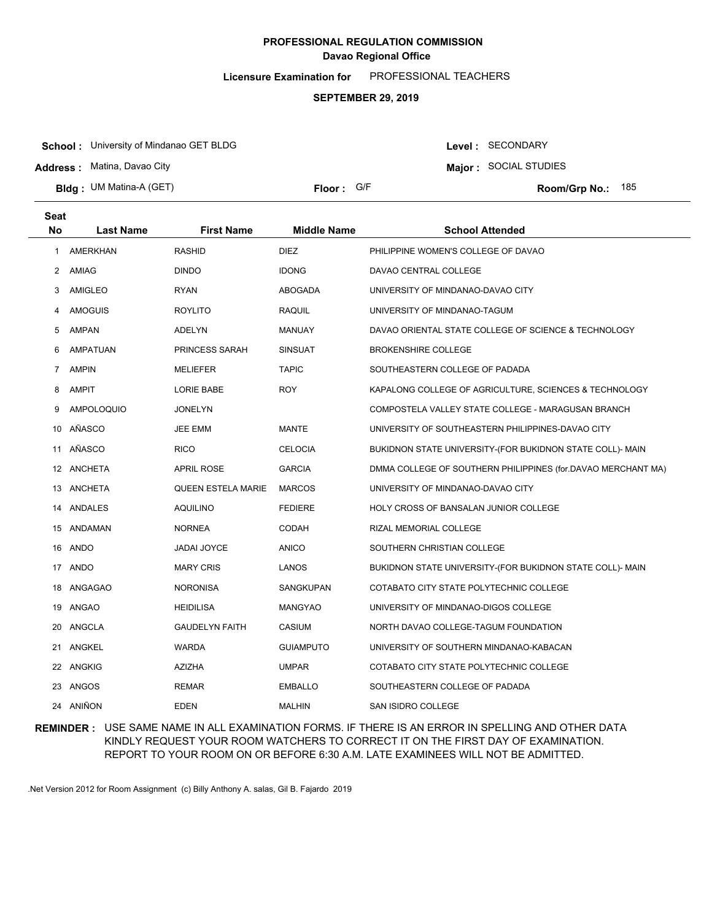**Licensure Examination for**  PROFESSIONAL TEACHERS

#### **SEPTEMBER 29, 2019**

**School :** University of Mindanao GET BLDG

**Address :** Matina, Davao City

**Bldg : Floor : Room/Grp No.:** UM Matina-A (GET)

Floor: G/F **185** Room/Grp No.: 185

**Major :** SOCIAL STUDIES

Level : SECONDARY

| <b>Seat</b> |                  |                           |                    |                                                              |
|-------------|------------------|---------------------------|--------------------|--------------------------------------------------------------|
| <b>No</b>   | <b>Last Name</b> | <b>First Name</b>         | <b>Middle Name</b> | <b>School Attended</b>                                       |
| 1           | <b>AMERKHAN</b>  | <b>RASHID</b>             | <b>DIEZ</b>        | PHILIPPINE WOMEN'S COLLEGE OF DAVAO                          |
| 2           | AMIAG            | <b>DINDO</b>              | <b>IDONG</b>       | DAVAO CENTRAL COLLEGE                                        |
| 3           | AMIGLEO          | RYAN                      | ABOGADA            | UNIVERSITY OF MINDANAO-DAVAO CITY                            |
| 4           | <b>AMOGUIS</b>   | ROYLITO                   | <b>RAQUIL</b>      | UNIVERSITY OF MINDANAO-TAGUM                                 |
| 5           | AMPAN            | ADELYN                    | <b>MANUAY</b>      | DAVAO ORIENTAL STATE COLLEGE OF SCIENCE & TECHNOLOGY         |
| 6           | <b>AMPATUAN</b>  | PRINCESS SARAH            | <b>SINSUAT</b>     | <b>BROKENSHIRE COLLEGE</b>                                   |
| 7           | <b>AMPIN</b>     | <b>MELIEFER</b>           | <b>TAPIC</b>       | SOUTHEASTERN COLLEGE OF PADADA                               |
| 8           | <b>AMPIT</b>     | <b>LORIE BABE</b>         | <b>ROY</b>         | KAPALONG COLLEGE OF AGRICULTURE, SCIENCES & TECHNOLOGY       |
| 9           | AMPOLOQUIO       | <b>JONELYN</b>            |                    | COMPOSTELA VALLEY STATE COLLEGE - MARAGUSAN BRANCH           |
| 10          | AÑASCO           | <b>JEE EMM</b>            | <b>MANTE</b>       | UNIVERSITY OF SOUTHEASTERN PHILIPPINES-DAVAO CITY            |
| 11          | AÑASCO           | <b>RICO</b>               | <b>CELOCIA</b>     | BUKIDNON STATE UNIVERSITY-(FOR BUKIDNON STATE COLL)- MAIN    |
|             | 12 ANCHETA       | <b>APRIL ROSE</b>         | <b>GARCIA</b>      | DMMA COLLEGE OF SOUTHERN PHILIPPINES (for.DAVAO MERCHANT MA) |
|             | 13 ANCHETA       | <b>QUEEN ESTELA MARIE</b> | <b>MARCOS</b>      | UNIVERSITY OF MINDANAO-DAVAO CITY                            |
| 14          | ANDALES          | <b>AQUILINO</b>           | <b>FEDIERE</b>     | HOLY CROSS OF BANSALAN JUNIOR COLLEGE                        |
|             | 15 ANDAMAN       | NORNEA                    | <b>CODAH</b>       | RIZAL MEMORIAL COLLEGE                                       |
|             | 16 ANDO          | JADAI JOYCE               | <b>ANICO</b>       | SOUTHERN CHRISTIAN COLLEGE                                   |
|             | 17 ANDO          | <b>MARY CRIS</b>          | LANOS              | BUKIDNON STATE UNIVERSITY-(FOR BUKIDNON STATE COLL)- MAIN    |
| 18          | ANGAGAO          | NORONISA                  | SANGKUPAN          | COTABATO CITY STATE POLYTECHNIC COLLEGE                      |
| 19          | ANGAO            | <b>HEIDILISA</b>          | <b>MANGYAO</b>     | UNIVERSITY OF MINDANAO-DIGOS COLLEGE                         |
| 20          | ANGCLA           | <b>GAUDELYN FAITH</b>     | CASIUM             | NORTH DAVAO COLLEGE-TAGUM FOUNDATION                         |
|             | 21 ANGKEL        | WARDA                     | <b>GUIAMPUTO</b>   | UNIVERSITY OF SOUTHERN MINDANAO-KABACAN                      |
| 22          | ANGKIG           | <b>AZIZHA</b>             | <b>UMPAR</b>       | COTABATO CITY STATE POLYTECHNIC COLLEGE                      |
| 23          | ANGOS            | <b>REMAR</b>              | <b>EMBALLO</b>     | SOUTHEASTERN COLLEGE OF PADADA                               |
|             | 24 ANIÑON        | <b>EDEN</b>               | <b>MALHIN</b>      | SAN ISIDRO COLLEGE                                           |

### **REMINDER :** USE SAME NAME IN ALL EXAMINATION FORMS. IF THERE IS AN ERROR IN SPELLING AND OTHER DATA KINDLY REQUEST YOUR ROOM WATCHERS TO CORRECT IT ON THE FIRST DAY OF EXAMINATION. REPORT TO YOUR ROOM ON OR BEFORE 6:30 A.M. LATE EXAMINEES WILL NOT BE ADMITTED.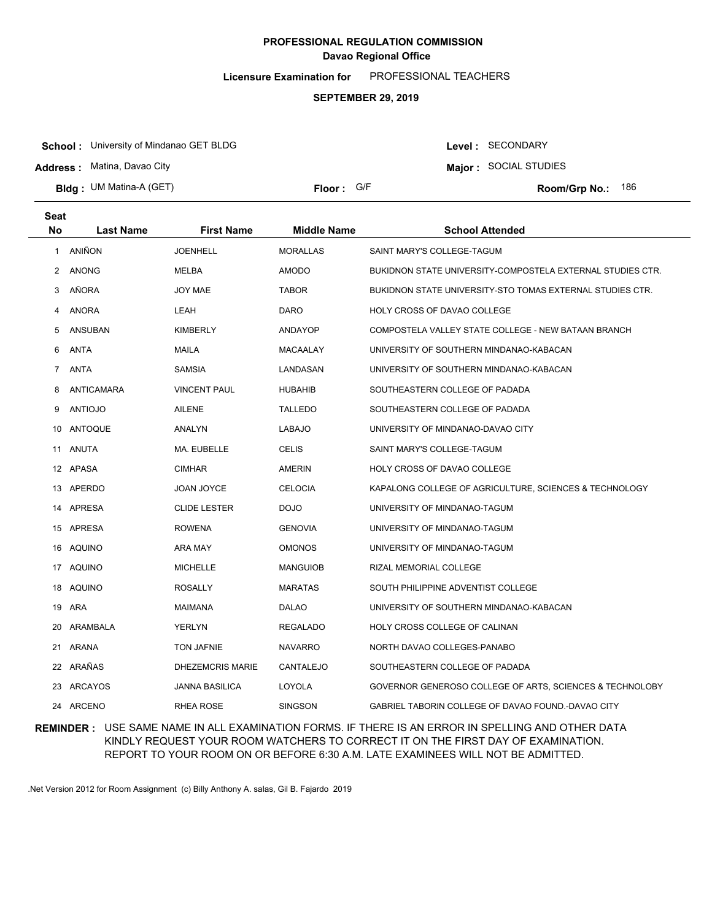**Licensure Examination for**  PROFESSIONAL TEACHERS

#### **SEPTEMBER 29, 2019**

**School :** University of Mindanao GET BLDG

**Address :** Matina, Davao City

**Bldg : Floor : Room/Grp No.:** UM Matina-A (GET)

Floor: G/F **186 Room/Grp No.: 186** 

Level : SECONDARY **Major :** SOCIAL STUDIES

| Seat           |                  |                         |                    |                                                            |
|----------------|------------------|-------------------------|--------------------|------------------------------------------------------------|
| <b>No</b>      | <b>Last Name</b> | <b>First Name</b>       | <b>Middle Name</b> | <b>School Attended</b>                                     |
| $\mathbf{1}$   | ANIÑON           | <b>JOENHELL</b>         | <b>MORALLAS</b>    | SAINT MARY'S COLLEGE-TAGUM                                 |
| 2              | <b>ANONG</b>     | MELBA                   | <b>AMODO</b>       | BUKIDNON STATE UNIVERSITY-COMPOSTELA EXTERNAL STUDIES CTR. |
| 3              | AÑORA            | JOY MAE                 | <b>TABOR</b>       | BUKIDNON STATE UNIVERSITY-STO TOMAS EXTERNAL STUDIES CTR.  |
| 4              | <b>ANORA</b>     | LEAH                    | <b>DARO</b>        | HOLY CROSS OF DAVAO COLLEGE                                |
| 5              | <b>ANSUBAN</b>   | <b>KIMBERLY</b>         | <b>ANDAYOP</b>     | COMPOSTELA VALLEY STATE COLLEGE - NEW BATAAN BRANCH        |
| 6              | <b>ANTA</b>      | <b>MAILA</b>            | <b>MACAALAY</b>    | UNIVERSITY OF SOUTHERN MINDANAO-KABACAN                    |
| $\overline{7}$ | ANTA             | SAMSIA                  | LANDASAN           | UNIVERSITY OF SOUTHERN MINDANAO-KABACAN                    |
| 8              | ANTICAMARA       | <b>VINCENT PAUL</b>     | <b>HUBAHIB</b>     | SOUTHEASTERN COLLEGE OF PADADA                             |
| 9              | ANTIOJO          | AILENE                  | <b>TALLEDO</b>     | SOUTHEASTERN COLLEGE OF PADADA                             |
|                | 10 ANTOQUE       | ANALYN                  | <b>LABAJO</b>      | UNIVERSITY OF MINDANAO-DAVAO CITY                          |
|                | 11 ANUTA         | MA. EUBELLE             | <b>CELIS</b>       | SAINT MARY'S COLLEGE-TAGUM                                 |
|                | 12 APASA         | <b>CIMHAR</b>           | AMERIN             | HOLY CROSS OF DAVAO COLLEGE                                |
|                | 13 APERDO        | JOAN JOYCE              | <b>CELOCIA</b>     | KAPALONG COLLEGE OF AGRICULTURE, SCIENCES & TECHNOLOGY     |
|                | 14 APRESA        | <b>CLIDE LESTER</b>     | <b>DOJO</b>        | UNIVERSITY OF MINDANAO-TAGUM                               |
|                | 15 APRESA        | <b>ROWENA</b>           | <b>GENOVIA</b>     | UNIVERSITY OF MINDANAO-TAGUM                               |
| 16             | AQUINO           | ARA MAY                 | <b>OMONOS</b>      | UNIVERSITY OF MINDANAO-TAGUM                               |
|                | 17 AQUINO        | <b>MICHELLE</b>         | <b>MANGUIOB</b>    | RIZAL MEMORIAL COLLEGE                                     |
| 18             | AQUINO           | <b>ROSALLY</b>          | <b>MARATAS</b>     | SOUTH PHILIPPINE ADVENTIST COLLEGE                         |
|                | 19 ARA           | MAIMANA                 | <b>DALAO</b>       | UNIVERSITY OF SOUTHERN MINDANAO-KABACAN                    |
| 20             | ARAMBALA         | <b>YERLYN</b>           | <b>REGALADO</b>    | HOLY CROSS COLLEGE OF CALINAN                              |
|                | 21 ARANA         | <b>TON JAFNIE</b>       | <b>NAVARRO</b>     | NORTH DAVAO COLLEGES-PANABO                                |
|                | 22 ARAÑAS        | <b>DHEZEMCRIS MARIE</b> | CANTALEJO          | SOUTHEASTERN COLLEGE OF PADADA                             |
|                | 23 ARCAYOS       | <b>JANNA BASILICA</b>   | LOYOLA             | GOVERNOR GENEROSO COLLEGE OF ARTS, SCIENCES & TECHNOLOBY   |
|                | 24 ARCENO        | <b>RHEA ROSE</b>        | <b>SINGSON</b>     | GABRIEL TABORIN COLLEGE OF DAVAO FOUND.-DAVAO CITY         |

### **REMINDER :** USE SAME NAME IN ALL EXAMINATION FORMS. IF THERE IS AN ERROR IN SPELLING AND OTHER DATA KINDLY REQUEST YOUR ROOM WATCHERS TO CORRECT IT ON THE FIRST DAY OF EXAMINATION. REPORT TO YOUR ROOM ON OR BEFORE 6:30 A.M. LATE EXAMINEES WILL NOT BE ADMITTED.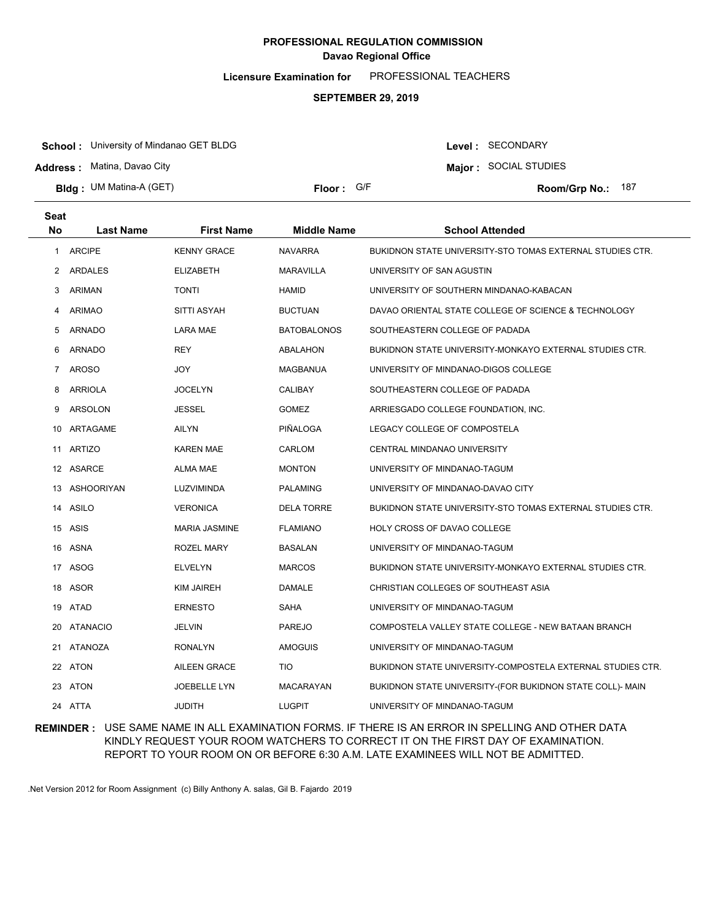**Licensure Examination for**  PROFESSIONAL TEACHERS

#### **SEPTEMBER 29, 2019**

**School :** University of Mindanao GET BLDG

**Address :** Matina, Davao City

**Bldg : Floor : Room/Grp No.:** UM Matina-A (GET)

Floor: G/F **187** Room/Grp No.: 187

Level : SECONDARY **Major :** SOCIAL STUDIES

| <b>Seat</b>    |                  |                      |                    |                                                            |
|----------------|------------------|----------------------|--------------------|------------------------------------------------------------|
| <b>No</b>      | <b>Last Name</b> | <b>First Name</b>    | <b>Middle Name</b> | <b>School Attended</b>                                     |
| 1              | <b>ARCIPE</b>    | <b>KENNY GRACE</b>   | <b>NAVARRA</b>     | BUKIDNON STATE UNIVERSITY-STO TOMAS EXTERNAL STUDIES CTR.  |
| $\overline{2}$ | <b>ARDALES</b>   | <b>ELIZABETH</b>     | <b>MARAVILLA</b>   | UNIVERSITY OF SAN AGUSTIN                                  |
| 3              | ARIMAN           | <b>TONTI</b>         | <b>HAMID</b>       | UNIVERSITY OF SOUTHERN MINDANAO-KABACAN                    |
| 4              | <b>ARIMAO</b>    | SITTI ASYAH          | <b>BUCTUAN</b>     | DAVAO ORIENTAL STATE COLLEGE OF SCIENCE & TECHNOLOGY       |
| 5              | <b>ARNADO</b>    | <b>LARA MAE</b>      | <b>BATOBALONOS</b> | SOUTHEASTERN COLLEGE OF PADADA                             |
| 6              | <b>ARNADO</b>    | <b>REY</b>           | ABALAHON           | BUKIDNON STATE UNIVERSITY-MONKAYO EXTERNAL STUDIES CTR.    |
| $\overline{7}$ | <b>AROSO</b>     | <b>JOY</b>           | MAGBANUA           | UNIVERSITY OF MINDANAO-DIGOS COLLEGE                       |
| 8              | <b>ARRIOLA</b>   | <b>JOCELYN</b>       | <b>CALIBAY</b>     | SOUTHEASTERN COLLEGE OF PADADA                             |
| 9              | ARSOLON          | <b>JESSEL</b>        | <b>GOMEZ</b>       | ARRIESGADO COLLEGE FOUNDATION, INC.                        |
| 10             | ARTAGAME         | <b>AILYN</b>         | PIÑALOGA           | LEGACY COLLEGE OF COMPOSTELA                               |
| 11             | <b>ARTIZO</b>    | <b>KAREN MAE</b>     | CARLOM             | CENTRAL MINDANAO UNIVERSITY                                |
|                | 12 ASARCE        | ALMA MAE             | <b>MONTON</b>      | UNIVERSITY OF MINDANAO-TAGUM                               |
|                | 13 ASHOORIYAN    | LUZVIMINDA           | <b>PALAMING</b>    | UNIVERSITY OF MINDANAO-DAVAO CITY                          |
|                | 14 ASILO         | <b>VERONICA</b>      | <b>DELA TORRE</b>  | BUKIDNON STATE UNIVERSITY-STO TOMAS EXTERNAL STUDIES CTR.  |
|                | 15 ASIS          | <b>MARIA JASMINE</b> | <b>FLAMIANO</b>    | HOLY CROSS OF DAVAO COLLEGE                                |
|                | 16 ASNA          | ROZEL MARY           | <b>BASALAN</b>     | UNIVERSITY OF MINDANAO-TAGUM                               |
|                | 17 ASOG          | <b>ELVELYN</b>       | <b>MARCOS</b>      | BUKIDNON STATE UNIVERSITY-MONKAYO EXTERNAL STUDIES CTR.    |
|                | 18 ASOR          | <b>KIM JAIREH</b>    | <b>DAMALE</b>      | CHRISTIAN COLLEGES OF SOUTHEAST ASIA                       |
|                | 19 ATAD          | <b>ERNESTO</b>       | SAHA               | UNIVERSITY OF MINDANAO-TAGUM                               |
| 20             | <b>ATANACIO</b>  | JELVIN               | <b>PAREJO</b>      | COMPOSTELA VALLEY STATE COLLEGE - NEW BATAAN BRANCH        |
| 21             | <b>ATANOZA</b>   | <b>RONALYN</b>       | <b>AMOGUIS</b>     | UNIVERSITY OF MINDANAO-TAGUM                               |
|                | 22 ATON          | <b>AILEEN GRACE</b>  | <b>TIO</b>         | BUKIDNON STATE UNIVERSITY-COMPOSTELA EXTERNAL STUDIES CTR. |
|                | 23 ATON          | <b>JOEBELLE LYN</b>  | <b>MACARAYAN</b>   | BUKIDNON STATE UNIVERSITY-(FOR BUKIDNON STATE COLL)- MAIN  |
|                | 24 ATTA          | <b>JUDITH</b>        | <b>LUGPIT</b>      | UNIVERSITY OF MINDANAO-TAGUM                               |

### **REMINDER :** USE SAME NAME IN ALL EXAMINATION FORMS. IF THERE IS AN ERROR IN SPELLING AND OTHER DATA KINDLY REQUEST YOUR ROOM WATCHERS TO CORRECT IT ON THE FIRST DAY OF EXAMINATION. REPORT TO YOUR ROOM ON OR BEFORE 6:30 A.M. LATE EXAMINEES WILL NOT BE ADMITTED.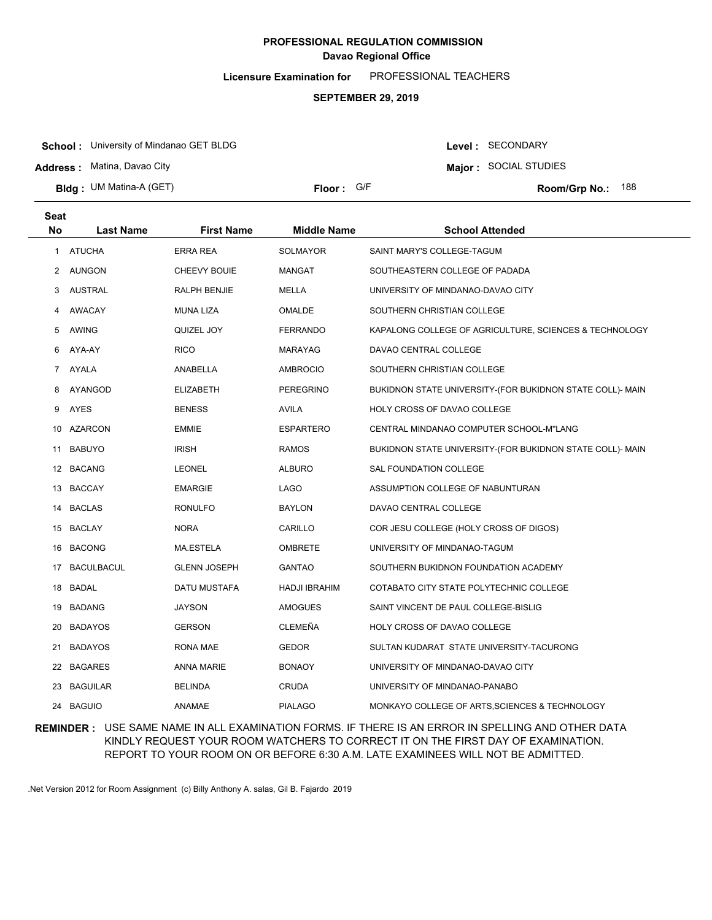**Licensure Examination for**  PROFESSIONAL TEACHERS

#### **SEPTEMBER 29, 2019**

**School :** University of Mindanao GET BLDG

**Address :** Matina, Davao City

**Bldg : Floor : Room/Grp No.:** UM Matina-A (GET)

Floor: G/F **188 Room/Grp No.: 188** 

**Major :** SOCIAL STUDIES

Level : SECONDARY

| <b>Seat</b> |                 |                     |                    |                                                           |
|-------------|-----------------|---------------------|--------------------|-----------------------------------------------------------|
| <b>No</b>   | Last Name       | <b>First Name</b>   | <b>Middle Name</b> | <b>School Attended</b>                                    |
| 1.          | <b>ATUCHA</b>   | <b>ERRA REA</b>     | <b>SOLMAYOR</b>    | SAINT MARY'S COLLEGE-TAGUM                                |
| 2           | AUNGON          | CHEEVY BOUIE        | MANGAT             | SOUTHEASTERN COLLEGE OF PADADA                            |
| 3           | <b>AUSTRAL</b>  | RALPH BENJIE        | <b>MELLA</b>       | UNIVERSITY OF MINDANAO-DAVAO CITY                         |
| 4           | AWACAY          | <b>MUNA LIZA</b>    | OMALDE             | SOUTHERN CHRISTIAN COLLEGE                                |
| 5           | <b>AWING</b>    | QUIZEL JOY          | FERRANDO           | KAPALONG COLLEGE OF AGRICULTURE, SCIENCES & TECHNOLOGY    |
| 6           | AYA-AY          | <b>RICO</b>         | <b>MARAYAG</b>     | DAVAO CENTRAL COLLEGE                                     |
| $7^{\circ}$ | AYALA           | ANABELLA            | <b>AMBROCIO</b>    | SOUTHERN CHRISTIAN COLLEGE                                |
| 8           | AYANGOD         | <b>ELIZABETH</b>    | PEREGRINO          | BUKIDNON STATE UNIVERSITY-(FOR BUKIDNON STATE COLL)- MAIN |
| 9           | AYES            | <b>BENESS</b>       | AVILA              | HOLY CROSS OF DAVAO COLLEGE                               |
| 10          | AZARCON         | <b>EMMIE</b>        | <b>ESPARTERO</b>   | CENTRAL MINDANAO COMPUTER SCHOOL-M"LANG                   |
| 11          | <b>BABUYO</b>   | <b>IRISH</b>        | <b>RAMOS</b>       | BUKIDNON STATE UNIVERSITY-(FOR BUKIDNON STATE COLL)- MAIN |
|             | 12 BACANG       | <b>LEONEL</b>       | <b>ALBURO</b>      | SAL FOUNDATION COLLEGE                                    |
|             | 13 BACCAY       | <b>EMARGIE</b>      | LAGO               | ASSUMPTION COLLEGE OF NABUNTURAN                          |
|             | 14 BACLAS       | <b>RONULFO</b>      | <b>BAYLON</b>      | DAVAO CENTRAL COLLEGE                                     |
|             | 15 BACLAY       | <b>NORA</b>         | CARILLO            | COR JESU COLLEGE (HOLY CROSS OF DIGOS)                    |
|             | 16 BACONG       | MA.ESTELA           | <b>OMBRETE</b>     | UNIVERSITY OF MINDANAO-TAGUM                              |
|             | 17 BACULBACUL   | <b>GLENN JOSEPH</b> | GANTAO             | SOUTHERN BUKIDNON FOUNDATION ACADEMY                      |
|             | 18 BADAL        | DATU MUSTAFA        | HADJI IBRAHIM      | COTABATO CITY STATE POLYTECHNIC COLLEGE                   |
|             | 19 BADANG       | <b>JAYSON</b>       | <b>AMOGUES</b>     | SAINT VINCENT DE PAUL COLLEGE-BISLIG                      |
| 20          | <b>BADAYOS</b>  | <b>GERSON</b>       | CLEMEÑA            | HOLY CROSS OF DAVAO COLLEGE                               |
| 21          | <b>BADAYOS</b>  | RONA MAE            | <b>GEDOR</b>       | SULTAN KUDARAT STATE UNIVERSITY-TACURONG                  |
| 22          | <b>BAGARES</b>  | <b>ANNA MARIE</b>   | <b>BONAOY</b>      | UNIVERSITY OF MINDANAO-DAVAO CITY                         |
| 23          | <b>BAGUILAR</b> | <b>BELINDA</b>      | CRUDA              | UNIVERSITY OF MINDANAO-PANABO                             |
| 24          | <b>BAGUIO</b>   | <b>ANAMAE</b>       | <b>PIALAGO</b>     | MONKAYO COLLEGE OF ARTS, SCIENCES & TECHNOLOGY            |

### **REMINDER :** USE SAME NAME IN ALL EXAMINATION FORMS. IF THERE IS AN ERROR IN SPELLING AND OTHER DATA KINDLY REQUEST YOUR ROOM WATCHERS TO CORRECT IT ON THE FIRST DAY OF EXAMINATION. REPORT TO YOUR ROOM ON OR BEFORE 6:30 A.M. LATE EXAMINEES WILL NOT BE ADMITTED.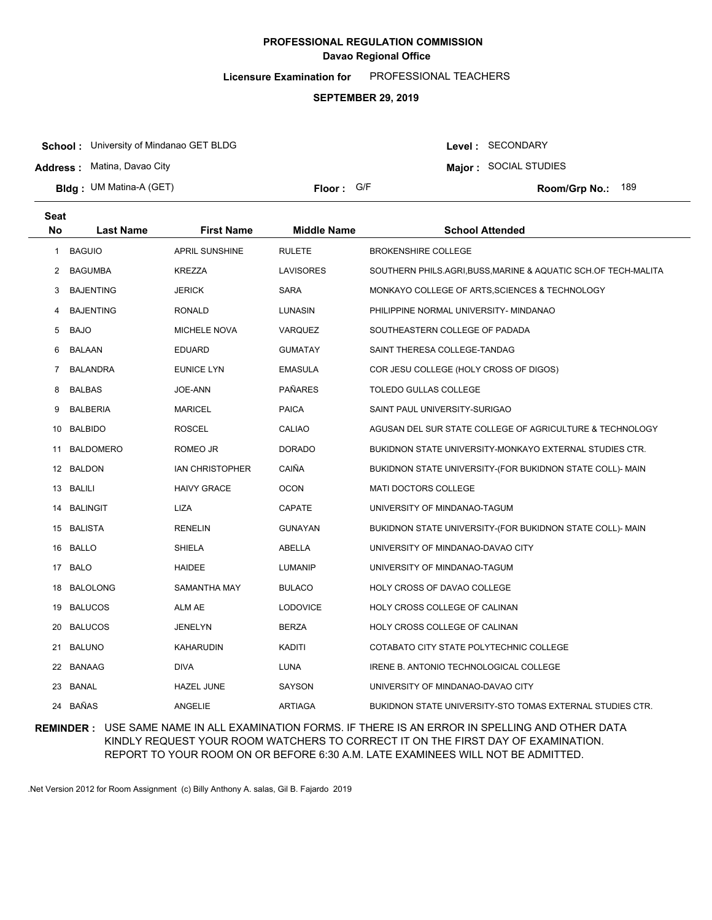**Licensure Examination for**  PROFESSIONAL TEACHERS

#### **SEPTEMBER 29, 2019**

**School :** University of Mindanao GET BLDG

**Address :** Matina, Davao City

**Bldg : Floor : Room/Grp No.:** UM Matina-A (GET)

Floor: G/F **189** Room/Grp No.: 189

Level : SECONDARY **Major :** SOCIAL STUDIES

| <b>Seat</b><br>No | <b>Last Name</b> | <b>First Name</b>      | <b>Middle Name</b> | <b>School Attended</b>                                       |
|-------------------|------------------|------------------------|--------------------|--------------------------------------------------------------|
| 1                 | <b>BAGUIO</b>    | APRIL SUNSHINE         | <b>RULETE</b>      | <b>BROKENSHIRE COLLEGE</b>                                   |
| 2                 | <b>BAGUMBA</b>   | KREZZA                 | LAVISORES          | SOUTHERN PHILS.AGRI,BUSS,MARINE & AQUATIC SCH.OF TECH-MALITA |
| 3                 | <b>BAJENTING</b> | <b>JERICK</b>          | <b>SARA</b>        | MONKAYO COLLEGE OF ARTS,SCIENCES & TECHNOLOGY                |
| 4                 | <b>BAJENTING</b> | <b>RONALD</b>          | LUNASIN            | PHILIPPINE NORMAL UNIVERSITY- MINDANAO                       |
| 5                 | <b>BAJO</b>      | <b>MICHELE NOVA</b>    | VARQUEZ            | SOUTHEASTERN COLLEGE OF PADADA                               |
| 6                 | <b>BALAAN</b>    | <b>EDUARD</b>          | <b>GUMATAY</b>     | SAINT THERESA COLLEGE-TANDAG                                 |
| 7                 | <b>BALANDRA</b>  | <b>EUNICE LYN</b>      | <b>EMASULA</b>     | COR JESU COLLEGE (HOLY CROSS OF DIGOS)                       |
| 8                 | <b>BALBAS</b>    | JOE-ANN                | <b>PAÑARES</b>     | TOLEDO GULLAS COLLEGE                                        |
| 9                 | <b>BALBERIA</b>  | <b>MARICEL</b>         | <b>PAICA</b>       | SAINT PAUL UNIVERSITY-SURIGAO                                |
| 10                | <b>BALBIDO</b>   | ROSCEL                 | CALIAO             | AGUSAN DEL SUR STATE COLLEGE OF AGRICULTURE & TECHNOLOGY     |
| 11                | <b>BALDOMERO</b> | ROMEO JR               | <b>DORADO</b>      | BUKIDNON STATE UNIVERSITY-MONKAYO EXTERNAL STUDIES CTR.      |
|                   | 12 BALDON        | <b>IAN CHRISTOPHER</b> | CAIÑA              | BUKIDNON STATE UNIVERSITY-(FOR BUKIDNON STATE COLL)- MAIN    |
|                   | 13 BALILI        | <b>HAIVY GRACE</b>     | <b>OCON</b>        | <b>MATI DOCTORS COLLEGE</b>                                  |
| 14                | <b>BALINGIT</b>  | LIZA                   | <b>CAPATE</b>      | UNIVERSITY OF MINDANAO-TAGUM                                 |
|                   | 15 BALISTA       | <b>RENELIN</b>         | <b>GUNAYAN</b>     | BUKIDNON STATE UNIVERSITY-(FOR BUKIDNON STATE COLL)- MAIN    |
|                   | 16 BALLO         | SHIELA                 | ABELLA             | UNIVERSITY OF MINDANAO-DAVAO CITY                            |
|                   | 17 BALO          | <b>HAIDEE</b>          | <b>LUMANIP</b>     | UNIVERSITY OF MINDANAO-TAGUM                                 |
| 18                | <b>BALOLONG</b>  | SAMANTHA MAY           | <b>BULACO</b>      | HOLY CROSS OF DAVAO COLLEGE                                  |
|                   | 19 BALUCOS       | ALM AE                 | <b>LODOVICE</b>    | HOLY CROSS COLLEGE OF CALINAN                                |
| 20                | <b>BALUCOS</b>   | JENELYN                | <b>BERZA</b>       | HOLY CROSS COLLEGE OF CALINAN                                |
| 21.               | <b>BALUNO</b>    | KAHARUDIN              | KADITI             | COTABATO CITY STATE POLYTECHNIC COLLEGE                      |
| 22                | <b>BANAAG</b>    | <b>DIVA</b>            | <b>LUNA</b>        | IRENE B. ANTONIO TECHNOLOGICAL COLLEGE                       |
| 23                | BANAL            | <b>HAZEL JUNE</b>      | <b>SAYSON</b>      | UNIVERSITY OF MINDANAO-DAVAO CITY                            |
|                   | 24 BAÑAS         | <b>ANGELIE</b>         | <b>ARTIAGA</b>     | BUKIDNON STATE UNIVERSITY-STO TOMAS EXTERNAL STUDIES CTR.    |

### **REMINDER :** USE SAME NAME IN ALL EXAMINATION FORMS. IF THERE IS AN ERROR IN SPELLING AND OTHER DATA KINDLY REQUEST YOUR ROOM WATCHERS TO CORRECT IT ON THE FIRST DAY OF EXAMINATION. REPORT TO YOUR ROOM ON OR BEFORE 6:30 A.M. LATE EXAMINEES WILL NOT BE ADMITTED.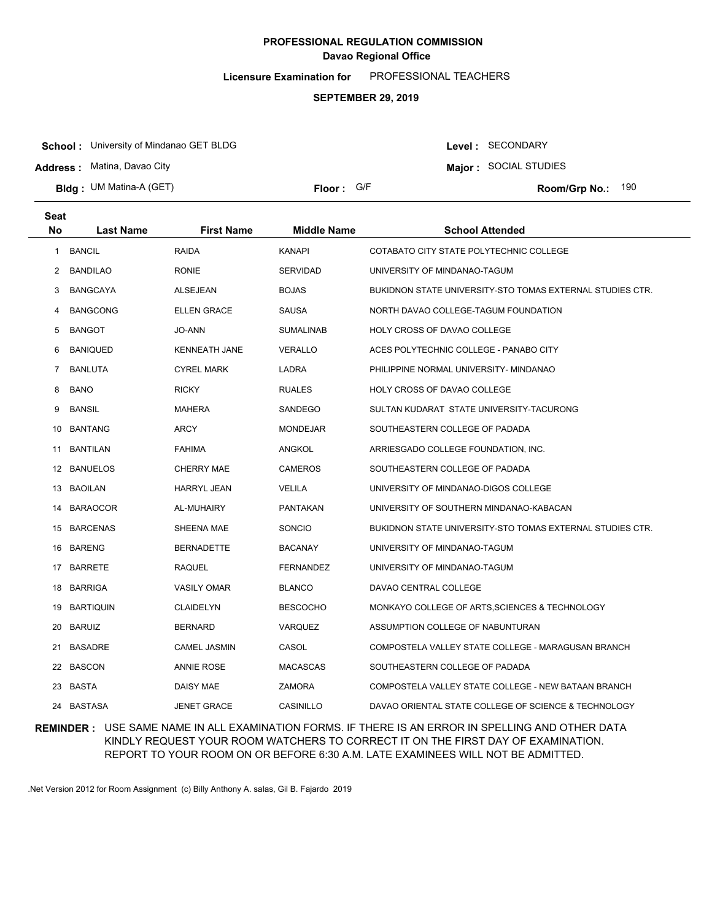**Licensure Examination for**  PROFESSIONAL TEACHERS

#### **SEPTEMBER 29, 2019**

**School :** University of Mindanao GET BLDG

**Address :** Matina, Davao City

**Bldg : Floor : Room/Grp No.:** UM Matina-A (GET)

Floor: G/F **190 Room/Grp No.: 190** 

Level : SECONDARY **Major :** SOCIAL STUDIES

| <b>Seat</b><br><b>No</b> | <b>Last Name</b> | <b>First Name</b>    | <b>Middle Name</b> | <b>School Attended</b>                                    |
|--------------------------|------------------|----------------------|--------------------|-----------------------------------------------------------|
| $\mathbf{1}$             | <b>BANCIL</b>    | <b>RAIDA</b>         | <b>KANAPI</b>      | COTABATO CITY STATE POLYTECHNIC COLLEGE                   |
| 2                        | <b>BANDILAO</b>  | RONIE                | <b>SERVIDAD</b>    | UNIVERSITY OF MINDANAO-TAGUM                              |
| 3                        | <b>BANGCAYA</b>  | ALSEJEAN             | <b>BOJAS</b>       | BUKIDNON STATE UNIVERSITY-STO TOMAS EXTERNAL STUDIES CTR. |
| 4                        | <b>BANGCONG</b>  | <b>ELLEN GRACE</b>   | SAUSA              | NORTH DAVAO COLLEGE-TAGUM FOUNDATION                      |
| 5                        | <b>BANGOT</b>    | JO-ANN               | <b>SUMALINAB</b>   | HOLY CROSS OF DAVAO COLLEGE                               |
| 6                        | <b>BANIQUED</b>  | <b>KENNEATH JANE</b> | <b>VERALLO</b>     | ACES POLYTECHNIC COLLEGE - PANABO CITY                    |
| 7                        | <b>BANLUTA</b>   | <b>CYREL MARK</b>    | LADRA              | PHILIPPINE NORMAL UNIVERSITY- MINDANAO                    |
| 8                        | <b>BANO</b>      | <b>RICKY</b>         | <b>RUALES</b>      | HOLY CROSS OF DAVAO COLLEGE                               |
| 9                        | <b>BANSIL</b>    | <b>MAHERA</b>        | SANDEGO            | SULTAN KUDARAT STATE UNIVERSITY-TACURONG                  |
| 10                       | <b>BANTANG</b>   | ARCY                 | <b>MONDEJAR</b>    | SOUTHEASTERN COLLEGE OF PADADA                            |
| 11                       | <b>BANTILAN</b>  | FAHIMA               | ANGKOL             | ARRIESGADO COLLEGE FOUNDATION, INC.                       |
|                          | 12 BANUELOS      | <b>CHERRY MAE</b>    | <b>CAMEROS</b>     | SOUTHEASTERN COLLEGE OF PADADA                            |
| 13                       | <b>BAOILAN</b>   | <b>HARRYL JEAN</b>   | <b>VELILA</b>      | UNIVERSITY OF MINDANAO-DIGOS COLLEGE                      |
| 14                       | <b>BARAOCOR</b>  | AL-MUHAIRY           | PANTAKAN           | UNIVERSITY OF SOUTHERN MINDANAO-KABACAN                   |
| 15                       | <b>BARCENAS</b>  | SHEENA MAE           | SONCIO             | BUKIDNON STATE UNIVERSITY-STO TOMAS EXTERNAL STUDIES CTR. |
| 16                       | <b>BARENG</b>    | <b>BERNADETTE</b>    | <b>BACANAY</b>     | UNIVERSITY OF MINDANAO-TAGUM                              |
|                          | 17 BARRETE       | <b>RAQUEL</b>        | <b>FERNANDEZ</b>   | UNIVERSITY OF MINDANAO-TAGUM                              |
|                          | 18 BARRIGA       | <b>VASILY OMAR</b>   | <b>BLANCO</b>      | DAVAO CENTRAL COLLEGE                                     |
| 19                       | BARTIQUIN        | <b>CLAIDELYN</b>     | <b>BESCOCHO</b>    | MONKAYO COLLEGE OF ARTS, SCIENCES & TECHNOLOGY            |
| 20                       | <b>BARUIZ</b>    | <b>BERNARD</b>       | <b>VARQUEZ</b>     | ASSUMPTION COLLEGE OF NABUNTURAN                          |
| 21                       | <b>BASADRE</b>   | <b>CAMEL JASMIN</b>  | CASOL              | COMPOSTELA VALLEY STATE COLLEGE - MARAGUSAN BRANCH        |
|                          | 22 BASCON        | <b>ANNIE ROSE</b>    | <b>MACASCAS</b>    | SOUTHEASTERN COLLEGE OF PADADA                            |
| 23                       | BASTA            | DAISY MAE            | ZAMORA             | COMPOSTELA VALLEY STATE COLLEGE - NEW BATAAN BRANCH       |
| 24                       | BASTASA          | <b>JENET GRACE</b>   | CASINILLO          | DAVAO ORIENTAL STATE COLLEGE OF SCIENCE & TECHNOLOGY      |

### **REMINDER :** USE SAME NAME IN ALL EXAMINATION FORMS. IF THERE IS AN ERROR IN SPELLING AND OTHER DATA KINDLY REQUEST YOUR ROOM WATCHERS TO CORRECT IT ON THE FIRST DAY OF EXAMINATION. REPORT TO YOUR ROOM ON OR BEFORE 6:30 A.M. LATE EXAMINEES WILL NOT BE ADMITTED.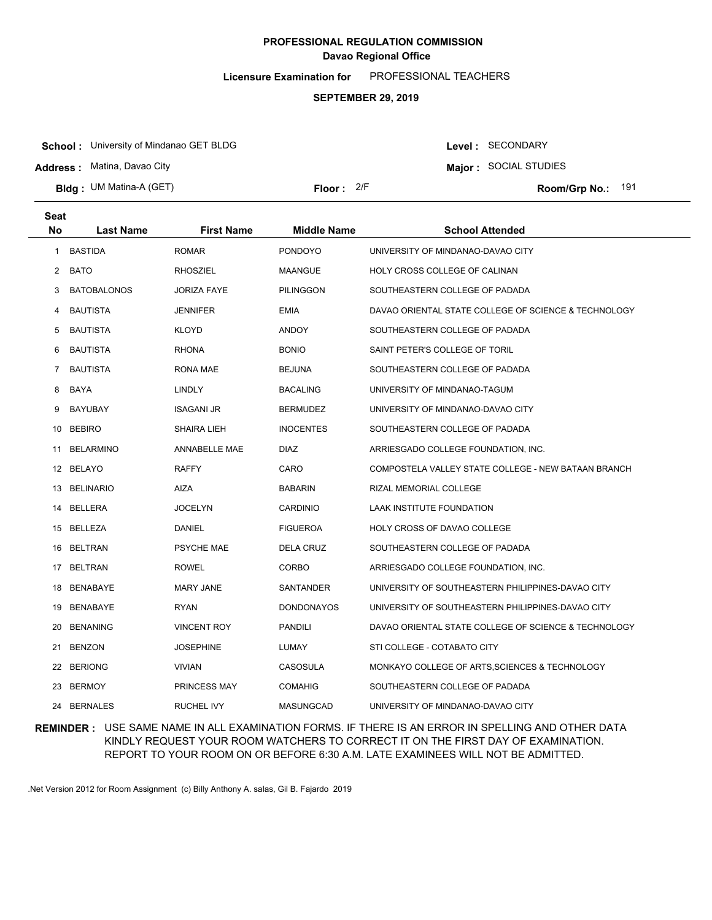**Licensure Examination for**  PROFESSIONAL TEACHERS

#### **SEPTEMBER 29, 2019**

**School :** University of Mindanao GET BLDG

**Address :** Matina, Davao City

**Bldg : Floor : Room/Grp No.:** UM Matina-A (GET)

Floor: 2/F Room/Grp No.: 191

Level : SECONDARY **Major :** SOCIAL STUDIES

| <b>Seat</b><br>No | <b>Last Name</b>   | <b>First Name</b>   | <b>Middle Name</b> | <b>School Attended</b>                               |
|-------------------|--------------------|---------------------|--------------------|------------------------------------------------------|
| 1                 | <b>BASTIDA</b>     | <b>ROMAR</b>        | <b>PONDOYO</b>     | UNIVERSITY OF MINDANAO-DAVAO CITY                    |
| 2                 | BATO               | <b>RHOSZIEL</b>     | MAANGUE            | HOLY CROSS COLLEGE OF CALINAN                        |
| 3                 | <b>BATOBALONOS</b> | JORIZA FAYE         | <b>PILINGGON</b>   | SOUTHEASTERN COLLEGE OF PADADA                       |
| 4                 | <b>BAUTISTA</b>    | JENNIFER            | <b>EMIA</b>        | DAVAO ORIENTAL STATE COLLEGE OF SCIENCE & TECHNOLOGY |
| 5                 | <b>BAUTISTA</b>    | <b>KLOYD</b>        | <b>ANDOY</b>       | SOUTHEASTERN COLLEGE OF PADADA                       |
| 6                 | <b>BAUTISTA</b>    | <b>RHONA</b>        | <b>BONIO</b>       | SAINT PETER'S COLLEGE OF TORIL                       |
| $\overline{7}$    | <b>BAUTISTA</b>    | RONA MAE            | <b>BEJUNA</b>      | SOUTHEASTERN COLLEGE OF PADADA                       |
| 8                 | BAYA               | <b>LINDLY</b>       | <b>BACALING</b>    | UNIVERSITY OF MINDANAO-TAGUM                         |
| 9                 | <b>BAYUBAY</b>     | <b>ISAGANI JR</b>   | <b>BERMUDEZ</b>    | UNIVERSITY OF MINDANAO-DAVAO CITY                    |
| 10                | <b>BEBIRO</b>      | SHAIRA LIEH         | <b>INOCENTES</b>   | SOUTHEASTERN COLLEGE OF PADADA                       |
| 11                | <b>BELARMINO</b>   | ANNABELLE MAE       | <b>DIAZ</b>        | ARRIESGADO COLLEGE FOUNDATION, INC.                  |
|                   | 12 BELAYO          | <b>RAFFY</b>        | CARO               | COMPOSTELA VALLEY STATE COLLEGE - NEW BATAAN BRANCH  |
| 13                | <b>BELINARIO</b>   | AIZA                | <b>BABARIN</b>     | RIZAL MEMORIAL COLLEGE                               |
| 14                | <b>BELLERA</b>     | <b>JOCELYN</b>      | CARDINIO           | LAAK INSTITUTE FOUNDATION                            |
| 15                | BELLEZA            | DANIEL              | <b>FIGUEROA</b>    | HOLY CROSS OF DAVAO COLLEGE                          |
| 16                | <b>BELTRAN</b>     | <b>PSYCHE MAE</b>   | <b>DELA CRUZ</b>   | SOUTHEASTERN COLLEGE OF PADADA                       |
|                   | 17 BELTRAN         | <b>ROWEL</b>        | CORBO              | ARRIESGADO COLLEGE FOUNDATION, INC.                  |
| 18                | BENABAYE           | <b>MARY JANE</b>    | SANTANDER          | UNIVERSITY OF SOUTHEASTERN PHILIPPINES-DAVAO CITY    |
|                   | 19 BENABAYE        | <b>RYAN</b>         | <b>DONDONAYOS</b>  | UNIVERSITY OF SOUTHEASTERN PHILIPPINES-DAVAO CITY    |
|                   | 20 BENANING        | <b>VINCENT ROY</b>  | <b>PANDILI</b>     | DAVAO ORIENTAL STATE COLLEGE OF SCIENCE & TECHNOLOGY |
|                   | 21 BENZON          | JOSEPHINE           | LUMAY              | STI COLLEGE - COTABATO CITY                          |
| 22                | <b>BERIONG</b>     | <b>VIVIAN</b>       | <b>CASOSULA</b>    | MONKAYO COLLEGE OF ARTS, SCIENCES & TECHNOLOGY       |
|                   | 23 BERMOY          | <b>PRINCESS MAY</b> | <b>COMAHIG</b>     | SOUTHEASTERN COLLEGE OF PADADA                       |
|                   | 24 BERNALES        | <b>RUCHEL IVY</b>   | <b>MASUNGCAD</b>   | UNIVERSITY OF MINDANAO-DAVAO CITY                    |

### **REMINDER :** USE SAME NAME IN ALL EXAMINATION FORMS. IF THERE IS AN ERROR IN SPELLING AND OTHER DATA KINDLY REQUEST YOUR ROOM WATCHERS TO CORRECT IT ON THE FIRST DAY OF EXAMINATION. REPORT TO YOUR ROOM ON OR BEFORE 6:30 A.M. LATE EXAMINEES WILL NOT BE ADMITTED.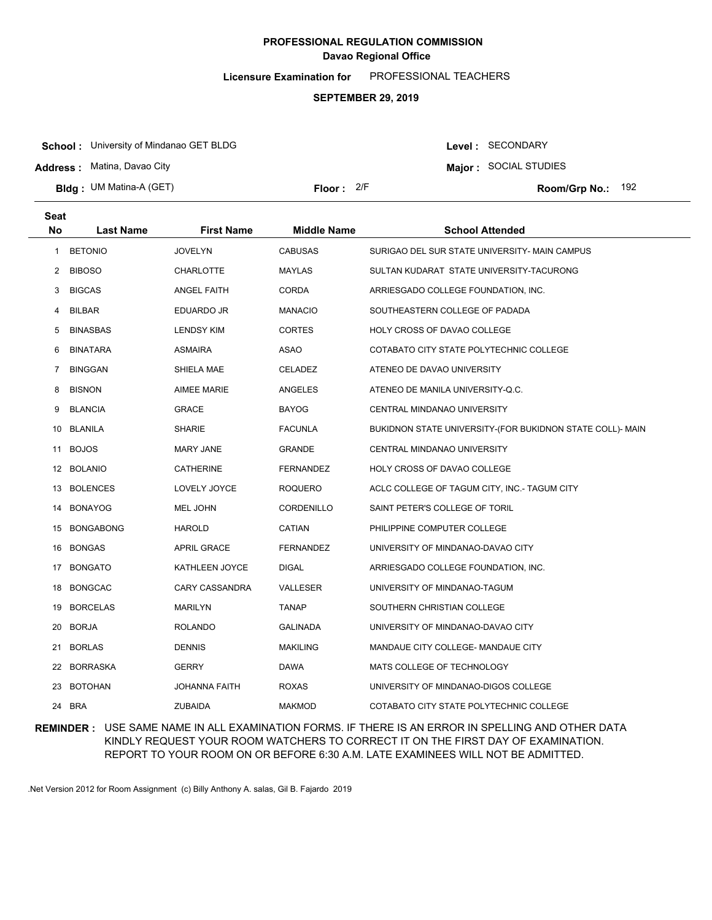**Licensure Examination for**  PROFESSIONAL TEACHERS

#### **SEPTEMBER 29, 2019**

**School :** University of Mindanao GET BLDG

**Address :** Matina, Davao City

**Bldg : Floor : Room/Grp No.:** UM Matina-A (GET)

Floor: 2/F Room/Grp No.: 192

Level : SECONDARY **Major :** SOCIAL STUDIES

| <b>Seat</b> |                  |                      |                    |                                                           |
|-------------|------------------|----------------------|--------------------|-----------------------------------------------------------|
| <b>No</b>   | <b>Last Name</b> | <b>First Name</b>    | <b>Middle Name</b> | <b>School Attended</b>                                    |
| 1           | <b>BETONIO</b>   | <b>JOVELYN</b>       | <b>CABUSAS</b>     | SURIGAO DEL SUR STATE UNIVERSITY- MAIN CAMPUS             |
| 2           | <b>BIBOSO</b>    | <b>CHARLOTTE</b>     | <b>MAYLAS</b>      | SULTAN KUDARAT STATE UNIVERSITY-TACURONG                  |
| 3           | <b>BIGCAS</b>    | <b>ANGEL FAITH</b>   | <b>CORDA</b>       | ARRIESGADO COLLEGE FOUNDATION, INC.                       |
| 4           | <b>BILBAR</b>    | EDUARDO JR           | <b>MANACIO</b>     | SOUTHEASTERN COLLEGE OF PADADA                            |
| 5           | <b>BINASBAS</b>  | <b>LENDSY KIM</b>    | <b>CORTES</b>      | HOLY CROSS OF DAVAO COLLEGE                               |
| 6           | <b>BINATARA</b>  | <b>ASMAIRA</b>       | ASAO               | COTABATO CITY STATE POLYTECHNIC COLLEGE                   |
| 7           | <b>BINGGAN</b>   | SHIELA MAE           | <b>CELADEZ</b>     | ATENEO DE DAVAO UNIVERSITY                                |
| 8           | <b>BISNON</b>    | <b>AIMEE MARIE</b>   | ANGELES            | ATENEO DE MANILA UNIVERSITY-Q.C.                          |
| 9           | <b>BLANCIA</b>   | <b>GRACE</b>         | <b>BAYOG</b>       | CENTRAL MINDANAO UNIVERSITY                               |
|             | 10 BLANILA       | <b>SHARIE</b>        | <b>FACUNLA</b>     | BUKIDNON STATE UNIVERSITY-(FOR BUKIDNON STATE COLL)- MAIN |
| 11          | <b>BOJOS</b>     | <b>MARY JANE</b>     | <b>GRANDE</b>      | CENTRAL MINDANAO UNIVERSITY                               |
|             | 12 BOLANIO       | <b>CATHERINE</b>     | FERNANDEZ          | HOLY CROSS OF DAVAO COLLEGE                               |
|             | 13 BOLENCES      | LOVELY JOYCE         | <b>ROQUERO</b>     | ACLC COLLEGE OF TAGUM CITY, INC.- TAGUM CITY              |
| 14          | <b>BONAYOG</b>   | MEL JOHN             | CORDENILLO         | SAINT PETER'S COLLEGE OF TORIL                            |
|             | 15 BONGABONG     | <b>HAROLD</b>        | CATIAN             | PHILIPPINE COMPUTER COLLEGE                               |
| 16          | <b>BONGAS</b>    | <b>APRIL GRACE</b>   | <b>FERNANDEZ</b>   | UNIVERSITY OF MINDANAO-DAVAO CITY                         |
| 17          | <b>BONGATO</b>   | KATHLEEN JOYCE       | DIGAL              | ARRIESGADO COLLEGE FOUNDATION, INC.                       |
| 18          | <b>BONGCAC</b>   | CARY CASSANDRA       | VALLESER           | UNIVERSITY OF MINDANAO-TAGUM                              |
| 19          | <b>BORCELAS</b>  | <b>MARILYN</b>       | <b>TANAP</b>       | SOUTHERN CHRISTIAN COLLEGE                                |
| 20          | <b>BORJA</b>     | <b>ROLANDO</b>       | <b>GALINADA</b>    | UNIVERSITY OF MINDANAO-DAVAO CITY                         |
| 21          | <b>BORLAS</b>    | <b>DENNIS</b>        | <b>MAKILING</b>    | MANDAUE CITY COLLEGE- MANDAUE CITY                        |
| 22          | <b>BORRASKA</b>  | <b>GERRY</b>         | DAWA               | MATS COLLEGE OF TECHNOLOGY                                |
| 23          | <b>BOTOHAN</b>   | <b>JOHANNA FAITH</b> | <b>ROXAS</b>       | UNIVERSITY OF MINDANAO-DIGOS COLLEGE                      |
| 24          | <b>BRA</b>       | <b>ZUBAIDA</b>       | <b>MAKMOD</b>      | COTABATO CITY STATE POLYTECHNIC COLLEGE                   |

### **REMINDER :** USE SAME NAME IN ALL EXAMINATION FORMS. IF THERE IS AN ERROR IN SPELLING AND OTHER DATA KINDLY REQUEST YOUR ROOM WATCHERS TO CORRECT IT ON THE FIRST DAY OF EXAMINATION. REPORT TO YOUR ROOM ON OR BEFORE 6:30 A.M. LATE EXAMINEES WILL NOT BE ADMITTED.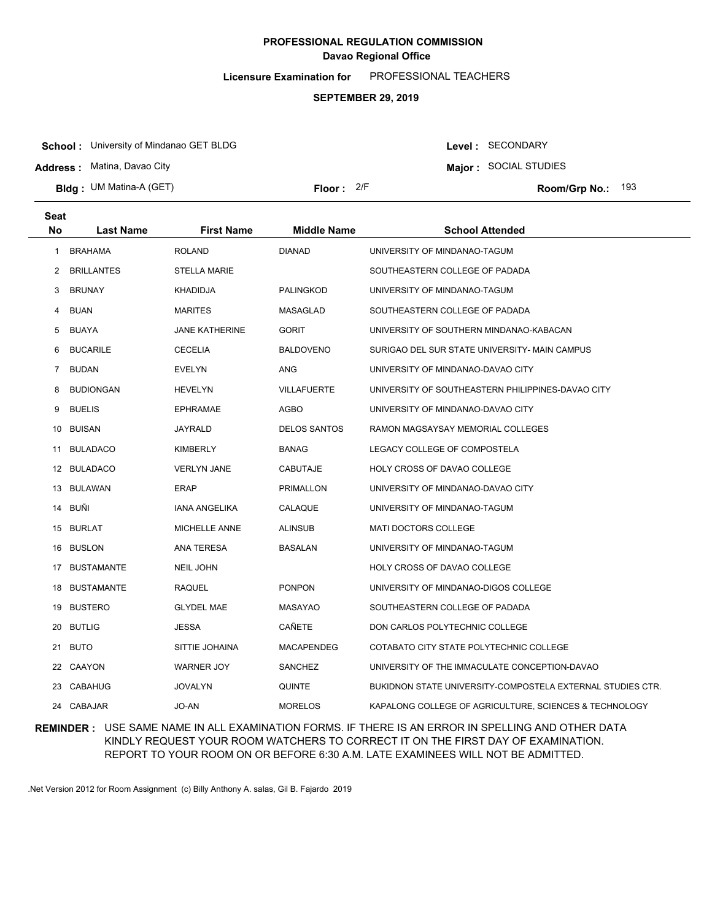**Licensure Examination for**  PROFESSIONAL TEACHERS

#### **SEPTEMBER 29, 2019**

**School :** University of Mindanao GET BLDG

**Address :** Matina, Davao City

**Bldg : Floor : Room/Grp No.:** UM Matina-A (GET)

Floor: 2/F Room/Grp No.: 193

**Major :** SOCIAL STUDIES

Level : SECONDARY

| <b>Seat</b>    |                   |                       |                     |                                                            |
|----------------|-------------------|-----------------------|---------------------|------------------------------------------------------------|
| <b>No</b>      | <b>Last Name</b>  | <b>First Name</b>     | <b>Middle Name</b>  | <b>School Attended</b>                                     |
| 1              | <b>BRAHAMA</b>    | <b>ROLAND</b>         | <b>DIANAD</b>       | UNIVERSITY OF MINDANAO-TAGUM                               |
| 2              | <b>BRILLANTES</b> | <b>STELLA MARIE</b>   |                     | SOUTHEASTERN COLLEGE OF PADADA                             |
| 3              | <b>BRUNAY</b>     | <b>KHADIDJA</b>       | <b>PALINGKOD</b>    | UNIVERSITY OF MINDANAO-TAGUM                               |
| 4              | <b>BUAN</b>       | <b>MARITES</b>        | <b>MASAGLAD</b>     | SOUTHEASTERN COLLEGE OF PADADA                             |
| 5              | BUAYA             | <b>JANE KATHERINE</b> | <b>GORIT</b>        | UNIVERSITY OF SOUTHERN MINDANAO-KABACAN                    |
| 6              | <b>BUCARILE</b>   | CECELIA               | <b>BALDOVENO</b>    | SURIGAO DEL SUR STATE UNIVERSITY- MAIN CAMPUS              |
| $\overline{7}$ | <b>BUDAN</b>      | <b>EVELYN</b>         | ANG                 | UNIVERSITY OF MINDANAO-DAVAO CITY                          |
| 8              | <b>BUDIONGAN</b>  | <b>HEVELYN</b>        | <b>VILLAFUERTE</b>  | UNIVERSITY OF SOUTHEASTERN PHILIPPINES-DAVAO CITY          |
| 9              | <b>BUELIS</b>     | <b>EPHRAMAE</b>       | AGBO                | UNIVERSITY OF MINDANAO-DAVAO CITY                          |
|                | 10 BUISAN         | JAYRALD               | <b>DELOS SANTOS</b> | RAMON MAGSAYSAY MEMORIAL COLLEGES                          |
| 11             | <b>BULADACO</b>   | KIMBERLY              | <b>BANAG</b>        | LEGACY COLLEGE OF COMPOSTELA                               |
|                | 12 BULADACO       | <b>VERLYN JANE</b>    | <b>CABUTAJE</b>     | HOLY CROSS OF DAVAO COLLEGE                                |
|                | 13 BULAWAN        | ERAP                  | PRIMALLON           | UNIVERSITY OF MINDANAO-DAVAO CITY                          |
|                | 14 BUÑI           | <b>IANA ANGELIKA</b>  | CALAQUE             | UNIVERSITY OF MINDANAO-TAGUM                               |
|                | 15 BURLAT         | <b>MICHELLE ANNE</b>  | <b>ALINSUB</b>      | <b>MATI DOCTORS COLLEGE</b>                                |
|                | 16 BUSLON         | ANA TERESA            | <b>BASALAN</b>      | UNIVERSITY OF MINDANAO-TAGUM                               |
|                | 17 BUSTAMANTE     | <b>NEIL JOHN</b>      |                     | HOLY CROSS OF DAVAO COLLEGE                                |
|                | 18 BUSTAMANTE     | <b>RAQUEL</b>         | <b>PONPON</b>       | UNIVERSITY OF MINDANAO-DIGOS COLLEGE                       |
|                | 19 BUSTERO        | <b>GLYDEL MAE</b>     | <b>MASAYAO</b>      | SOUTHEASTERN COLLEGE OF PADADA                             |
| 20             | <b>BUTLIG</b>     | <b>JESSA</b>          | CAÑETE              | DON CARLOS POLYTECHNIC COLLEGE                             |
|                | 21 BUTO           | SITTIE JOHAINA        | <b>MACAPENDEG</b>   | COTABATO CITY STATE POLYTECHNIC COLLEGE                    |
|                | 22 CAAYON         | <b>WARNER JOY</b>     | <b>SANCHEZ</b>      | UNIVERSITY OF THE IMMACULATE CONCEPTION-DAVAO              |
|                | 23 CABAHUG        | <b>JOVALYN</b>        | <b>QUINTE</b>       | BUKIDNON STATE UNIVERSITY-COMPOSTELA EXTERNAL STUDIES CTR. |
|                | 24 CABAJAR        | JO-AN                 | <b>MORELOS</b>      | KAPALONG COLLEGE OF AGRICULTURE, SCIENCES & TECHNOLOGY     |

### **REMINDER :** USE SAME NAME IN ALL EXAMINATION FORMS. IF THERE IS AN ERROR IN SPELLING AND OTHER DATA KINDLY REQUEST YOUR ROOM WATCHERS TO CORRECT IT ON THE FIRST DAY OF EXAMINATION. REPORT TO YOUR ROOM ON OR BEFORE 6:30 A.M. LATE EXAMINEES WILL NOT BE ADMITTED.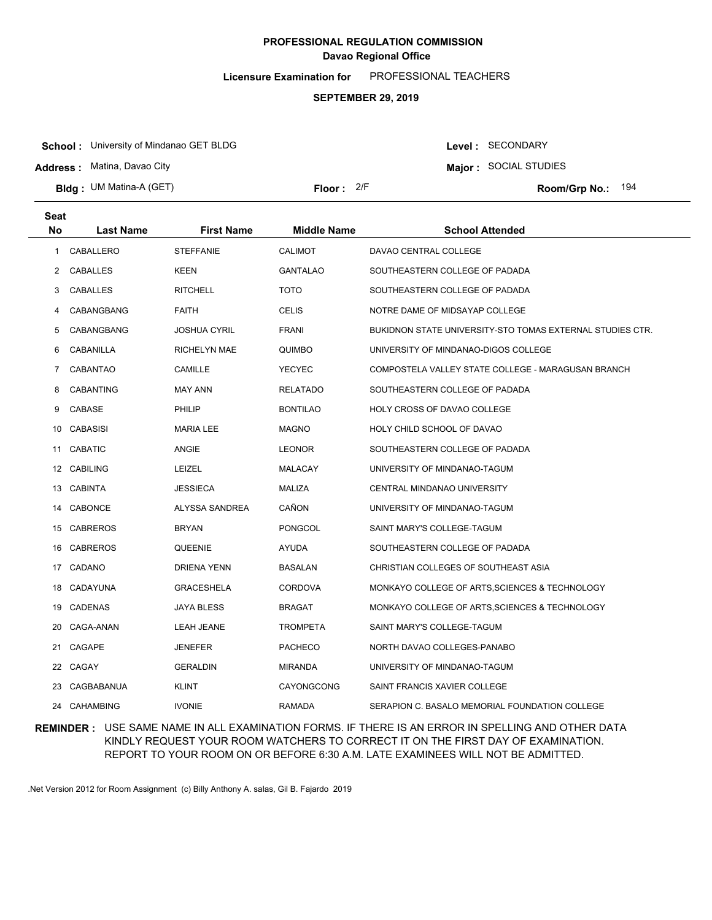**Licensure Examination for**  PROFESSIONAL TEACHERS

#### **SEPTEMBER 29, 2019**

**School :** University of Mindanao GET BLDG

**Address :** Matina, Davao City

**Bldg : Floor : Room/Grp No.:** UM Matina-A (GET)

**Major :** SOCIAL STUDIES Floor: 2/F Room/Grp No.: 194

Level : SECONDARY

| Seat |                  |                   |                    |                                                           |
|------|------------------|-------------------|--------------------|-----------------------------------------------------------|
| No   | <b>Last Name</b> | <b>First Name</b> | <b>Middle Name</b> | <b>School Attended</b>                                    |
| 1    | CABALLERO        | <b>STEFFANIE</b>  | <b>CALIMOT</b>     | DAVAO CENTRAL COLLEGE                                     |
| 2    | CABALLES         | KEEN              | <b>GANTALAO</b>    | SOUTHEASTERN COLLEGE OF PADADA                            |
| 3    | CABALLES         | <b>RITCHELL</b>   | <b>TOTO</b>        | SOUTHEASTERN COLLEGE OF PADADA                            |
| 4    | CABANGBANG       | FAITH             | <b>CELIS</b>       | NOTRE DAME OF MIDSAYAP COLLEGE                            |
| 5    | CABANGBANG       | JOSHUA CYRIL      | FRANI              | BUKIDNON STATE UNIVERSITY-STO TOMAS EXTERNAL STUDIES CTR. |
| 6    | CABANILLA        | RICHELYN MAE      | <b>QUIMBO</b>      | UNIVERSITY OF MINDANAO-DIGOS COLLEGE                      |
| 7    | <b>CABANTAO</b>  | CAMILLE           | YECYEC             | COMPOSTELA VALLEY STATE COLLEGE - MARAGUSAN BRANCH        |
| 8    | <b>CABANTING</b> | <b>MAY ANN</b>    | <b>RELATADO</b>    | SOUTHEASTERN COLLEGE OF PADADA                            |
| 9    | CABASE           | PHILIP            | <b>BONTILAO</b>    | HOLY CROSS OF DAVAO COLLEGE                               |
|      | 10 CABASISI      | MARIA LEE         | <b>MAGNO</b>       | HOLY CHILD SCHOOL OF DAVAO                                |
| 11   | <b>CABATIC</b>   | ANGIE             | <b>LEONOR</b>      | SOUTHEASTERN COLLEGE OF PADADA                            |
|      | 12 CABILING      | <b>LEIZEL</b>     | MALACAY            | UNIVERSITY OF MINDANAO-TAGUM                              |
|      | 13 CABINTA       | JESSIECA          | MALIZA             | CENTRAL MINDANAO UNIVERSITY                               |
|      | 14 CABONCE       | ALYSSA SANDREA    | CAÑON              | UNIVERSITY OF MINDANAO-TAGUM                              |
|      | 15 CABREROS      | BRYAN             | PONGCOL            | SAINT MARY'S COLLEGE-TAGUM                                |
|      | 16 CABREROS      | QUEENIE           | <b>AYUDA</b>       | SOUTHEASTERN COLLEGE OF PADADA                            |
|      | 17 CADANO        | DRIENA YENN       | <b>BASALAN</b>     | CHRISTIAN COLLEGES OF SOUTHEAST ASIA                      |
|      | 18 CADAYUNA      | GRACESHELA        | <b>CORDOVA</b>     | MONKAYO COLLEGE OF ARTS, SCIENCES & TECHNOLOGY            |
|      | 19 CADENAS       | JAYA BLESS        | <b>BRAGAT</b>      | MONKAYO COLLEGE OF ARTS, SCIENCES & TECHNOLOGY            |
|      | 20 CAGA-ANAN     | <b>LEAH JEANE</b> | <b>TROMPETA</b>    | SAINT MARY'S COLLEGE-TAGUM                                |
|      | 21 CAGAPE        | JENEFER           | <b>PACHECO</b>     | NORTH DAVAO COLLEGES-PANABO                               |
|      | 22 CAGAY         | GERALDIN          | <b>MIRANDA</b>     | UNIVERSITY OF MINDANAO-TAGUM                              |
| 23   | CAGBABANUA       | KLINT             | CAYONGCONG         | SAINT FRANCIS XAVIER COLLEGE                              |
|      | 24 CAHAMBING     | <b>IVONIE</b>     | <b>RAMADA</b>      | SERAPION C. BASALO MEMORIAL FOUNDATION COLLEGE            |

### **REMINDER :** USE SAME NAME IN ALL EXAMINATION FORMS. IF THERE IS AN ERROR IN SPELLING AND OTHER DATA KINDLY REQUEST YOUR ROOM WATCHERS TO CORRECT IT ON THE FIRST DAY OF EXAMINATION. REPORT TO YOUR ROOM ON OR BEFORE 6:30 A.M. LATE EXAMINEES WILL NOT BE ADMITTED.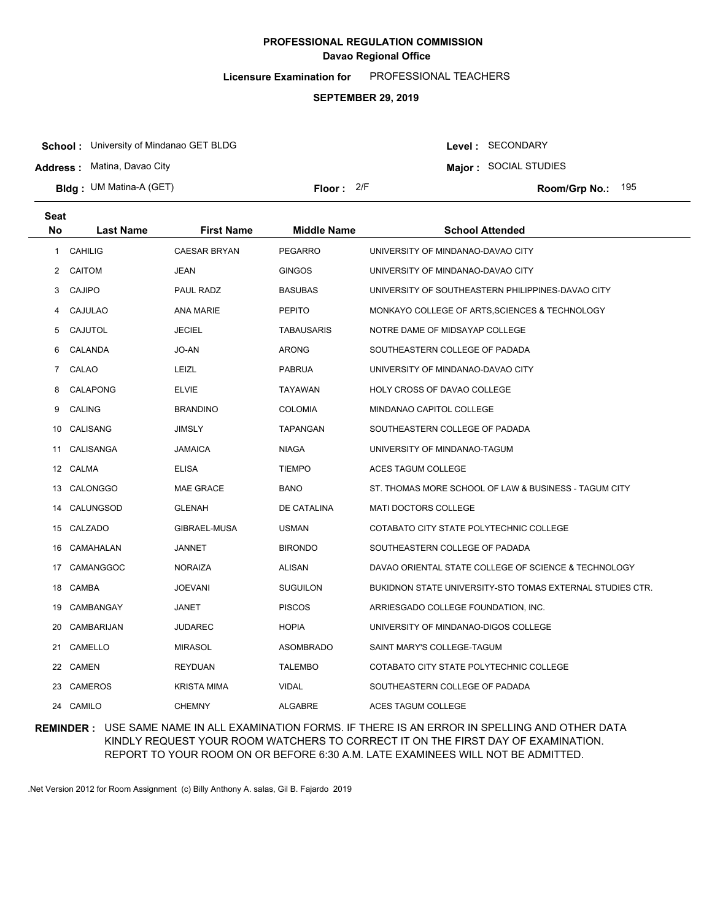**Licensure Examination for**  PROFESSIONAL TEACHERS

#### **SEPTEMBER 29, 2019**

**School :** University of Mindanao GET BLDG

**Address :** Matina, Davao City

**Bldg : Floor : Room/Grp No.:** UM Matina-A (GET)

Floor: 2/F Room/Grp No.: 195

**Major :** SOCIAL STUDIES

Level : SECONDARY

| <b>Seat</b>    |                  |                     |                    |                                                           |
|----------------|------------------|---------------------|--------------------|-----------------------------------------------------------|
| <b>No</b>      | <b>Last Name</b> | <b>First Name</b>   | <b>Middle Name</b> | <b>School Attended</b>                                    |
| 1              | <b>CAHILIG</b>   | <b>CAESAR BRYAN</b> | <b>PEGARRO</b>     | UNIVERSITY OF MINDANAO-DAVAO CITY                         |
| $\overline{2}$ | <b>CAITOM</b>    | JEAN                | <b>GINGOS</b>      | UNIVERSITY OF MINDANAO-DAVAO CITY                         |
| 3              | <b>CAJIPO</b>    | PAUL RADZ           | <b>BASUBAS</b>     | UNIVERSITY OF SOUTHEASTERN PHILIPPINES-DAVAO CITY         |
| 4              | CAJULAO          | <b>ANA MARIE</b>    | <b>PEPITO</b>      | MONKAYO COLLEGE OF ARTS, SCIENCES & TECHNOLOGY            |
| 5              | CAJUTOL          | <b>JECIEL</b>       | <b>TABAUSARIS</b>  | NOTRE DAME OF MIDSAYAP COLLEGE                            |
| 6              | CALANDA          | JO-AN               | <b>ARONG</b>       | SOUTHEASTERN COLLEGE OF PADADA                            |
| $\overline{7}$ | CALAO            | LEIZL               | <b>PABRUA</b>      | UNIVERSITY OF MINDANAO-DAVAO CITY                         |
| 8              | <b>CALAPONG</b>  | <b>ELVIE</b>        | <b>TAYAWAN</b>     | HOLY CROSS OF DAVAO COLLEGE                               |
| 9              | <b>CALING</b>    | <b>BRANDINO</b>     | <b>COLOMIA</b>     | MINDANAO CAPITOL COLLEGE                                  |
|                | 10 CALISANG      | <b>JIMSLY</b>       | TAPANGAN           | SOUTHEASTERN COLLEGE OF PADADA                            |
| 11             | CALISANGA        | <b>JAMAICA</b>      | <b>NIAGA</b>       | UNIVERSITY OF MINDANAO-TAGUM                              |
|                | 12 CALMA         | <b>ELISA</b>        | <b>TIEMPO</b>      | ACES TAGUM COLLEGE                                        |
|                | 13 CALONGGO      | <b>MAE GRACE</b>    | <b>BANO</b>        | ST. THOMAS MORE SCHOOL OF LAW & BUSINESS - TAGUM CITY     |
| 14             | CALUNGSOD        | <b>GLENAH</b>       | DE CATALINA        | <b>MATI DOCTORS COLLEGE</b>                               |
|                | 15 CALZADO       | GIBRAEL-MUSA        | <b>USMAN</b>       | COTABATO CITY STATE POLYTECHNIC COLLEGE                   |
| 16             | CAMAHALAN        | <b>JANNET</b>       | <b>BIRONDO</b>     | SOUTHEASTERN COLLEGE OF PADADA                            |
| 17             | CAMANGGOC        | <b>NORAIZA</b>      | ALISAN             | DAVAO ORIENTAL STATE COLLEGE OF SCIENCE & TECHNOLOGY      |
| 18             | CAMBA            | <b>JOEVANI</b>      | <b>SUGUILON</b>    | BUKIDNON STATE UNIVERSITY-STO TOMAS EXTERNAL STUDIES CTR. |
| 19             | CAMBANGAY        | JANET               | <b>PISCOS</b>      | ARRIESGADO COLLEGE FOUNDATION, INC.                       |
| 20             | CAMBARIJAN       | <b>JUDAREC</b>      | <b>HOPIA</b>       | UNIVERSITY OF MINDANAO-DIGOS COLLEGE                      |
| 21             | CAMELLO          | <b>MIRASOL</b>      | <b>ASOMBRADO</b>   | SAINT MARY'S COLLEGE-TAGUM                                |
|                | 22 CAMEN         | <b>REYDUAN</b>      | <b>TALEMBO</b>     | COTABATO CITY STATE POLYTECHNIC COLLEGE                   |
| 23             | <b>CAMEROS</b>   | <b>KRISTA MIMA</b>  | VIDAL              | SOUTHEASTERN COLLEGE OF PADADA                            |
|                | 24 CAMILO        | <b>CHEMNY</b>       | <b>ALGABRE</b>     | <b>ACES TAGUM COLLEGE</b>                                 |

### **REMINDER :** USE SAME NAME IN ALL EXAMINATION FORMS. IF THERE IS AN ERROR IN SPELLING AND OTHER DATA KINDLY REQUEST YOUR ROOM WATCHERS TO CORRECT IT ON THE FIRST DAY OF EXAMINATION. REPORT TO YOUR ROOM ON OR BEFORE 6:30 A.M. LATE EXAMINEES WILL NOT BE ADMITTED.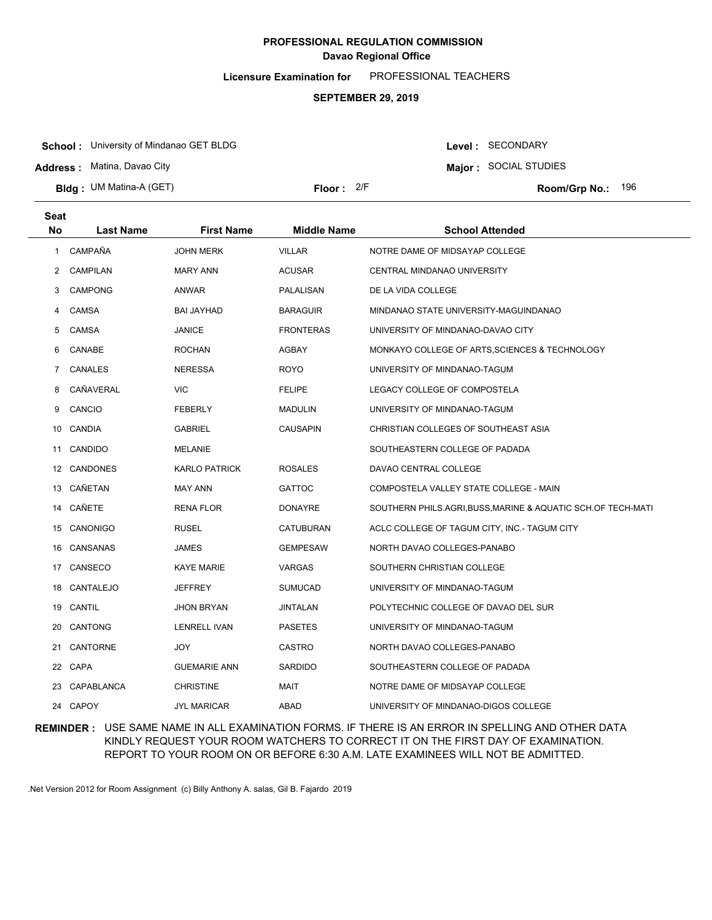**Licensure Examination for**  PROFESSIONAL TEACHERS

#### **SEPTEMBER 29, 2019**

**School :** University of Mindanao GET BLDG

**Address :** Matina, Davao City

**Bldg : Floor : Room/Grp No.:** UM Matina-A (GET)

Floor: 2/F Room/Grp No.: 196

**Major :** SOCIAL STUDIES

Level : SECONDARY

| Seat           |                  |                      |                    |                                                            |
|----------------|------------------|----------------------|--------------------|------------------------------------------------------------|
| <b>No</b>      | <b>Last Name</b> | <b>First Name</b>    | <b>Middle Name</b> | <b>School Attended</b>                                     |
| 1.             | CAMPAÑA          | <b>JOHN MERK</b>     | <b>VILLAR</b>      | NOTRE DAME OF MIDSAYAP COLLEGE                             |
| $\overline{2}$ | <b>CAMPILAN</b>  | <b>MARY ANN</b>      | <b>ACUSAR</b>      | CENTRAL MINDANAO UNIVERSITY                                |
| 3              | <b>CAMPONG</b>   | <b>ANWAR</b>         | PALALISAN          | DE LA VIDA COLLEGE                                         |
| 4              | <b>CAMSA</b>     | <b>BAI JAYHAD</b>    | <b>BARAGUIR</b>    | MINDANAO STATE UNIVERSITY-MAGUINDANAO                      |
| 5              | <b>CAMSA</b>     | <b>JANICE</b>        | <b>FRONTERAS</b>   | UNIVERSITY OF MINDANAO-DAVAO CITY                          |
| 6              | CANABE           | <b>ROCHAN</b>        | AGBAY              | MONKAYO COLLEGE OF ARTS, SCIENCES & TECHNOLOGY             |
| 7              | CANALES          | <b>NERESSA</b>       | ROYO               | UNIVERSITY OF MINDANAO-TAGUM                               |
| 8              | CAÑAVERAL        | <b>VIC</b>           | <b>FELIPE</b>      | LEGACY COLLEGE OF COMPOSTELA                               |
| 9              | CANCIO           | <b>FEBERLY</b>       | <b>MADULIN</b>     | UNIVERSITY OF MINDANAO-TAGUM                               |
|                | 10 CANDIA        | <b>GABRIEL</b>       | <b>CAUSAPIN</b>    | CHRISTIAN COLLEGES OF SOUTHEAST ASIA                       |
|                | 11 CANDIDO       | <b>MELANIE</b>       |                    | SOUTHEASTERN COLLEGE OF PADADA                             |
|                | 12 CANDONES      | <b>KARLO PATRICK</b> | <b>ROSALES</b>     | DAVAO CENTRAL COLLEGE                                      |
|                | 13 CAÑETAN       | <b>MAY ANN</b>       | <b>GATTOC</b>      | COMPOSTELA VALLEY STATE COLLEGE - MAIN                     |
| 14             | CAÑETE           | <b>RENA FLOR</b>     | <b>DONAYRE</b>     | SOUTHERN PHILS.AGRI,BUSS,MARINE & AQUATIC SCH.OF TECH-MATI |
|                | 15 CANONIGO      | <b>RUSEL</b>         | CATUBURAN          | ACLC COLLEGE OF TAGUM CITY, INC.- TAGUM CITY               |
| 16             | CANSANAS         | JAMES                | <b>GEMPESAW</b>    | NORTH DAVAO COLLEGES-PANABO                                |
| 17             | CANSECO          | <b>KAYE MARIE</b>    | VARGAS             | SOUTHERN CHRISTIAN COLLEGE                                 |
| 18             | CANTALEJO        | <b>JEFFREY</b>       | <b>SUMUCAD</b>     | UNIVERSITY OF MINDANAO-TAGUM                               |
| 19             | CANTIL           | <b>JHON BRYAN</b>    | <b>JINTALAN</b>    | POLYTECHNIC COLLEGE OF DAVAO DEL SUR                       |
| 20             | <b>CANTONG</b>   | <b>LENRELL IVAN</b>  | <b>PASETES</b>     | UNIVERSITY OF MINDANAO-TAGUM                               |
| 21             | CANTORNE         | JOY                  | <b>CASTRO</b>      | NORTH DAVAO COLLEGES-PANABO                                |
|                | 22 CAPA          | <b>GUEMARIE ANN</b>  | SARDIDO            | SOUTHEASTERN COLLEGE OF PADADA                             |
| 23             | CAPABLANCA       | <b>CHRISTINE</b>     | MAIT               | NOTRE DAME OF MIDSAYAP COLLEGE                             |
|                | 24 CAPOY         | <b>JYL MARICAR</b>   | ABAD               | UNIVERSITY OF MINDANAO-DIGOS COLLEGE                       |

### **REMINDER :** USE SAME NAME IN ALL EXAMINATION FORMS. IF THERE IS AN ERROR IN SPELLING AND OTHER DATA KINDLY REQUEST YOUR ROOM WATCHERS TO CORRECT IT ON THE FIRST DAY OF EXAMINATION. REPORT TO YOUR ROOM ON OR BEFORE 6:30 A.M. LATE EXAMINEES WILL NOT BE ADMITTED.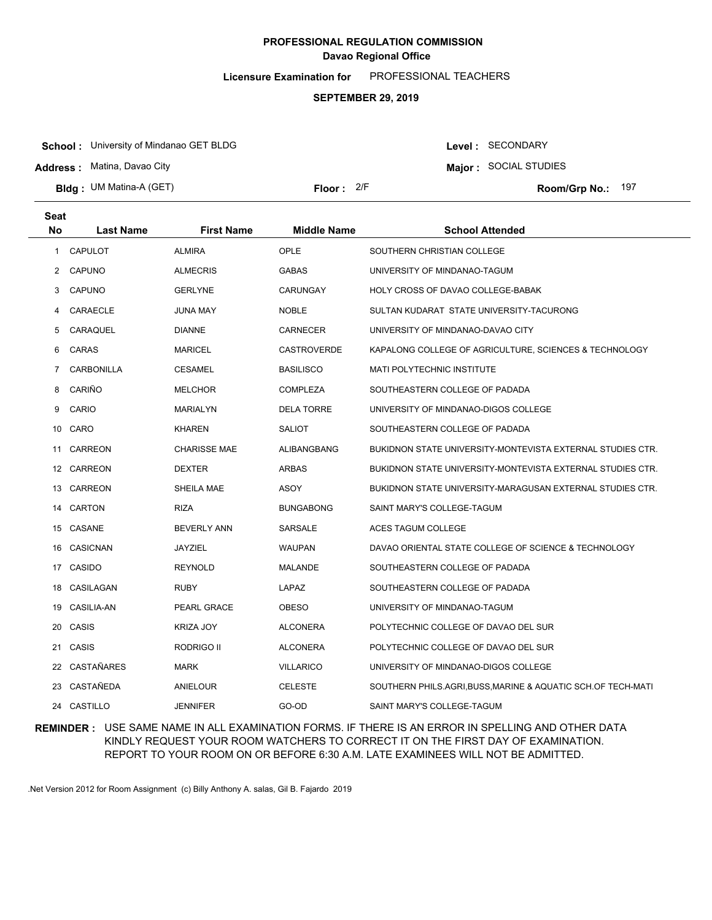**Licensure Examination for**  PROFESSIONAL TEACHERS

#### **SEPTEMBER 29, 2019**

**School :** University of Mindanao GET BLDG

**Address :** Matina, Davao City

**Bldg : Floor : Room/Grp No.:** UM Matina-A (GET)

Floor: 2/F Room/Grp No.: 197

**Major :** SOCIAL STUDIES

Level : SECONDARY

| <b>Seat</b> |                |                     |                    |                                                            |
|-------------|----------------|---------------------|--------------------|------------------------------------------------------------|
| <b>No</b>   | Last Name      | <b>First Name</b>   | <b>Middle Name</b> | <b>School Attended</b>                                     |
| 1           | <b>CAPULOT</b> | <b>ALMIRA</b>       | OPLE               | SOUTHERN CHRISTIAN COLLEGE                                 |
| 2           | CAPUNO         | <b>ALMECRIS</b>     | <b>GABAS</b>       | UNIVERSITY OF MINDANAO-TAGUM                               |
| 3           | CAPUNO         | <b>GERLYNE</b>      | <b>CARUNGAY</b>    | HOLY CROSS OF DAVAO COLLEGE-BABAK                          |
| 4           | CARAECLE       | <b>JUNA MAY</b>     | <b>NOBLE</b>       | SULTAN KUDARAT STATE UNIVERSITY-TACURONG                   |
| 5           | CARAQUEL       | <b>DIANNE</b>       | <b>CARNECER</b>    | UNIVERSITY OF MINDANAO-DAVAO CITY                          |
| 6           | CARAS          | <b>MARICEL</b>      | <b>CASTROVERDE</b> | KAPALONG COLLEGE OF AGRICULTURE, SCIENCES & TECHNOLOGY     |
| 7           | CARBONILLA     | <b>CESAMEL</b>      | <b>BASILISCO</b>   | MATI POLYTECHNIC INSTITUTE                                 |
| 8           | CARIÑO         | <b>MELCHOR</b>      | <b>COMPLEZA</b>    | SOUTHEASTERN COLLEGE OF PADADA                             |
| 9           | CARIO          | <b>MARIALYN</b>     | <b>DELA TORRE</b>  | UNIVERSITY OF MINDANAO-DIGOS COLLEGE                       |
| 10          | CARO           | <b>KHAREN</b>       | <b>SALIOT</b>      | SOUTHEASTERN COLLEGE OF PADADA                             |
|             | 11 CARREON     | <b>CHARISSE MAE</b> | ALIBANGBANG        | BUKIDNON STATE UNIVERSITY-MONTEVISTA EXTERNAL STUDIES CTR. |
|             | 12 CARREON     | <b>DEXTER</b>       | ARBAS              | BUKIDNON STATE UNIVERSITY-MONTEVISTA EXTERNAL STUDIES CTR. |
|             | 13 CARREON     | SHEILA MAE          | ASOY               | BUKIDNON STATE UNIVERSITY-MARAGUSAN EXTERNAL STUDIES CTR.  |
| 14          | <b>CARTON</b>  | <b>RIZA</b>         | <b>BUNGABONG</b>   | SAINT MARY'S COLLEGE-TAGUM                                 |
|             | 15 CASANE      | <b>BEVERLY ANN</b>  | <b>SARSALE</b>     | ACES TAGUM COLLEGE                                         |
| 16          | CASICNAN       | <b>JAYZIEL</b>      | <b>WAUPAN</b>      | DAVAO ORIENTAL STATE COLLEGE OF SCIENCE & TECHNOLOGY       |
| 17          | CASIDO         | <b>REYNOLD</b>      | MALANDE            | SOUTHEASTERN COLLEGE OF PADADA                             |
| 18          | CASILAGAN      | <b>RUBY</b>         | LAPAZ              | SOUTHEASTERN COLLEGE OF PADADA                             |
| 19          | CASILIA-AN     | <b>PEARL GRACE</b>  | <b>OBESO</b>       | UNIVERSITY OF MINDANAO-TAGUM                               |
| 20          | CASIS          | <b>KRIZA JOY</b>    | <b>ALCONERA</b>    | POLYTECHNIC COLLEGE OF DAVAO DEL SUR                       |
| 21          | CASIS          | RODRIGO II          | <b>ALCONERA</b>    | POLYTECHNIC COLLEGE OF DAVAO DEL SUR                       |
| 22          | CASTAÑARES     | <b>MARK</b>         | <b>VILLARICO</b>   | UNIVERSITY OF MINDANAO-DIGOS COLLEGE                       |
| 23          | CASTAÑEDA      | ANIELOUR            | <b>CELESTE</b>     | SOUTHERN PHILS.AGRI,BUSS,MARINE & AQUATIC SCH.OF TECH-MATI |
|             | 24 CASTILLO    | <b>JENNIFER</b>     | GO-OD              | SAINT MARY'S COLLEGE-TAGUM                                 |

**REMINDER :** USE SAME NAME IN ALL EXAMINATION FORMS. IF THERE IS AN ERROR IN SPELLING AND OTHER DATA KINDLY REQUEST YOUR ROOM WATCHERS TO CORRECT IT ON THE FIRST DAY OF EXAMINATION. REPORT TO YOUR ROOM ON OR BEFORE 6:30 A.M. LATE EXAMINEES WILL NOT BE ADMITTED.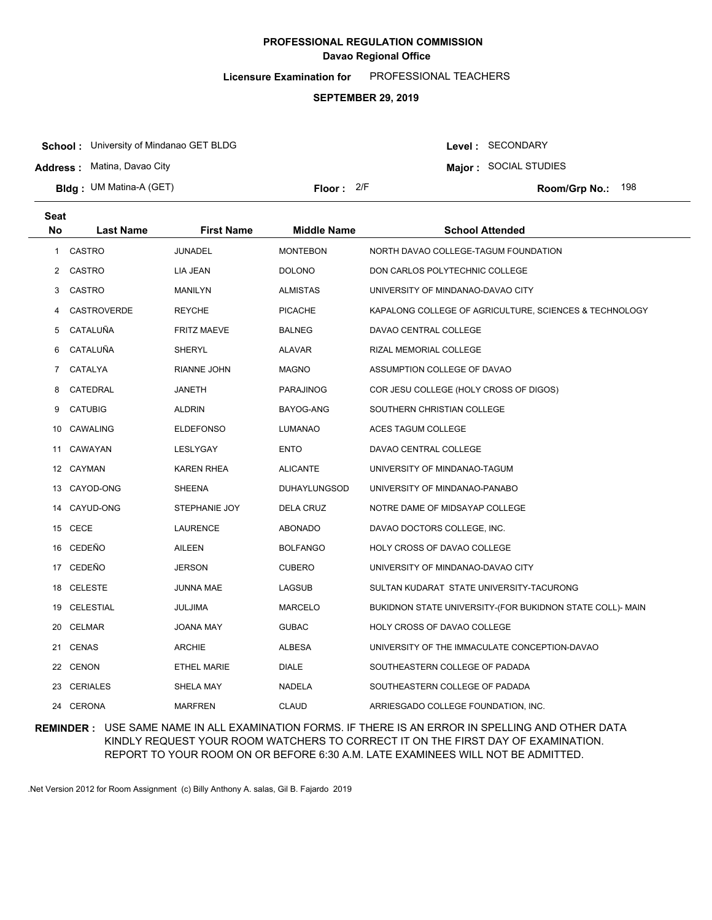**Licensure Examination for**  PROFESSIONAL TEACHERS

#### **SEPTEMBER 29, 2019**

**School :** University of Mindanao GET BLDG

**Address :** Matina, Davao City

**Seat**

**Bldg : Floor : Room/Grp No.:** UM Matina-A (GET)

Floor: 2/F Room/Grp No.: 198

Level : SECONDARY **Major :** SOCIAL STUDIES

| əeat           |                    |                    |                     |                                                           |
|----------------|--------------------|--------------------|---------------------|-----------------------------------------------------------|
| <b>No</b>      | <b>Last Name</b>   | <b>First Name</b>  | <b>Middle Name</b>  | <b>School Attended</b>                                    |
| 1              | CASTRO             | <b>JUNADEL</b>     | <b>MONTEBON</b>     | NORTH DAVAO COLLEGE-TAGUM FOUNDATION                      |
| 2              | <b>CASTRO</b>      | LIA JEAN           | <b>DOLONO</b>       | DON CARLOS POLYTECHNIC COLLEGE                            |
| 3              | CASTRO             | MANILYN            | <b>ALMISTAS</b>     | UNIVERSITY OF MINDANAO-DAVAO CITY                         |
| 4              | <b>CASTROVERDE</b> | <b>REYCHE</b>      | <b>PICACHE</b>      | KAPALONG COLLEGE OF AGRICULTURE, SCIENCES & TECHNOLOGY    |
| 5              | CATALUÑA           | <b>FRITZ MAEVE</b> | <b>BALNEG</b>       | DAVAO CENTRAL COLLEGE                                     |
| 6              | CATALUÑA           | SHERYL             | <b>ALAVAR</b>       | RIZAL MEMORIAL COLLEGE                                    |
| $7\phantom{.}$ | CATALYA            | RIANNE JOHN        | <b>MAGNO</b>        | ASSUMPTION COLLEGE OF DAVAO                               |
| 8              | CATEDRAL           | JANETH             | PARAJINOG           | COR JESU COLLEGE (HOLY CROSS OF DIGOS)                    |
| 9              | <b>CATUBIG</b>     | ALDRIN             | BAYOG-ANG           | SOUTHERN CHRISTIAN COLLEGE                                |
| 10             | CAWALING           | <b>ELDEFONSO</b>   | LUMANAO             | ACES TAGUM COLLEGE                                        |
|                | 11 CAWAYAN         | LESLYGAY           | ENTO                | DAVAO CENTRAL COLLEGE                                     |
|                | 12 CAYMAN          | KAREN RHEA         | <b>ALICANTE</b>     | UNIVERSITY OF MINDANAO-TAGUM                              |
|                | 13 CAYOD-ONG       | SHEENA             | <b>DUHAYLUNGSOD</b> | UNIVERSITY OF MINDANAO-PANABO                             |
|                | 14 CAYUD-ONG       | STEPHANIE JOY      | DELA CRUZ           | NOTRE DAME OF MIDSAYAP COLLEGE                            |
|                | 15 CECE            | LAURENCE           | <b>ABONADO</b>      | DAVAO DOCTORS COLLEGE, INC.                               |
|                | 16 CEDEÑO          | AILEEN             | <b>BOLFANGO</b>     | HOLY CROSS OF DAVAO COLLEGE                               |
|                | 17 CEDEÑO          | <b>JERSON</b>      | <b>CUBERO</b>       | UNIVERSITY OF MINDANAO-DAVAO CITY                         |
|                | 18 CELESTE         | <b>JUNNA MAE</b>   | LAGSUB              | SULTAN KUDARAT STATE UNIVERSITY-TACURONG                  |
|                | 19 CELESTIAL       | JULJIMA            | <b>MARCELO</b>      | BUKIDNON STATE UNIVERSITY-(FOR BUKIDNON STATE COLL)- MAIN |
| 20             | CELMAR             | JOANA MAY          | <b>GUBAC</b>        | HOLY CROSS OF DAVAO COLLEGE                               |
|                | 21 CENAS           | <b>ARCHIE</b>      | <b>ALBESA</b>       | UNIVERSITY OF THE IMMACULATE CONCEPTION-DAVAO             |
|                | 22 CENON           | <b>ETHEL MARIE</b> | <b>DIALE</b>        | SOUTHEASTERN COLLEGE OF PADADA                            |
|                | 23 CERIALES        | SHELA MAY          | <b>NADELA</b>       | SOUTHEASTERN COLLEGE OF PADADA                            |
|                | 24 CERONA          | <b>MARFREN</b>     | <b>CLAUD</b>        | ARRIESGADO COLLEGE FOUNDATION, INC.                       |

### **REMINDER :** USE SAME NAME IN ALL EXAMINATION FORMS. IF THERE IS AN ERROR IN SPELLING AND OTHER DATA KINDLY REQUEST YOUR ROOM WATCHERS TO CORRECT IT ON THE FIRST DAY OF EXAMINATION. REPORT TO YOUR ROOM ON OR BEFORE 6:30 A.M. LATE EXAMINEES WILL NOT BE ADMITTED.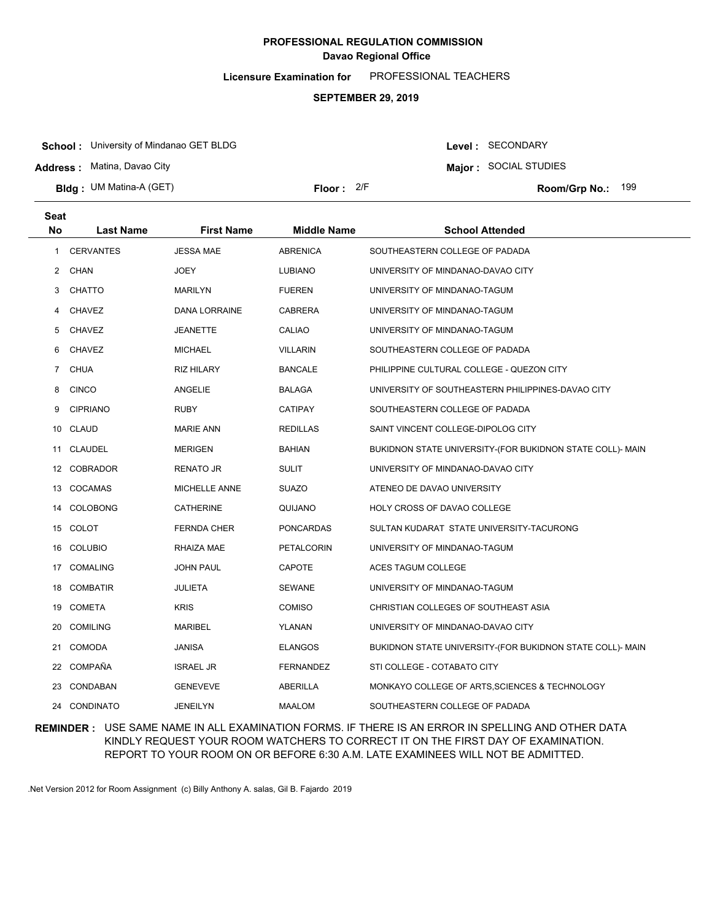**Licensure Examination for**  PROFESSIONAL TEACHERS

#### **SEPTEMBER 29, 2019**

**School :** University of Mindanao GET BLDG

**Address :** Matina, Davao City

**Seat**

**Bldg : Floor : Room/Grp No.:** UM Matina-A (GET)

**Major :** SOCIAL STUDIES

Level : SECONDARY

Floor: 2/F Room/Grp No.: 199

| əeat           |                  |                   |                    |                                                           |
|----------------|------------------|-------------------|--------------------|-----------------------------------------------------------|
| <b>No</b>      | <b>Last Name</b> | <b>First Name</b> | <b>Middle Name</b> | <b>School Attended</b>                                    |
| 1              | <b>CERVANTES</b> | <b>JESSA MAE</b>  | <b>ABRENICA</b>    | SOUTHEASTERN COLLEGE OF PADADA                            |
| 2              | CHAN             | JOEY              | <b>LUBIANO</b>     | UNIVERSITY OF MINDANAO-DAVAO CITY                         |
| 3              | CHATTO           | <b>MARILYN</b>    | <b>FUEREN</b>      | UNIVERSITY OF MINDANAO-TAGUM                              |
| 4              | <b>CHAVEZ</b>    | DANA LORRAINE     | <b>CABRERA</b>     | UNIVERSITY OF MINDANAO-TAGUM                              |
| 5              | <b>CHAVEZ</b>    | JEANETTE          | CALIAO             | UNIVERSITY OF MINDANAO-TAGUM                              |
| 6              | <b>CHAVEZ</b>    | <b>MICHAEL</b>    | <b>VILLARIN</b>    | SOUTHEASTERN COLLEGE OF PADADA                            |
| $\overline{7}$ | <b>CHUA</b>      | <b>RIZ HILARY</b> | <b>BANCALE</b>     | PHILIPPINE CULTURAL COLLEGE - QUEZON CITY                 |
| 8              | <b>CINCO</b>     | ANGELIE           | BALAGA             | UNIVERSITY OF SOUTHEASTERN PHILIPPINES-DAVAO CITY         |
| 9              | <b>CIPRIANO</b>  | <b>RUBY</b>       | CATIPAY            | SOUTHEASTERN COLLEGE OF PADADA                            |
| 10             | CLAUD            | <b>MARIE ANN</b>  | <b>REDILLAS</b>    | SAINT VINCENT COLLEGE-DIPOLOG CITY                        |
| 11             | <b>CLAUDEL</b>   | <b>MERIGEN</b>    | <b>BAHIAN</b>      | BUKIDNON STATE UNIVERSITY-(FOR BUKIDNON STATE COLL)- MAIN |
| 12             | <b>COBRADOR</b>  | RENATO JR         | <b>SULIT</b>       | UNIVERSITY OF MINDANAO-DAVAO CITY                         |
| 13             | COCAMAS          | MICHELLE ANNE     | <b>SUAZO</b>       | ATENEO DE DAVAO UNIVERSITY                                |
| 14             | <b>COLOBONG</b>  | CATHERINE         | QUIJANO            | HOLY CROSS OF DAVAO COLLEGE                               |
| 15             | COLOT            | FERNDA CHER       | PONCARDAS          | SULTAN KUDARAT STATE UNIVERSITY-TACURONG                  |
| 16             | <b>COLUBIO</b>   | RHAIZA MAE        | PETALCORIN         | UNIVERSITY OF MINDANAO-TAGUM                              |
| 17             | <b>COMALING</b>  | <b>JOHN PAUL</b>  | CAPOTE             | ACES TAGUM COLLEGE                                        |
| 18             | <b>COMBATIR</b>  | JULIETA           | <b>SEWANE</b>      | UNIVERSITY OF MINDANAO-TAGUM                              |
| 19             | COMETA           | <b>KRIS</b>       | <b>COMISO</b>      | CHRISTIAN COLLEGES OF SOUTHEAST ASIA                      |
| 20             | <b>COMILING</b>  | <b>MARIBEL</b>    | YLANAN             | UNIVERSITY OF MINDANAO-DAVAO CITY                         |
| 21             | <b>COMODA</b>    | <b>JANISA</b>     | <b>ELANGOS</b>     | BUKIDNON STATE UNIVERSITY-(FOR BUKIDNON STATE COLL)- MAIN |
|                | 22 COMPAÑA       | <b>ISRAEL JR</b>  | <b>FERNANDEZ</b>   | STI COLLEGE - COTABATO CITY                               |
| 23             | CONDABAN         | <b>GENEVEVE</b>   | ABERILLA           | MONKAYO COLLEGE OF ARTS, SCIENCES & TECHNOLOGY            |
|                | 24 CONDINATO     | <b>JENEILYN</b>   | <b>MAALOM</b>      | SOUTHEASTERN COLLEGE OF PADADA                            |

### **REMINDER :** USE SAME NAME IN ALL EXAMINATION FORMS. IF THERE IS AN ERROR IN SPELLING AND OTHER DATA KINDLY REQUEST YOUR ROOM WATCHERS TO CORRECT IT ON THE FIRST DAY OF EXAMINATION. REPORT TO YOUR ROOM ON OR BEFORE 6:30 A.M. LATE EXAMINEES WILL NOT BE ADMITTED.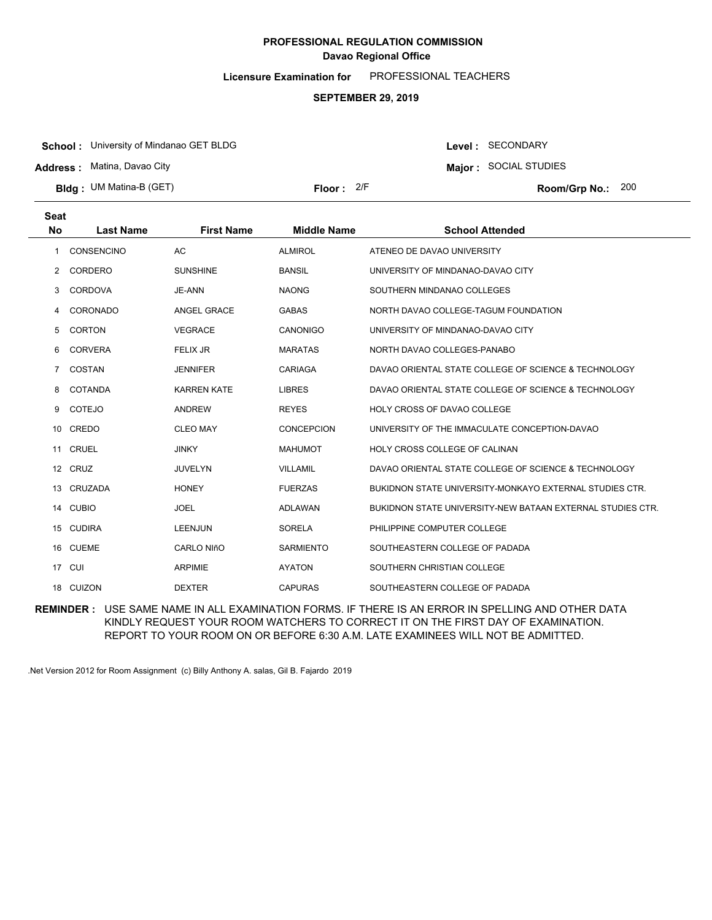**Licensure Examination for**  PROFESSIONAL TEACHERS

#### **SEPTEMBER 29, 2019**

**School :** University of Mindanao GET BLDG

**Address :** Matina, Davao City

**Bldg : Floor : Room/Grp No.:** UM Matina-B (GET)

**Major :** SOCIAL STUDIES Floor: 2/F Room/Grp No.: 200

Level : SECONDARY

| <b>Seat</b>    |                  |                    |                    |                                                            |
|----------------|------------------|--------------------|--------------------|------------------------------------------------------------|
| <b>No</b>      | <b>Last Name</b> | <b>First Name</b>  | <b>Middle Name</b> | <b>School Attended</b>                                     |
| 1              | CONSENCINO       | AC                 | <b>ALMIROL</b>     | ATENEO DE DAVAO UNIVERSITY                                 |
| 2              | <b>CORDERO</b>   | <b>SUNSHINE</b>    | <b>BANSIL</b>      | UNIVERSITY OF MINDANAO-DAVAO CITY                          |
| 3              | <b>CORDOVA</b>   | JE-ANN             | <b>NAONG</b>       | SOUTHERN MINDANAO COLLEGES                                 |
| 4              | CORONADO         | ANGEL GRACE        | <b>GABAS</b>       | NORTH DAVAO COLLEGE-TAGUM FOUNDATION                       |
| 5              | <b>CORTON</b>    | <b>VEGRACE</b>     | <b>CANONIGO</b>    | UNIVERSITY OF MINDANAO-DAVAO CITY                          |
| 6              | <b>CORVERA</b>   | <b>FELIX JR</b>    | <b>MARATAS</b>     | NORTH DAVAO COLLEGES-PANABO                                |
| $\overline{7}$ | COSTAN           | <b>JENNIFER</b>    | CARIAGA            | DAVAO ORIENTAL STATE COLLEGE OF SCIENCE & TECHNOLOGY       |
| 8              | COTANDA          | <b>KARREN KATE</b> | <b>LIBRES</b>      | DAVAO ORIENTAL STATE COLLEGE OF SCIENCE & TECHNOLOGY       |
| 9              | <b>COTEJO</b>    | <b>ANDREW</b>      | <b>REYES</b>       | HOLY CROSS OF DAVAO COLLEGE                                |
|                | 10 CREDO         | <b>CLEO MAY</b>    | <b>CONCEPCION</b>  | UNIVERSITY OF THE IMMACULATE CONCEPTION-DAVAO              |
| 11             | <b>CRUEL</b>     | <b>JINKY</b>       | <b>MAHUMOT</b>     | HOLY CROSS COLLEGE OF CALINAN                              |
|                | 12 CRUZ          | <b>JUVELYN</b>     | <b>VILLAMIL</b>    | DAVAO ORIENTAL STATE COLLEGE OF SCIENCE & TECHNOLOGY       |
| 13             | CRUZADA          | <b>HONEY</b>       | <b>FUERZAS</b>     | BUKIDNON STATE UNIVERSITY-MONKAYO EXTERNAL STUDIES CTR.    |
| 14             | <b>CUBIO</b>     | <b>JOEL</b>        | <b>ADLAWAN</b>     | BUKIDNON STATE UNIVERSITY-NEW BATAAN EXTERNAL STUDIES CTR. |
|                | 15 CUDIRA        | <b>LEENJUN</b>     | <b>SORELA</b>      | PHILIPPINE COMPUTER COLLEGE                                |
|                | 16 CUEME         | <b>CARLO NIñO</b>  | <b>SARMIENTO</b>   | SOUTHEASTERN COLLEGE OF PADADA                             |
|                | 17 CUI           | <b>ARPIMIE</b>     | <b>AYATON</b>      | SOUTHERN CHRISTIAN COLLEGE                                 |
|                | 18 CUIZON        | <b>DEXTER</b>      | <b>CAPURAS</b>     | SOUTHEASTERN COLLEGE OF PADADA                             |
|                |                  |                    |                    |                                                            |

**REMINDER :** USE SAME NAME IN ALL EXAMINATION FORMS. IF THERE IS AN ERROR IN SPELLING AND OTHER DATA KINDLY REQUEST YOUR ROOM WATCHERS TO CORRECT IT ON THE FIRST DAY OF EXAMINATION. REPORT TO YOUR ROOM ON OR BEFORE 6:30 A.M. LATE EXAMINEES WILL NOT BE ADMITTED.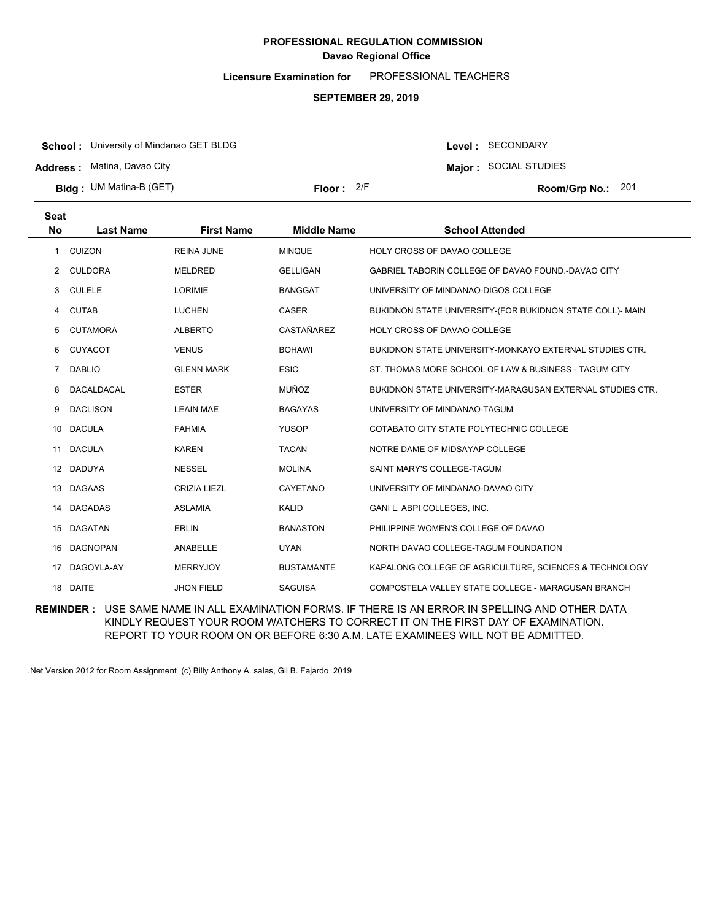**Licensure Examination for**  PROFESSIONAL TEACHERS

#### **SEPTEMBER 29, 2019**

**School :** University of Mindanao GET BLDG

**Address :** Matina, Davao City

**Bldg : Floor : Room/Grp No.:** UM Matina-B (GET)

Floor: 2/F Room/Grp No.: 201

Level : SECONDARY **Major :** SOCIAL STUDIES

| <b>Seat</b>    |                   |                     |                    |                                                           |
|----------------|-------------------|---------------------|--------------------|-----------------------------------------------------------|
| <b>No</b>      | <b>Last Name</b>  | <b>First Name</b>   | <b>Middle Name</b> | <b>School Attended</b>                                    |
| 1              | <b>CUIZON</b>     | <b>REINA JUNE</b>   | <b>MINQUE</b>      | HOLY CROSS OF DAVAO COLLEGE                               |
| $\overline{2}$ | <b>CULDORA</b>    | <b>MELDRED</b>      | <b>GELLIGAN</b>    | GABRIEL TABORIN COLLEGE OF DAVAO FOUND.-DAVAO CITY        |
| 3              | <b>CULELE</b>     | <b>LORIMIE</b>      | <b>BANGGAT</b>     | UNIVERSITY OF MINDANAO-DIGOS COLLEGE                      |
| 4              | <b>CUTAB</b>      | <b>LUCHEN</b>       | <b>CASER</b>       | BUKIDNON STATE UNIVERSITY-(FOR BUKIDNON STATE COLL)- MAIN |
| 5              | <b>CUTAMORA</b>   | <b>ALBERTO</b>      | <b>CASTAÑAREZ</b>  | HOLY CROSS OF DAVAO COLLEGE                               |
| 6              | <b>CUYACOT</b>    | <b>VENUS</b>        | <b>BOHAWI</b>      | BUKIDNON STATE UNIVERSITY-MONKAYO EXTERNAL STUDIES CTR.   |
| 7              | <b>DABLIO</b>     | <b>GLENN MARK</b>   | <b>ESIC</b>        | ST. THOMAS MORE SCHOOL OF LAW & BUSINESS - TAGUM CITY     |
| 8              | <b>DACALDACAL</b> | <b>ESTER</b>        | MUÑOZ              | BUKIDNON STATE UNIVERSITY-MARAGUSAN EXTERNAL STUDIES CTR. |
| 9              | <b>DACLISON</b>   | <b>LEAIN MAE</b>    | <b>BAGAYAS</b>     | UNIVERSITY OF MINDANAO-TAGUM                              |
| 10             | <b>DACULA</b>     | <b>FAHMIA</b>       | <b>YUSOP</b>       | COTABATO CITY STATE POLYTECHNIC COLLEGE                   |
| 11             | <b>DACULA</b>     | <b>KAREN</b>        | <b>TACAN</b>       | NOTRE DAME OF MIDSAYAP COLLEGE                            |
|                | 12 DADUYA         | <b>NESSEL</b>       | <b>MOLINA</b>      | SAINT MARY'S COLLEGE-TAGUM                                |
| 13             | <b>DAGAAS</b>     | <b>CRIZIA LIEZL</b> | CAYETANO           | UNIVERSITY OF MINDANAO-DAVAO CITY                         |
| 14             | <b>DAGADAS</b>    | <b>ASLAMIA</b>      | KALID              | GANI L. ABPI COLLEGES, INC.                               |
| 15             | <b>DAGATAN</b>    | <b>ERLIN</b>        | <b>BANASTON</b>    | PHILIPPINE WOMEN'S COLLEGE OF DAVAO                       |
|                | 16 DAGNOPAN       | ANABELLE            | <b>UYAN</b>        | NORTH DAVAO COLLEGE-TAGUM FOUNDATION                      |
| 17             | DAGOYLA-AY        | <b>MERRYJOY</b>     | <b>BUSTAMANTE</b>  | KAPALONG COLLEGE OF AGRICULTURE, SCIENCES & TECHNOLOGY    |
|                | 18 DAITE          | <b>JHON FIELD</b>   | <b>SAGUISA</b>     | COMPOSTELA VALLEY STATE COLLEGE - MARAGUSAN BRANCH        |

**REMINDER :** USE SAME NAME IN ALL EXAMINATION FORMS. IF THERE IS AN ERROR IN SPELLING AND OTHER DATA KINDLY REQUEST YOUR ROOM WATCHERS TO CORRECT IT ON THE FIRST DAY OF EXAMINATION. REPORT TO YOUR ROOM ON OR BEFORE 6:30 A.M. LATE EXAMINEES WILL NOT BE ADMITTED.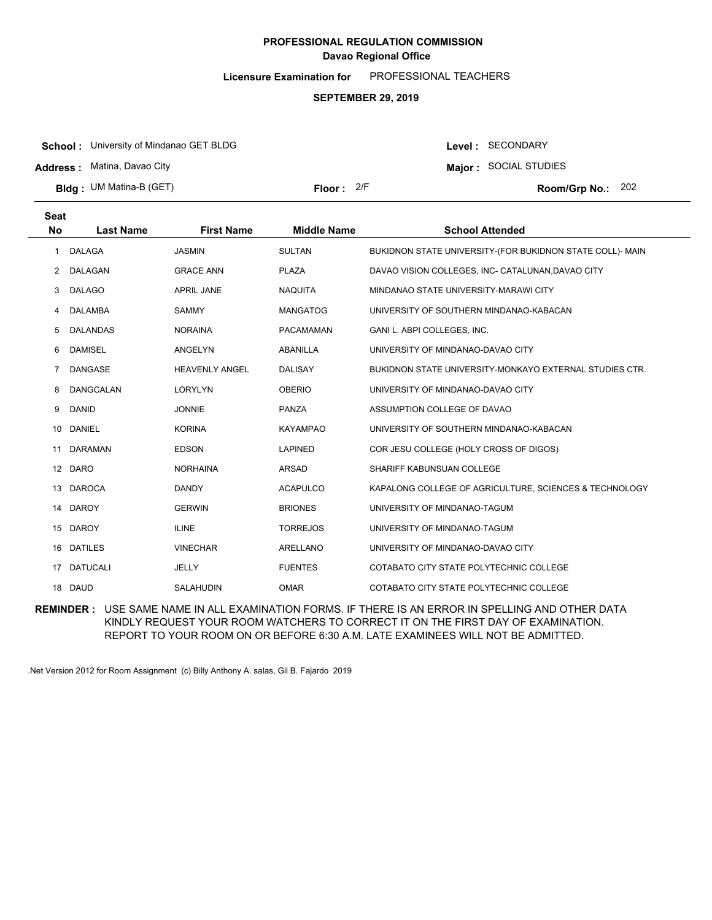**Licensure Examination for**  PROFESSIONAL TEACHERS

#### **SEPTEMBER 29, 2019**

**School :** University of Mindanao GET BLDG

**Address :** Matina, Davao City

**Bldg : Floor : Room/Grp No.:** UM Matina-B (GET)

Floor: 2/F Room/Grp No.: 202

Level : SECONDARY **Major :** SOCIAL STUDIES

| Seat                  |                  |                       |                    |                                                           |
|-----------------------|------------------|-----------------------|--------------------|-----------------------------------------------------------|
| No                    | <b>Last Name</b> | <b>First Name</b>     | <b>Middle Name</b> | <b>School Attended</b>                                    |
| 1                     | <b>DALAGA</b>    | <b>JASMIN</b>         | <b>SULTAN</b>      | BUKIDNON STATE UNIVERSITY-(FOR BUKIDNON STATE COLL)- MAIN |
| $\mathbf{2}^{\prime}$ | DALAGAN          | <b>GRACE ANN</b>      | <b>PLAZA</b>       | DAVAO VISION COLLEGES, INC- CATALUNAN, DAVAO CITY         |
| 3                     | <b>DALAGO</b>    | <b>APRIL JANE</b>     | <b>NAQUITA</b>     | MINDANAO STATE UNIVERSITY-MARAWI CITY                     |
| 4                     | <b>DALAMBA</b>   | <b>SAMMY</b>          | <b>MANGATOG</b>    | UNIVERSITY OF SOUTHERN MINDANAO-KABACAN                   |
| 5                     | <b>DALANDAS</b>  | <b>NORAINA</b>        | <b>PACAMAMAN</b>   | GANI L. ABPI COLLEGES, INC.                               |
| 6                     | <b>DAMISEL</b>   | ANGELYN               | <b>ABANILLA</b>    | UNIVERSITY OF MINDANAO-DAVAO CITY                         |
| 7                     | <b>DANGASE</b>   | <b>HEAVENLY ANGEL</b> | <b>DALISAY</b>     | BUKIDNON STATE UNIVERSITY-MONKAYO EXTERNAL STUDIES CTR.   |
| 8                     | DANGCALAN        | <b>LORYLYN</b>        | <b>OBERIO</b>      | UNIVERSITY OF MINDANAO-DAVAO CITY                         |
| 9                     | <b>DANID</b>     | <b>JONNIE</b>         | <b>PANZA</b>       | ASSUMPTION COLLEGE OF DAVAO                               |
| 10 <sup>1</sup>       | DANIEL           | <b>KORINA</b>         | <b>KAYAMPAO</b>    | UNIVERSITY OF SOUTHERN MINDANAO-KABACAN                   |
| 11                    | <b>DARAMAN</b>   | <b>EDSON</b>          | <b>LAPINED</b>     | COR JESU COLLEGE (HOLY CROSS OF DIGOS)                    |
| $12 \overline{ }$     | <b>DARO</b>      | <b>NORHAINA</b>       | <b>ARSAD</b>       | SHARIFF KABUNSUAN COLLEGE                                 |
| 13                    | <b>DAROCA</b>    | <b>DANDY</b>          | <b>ACAPULCO</b>    | KAPALONG COLLEGE OF AGRICULTURE, SCIENCES & TECHNOLOGY    |
| 14                    | <b>DAROY</b>     | <b>GERWIN</b>         | <b>BRIONES</b>     | UNIVERSITY OF MINDANAO-TAGUM                              |
| 15                    | <b>DAROY</b>     | <b>ILINE</b>          | <b>TORREJOS</b>    | UNIVERSITY OF MINDANAO-TAGUM                              |
| 16                    | <b>DATILES</b>   | <b>VINECHAR</b>       | <b>ARELLANO</b>    | UNIVERSITY OF MINDANAO-DAVAO CITY                         |
| 17                    | <b>DATUCALI</b>  | JELLY                 | <b>FUENTES</b>     | COTABATO CITY STATE POLYTECHNIC COLLEGE                   |
|                       | 18 DAUD          | <b>SALAHUDIN</b>      | <b>OMAR</b>        | COTABATO CITY STATE POLYTECHNIC COLLEGE                   |

**REMINDER :** USE SAME NAME IN ALL EXAMINATION FORMS. IF THERE IS AN ERROR IN SPELLING AND OTHER DATA KINDLY REQUEST YOUR ROOM WATCHERS TO CORRECT IT ON THE FIRST DAY OF EXAMINATION. REPORT TO YOUR ROOM ON OR BEFORE 6:30 A.M. LATE EXAMINEES WILL NOT BE ADMITTED.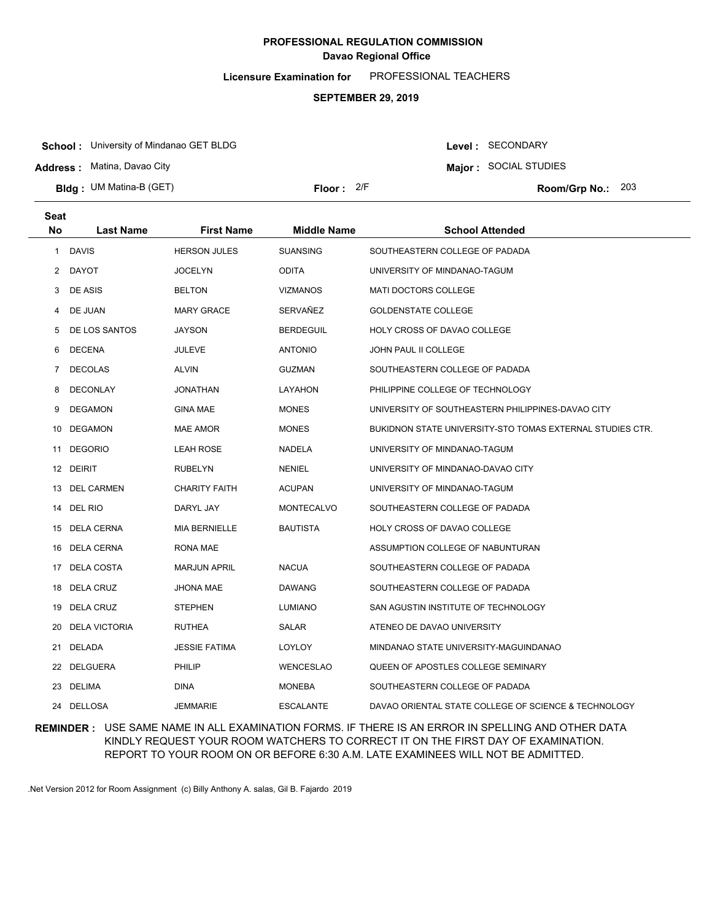**Licensure Examination for**  PROFESSIONAL TEACHERS

#### **SEPTEMBER 29, 2019**

**School :** University of Mindanao GET BLDG

**Address :** Matina, Davao City

**Bldg : Floor : Room/Grp No.:** UM Matina-B (GET)

Floor: 2/F Room/Grp No.: 203

**Major :** SOCIAL STUDIES

Level : SECONDARY

| Seat           |                      |                      |                    |                                                           |
|----------------|----------------------|----------------------|--------------------|-----------------------------------------------------------|
| <b>No</b>      | <b>Last Name</b>     | <b>First Name</b>    | <b>Middle Name</b> | <b>School Attended</b>                                    |
| $\mathbf{1}$   | <b>DAVIS</b>         | <b>HERSON JULES</b>  | <b>SUANSING</b>    | SOUTHEASTERN COLLEGE OF PADADA                            |
| $\mathbf{2}$   | <b>DAYOT</b>         | <b>JOCELYN</b>       | <b>ODITA</b>       | UNIVERSITY OF MINDANAO-TAGUM                              |
| 3              | DE ASIS              | <b>BELTON</b>        | <b>VIZMANOS</b>    | MATI DOCTORS COLLEGE                                      |
| 4              | DE JUAN              | <b>MARY GRACE</b>    | SERVAÑEZ           | <b>GOLDENSTATE COLLEGE</b>                                |
| 5              | DE LOS SANTOS        | <b>JAYSON</b>        | <b>BERDEGUIL</b>   | HOLY CROSS OF DAVAO COLLEGE                               |
| 6              | <b>DECENA</b>        | <b>JULEVE</b>        | <b>ANTONIO</b>     | <b>JOHN PAUL II COLLEGE</b>                               |
| $\overline{7}$ | <b>DECOLAS</b>       | <b>ALVIN</b>         | <b>GUZMAN</b>      | SOUTHEASTERN COLLEGE OF PADADA                            |
| 8              | <b>DECONLAY</b>      | <b>JONATHAN</b>      | LAYAHON            | PHILIPPINE COLLEGE OF TECHNOLOGY                          |
| 9              | <b>DEGAMON</b>       | <b>GINA MAE</b>      | <b>MONES</b>       | UNIVERSITY OF SOUTHEASTERN PHILIPPINES-DAVAO CITY         |
| 10             | DEGAMON              | <b>MAE AMOR</b>      | <b>MONES</b>       | BUKIDNON STATE UNIVERSITY-STO TOMAS EXTERNAL STUDIES CTR. |
| 11             | <b>DEGORIO</b>       | <b>LEAH ROSE</b>     | <b>NADELA</b>      | UNIVERSITY OF MINDANAO-TAGUM                              |
|                | 12 DEIRIT            | <b>RUBELYN</b>       | <b>NENIEL</b>      | UNIVERSITY OF MINDANAO-DAVAO CITY                         |
|                | 13 DEL CARMEN        | <b>CHARITY FAITH</b> | <b>ACUPAN</b>      | UNIVERSITY OF MINDANAO-TAGUM                              |
|                | 14 DEL RIO           | DARYL JAY            | <b>MONTECALVO</b>  | SOUTHEASTERN COLLEGE OF PADADA                            |
|                | 15 DELA CERNA        | <b>MIA BERNIELLE</b> | <b>BAUTISTA</b>    | HOLY CROSS OF DAVAO COLLEGE                               |
|                | 16 DELA CERNA        | RONA MAE             |                    | ASSUMPTION COLLEGE OF NABUNTURAN                          |
| 17             | DELA COSTA           | <b>MARJUN APRIL</b>  | <b>NACUA</b>       | SOUTHEASTERN COLLEGE OF PADADA                            |
| 18             | DELA CRUZ            | <b>JHONA MAE</b>     | <b>DAWANG</b>      | SOUTHEASTERN COLLEGE OF PADADA                            |
|                | 19 DELA CRUZ         | <b>STEPHEN</b>       | <b>LUMIANO</b>     | SAN AGUSTIN INSTITUTE OF TECHNOLOGY                       |
| 20             | <b>DELA VICTORIA</b> | <b>RUTHEA</b>        | SALAR              | ATENEO DE DAVAO UNIVERSITY                                |
| 21             | DELADA               | <b>JESSIE FATIMA</b> | LOYLOY             | MINDANAO STATE UNIVERSITY-MAGUINDANAO                     |
| 22             | <b>DELGUERA</b>      | PHILIP               | <b>WENCESLAO</b>   | QUEEN OF APOSTLES COLLEGE SEMINARY                        |
|                | 23 DELIMA            | <b>DINA</b>          | <b>MONEBA</b>      | SOUTHEASTERN COLLEGE OF PADADA                            |
|                | 24 DELLOSA           | <b>JEMMARIE</b>      | <b>ESCALANTE</b>   | DAVAO ORIENTAL STATE COLLEGE OF SCIENCE & TECHNOLOGY      |

**REMINDER :** USE SAME NAME IN ALL EXAMINATION FORMS. IF THERE IS AN ERROR IN SPELLING AND OTHER DATA KINDLY REQUEST YOUR ROOM WATCHERS TO CORRECT IT ON THE FIRST DAY OF EXAMINATION. REPORT TO YOUR ROOM ON OR BEFORE 6:30 A.M. LATE EXAMINEES WILL NOT BE ADMITTED.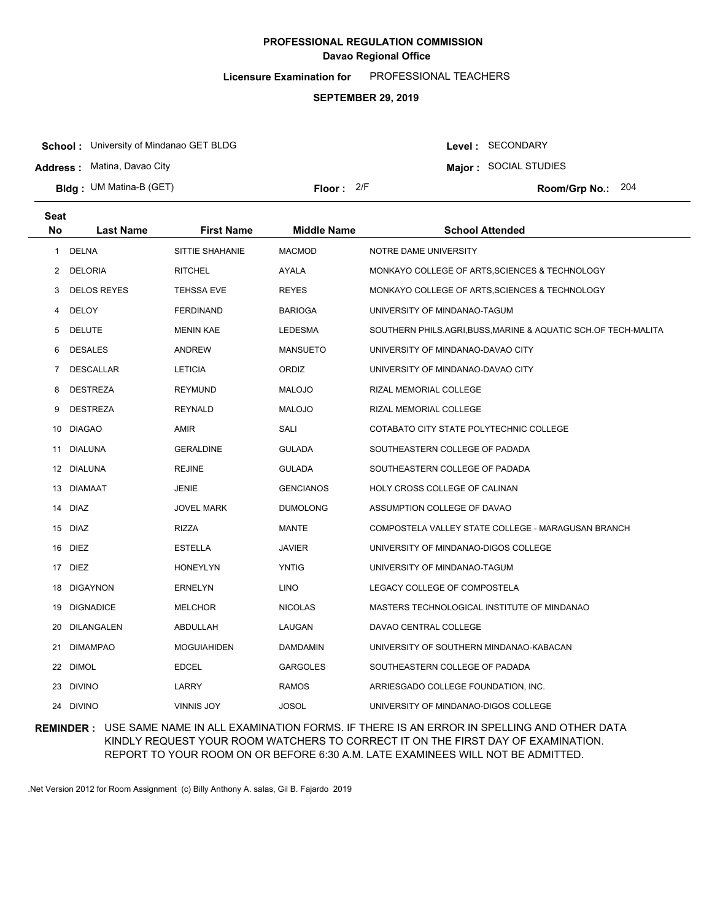**Licensure Examination for**  PROFESSIONAL TEACHERS

#### **SEPTEMBER 29, 2019**

**School :** University of Mindanao GET BLDG

**Address :** Matina, Davao City

**Seat**

**Bldg : Floor : Room/Grp No.:** UM Matina-B (GET)

Floor: 2/F Room/Grp No.: 204

Level : SECONDARY **Major :** SOCIAL STUDIES

| əeal      |                    |                    |                    |                                                              |
|-----------|--------------------|--------------------|--------------------|--------------------------------------------------------------|
| <b>No</b> | <b>Last Name</b>   | <b>First Name</b>  | <b>Middle Name</b> | <b>School Attended</b>                                       |
| 1         | DELNA              | SITTIE SHAHANIE    | <b>MACMOD</b>      | NOTRE DAME UNIVERSITY                                        |
| 2         | <b>DELORIA</b>     | <b>RITCHEL</b>     | AYALA              | MONKAYO COLLEGE OF ARTS, SCIENCES & TECHNOLOGY               |
| 3         | <b>DELOS REYES</b> | TEHSSA EVE         | <b>REYES</b>       | MONKAYO COLLEGE OF ARTS, SCIENCES & TECHNOLOGY               |
| 4         | DELOY              | <b>FERDINAND</b>   | <b>BARIOGA</b>     | UNIVERSITY OF MINDANAO-TAGUM                                 |
| 5         | <b>DELUTE</b>      | <b>MENIN KAE</b>   | LEDESMA            | SOUTHERN PHILS.AGRI,BUSS,MARINE & AQUATIC SCH.OF TECH-MALITA |
| 6         | <b>DESALES</b>     | <b>ANDREW</b>      | <b>MANSUETO</b>    | UNIVERSITY OF MINDANAO-DAVAO CITY                            |
| 7         | <b>DESCALLAR</b>   | <b>LETICIA</b>     | ORDIZ              | UNIVERSITY OF MINDANAO-DAVAO CITY                            |
| 8         | <b>DESTREZA</b>    | <b>REYMUND</b>     | <b>MALOJO</b>      | RIZAL MEMORIAL COLLEGE                                       |
| 9         | <b>DESTREZA</b>    | <b>REYNALD</b>     | <b>MALOJO</b>      | RIZAL MEMORIAL COLLEGE                                       |
| 10        | <b>DIAGAO</b>      | AMIR               | SALI               | COTABATO CITY STATE POLYTECHNIC COLLEGE                      |
| 11        | DIALUNA            | <b>GERALDINE</b>   | GULADA             | SOUTHEASTERN COLLEGE OF PADADA                               |
|           | 12 DIALUNA         | <b>REJINE</b>      | <b>GULADA</b>      | SOUTHEASTERN COLLEGE OF PADADA                               |
|           | 13 DIAMAAT         | <b>JENIE</b>       | <b>GENCIANOS</b>   | HOLY CROSS COLLEGE OF CALINAN                                |
|           | 14 DIAZ            | JOVEL MARK         | <b>DUMOLONG</b>    | ASSUMPTION COLLEGE OF DAVAO                                  |
|           | 15 DIAZ            | RIZZA              | MANTE              | COMPOSTELA VALLEY STATE COLLEGE - MARAGUSAN BRANCH           |
|           | 16 DIEZ            | ESTELLA            | <b>JAVIER</b>      | UNIVERSITY OF MINDANAO-DIGOS COLLEGE                         |
|           | 17 DIEZ            | <b>HONEYLYN</b>    | <b>YNTIG</b>       | UNIVERSITY OF MINDANAO-TAGUM                                 |
| 18        | <b>DIGAYNON</b>    | <b>ERNELYN</b>     | LINO               | LEGACY COLLEGE OF COMPOSTELA                                 |
|           | 19 DIGNADICE       | <b>MELCHOR</b>     | <b>NICOLAS</b>     | MASTERS TECHNOLOGICAL INSTITUTE OF MINDANAO                  |
| 20        | <b>DILANGALEN</b>  | ABDULLAH           | LAUGAN             | DAVAO CENTRAL COLLEGE                                        |
| 21        | <b>DIMAMPAO</b>    | <b>MOGUIAHIDEN</b> | <b>DAMDAMIN</b>    | UNIVERSITY OF SOUTHERN MINDANAO-KABACAN                      |
|           | 22 DIMOL           | <b>EDCEL</b>       | <b>GARGOLES</b>    | SOUTHEASTERN COLLEGE OF PADADA                               |
|           | 23 DIVINO          | <b>LARRY</b>       | <b>RAMOS</b>       | ARRIESGADO COLLEGE FOUNDATION, INC.                          |
|           | 24 DIVINO          | <b>VINNIS JOY</b>  | <b>JOSOL</b>       | UNIVERSITY OF MINDANAO-DIGOS COLLEGE                         |

### **REMINDER :** USE SAME NAME IN ALL EXAMINATION FORMS. IF THERE IS AN ERROR IN SPELLING AND OTHER DATA KINDLY REQUEST YOUR ROOM WATCHERS TO CORRECT IT ON THE FIRST DAY OF EXAMINATION. REPORT TO YOUR ROOM ON OR BEFORE 6:30 A.M. LATE EXAMINEES WILL NOT BE ADMITTED.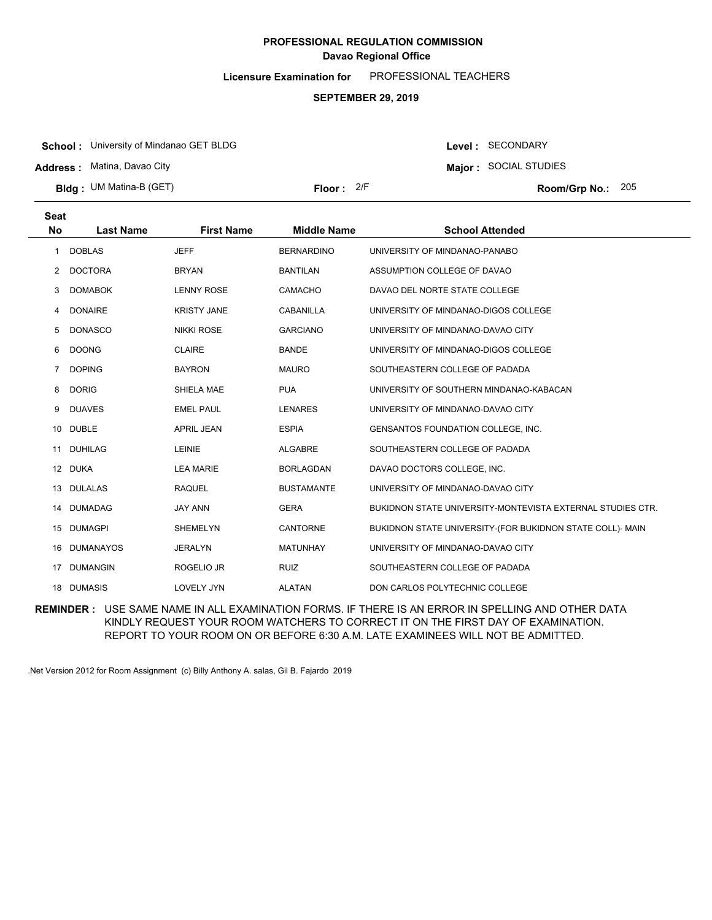**Licensure Examination for**  PROFESSIONAL TEACHERS

#### **SEPTEMBER 29, 2019**

**School :** University of Mindanao GET BLDG

**Address :** Matina, Davao City

**Bldg : Floor : Room/Grp No.:** UM Matina-B (GET)

Floor: 2/F Room/Grp No.: 205

**Major :** SOCIAL STUDIES

Level : SECONDARY

| <b>Seat</b>    |                  |                    |                    |                                                            |
|----------------|------------------|--------------------|--------------------|------------------------------------------------------------|
| <b>No</b>      | <b>Last Name</b> | <b>First Name</b>  | <b>Middle Name</b> | <b>School Attended</b>                                     |
| 1              | <b>DOBLAS</b>    | <b>JEFF</b>        | <b>BERNARDINO</b>  | UNIVERSITY OF MINDANAO-PANABO                              |
| $\mathbf{2}$   | <b>DOCTORA</b>   | <b>BRYAN</b>       | <b>BANTILAN</b>    | ASSUMPTION COLLEGE OF DAVAO                                |
| 3              | <b>DOMABOK</b>   | <b>LENNY ROSE</b>  | <b>CAMACHO</b>     | DAVAO DEL NORTE STATE COLLEGE                              |
| 4              | <b>DONAIRE</b>   | <b>KRISTY JANE</b> | <b>CABANILLA</b>   | UNIVERSITY OF MINDANAO-DIGOS COLLEGE                       |
| 5              | <b>DONASCO</b>   | <b>NIKKI ROSE</b>  | <b>GARCIANO</b>    | UNIVERSITY OF MINDANAO-DAVAO CITY                          |
| 6              | <b>DOONG</b>     | <b>CLAIRE</b>      | <b>BANDE</b>       | UNIVERSITY OF MINDANAO-DIGOS COLLEGE                       |
| $\overline{7}$ | <b>DOPING</b>    | <b>BAYRON</b>      | <b>MAURO</b>       | SOUTHEASTERN COLLEGE OF PADADA                             |
| 8              | <b>DORIG</b>     | SHIELA MAE         | <b>PUA</b>         | UNIVERSITY OF SOUTHERN MINDANAO-KABACAN                    |
| 9              | <b>DUAVES</b>    | <b>EMEL PAUL</b>   | <b>LENARES</b>     | UNIVERSITY OF MINDANAO-DAVAO CITY                          |
| 10             | <b>DUBLE</b>     | <b>APRIL JEAN</b>  | <b>ESPIA</b>       | GENSANTOS FOUNDATION COLLEGE, INC.                         |
| 11             | <b>DUHILAG</b>   | LEINIE             | <b>ALGABRE</b>     | SOUTHEASTERN COLLEGE OF PADADA                             |
|                | 12 DUKA          | <b>LEA MARIE</b>   | <b>BORLAGDAN</b>   | DAVAO DOCTORS COLLEGE, INC.                                |
| 13             | <b>DULALAS</b>   | <b>RAQUEL</b>      | <b>BUSTAMANTE</b>  | UNIVERSITY OF MINDANAO-DAVAO CITY                          |
| 14             | <b>DUMADAG</b>   | <b>JAY ANN</b>     | <b>GERA</b>        | BUKIDNON STATE UNIVERSITY-MONTEVISTA EXTERNAL STUDIES CTR. |
| 15             | <b>DUMAGPI</b>   | <b>SHEMELYN</b>    | CANTORNE           | BUKIDNON STATE UNIVERSITY-(FOR BUKIDNON STATE COLL)- MAIN  |
| 16             | <b>DUMANAYOS</b> | <b>JERALYN</b>     | <b>MATUNHAY</b>    | UNIVERSITY OF MINDANAO-DAVAO CITY                          |
| 17             | <b>DUMANGIN</b>  | ROGELIO JR         | <b>RUIZ</b>        | SOUTHEASTERN COLLEGE OF PADADA                             |
|                | 18 DUMASIS       | <b>LOVELY JYN</b>  | <b>ALATAN</b>      | DON CARLOS POLYTECHNIC COLLEGE                             |

**REMINDER :** USE SAME NAME IN ALL EXAMINATION FORMS. IF THERE IS AN ERROR IN SPELLING AND OTHER DATA KINDLY REQUEST YOUR ROOM WATCHERS TO CORRECT IT ON THE FIRST DAY OF EXAMINATION. REPORT TO YOUR ROOM ON OR BEFORE 6:30 A.M. LATE EXAMINEES WILL NOT BE ADMITTED.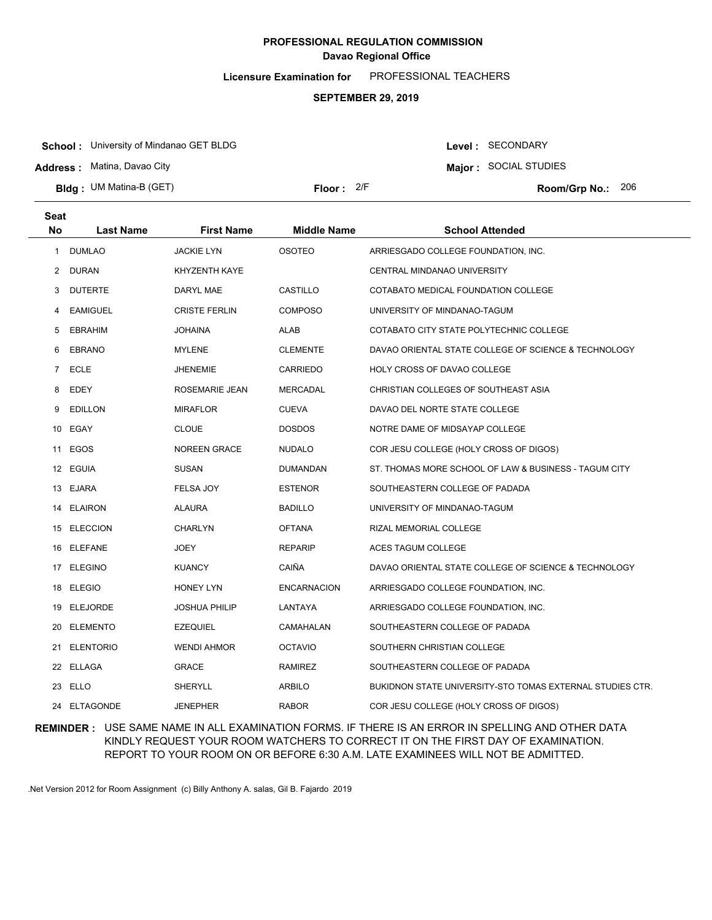**Licensure Examination for**  PROFESSIONAL TEACHERS

#### **SEPTEMBER 29, 2019**

**School :** University of Mindanao GET BLDG

**Address :** Matina, Davao City

**Bldg : Floor : Room/Grp No.:** UM Matina-B (GET)

**Major :** SOCIAL STUDIES

Level : SECONDARY

Floor: 2/F Room/Grp No.: 206

| Seat<br><b>No</b> | <b>Last Name</b> | <b>First Name</b>    | <b>Middle Name</b> | <b>School Attended</b>                                    |
|-------------------|------------------|----------------------|--------------------|-----------------------------------------------------------|
| 1                 | <b>DUMLAO</b>    | <b>JACKIE LYN</b>    | <b>OSOTEO</b>      | ARRIESGADO COLLEGE FOUNDATION, INC.                       |
| 2                 | DURAN            | KHYZENTH KAYE        |                    | CENTRAL MINDANAO UNIVERSITY                               |
| 3                 | <b>DUTERTE</b>   | DARYL MAE            | CASTILLO           | COTABATO MEDICAL FOUNDATION COLLEGE                       |
| 4                 | <b>EAMIGUEL</b>  | <b>CRISTE FERLIN</b> | <b>COMPOSO</b>     | UNIVERSITY OF MINDANAO-TAGUM                              |
| 5                 | <b>EBRAHIM</b>   | <b>JOHAINA</b>       | <b>ALAB</b>        | COTABATO CITY STATE POLYTECHNIC COLLEGE                   |
| 6                 | <b>EBRANO</b>    | MYLENE               | <b>CLEMENTE</b>    | DAVAO ORIENTAL STATE COLLEGE OF SCIENCE & TECHNOLOGY      |
| 7                 | <b>ECLE</b>      | <b>JHENEMIE</b>      | CARRIEDO           | HOLY CROSS OF DAVAO COLLEGE                               |
| 8                 | EDEY             | ROSEMARIE JEAN       | MERCADAL           | CHRISTIAN COLLEGES OF SOUTHEAST ASIA                      |
| 9                 | <b>EDILLON</b>   | <b>MIRAFLOR</b>      | <b>CUEVA</b>       | DAVAO DEL NORTE STATE COLLEGE                             |
| 10                | EGAY             | <b>CLOUE</b>         | <b>DOSDOS</b>      | NOTRE DAME OF MIDSAYAP COLLEGE                            |
| 11                | EGOS             | <b>NOREEN GRACE</b>  | <b>NUDALO</b>      | COR JESU COLLEGE (HOLY CROSS OF DIGOS)                    |
| 12 <sup>12</sup>  | EGUIA            | <b>SUSAN</b>         | <b>DUMANDAN</b>    | ST. THOMAS MORE SCHOOL OF LAW & BUSINESS - TAGUM CITY     |
|                   | 13 EJARA         | FELSA JOY            | <b>ESTENOR</b>     | SOUTHEASTERN COLLEGE OF PADADA                            |
| 14                | <b>ELAIRON</b>   | <b>ALAURA</b>        | <b>BADILLO</b>     | UNIVERSITY OF MINDANAO-TAGUM                              |
|                   | 15 ELECCION      | CHARLYN              | <b>OFTANA</b>      | RIZAL MEMORIAL COLLEGE                                    |
|                   | 16 ELEFANE       | <b>JOEY</b>          | <b>REPARIP</b>     | ACES TAGUM COLLEGE                                        |
|                   | 17 ELEGINO       | <b>KUANCY</b>        | CAIÑA              | DAVAO ORIENTAL STATE COLLEGE OF SCIENCE & TECHNOLOGY      |
|                   | 18 ELEGIO        | HONEY LYN            | <b>ENCARNACION</b> | ARRIESGADO COLLEGE FOUNDATION, INC.                       |
|                   | 19 ELEJORDE      | JOSHUA PHILIP        | LANTAYA            | ARRIESGADO COLLEGE FOUNDATION, INC.                       |
| 20                | <b>ELEMENTO</b>  | <b>EZEQUIEL</b>      | CAMAHALAN          | SOUTHEASTERN COLLEGE OF PADADA                            |
|                   | 21 ELENTORIO     | <b>WENDI AHMOR</b>   | <b>OCTAVIO</b>     | SOUTHERN CHRISTIAN COLLEGE                                |
| 22                | <b>ELLAGA</b>    | GRACE                | <b>RAMIREZ</b>     | SOUTHEASTERN COLLEGE OF PADADA                            |
| 23                | ELLO             | SHERYLL              | <b>ARBILO</b>      | BUKIDNON STATE UNIVERSITY-STO TOMAS EXTERNAL STUDIES CTR. |
| 24                | <b>ELTAGONDE</b> | <b>JENEPHER</b>      | <b>RABOR</b>       | COR JESU COLLEGE (HOLY CROSS OF DIGOS)                    |

### **REMINDER :** USE SAME NAME IN ALL EXAMINATION FORMS. IF THERE IS AN ERROR IN SPELLING AND OTHER DATA KINDLY REQUEST YOUR ROOM WATCHERS TO CORRECT IT ON THE FIRST DAY OF EXAMINATION. REPORT TO YOUR ROOM ON OR BEFORE 6:30 A.M. LATE EXAMINEES WILL NOT BE ADMITTED.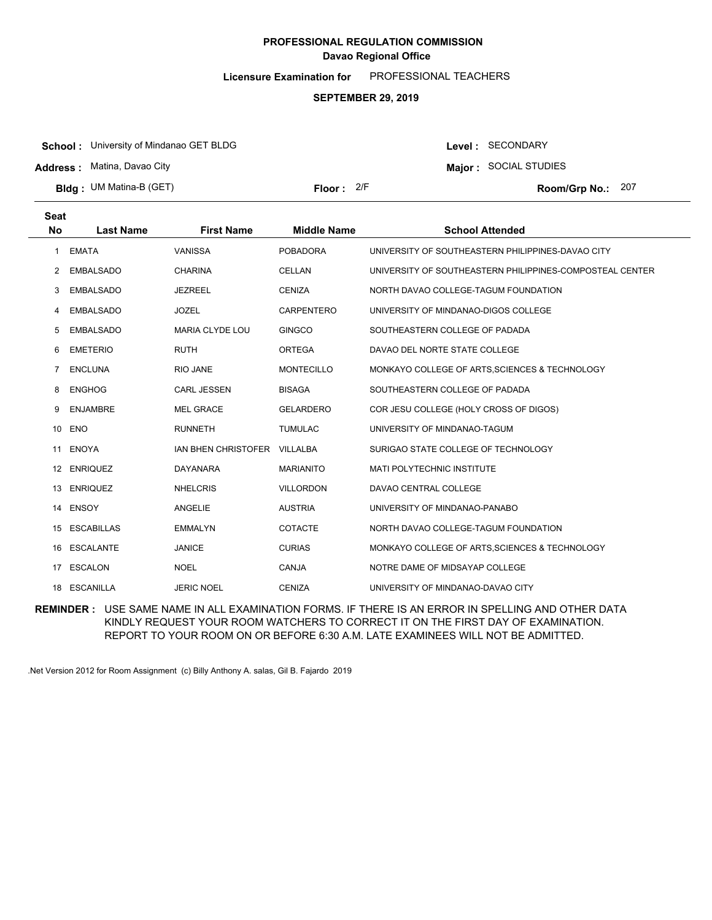**Licensure Examination for**  PROFESSIONAL TEACHERS

#### **SEPTEMBER 29, 2019**

**School :** University of Mindanao GET BLDG

**Address :** Matina, Davao City

**Bldg : Floor : Room/Grp No.:** UM Matina-B (GET)

Floor: 2/F Room/Grp No.: 207

Level : SECONDARY **Major :** SOCIAL STUDIES

| Seat         |                   |                        |                    |                                                          |
|--------------|-------------------|------------------------|--------------------|----------------------------------------------------------|
| <b>No</b>    | <b>Last Name</b>  | <b>First Name</b>      | <b>Middle Name</b> | <b>School Attended</b>                                   |
| 1            | <b>EMATA</b>      | <b>VANISSA</b>         | <b>POBADORA</b>    | UNIVERSITY OF SOUTHEASTERN PHILIPPINES-DAVAO CITY        |
| $\mathbf{2}$ | <b>EMBALSADO</b>  | <b>CHARINA</b>         | <b>CELLAN</b>      | UNIVERSITY OF SOUTHEASTERN PHILIPPINES-COMPOSTEAL CENTER |
| 3            | <b>EMBALSADO</b>  | <b>JEZREEL</b>         | <b>CENIZA</b>      | NORTH DAVAO COLLEGE-TAGUM FOUNDATION                     |
| 4            | <b>EMBALSADO</b>  | <b>JOZEL</b>           | CARPENTERO         | UNIVERSITY OF MINDANAO-DIGOS COLLEGE                     |
| 5            | <b>EMBALSADO</b>  | <b>MARIA CLYDE LOU</b> | <b>GINGCO</b>      | SOUTHEASTERN COLLEGE OF PADADA                           |
| 6            | <b>EMETERIO</b>   | <b>RUTH</b>            | <b>ORTEGA</b>      | DAVAO DEL NORTE STATE COLLEGE                            |
| 7            | <b>ENCLUNA</b>    | RIO JANE               | <b>MONTECILLO</b>  | MONKAYO COLLEGE OF ARTS, SCIENCES & TECHNOLOGY           |
| 8            | <b>ENGHOG</b>     | <b>CARL JESSEN</b>     | <b>BISAGA</b>      | SOUTHEASTERN COLLEGE OF PADADA                           |
| 9            | <b>ENJAMBRE</b>   | <b>MEL GRACE</b>       | <b>GELARDERO</b>   | COR JESU COLLEGE (HOLY CROSS OF DIGOS)                   |
| 10           | <b>ENO</b>        | <b>RUNNETH</b>         | <b>TUMULAC</b>     | UNIVERSITY OF MINDANAO-TAGUM                             |
| 11           | <b>ENOYA</b>      | IAN BHEN CHRISTOFER    | <b>VILLALBA</b>    | SURIGAO STATE COLLEGE OF TECHNOLOGY                      |
|              | 12 ENRIQUEZ       | <b>DAYANARA</b>        | <b>MARIANITO</b>   | MATI POLYTECHNIC INSTITUTE                               |
|              | 13 ENRIQUEZ       | <b>NHELCRIS</b>        | <b>VILLORDON</b>   | DAVAO CENTRAL COLLEGE                                    |
| 14           | <b>ENSOY</b>      | <b>ANGELIE</b>         | <b>AUSTRIA</b>     | UNIVERSITY OF MINDANAO-PANABO                            |
| 15           | <b>ESCABILLAS</b> | <b>EMMALYN</b>         | <b>COTACTE</b>     | NORTH DAVAO COLLEGE-TAGUM FOUNDATION                     |
| 16           | <b>ESCALANTE</b>  | <b>JANICE</b>          | <b>CURIAS</b>      | MONKAYO COLLEGE OF ARTS, SCIENCES & TECHNOLOGY           |
| 17           | <b>ESCALON</b>    | <b>NOEL</b>            | CANJA              | NOTRE DAME OF MIDSAYAP COLLEGE                           |
|              | 18 ESCANILLA      | <b>JERIC NOEL</b>      | <b>CENIZA</b>      | UNIVERSITY OF MINDANAO-DAVAO CITY                        |

**REMINDER :** USE SAME NAME IN ALL EXAMINATION FORMS. IF THERE IS AN ERROR IN SPELLING AND OTHER DATA KINDLY REQUEST YOUR ROOM WATCHERS TO CORRECT IT ON THE FIRST DAY OF EXAMINATION. REPORT TO YOUR ROOM ON OR BEFORE 6:30 A.M. LATE EXAMINEES WILL NOT BE ADMITTED.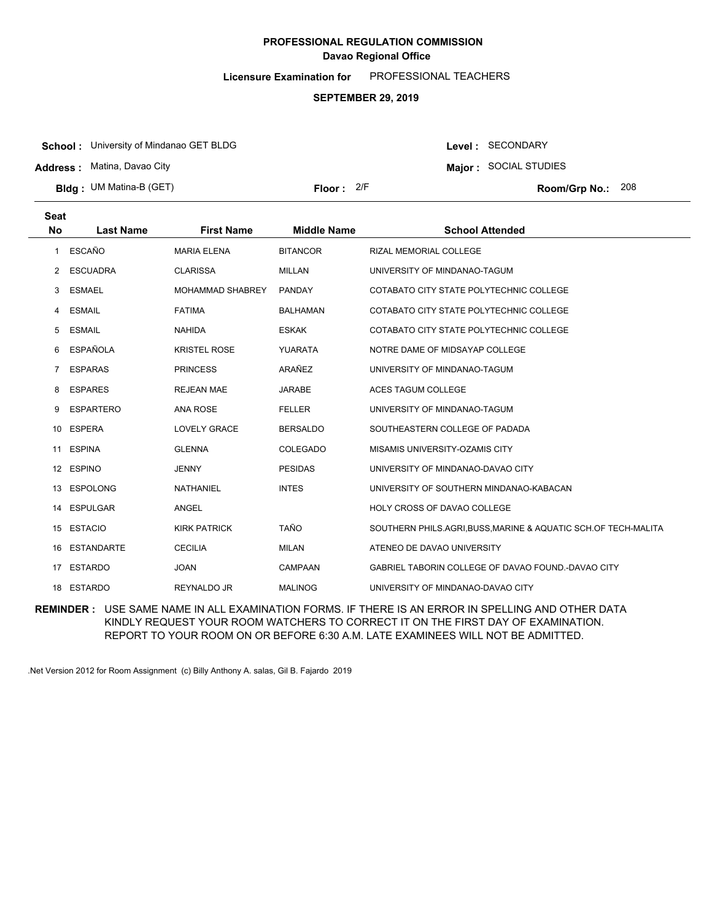**Licensure Examination for**  PROFESSIONAL TEACHERS

#### **SEPTEMBER 29, 2019**

**School :** University of Mindanao GET BLDG

**Address :** Matina, Davao City

**Bldg : Floor : Room/Grp No.:** UM Matina-B (GET)

Floor: 2/F Room/Grp No.: 208

Level : SECONDARY **Major :** SOCIAL STUDIES

| <b>Seat</b> |                  |                         |                    |                                                                |
|-------------|------------------|-------------------------|--------------------|----------------------------------------------------------------|
| <b>No</b>   | <b>Last Name</b> | <b>First Name</b>       | <b>Middle Name</b> | <b>School Attended</b>                                         |
| 1           | <b>ESCAÑO</b>    | <b>MARIA ELENA</b>      | <b>BITANCOR</b>    | <b>RIZAL MEMORIAL COLLEGE</b>                                  |
| 2           | <b>ESCUADRA</b>  | <b>CLARISSA</b>         | <b>MILLAN</b>      | UNIVERSITY OF MINDANAO-TAGUM                                   |
| 3           | <b>ESMAEL</b>    | <b>MOHAMMAD SHABREY</b> | PANDAY             | COTABATO CITY STATE POLYTECHNIC COLLEGE                        |
| 4           | <b>ESMAIL</b>    | <b>FATIMA</b>           | <b>BALHAMAN</b>    | COTABATO CITY STATE POLYTECHNIC COLLEGE                        |
| 5           | <b>ESMAIL</b>    | <b>NAHIDA</b>           | <b>ESKAK</b>       | COTABATO CITY STATE POLYTECHNIC COLLEGE                        |
| 6           | <b>ESPAÑOLA</b>  | <b>KRISTEL ROSE</b>     | YUARATA            | NOTRE DAME OF MIDSAYAP COLLEGE                                 |
| 7           | <b>ESPARAS</b>   | <b>PRINCESS</b>         | ARAÑEZ             | UNIVERSITY OF MINDANAO-TAGUM                                   |
| 8           | <b>ESPARES</b>   | <b>REJEAN MAE</b>       | <b>JARABE</b>      | ACES TAGUM COLLEGE                                             |
| 9           | <b>ESPARTERO</b> | <b>ANA ROSE</b>         | <b>FELLER</b>      | UNIVERSITY OF MINDANAO-TAGUM                                   |
|             | 10 ESPERA        | <b>LOVELY GRACE</b>     | <b>BERSALDO</b>    | SOUTHEASTERN COLLEGE OF PADADA                                 |
| 11          | <b>ESPINA</b>    | <b>GLENNA</b>           | COLEGADO           | MISAMIS UNIVERSITY-OZAMIS CITY                                 |
|             | 12 ESPINO        | <b>JENNY</b>            | <b>PESIDAS</b>     | UNIVERSITY OF MINDANAO-DAVAO CITY                              |
| 13          | <b>ESPOLONG</b>  | <b>NATHANIEL</b>        | <b>INTES</b>       | UNIVERSITY OF SOUTHERN MINDANAO-KABACAN                        |
| 14          | <b>ESPULGAR</b>  | ANGEL                   |                    | <b>HOLY CROSS OF DAVAO COLLEGE</b>                             |
|             | 15 ESTACIO       | <b>KIRK PATRICK</b>     | <b>TAÑO</b>        | SOUTHERN PHILS.AGRI, BUSS, MARINE & AQUATIC SCH.OF TECH-MALITA |
| 16          | ESTANDARTE       | <b>CECILIA</b>          | <b>MILAN</b>       | ATENEO DE DAVAO UNIVERSITY                                     |
| 17          | ESTARDO          | <b>JOAN</b>             | CAMPAAN            | GABRIEL TABORIN COLLEGE OF DAVAO FOUND.-DAVAO CITY             |
|             | 18 ESTARDO       | REYNALDO JR             | <b>MALINOG</b>     | UNIVERSITY OF MINDANAO-DAVAO CITY                              |
|             |                  |                         |                    |                                                                |

**REMINDER :** USE SAME NAME IN ALL EXAMINATION FORMS. IF THERE IS AN ERROR IN SPELLING AND OTHER DATA KINDLY REQUEST YOUR ROOM WATCHERS TO CORRECT IT ON THE FIRST DAY OF EXAMINATION. REPORT TO YOUR ROOM ON OR BEFORE 6:30 A.M. LATE EXAMINEES WILL NOT BE ADMITTED.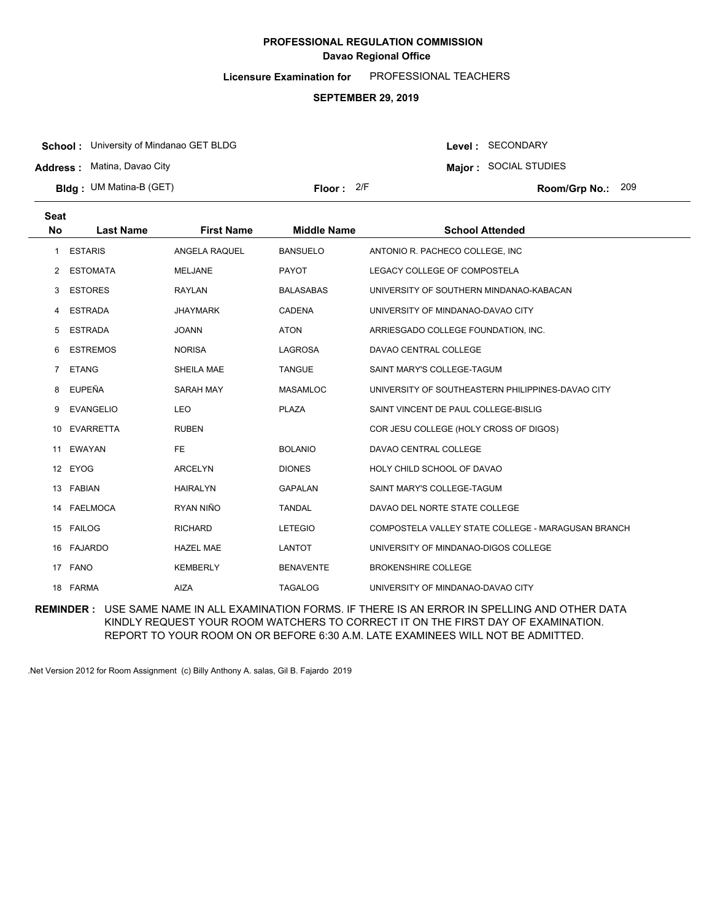**Licensure Examination for**  PROFESSIONAL TEACHERS

#### **SEPTEMBER 29, 2019**

**School :** University of Mindanao GET BLDG

**Address :** Matina, Davao City

**Bldg : Floor : Room/Grp No.:** UM Matina-B (GET)

**Major :** SOCIAL STUDIES Floor: 2/F Room/Grp No.: 209

Level : SECONDARY

| <b>Seat</b> |                  |                   |                    |                                                    |
|-------------|------------------|-------------------|--------------------|----------------------------------------------------|
| No          | <b>Last Name</b> | <b>First Name</b> | <b>Middle Name</b> | <b>School Attended</b>                             |
| 1           | <b>ESTARIS</b>   | ANGELA RAQUEL     | <b>BANSUELO</b>    | ANTONIO R. PACHECO COLLEGE, INC.                   |
| 2           | <b>ESTOMATA</b>  | <b>MELJANE</b>    | <b>PAYOT</b>       | LEGACY COLLEGE OF COMPOSTELA                       |
| 3           | <b>ESTORES</b>   | <b>RAYLAN</b>     | <b>BALASABAS</b>   | UNIVERSITY OF SOUTHERN MINDANAO-KABACAN            |
| 4           | <b>ESTRADA</b>   | <b>JHAYMARK</b>   | <b>CADENA</b>      | UNIVERSITY OF MINDANAO-DAVAO CITY                  |
| 5           | <b>ESTRADA</b>   | <b>JOANN</b>      | <b>ATON</b>        | ARRIESGADO COLLEGE FOUNDATION, INC.                |
| 6           | <b>ESTREMOS</b>  | <b>NORISA</b>     | <b>LAGROSA</b>     | DAVAO CENTRAL COLLEGE                              |
| $7^{\circ}$ | <b>ETANG</b>     | <b>SHEILA MAE</b> | <b>TANGUE</b>      | SAINT MARY'S COLLEGE-TAGUM                         |
| 8           | <b>EUPEÑA</b>    | <b>SARAH MAY</b>  | <b>MASAMLOC</b>    | UNIVERSITY OF SOUTHEASTERN PHILIPPINES-DAVAO CITY  |
| 9           | <b>EVANGELIO</b> | LEO               | <b>PLAZA</b>       | SAINT VINCENT DE PAUL COLLEGE-BISLIG               |
| 10          | <b>EVARRETTA</b> | <b>RUBEN</b>      |                    | COR JESU COLLEGE (HOLY CROSS OF DIGOS)             |
| 11          | EWAYAN           | <b>FE</b>         | <b>BOLANIO</b>     | DAVAO CENTRAL COLLEGE                              |
|             | 12 EYOG          | <b>ARCELYN</b>    | <b>DIONES</b>      | HOLY CHILD SCHOOL OF DAVAO                         |
|             | 13 FABIAN        | <b>HAIRALYN</b>   | <b>GAPALAN</b>     | SAINT MARY'S COLLEGE-TAGUM                         |
| 14          | <b>FAELMOCA</b>  | RYAN NIÑO         | <b>TANDAL</b>      | DAVAO DEL NORTE STATE COLLEGE                      |
|             | 15 FAILOG        | <b>RICHARD</b>    | <b>LETEGIO</b>     | COMPOSTELA VALLEY STATE COLLEGE - MARAGUSAN BRANCH |
|             | 16 FAJARDO       | <b>HAZEL MAE</b>  | <b>LANTOT</b>      | UNIVERSITY OF MINDANAO-DIGOS COLLEGE               |
|             | 17 FANO          | <b>KEMBERLY</b>   | <b>BENAVENTE</b>   | <b>BROKENSHIRE COLLEGE</b>                         |
|             | 18 FARMA         | <b>AIZA</b>       | <b>TAGALOG</b>     | UNIVERSITY OF MINDANAO-DAVAO CITY                  |

**REMINDER :** USE SAME NAME IN ALL EXAMINATION FORMS. IF THERE IS AN ERROR IN SPELLING AND OTHER DATA KINDLY REQUEST YOUR ROOM WATCHERS TO CORRECT IT ON THE FIRST DAY OF EXAMINATION. REPORT TO YOUR ROOM ON OR BEFORE 6:30 A.M. LATE EXAMINEES WILL NOT BE ADMITTED.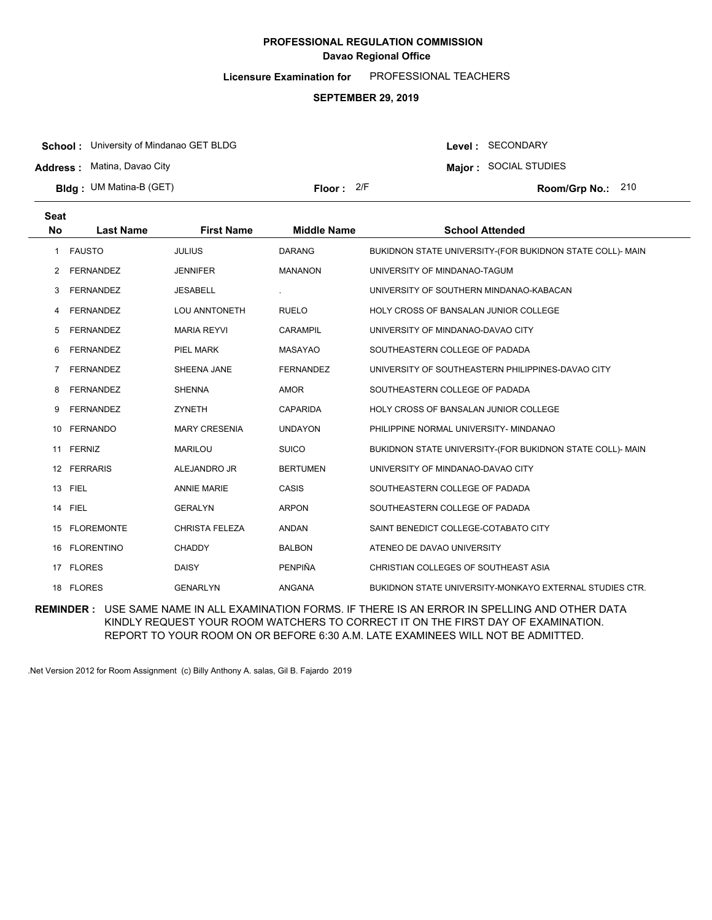**Licensure Examination for**  PROFESSIONAL TEACHERS

#### **SEPTEMBER 29, 2019**

**School :** University of Mindanao GET BLDG

**Address :** Matina, Davao City

**Bldg : Floor : Room/Grp No.:** UM Matina-B (GET)

Floor: 2/F Room/Grp No.: 210

Level : SECONDARY **Major :** SOCIAL STUDIES

| <b>Seat</b> |                   |                       |                    |                                                           |
|-------------|-------------------|-----------------------|--------------------|-----------------------------------------------------------|
| No          | <b>Last Name</b>  | <b>First Name</b>     | <b>Middle Name</b> | <b>School Attended</b>                                    |
| 1           | <b>FAUSTO</b>     | <b>JULIUS</b>         | <b>DARANG</b>      | BUKIDNON STATE UNIVERSITY-(FOR BUKIDNON STATE COLL)- MAIN |
| 2           | <b>FERNANDEZ</b>  | <b>JENNIFER</b>       | <b>MANANON</b>     | UNIVERSITY OF MINDANAO-TAGUM                              |
| 3           | <b>FERNANDEZ</b>  | <b>JESABELL</b>       |                    | UNIVERSITY OF SOUTHERN MINDANAO-KABACAN                   |
| 4           | <b>FERNANDEZ</b>  | <b>LOU ANNTONETH</b>  | <b>RUELO</b>       | <b>HOLY CROSS OF BANSALAN JUNIOR COLLEGE</b>              |
| 5           | <b>FERNANDEZ</b>  | <b>MARIA REYVI</b>    | <b>CARAMPIL</b>    | UNIVERSITY OF MINDANAO-DAVAO CITY                         |
| 6           | <b>FERNANDEZ</b>  | <b>PIEL MARK</b>      | <b>MASAYAO</b>     | SOUTHEASTERN COLLEGE OF PADADA                            |
| 7           | <b>FERNANDEZ</b>  | SHEENA JANE           | <b>FERNANDEZ</b>   | UNIVERSITY OF SOUTHEASTERN PHILIPPINES-DAVAO CITY         |
| 8           | <b>FERNANDEZ</b>  | <b>SHENNA</b>         | <b>AMOR</b>        | SOUTHEASTERN COLLEGE OF PADADA                            |
| 9           | <b>FERNANDEZ</b>  | <b>ZYNETH</b>         | <b>CAPARIDA</b>    | <b>HOLY CROSS OF BANSALAN JUNIOR COLLEGE</b>              |
| 10          | <b>FERNANDO</b>   | <b>MARY CRESENIA</b>  | <b>UNDAYON</b>     | PHILIPPINE NORMAL UNIVERSITY- MINDANAO                    |
|             | 11 FERNIZ         | <b>MARILOU</b>        | <b>SUICO</b>       | BUKIDNON STATE UNIVERSITY-(FOR BUKIDNON STATE COLL)- MAIN |
| 12          | <b>FERRARIS</b>   | ALEJANDRO JR          | <b>BERTUMEN</b>    | UNIVERSITY OF MINDANAO-DAVAO CITY                         |
| 13          | <b>FIEL</b>       | <b>ANNIE MARIE</b>    | CASIS              | SOUTHEASTERN COLLEGE OF PADADA                            |
|             | 14 FIEL           | <b>GERALYN</b>        | <b>ARPON</b>       | SOUTHEASTERN COLLEGE OF PADADA                            |
| 15          | <b>FLOREMONTE</b> | <b>CHRISTA FELEZA</b> | <b>ANDAN</b>       | SAINT BENEDICT COLLEGE-COTABATO CITY                      |
| 16.         | <b>FLORENTINO</b> | <b>CHADDY</b>         | <b>BALBON</b>      | ATENEO DE DAVAO UNIVERSITY                                |
| 17          | <b>FLORES</b>     | <b>DAISY</b>          | PENPIÑA            | CHRISTIAN COLLEGES OF SOUTHEAST ASIA                      |
|             | 18 FLORES         | <b>GENARLYN</b>       | ANGANA             | BUKIDNON STATE UNIVERSITY-MONKAYO EXTERNAL STUDIES CTR.   |

**REMINDER :** USE SAME NAME IN ALL EXAMINATION FORMS. IF THERE IS AN ERROR IN SPELLING AND OTHER DATA KINDLY REQUEST YOUR ROOM WATCHERS TO CORRECT IT ON THE FIRST DAY OF EXAMINATION. REPORT TO YOUR ROOM ON OR BEFORE 6:30 A.M. LATE EXAMINEES WILL NOT BE ADMITTED.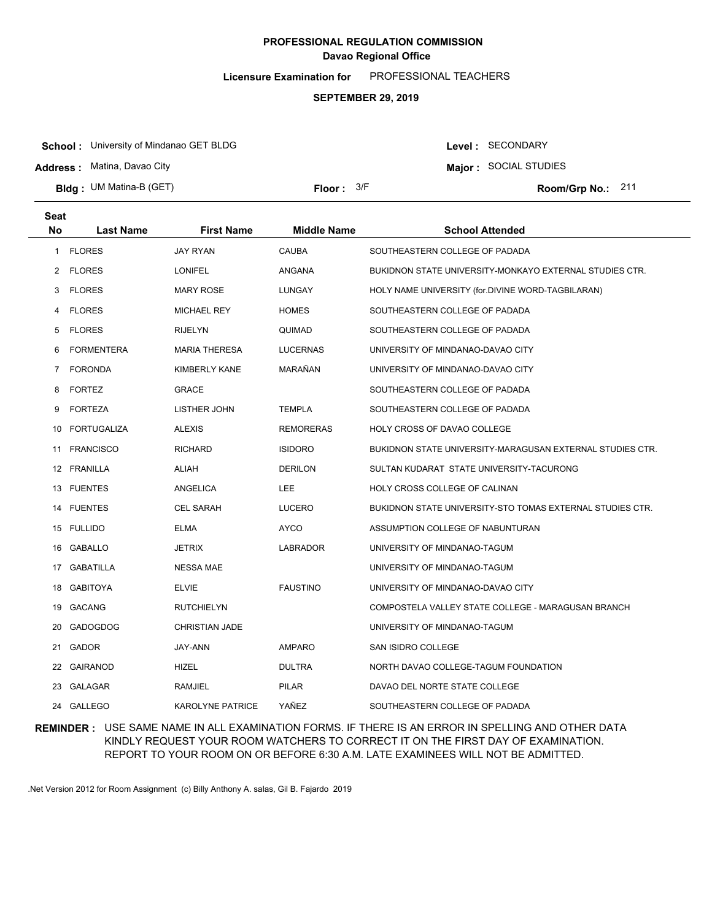**Licensure Examination for**  PROFESSIONAL TEACHERS

#### **SEPTEMBER 29, 2019**

**School :** University of Mindanao GET BLDG

**Address :** Matina, Davao City

**Bldg : Floor : Room/Grp No.:** UM Matina-B (GET)

Floor: 3/F Room/Grp No.: 211

Level : SECONDARY **Major :** SOCIAL STUDIES

| Seat      |                    |                       |                    |                                                           |
|-----------|--------------------|-----------------------|--------------------|-----------------------------------------------------------|
| <b>No</b> | <b>Last Name</b>   | <b>First Name</b>     | <b>Middle Name</b> | <b>School Attended</b>                                    |
| 1         | <b>FLORES</b>      | <b>JAY RYAN</b>       | CAUBA              | SOUTHEASTERN COLLEGE OF PADADA                            |
|           | 2 FLORES           | <b>LONIFEL</b>        | ANGANA             | BUKIDNON STATE UNIVERSITY-MONKAYO EXTERNAL STUDIES CTR.   |
| 3         | <b>FLORES</b>      | MARY ROSE             | LUNGAY             | HOLY NAME UNIVERSITY (for.DIVINE WORD-TAGBILARAN)         |
| 4         | <b>FLORES</b>      | <b>MICHAEL REY</b>    | <b>HOMES</b>       | SOUTHEASTERN COLLEGE OF PADADA                            |
| 5         | <b>FLORES</b>      | <b>RIJELYN</b>        | QUIMAD             | SOUTHEASTERN COLLEGE OF PADADA                            |
| 6         | <b>FORMENTERA</b>  | <b>MARIA THERESA</b>  | <b>LUCERNAS</b>    | UNIVERSITY OF MINDANAO-DAVAO CITY                         |
| 7         | <b>FORONDA</b>     | KIMBERLY KANE         | MARAÑAN            | UNIVERSITY OF MINDANAO-DAVAO CITY                         |
| 8         | <b>FORTEZ</b>      | <b>GRACE</b>          |                    | SOUTHEASTERN COLLEGE OF PADADA                            |
| 9         | <b>FORTEZA</b>     | LISTHER JOHN          | <b>TEMPLA</b>      | SOUTHEASTERN COLLEGE OF PADADA                            |
| 10        | <b>FORTUGALIZA</b> | <b>ALEXIS</b>         | <b>REMORERAS</b>   | HOLY CROSS OF DAVAO COLLEGE                               |
| 11        | <b>FRANCISCO</b>   | <b>RICHARD</b>        | <b>ISIDORO</b>     | BUKIDNON STATE UNIVERSITY-MARAGUSAN EXTERNAL STUDIES CTR. |
|           | 12 FRANILLA        | ALIAH                 | <b>DERILON</b>     | SULTAN KUDARAT STATE UNIVERSITY-TACURONG                  |
|           | 13 FUENTES         | ANGELICA              | <b>LEE</b>         | HOLY CROSS COLLEGE OF CALINAN                             |
|           | 14 FUENTES         | <b>CEL SARAH</b>      | <b>LUCERO</b>      | BUKIDNON STATE UNIVERSITY-STO TOMAS EXTERNAL STUDIES CTR. |
|           | 15 FULLIDO         | <b>ELMA</b>           | <b>AYCO</b>        | ASSUMPTION COLLEGE OF NABUNTURAN                          |
|           | 16 GABALLO         | <b>JETRIX</b>         | <b>LABRADOR</b>    | UNIVERSITY OF MINDANAO-TAGUM                              |
|           | 17 GABATILLA       | <b>NESSA MAE</b>      |                    | UNIVERSITY OF MINDANAO-TAGUM                              |
|           | 18 GABITOYA        | <b>ELVIE</b>          | <b>FAUSTINO</b>    | UNIVERSITY OF MINDANAO-DAVAO CITY                         |
|           | 19 GACANG          | <b>RUTCHIELYN</b>     |                    | COMPOSTELA VALLEY STATE COLLEGE - MARAGUSAN BRANCH        |
| 20        | <b>GADOGDOG</b>    | <b>CHRISTIAN JADE</b> |                    | UNIVERSITY OF MINDANAO-TAGUM                              |
| 21        | <b>GADOR</b>       | JAY-ANN               | <b>AMPARO</b>      | SAN ISIDRO COLLEGE                                        |
| 22        | <b>GAIRANOD</b>    | <b>HIZEL</b>          | <b>DULTRA</b>      | NORTH DAVAO COLLEGE-TAGUM FOUNDATION                      |
| 23        | GALAGAR            | RAMJIEL               | <b>PILAR</b>       | DAVAO DEL NORTE STATE COLLEGE                             |
|           | 24 GALLEGO         | KAROLYNE PATRICE      | YAÑEZ              | SOUTHEASTERN COLLEGE OF PADADA                            |

### **REMINDER :** USE SAME NAME IN ALL EXAMINATION FORMS. IF THERE IS AN ERROR IN SPELLING AND OTHER DATA KINDLY REQUEST YOUR ROOM WATCHERS TO CORRECT IT ON THE FIRST DAY OF EXAMINATION. REPORT TO YOUR ROOM ON OR BEFORE 6:30 A.M. LATE EXAMINEES WILL NOT BE ADMITTED.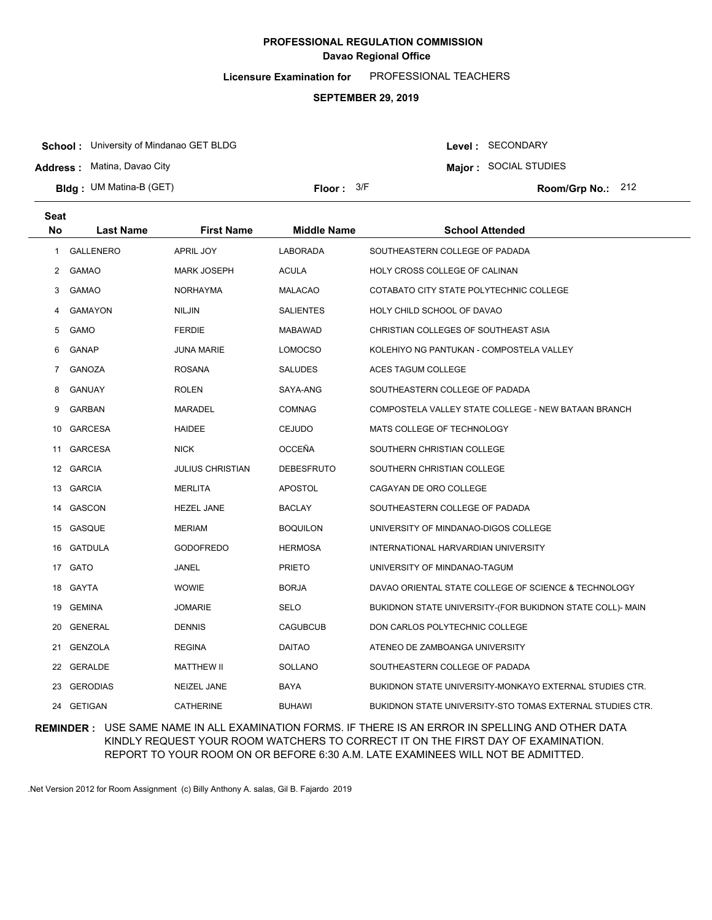**Licensure Examination for**  PROFESSIONAL TEACHERS

#### **SEPTEMBER 29, 2019**

**School :** University of Mindanao GET BLDG

**Address :** Matina, Davao City

**Bldg : Floor : Room/Grp No.:** UM Matina-B (GET)

Floor:  $3/F$  Room/Grp No.: 212

Level : SECONDARY **Major :** SOCIAL STUDIES

| Seat |                  |                         |                    |                                                           |
|------|------------------|-------------------------|--------------------|-----------------------------------------------------------|
| No.  | <b>Last Name</b> | <b>First Name</b>       | <b>Middle Name</b> | <b>School Attended</b>                                    |
| 1    | <b>GALLENERO</b> | APRIL JOY               | <b>LABORADA</b>    | SOUTHEASTERN COLLEGE OF PADADA                            |
|      | 2 GAMAO          | <b>MARK JOSEPH</b>      | <b>ACULA</b>       | HOLY CROSS COLLEGE OF CALINAN                             |
| 3    | <b>GAMAO</b>     | NORHAYMA                | <b>MALACAO</b>     | COTABATO CITY STATE POLYTECHNIC COLLEGE                   |
| 4    | GAMAYON          | <b>NILJIN</b>           | <b>SALIENTES</b>   | HOLY CHILD SCHOOL OF DAVAO                                |
| 5    | <b>GAMO</b>      | <b>FERDIE</b>           | <b>MABAWAD</b>     | CHRISTIAN COLLEGES OF SOUTHEAST ASIA                      |
| 6    | GANAP            | <b>JUNA MARIE</b>       | <b>LOMOCSO</b>     | KOLEHIYO NG PANTUKAN - COMPOSTELA VALLEY                  |
| 7    | <b>GANOZA</b>    | <b>ROSANA</b>           | <b>SALUDES</b>     | ACES TAGUM COLLEGE                                        |
| 8    | GANUAY           | <b>ROLEN</b>            | SAYA-ANG           | SOUTHEASTERN COLLEGE OF PADADA                            |
| 9    | <b>GARBAN</b>    | <b>MARADEL</b>          | <b>COMNAG</b>      | COMPOSTELA VALLEY STATE COLLEGE - NEW BATAAN BRANCH       |
| 10   | GARCESA          | HAIDEE                  | <b>CEJUDO</b>      | MATS COLLEGE OF TECHNOLOGY                                |
| 11   | <b>GARCESA</b>   | <b>NICK</b>             | <b>OCCEÑA</b>      | SOUTHERN CHRISTIAN COLLEGE                                |
|      | 12 GARCIA        | <b>JULIUS CHRISTIAN</b> | <b>DEBESFRUTO</b>  | SOUTHERN CHRISTIAN COLLEGE                                |
|      | 13 GARCIA        | <b>MERLITA</b>          | <b>APOSTOL</b>     | CAGAYAN DE ORO COLLEGE                                    |
|      | 14 GASCON        | <b>HEZEL JANE</b>       | BACLAY             | SOUTHEASTERN COLLEGE OF PADADA                            |
|      | 15 GASQUE        | <b>MERIAM</b>           | <b>BOQUILON</b>    | UNIVERSITY OF MINDANAO-DIGOS COLLEGE                      |
|      | 16 GATDULA       | <b>GODOFREDO</b>        | <b>HERMOSA</b>     | INTERNATIONAL HARVARDIAN UNIVERSITY                       |
|      | 17 GATO          | JANEL                   | <b>PRIETO</b>      | UNIVERSITY OF MINDANAO-TAGUM                              |
|      | 18 GAYTA         | <b>WOWIE</b>            | <b>BORJA</b>       | DAVAO ORIENTAL STATE COLLEGE OF SCIENCE & TECHNOLOGY      |
|      | 19 GEMINA        | <b>JOMARIE</b>          | SELO               | BUKIDNON STATE UNIVERSITY-(FOR BUKIDNON STATE COLL)- MAIN |
|      | 20 GENERAL       | <b>DENNIS</b>           | <b>CAGUBCUB</b>    | DON CARLOS POLYTECHNIC COLLEGE                            |
|      | 21 GENZOLA       | <b>REGINA</b>           | <b>DAITAO</b>      | ATENEO DE ZAMBOANGA UNIVERSITY                            |
|      | 22 GERALDE       | <b>MATTHEW II</b>       | SOLLANO            | SOUTHEASTERN COLLEGE OF PADADA                            |
| 23   | <b>GERODIAS</b>  | NEIZEL JANE             | BAYA               | BUKIDNON STATE UNIVERSITY-MONKAYO EXTERNAL STUDIES CTR.   |
| 24   | <b>GETIGAN</b>   | <b>CATHERINE</b>        | <b>BUHAWI</b>      | BUKIDNON STATE UNIVERSITY-STO TOMAS EXTERNAL STUDIES CTR. |

### **REMINDER :** USE SAME NAME IN ALL EXAMINATION FORMS. IF THERE IS AN ERROR IN SPELLING AND OTHER DATA KINDLY REQUEST YOUR ROOM WATCHERS TO CORRECT IT ON THE FIRST DAY OF EXAMINATION. REPORT TO YOUR ROOM ON OR BEFORE 6:30 A.M. LATE EXAMINEES WILL NOT BE ADMITTED.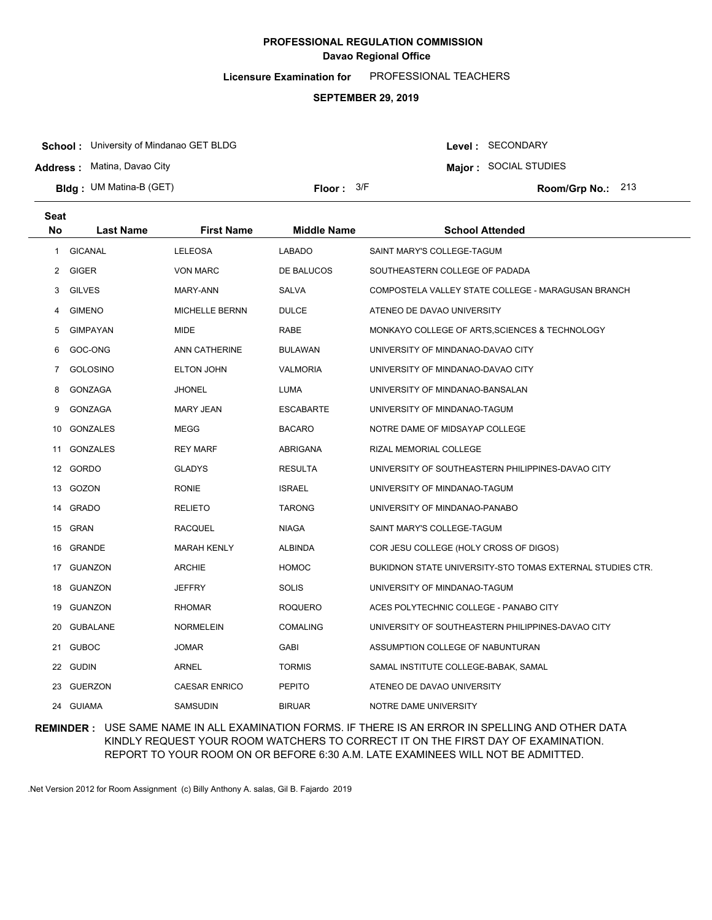**Licensure Examination for**  PROFESSIONAL TEACHERS

#### **SEPTEMBER 29, 2019**

**School :** University of Mindanao GET BLDG

**Address :** Matina, Davao City

**Bldg : Floor : Room/Grp No.:** UM Matina-B (GET)

Floor:  $3/F$  Room/Grp No.: 213

Level : SECONDARY **Major :** SOCIAL STUDIES

| Seat<br>No       | <b>Last Name</b> | <b>First Name</b>     | <b>Middle Name</b> | <b>School Attended</b>                                    |
|------------------|------------------|-----------------------|--------------------|-----------------------------------------------------------|
| $\mathbf{1}$     | <b>GICANAL</b>   | <b>LELEOSA</b>        | <b>LABADO</b>      | SAINT MARY'S COLLEGE-TAGUM                                |
|                  | 2 GIGER          | <b>VON MARC</b>       | DE BALUCOS         | SOUTHEASTERN COLLEGE OF PADADA                            |
| 3                | <b>GILVES</b>    | MARY-ANN              | SALVA              | COMPOSTELA VALLEY STATE COLLEGE - MARAGUSAN BRANCH        |
| 4                | <b>GIMENO</b>    | <b>MICHELLE BERNN</b> | <b>DULCE</b>       | ATENEO DE DAVAO UNIVERSITY                                |
| 5                | <b>GIMPAYAN</b>  | <b>MIDE</b>           | RABE               | MONKAYO COLLEGE OF ARTS, SCIENCES & TECHNOLOGY            |
|                  |                  |                       |                    |                                                           |
| 6                | GOC-ONG          | ANN CATHERINE         | <b>BULAWAN</b>     | UNIVERSITY OF MINDANAO-DAVAO CITY                         |
| $\overline{7}$   | <b>GOLOSINO</b>  | <b>ELTON JOHN</b>     | <b>VALMORIA</b>    | UNIVERSITY OF MINDANAO-DAVAO CITY                         |
| 8                | <b>GONZAGA</b>   | JHONEL                | LUMA               | UNIVERSITY OF MINDANAO-BANSALAN                           |
| 9                | GONZAGA          | <b>MARY JEAN</b>      | <b>ESCABARTE</b>   | UNIVERSITY OF MINDANAO-TAGUM                              |
| 10               | GONZALES         | <b>MEGG</b>           | <b>BACARO</b>      | NOTRE DAME OF MIDSAYAP COLLEGE                            |
| 11               | <b>GONZALES</b>  | <b>REY MARF</b>       | ABRIGANA           | RIZAL MEMORIAL COLLEGE                                    |
| 12 <sup>12</sup> | GORDO            | <b>GLADYS</b>         | <b>RESULTA</b>     | UNIVERSITY OF SOUTHEASTERN PHILIPPINES-DAVAO CITY         |
| 13               | <b>GOZON</b>     | <b>RONIE</b>          | <b>ISRAEL</b>      | UNIVERSITY OF MINDANAO-TAGUM                              |
|                  | 14 GRADO         | <b>RELIETO</b>        | <b>TARONG</b>      | UNIVERSITY OF MINDANAO-PANABO                             |
|                  | 15 GRAN          | <b>RACQUEL</b>        | <b>NIAGA</b>       | SAINT MARY'S COLLEGE-TAGUM                                |
|                  | 16 GRANDE        | <b>MARAH KENLY</b>    | <b>ALBINDA</b>     | COR JESU COLLEGE (HOLY CROSS OF DIGOS)                    |
| 17               | <b>GUANZON</b>   | <b>ARCHIE</b>         | <b>HOMOC</b>       | BUKIDNON STATE UNIVERSITY-STO TOMAS EXTERNAL STUDIES CTR. |
|                  | 18 GUANZON       | <b>JEFFRY</b>         | <b>SOLIS</b>       | UNIVERSITY OF MINDANAO-TAGUM                              |
|                  | 19 GUANZON       | RHOMAR                | <b>ROQUERO</b>     | ACES POLYTECHNIC COLLEGE - PANABO CITY                    |
|                  | 20 GUBALANE      | <b>NORMELEIN</b>      | <b>COMALING</b>    | UNIVERSITY OF SOUTHEASTERN PHILIPPINES-DAVAO CITY         |
|                  | 21 GUBOC         | JOMAR                 | <b>GABI</b>        | ASSUMPTION COLLEGE OF NABUNTURAN                          |
|                  | 22 GUDIN         | <b>ARNEL</b>          | <b>TORMIS</b>      | SAMAL INSTITUTE COLLEGE-BABAK, SAMAL                      |
|                  | 23 GUERZON       | <b>CAESAR ENRICO</b>  | <b>PEPITO</b>      | ATENEO DE DAVAO UNIVERSITY                                |
|                  | 24 GUIAMA        | <b>SAMSUDIN</b>       | <b>BIRUAR</b>      | NOTRE DAME UNIVERSITY                                     |

### **REMINDER :** USE SAME NAME IN ALL EXAMINATION FORMS. IF THERE IS AN ERROR IN SPELLING AND OTHER DATA KINDLY REQUEST YOUR ROOM WATCHERS TO CORRECT IT ON THE FIRST DAY OF EXAMINATION. REPORT TO YOUR ROOM ON OR BEFORE 6:30 A.M. LATE EXAMINEES WILL NOT BE ADMITTED.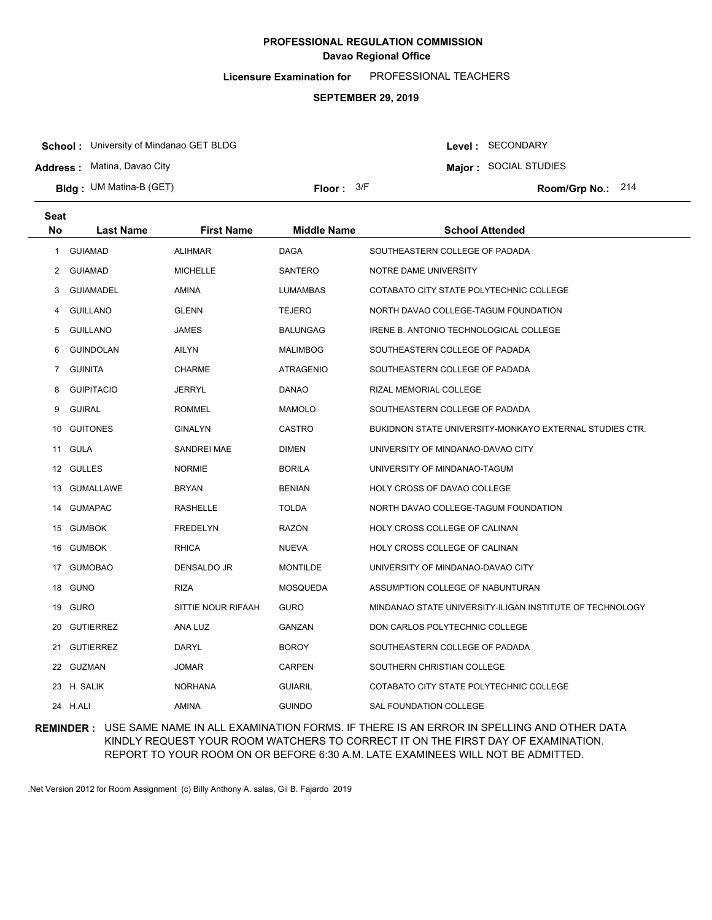**Licensure Examination for**  PROFESSIONAL TEACHERS

#### **SEPTEMBER 29, 2019**

**School :** University of Mindanao GET BLDG

**Address :** Matina, Davao City

**Bldg : Floor : Room/Grp No.:** UM Matina-B (GET)

Floor:  $3/F$  Room/Grp No.: 214

**Major :** SOCIAL STUDIES

Level : SECONDARY

| <b>Seat</b>  |                   |                    |                    |                                                          |
|--------------|-------------------|--------------------|--------------------|----------------------------------------------------------|
| <b>No</b>    | <b>Last Name</b>  | <b>First Name</b>  | <b>Middle Name</b> | <b>School Attended</b>                                   |
| $\mathbf{1}$ | <b>GUIAMAD</b>    | <b>ALIHMAR</b>     | <b>DAGA</b>        | SOUTHEASTERN COLLEGE OF PADADA                           |
| 2            | <b>GUIAMAD</b>    | <b>MICHELLE</b>    | SANTERO            | NOTRE DAME UNIVERSITY                                    |
| 3            | <b>GUIAMADEL</b>  | AMINA              | <b>LUMAMBAS</b>    | COTABATO CITY STATE POLYTECHNIC COLLEGE                  |
| 4            | <b>GUILLANO</b>   | <b>GLENN</b>       | <b>TEJERO</b>      | NORTH DAVAO COLLEGE-TAGUM FOUNDATION                     |
| 5            | <b>GUILLANO</b>   | <b>JAMES</b>       | <b>BALUNGAG</b>    | IRENE B. ANTONIO TECHNOLOGICAL COLLEGE                   |
| 6            | <b>GUINDOLAN</b>  | <b>AILYN</b>       | <b>MALIMBOG</b>    | SOUTHEASTERN COLLEGE OF PADADA                           |
| 7            | <b>GUINITA</b>    | <b>CHARME</b>      | <b>ATRAGENIO</b>   | SOUTHEASTERN COLLEGE OF PADADA                           |
| 8            | <b>GUIPITACIO</b> | <b>JERRYL</b>      | <b>DANAO</b>       | RIZAL MEMORIAL COLLEGE                                   |
| 9            | <b>GUIRAL</b>     | <b>ROMMEL</b>      | <b>MAMOLO</b>      | SOUTHEASTERN COLLEGE OF PADADA                           |
| 10           | <b>GUITONES</b>   | <b>GINALYN</b>     | <b>CASTRO</b>      | BUKIDNON STATE UNIVERSITY-MONKAYO EXTERNAL STUDIES CTR.  |
|              | 11 GULA           | SANDREI MAE        | <b>DIMEN</b>       | UNIVERSITY OF MINDANAO-DAVAO CITY                        |
|              | 12 GULLES         | <b>NORMIE</b>      | <b>BORILA</b>      | UNIVERSITY OF MINDANAO-TAGUM                             |
| 13           | <b>GUMALLAWE</b>  | <b>BRYAN</b>       | <b>BENIAN</b>      | HOLY CROSS OF DAVAO COLLEGE                              |
| 14           | <b>GUMAPAC</b>    | <b>RASHELLE</b>    | <b>TOLDA</b>       | NORTH DAVAO COLLEGE-TAGUM FOUNDATION                     |
| 15           | <b>GUMBOK</b>     | <b>FREDELYN</b>    | <b>RAZON</b>       | HOLY CROSS COLLEGE OF CALINAN                            |
| 16           | <b>GUMBOK</b>     | <b>RHICA</b>       | <b>NUEVA</b>       | HOLY CROSS COLLEGE OF CALINAN                            |
| 17           | <b>GUMOBAO</b>    | DENSALDO JR        | <b>MONTILDE</b>    | UNIVERSITY OF MINDANAO-DAVAO CITY                        |
| 18           | <b>GUNO</b>       | <b>RIZA</b>        | <b>MOSQUEDA</b>    | ASSUMPTION COLLEGE OF NABUNTURAN                         |
| 19           | <b>GURO</b>       | SITTIE NOUR RIFAAH | <b>GURO</b>        | MINDANAO STATE UNIVERSITY-ILIGAN INSTITUTE OF TECHNOLOGY |
| 20           | <b>GUTIERREZ</b>  | ANA LUZ            | GANZAN             | DON CARLOS POLYTECHNIC COLLEGE                           |
| 21           | <b>GUTIERREZ</b>  | DARYL              | <b>BOROY</b>       | SOUTHEASTERN COLLEGE OF PADADA                           |
|              | 22 GUZMAN         | <b>JOMAR</b>       | <b>CARPEN</b>      | SOUTHERN CHRISTIAN COLLEGE                               |
| 23           | H. SALIK          | <b>NORHANA</b>     | <b>GUIARIL</b>     | COTABATO CITY STATE POLYTECHNIC COLLEGE                  |
|              | 24 H.ALI          | <b>AMINA</b>       | <b>GUINDO</b>      | <b>SAL FOUNDATION COLLEGE</b>                            |

### **REMINDER :** USE SAME NAME IN ALL EXAMINATION FORMS. IF THERE IS AN ERROR IN SPELLING AND OTHER DATA KINDLY REQUEST YOUR ROOM WATCHERS TO CORRECT IT ON THE FIRST DAY OF EXAMINATION. REPORT TO YOUR ROOM ON OR BEFORE 6:30 A.M. LATE EXAMINEES WILL NOT BE ADMITTED.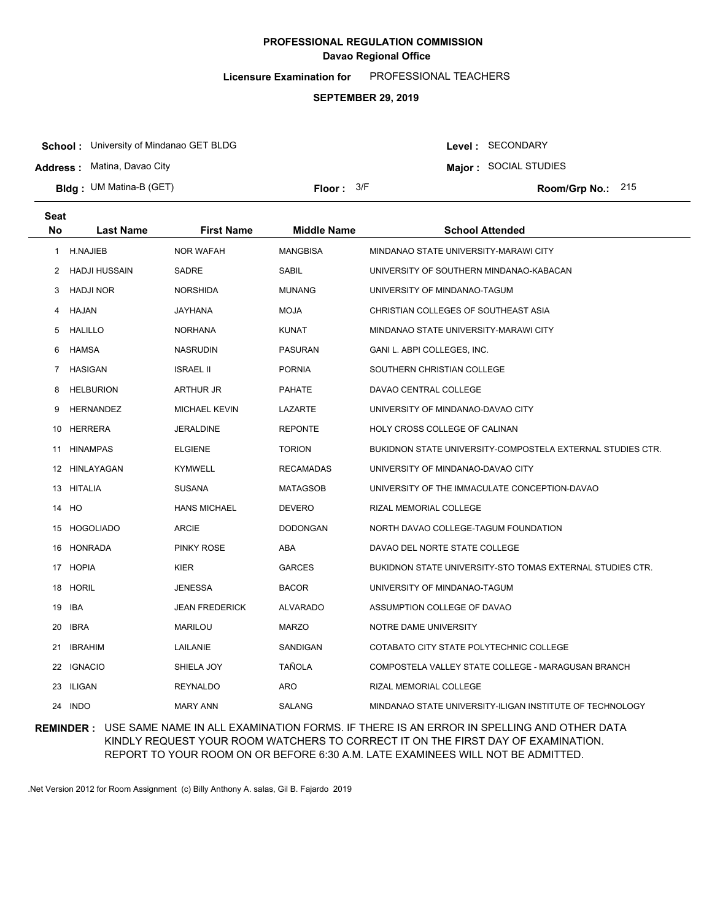**Licensure Examination for**  PROFESSIONAL TEACHERS

### **SEPTEMBER 29, 2019**

**School :** University of Mindanao GET BLDG

**Address :** Matina, Davao City

**Bldg : Floor : Room/Grp No.:** UM Matina-B (GET)

Floor:  $3/F$  Room/Grp No.: 215

Level : SECONDARY **Major :** SOCIAL STUDIES

| Seat                  |                  |                       |                    |                                                            |
|-----------------------|------------------|-----------------------|--------------------|------------------------------------------------------------|
| No                    | <b>Last Name</b> | <b>First Name</b>     | <b>Middle Name</b> | <b>School Attended</b>                                     |
| $\mathbf{1}$          | <b>H.NAJIEB</b>  | <b>NOR WAFAH</b>      | <b>MANGBISA</b>    | MINDANAO STATE UNIVERSITY-MARAWI CITY                      |
| $\mathbf{2}^{\prime}$ | HADJI HUSSAIN    | SADRE                 | SABIL              | UNIVERSITY OF SOUTHERN MINDANAO-KABACAN                    |
| 3                     | <b>HADJI NOR</b> | NORSHIDA              | <b>MUNANG</b>      | UNIVERSITY OF MINDANAO-TAGUM                               |
| 4                     | HAJAN            | JAYHANA               | <b>MOJA</b>        | CHRISTIAN COLLEGES OF SOUTHEAST ASIA                       |
| 5                     | HALILLO          | <b>NORHANA</b>        | <b>KUNAT</b>       | MINDANAO STATE UNIVERSITY-MARAWI CITY                      |
| 6                     | HAMSA            | <b>NASRUDIN</b>       | <b>PASURAN</b>     | GANI L. ABPI COLLEGES, INC.                                |
| $\overline{7}$        | <b>HASIGAN</b>   | <b>ISRAEL II</b>      | <b>PORNIA</b>      | SOUTHERN CHRISTIAN COLLEGE                                 |
| 8                     | <b>HELBURION</b> | ARTHUR JR             | <b>PAHATE</b>      | DAVAO CENTRAL COLLEGE                                      |
| 9                     | <b>HERNANDEZ</b> | <b>MICHAEL KEVIN</b>  | LAZARTE            | UNIVERSITY OF MINDANAO-DAVAO CITY                          |
| 10                    | HERRERA          | <b>JERALDINE</b>      | <b>REPONTE</b>     | HOLY CROSS COLLEGE OF CALINAN                              |
| 11                    | <b>HINAMPAS</b>  | <b>ELGIENE</b>        | <b>TORION</b>      | BUKIDNON STATE UNIVERSITY-COMPOSTELA EXTERNAL STUDIES CTR. |
| 12                    | HINLAYAGAN       | <b>KYMWELL</b>        | <b>RECAMADAS</b>   | UNIVERSITY OF MINDANAO-DAVAO CITY                          |
| 13                    | <b>HITALIA</b>   | <b>SUSANA</b>         | <b>MATAGSOB</b>    | UNIVERSITY OF THE IMMACULATE CONCEPTION-DAVAO              |
|                       | 14 HO            | <b>HANS MICHAEL</b>   | <b>DEVERO</b>      | RIZAL MEMORIAL COLLEGE                                     |
| 15                    | <b>HOGOLIADO</b> | <b>ARCIE</b>          | <b>DODONGAN</b>    | NORTH DAVAO COLLEGE-TAGUM FOUNDATION                       |
| 16                    | <b>HONRADA</b>   | <b>PINKY ROSE</b>     | ABA                | DAVAO DEL NORTE STATE COLLEGE                              |
|                       | 17 HOPIA         | <b>KIER</b>           | <b>GARCES</b>      | BUKIDNON STATE UNIVERSITY-STO TOMAS EXTERNAL STUDIES CTR.  |
|                       | 18 HORIL         | <b>JENESSA</b>        | <b>BACOR</b>       | UNIVERSITY OF MINDANAO-TAGUM                               |
| 19                    | IBA              | <b>JEAN FREDERICK</b> | <b>ALVARADO</b>    | ASSUMPTION COLLEGE OF DAVAO                                |
| 20                    | <b>IBRA</b>      | MARILOU               | <b>MARZO</b>       | NOTRE DAME UNIVERSITY                                      |
| 21                    | <b>IBRAHIM</b>   | LAILANIE              | SANDIGAN           | COTABATO CITY STATE POLYTECHNIC COLLEGE                    |
| 22                    | <b>IGNACIO</b>   | SHIELA JOY            | <b>TAÑOLA</b>      | COMPOSTELA VALLEY STATE COLLEGE - MARAGUSAN BRANCH         |
| 23                    | ILIGAN           | <b>REYNALDO</b>       | ARO                | RIZAL MEMORIAL COLLEGE                                     |
| 24                    | <b>INDO</b>      | <b>MARY ANN</b>       | <b>SALANG</b>      | MINDANAO STATE UNIVERSITY-ILIGAN INSTITUTE OF TECHNOLOGY   |

### **REMINDER :** USE SAME NAME IN ALL EXAMINATION FORMS. IF THERE IS AN ERROR IN SPELLING AND OTHER DATA KINDLY REQUEST YOUR ROOM WATCHERS TO CORRECT IT ON THE FIRST DAY OF EXAMINATION. REPORT TO YOUR ROOM ON OR BEFORE 6:30 A.M. LATE EXAMINEES WILL NOT BE ADMITTED.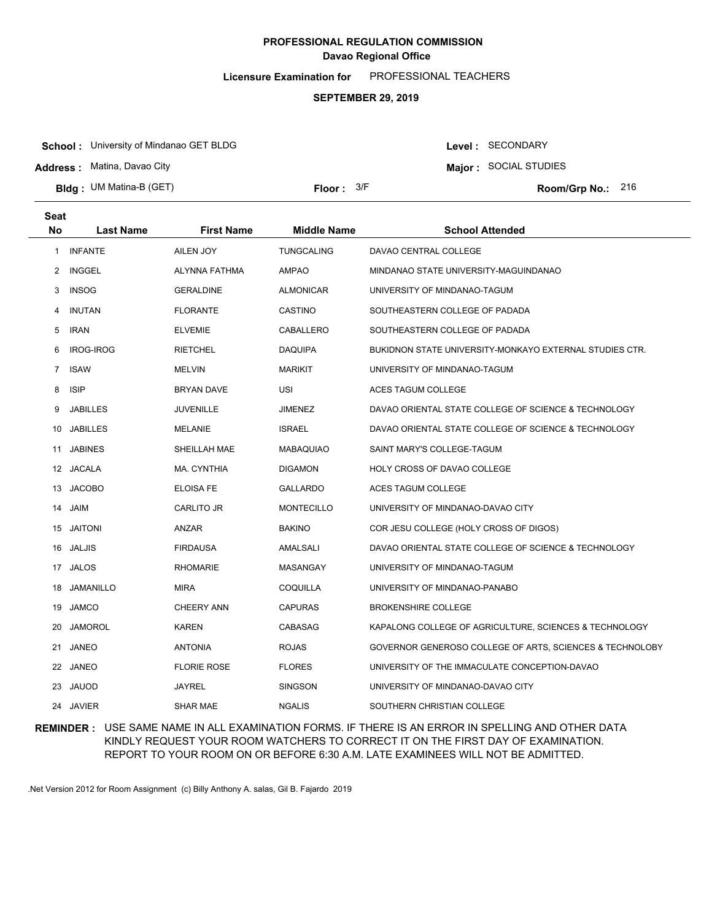**Licensure Examination for**  PROFESSIONAL TEACHERS

### **SEPTEMBER 29, 2019**

**School :** University of Mindanao GET BLDG

**Address :** Matina, Davao City

**Bldg : Floor : Room/Grp No.:** UM Matina-B (GET)

Floor:  $3/F$  Room/Grp No.: 216

Level : SECONDARY **Major :** SOCIAL STUDIES

| Seat           |                  |                    |                    |                                                          |
|----------------|------------------|--------------------|--------------------|----------------------------------------------------------|
| <b>No</b>      | <b>Last Name</b> | <b>First Name</b>  | <b>Middle Name</b> | <b>School Attended</b>                                   |
| $\mathbf{1}$   | <b>INFANTE</b>   | AILEN JOY          | <b>TUNGCALING</b>  | DAVAO CENTRAL COLLEGE                                    |
| $\overline{2}$ | INGGEL           | ALYNNA FATHMA      | AMPAO              | MINDANAO STATE UNIVERSITY-MAGUINDANAO                    |
| 3              | <b>INSOG</b>     | <b>GERALDINE</b>   | <b>ALMONICAR</b>   | UNIVERSITY OF MINDANAO-TAGUM                             |
| 4              | <b>INUTAN</b>    | <b>FLORANTE</b>    | CASTINO            | SOUTHEASTERN COLLEGE OF PADADA                           |
| 5              | IRAN             | <b>ELVEMIE</b>     | CABALLERO          | SOUTHEASTERN COLLEGE OF PADADA                           |
| 6              | <b>IROG-IROG</b> | <b>RIETCHEL</b>    | DAQUIPA            | BUKIDNON STATE UNIVERSITY-MONKAYO EXTERNAL STUDIES CTR.  |
| $\overline{7}$ | <b>ISAW</b>      | <b>MELVIN</b>      | <b>MARIKIT</b>     | UNIVERSITY OF MINDANAO-TAGUM                             |
| 8              | <b>ISIP</b>      | BRYAN DAVE         | <b>USI</b>         | ACES TAGUM COLLEGE                                       |
| 9              | <b>JABILLES</b>  | <b>JUVENILLE</b>   | <b>JIMENEZ</b>     | DAVAO ORIENTAL STATE COLLEGE OF SCIENCE & TECHNOLOGY     |
| 10             | <b>JABILLES</b>  | MELANIE            | <b>ISRAEL</b>      | DAVAO ORIENTAL STATE COLLEGE OF SCIENCE & TECHNOLOGY     |
| 11             | <b>JABINES</b>   | SHEILLAH MAE       | <b>MABAQUIAO</b>   | SAINT MARY'S COLLEGE-TAGUM                               |
|                | 12 JACALA        | MA. CYNTHIA        | <b>DIGAMON</b>     | HOLY CROSS OF DAVAO COLLEGE                              |
| 13             | <b>JACOBO</b>    | <b>ELOISA FE</b>   | <b>GALLARDO</b>    | ACES TAGUM COLLEGE                                       |
|                | 14 JAIM          | CARLITO JR         | <b>MONTECILLO</b>  | UNIVERSITY OF MINDANAO-DAVAO CITY                        |
|                | 15 JAITONI       | ANZAR              | <b>BAKINO</b>      | COR JESU COLLEGE (HOLY CROSS OF DIGOS)                   |
|                | 16 JALJIS        | <b>FIRDAUSA</b>    | AMALSALI           | DAVAO ORIENTAL STATE COLLEGE OF SCIENCE & TECHNOLOGY     |
|                | 17 JALOS         | <b>RHOMARIE</b>    | MASANGAY           | UNIVERSITY OF MINDANAO-TAGUM                             |
| 18             | <b>JAMANILLO</b> | <b>MIRA</b>        | COQUILLA           | UNIVERSITY OF MINDANAO-PANABO                            |
|                | 19 JAMCO         | <b>CHEERY ANN</b>  | <b>CAPURAS</b>     | <b>BROKENSHIRE COLLEGE</b>                               |
| 20             | <b>JAMOROL</b>   | <b>KAREN</b>       | CABASAG            | KAPALONG COLLEGE OF AGRICULTURE, SCIENCES & TECHNOLOGY   |
|                | 21 JANEO         | <b>ANTONIA</b>     | <b>ROJAS</b>       | GOVERNOR GENEROSO COLLEGE OF ARTS, SCIENCES & TECHNOLOBY |
|                | 22 JANEO         | <b>FLORIE ROSE</b> | <b>FLORES</b>      | UNIVERSITY OF THE IMMACULATE CONCEPTION-DAVAO            |
|                | 23 JAUOD         | JAYREL             | <b>SINGSON</b>     | UNIVERSITY OF MINDANAO-DAVAO CITY                        |
|                | 24 JAVIER        | <b>SHAR MAE</b>    | <b>NGALIS</b>      | SOUTHERN CHRISTIAN COLLEGE                               |

## **REMINDER :** USE SAME NAME IN ALL EXAMINATION FORMS. IF THERE IS AN ERROR IN SPELLING AND OTHER DATA KINDLY REQUEST YOUR ROOM WATCHERS TO CORRECT IT ON THE FIRST DAY OF EXAMINATION. REPORT TO YOUR ROOM ON OR BEFORE 6:30 A.M. LATE EXAMINEES WILL NOT BE ADMITTED.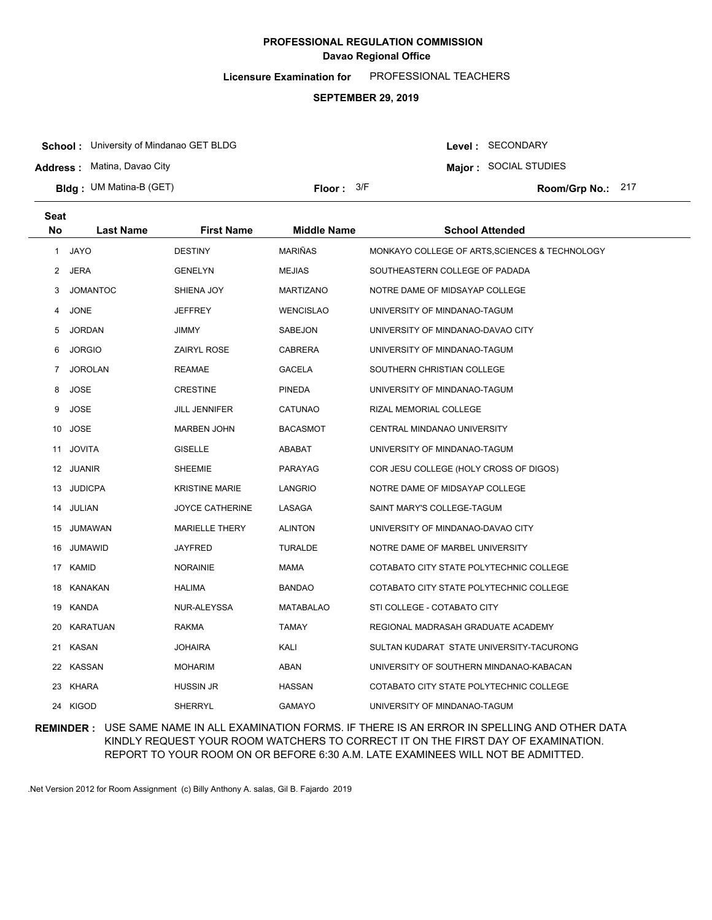**Licensure Examination for**  PROFESSIONAL TEACHERS

### **SEPTEMBER 29, 2019**

**School :** University of Mindanao GET BLDG

**Address :** Matina, Davao City

**Bldg : Floor : Room/Grp No.:** UM Matina-B (GET)

Floor: 3/F Room/Grp No.: 217

Level : SECONDARY **Major :** SOCIAL STUDIES

| <b>Seat</b><br>No. | <b>Last Name</b> | <b>First Name</b>     | <b>Middle Name</b> | <b>School Attended</b>                         |
|--------------------|------------------|-----------------------|--------------------|------------------------------------------------|
|                    |                  |                       |                    |                                                |
| 1                  | <b>JAYO</b>      | <b>DESTINY</b>        | <b>MARIÑAS</b>     | MONKAYO COLLEGE OF ARTS, SCIENCES & TECHNOLOGY |
| $^{2}$             | JERA             | <b>GENELYN</b>        | <b>MEJIAS</b>      | SOUTHEASTERN COLLEGE OF PADADA                 |
| 3                  | <b>JOMANTOC</b>  | SHIENA JOY            | MARTIZANO          | NOTRE DAME OF MIDSAYAP COLLEGE                 |
| 4                  | <b>JONE</b>      | JEFFREY               | <b>WENCISLAO</b>   | UNIVERSITY OF MINDANAO-TAGUM                   |
| 5                  | <b>JORDAN</b>    | JIMMY                 | SABEJON            | UNIVERSITY OF MINDANAO-DAVAO CITY              |
| 6                  | <b>JORGIO</b>    | ZAIRYL ROSE           | <b>CABRERA</b>     | UNIVERSITY OF MINDANAO-TAGUM                   |
| $\overline{7}$     | <b>JOROLAN</b>   | <b>REAMAE</b>         | GACELA             | SOUTHERN CHRISTIAN COLLEGE                     |
| 8                  | <b>JOSE</b>      | <b>CRESTINE</b>       | <b>PINEDA</b>      | UNIVERSITY OF MINDANAO-TAGUM                   |
| 9                  | <b>JOSE</b>      | JILL JENNIFER         | CATUNAO            | RIZAL MEMORIAL COLLEGE                         |
|                    | 10 JOSE          | <b>MARBEN JOHN</b>    | BACASMOT           | CENTRAL MINDANAO UNIVERSITY                    |
| 11                 | <b>JOVITA</b>    | GISELLE               | ABABAT             | UNIVERSITY OF MINDANAO-TAGUM                   |
|                    | 12 JUANIR        | SHEEMIE               | <b>PARAYAG</b>     | COR JESU COLLEGE (HOLY CROSS OF DIGOS)         |
|                    | 13 JUDICPA       | <b>KRISTINE MARIE</b> | LANGRIO            | NOTRE DAME OF MIDSAYAP COLLEGE                 |
|                    | 14 JULIAN        | JOYCE CATHERINE       | LASAGA             | SAINT MARY'S COLLEGE-TAGUM                     |
|                    | 15 JUMAWAN       | <b>MARIELLE THERY</b> | <b>ALINTON</b>     | UNIVERSITY OF MINDANAO-DAVAO CITY              |
|                    | 16 JUMAWID       | JAYFRED               | <b>TURALDE</b>     | NOTRE DAME OF MARBEL UNIVERSITY                |
|                    | 17 KAMID         | <b>NORAINIE</b>       | <b>MAMA</b>        | COTABATO CITY STATE POLYTECHNIC COLLEGE        |
|                    | 18 KANAKAN       | HALIMA                | BANDAO             | COTABATO CITY STATE POLYTECHNIC COLLEGE        |
|                    | 19 KANDA         | NUR-ALEYSSA           | <b>MATABALAO</b>   | STI COLLEGE - COTABATO CITY                    |
|                    | 20 KARATUAN      | RAKMA                 | <b>TAMAY</b>       | REGIONAL MADRASAH GRADUATE ACADEMY             |
|                    | 21 KASAN         | JOHAIRA               | KALI               | SULTAN KUDARAT STATE UNIVERSITY-TACURONG       |
|                    | 22 KASSAN        | <b>MOHARIM</b>        | ABAN               | UNIVERSITY OF SOUTHERN MINDANAO-KABACAN        |
|                    | 23 KHARA         | HUSSIN JR             | <b>HASSAN</b>      | COTABATO CITY STATE POLYTECHNIC COLLEGE        |
|                    | 24 KIGOD         | <b>SHERRYL</b>        | <b>GAMAYO</b>      | UNIVERSITY OF MINDANAO-TAGUM                   |

**REMINDER :** USE SAME NAME IN ALL EXAMINATION FORMS. IF THERE IS AN ERROR IN SPELLING AND OTHER DATA KINDLY REQUEST YOUR ROOM WATCHERS TO CORRECT IT ON THE FIRST DAY OF EXAMINATION. REPORT TO YOUR ROOM ON OR BEFORE 6:30 A.M. LATE EXAMINEES WILL NOT BE ADMITTED.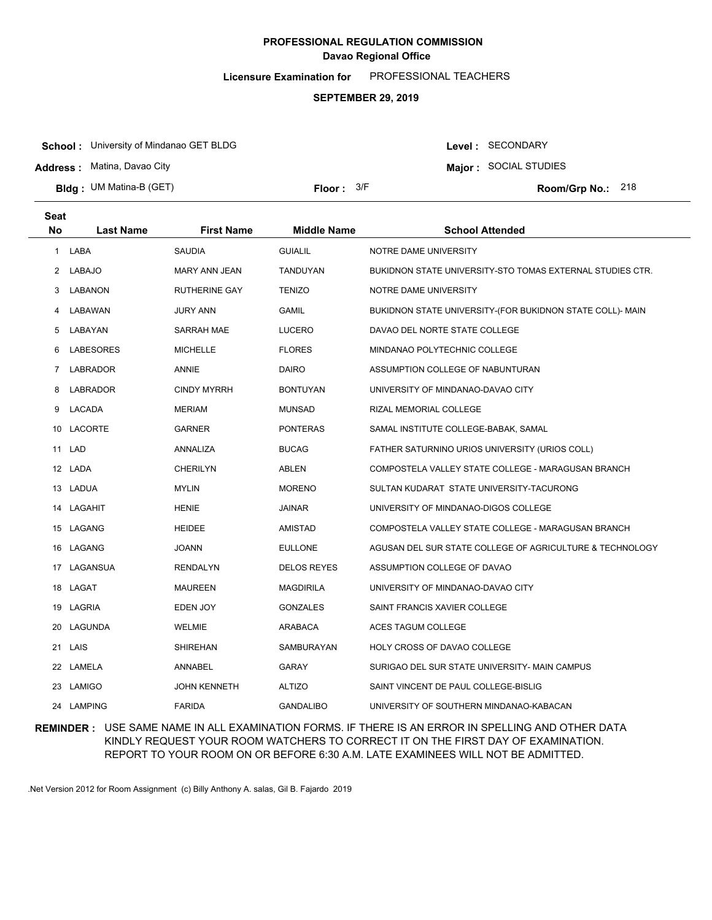**Licensure Examination for**  PROFESSIONAL TEACHERS

### **SEPTEMBER 29, 2019**

**School :** University of Mindanao GET BLDG

**Address :** Matina, Davao City

**Bldg : Floor : Room/Grp No.:** UM Matina-B (GET)

Floor:  $3/F$  Room/Grp No.: 218

Level : SECONDARY **Major :** SOCIAL STUDIES

| <b>Seat</b>          |                  |                      |                    |                                                           |
|----------------------|------------------|----------------------|--------------------|-----------------------------------------------------------|
| <b>No</b>            | <b>Last Name</b> | <b>First Name</b>    | <b>Middle Name</b> | <b>School Attended</b>                                    |
| 1                    | LABA             | <b>SAUDIA</b>        | <b>GUIALIL</b>     | NOTRE DAME UNIVERSITY                                     |
| $\mathbf{2}^{\circ}$ | <b>LABAJO</b>    | MARY ANN JEAN        | TANDUYAN           | BUKIDNON STATE UNIVERSITY-STO TOMAS EXTERNAL STUDIES CTR. |
| 3                    | LABANON          | <b>RUTHERINE GAY</b> | <b>TENIZO</b>      | NOTRE DAME UNIVERSITY                                     |
| 4                    | LABAWAN          | <b>JURY ANN</b>      | <b>GAMIL</b>       | BUKIDNON STATE UNIVERSITY-(FOR BUKIDNON STATE COLL)- MAIN |
| 5                    | LABAYAN          | SARRAH MAE           | <b>LUCERO</b>      | DAVAO DEL NORTE STATE COLLEGE                             |
| 6                    | <b>LABESORES</b> | <b>MICHELLE</b>      | <b>FLORES</b>      | MINDANAO POLYTECHNIC COLLEGE                              |
| 7                    | <b>LABRADOR</b>  | ANNIE                | <b>DAIRO</b>       | ASSUMPTION COLLEGE OF NABUNTURAN                          |
| 8                    | <b>LABRADOR</b>  | <b>CINDY MYRRH</b>   | <b>BONTUYAN</b>    | UNIVERSITY OF MINDANAO-DAVAO CITY                         |
| 9                    | LACADA           | <b>MERIAM</b>        | <b>MUNSAD</b>      | RIZAL MEMORIAL COLLEGE                                    |
|                      | 10 LACORTE       | GARNER               | <b>PONTERAS</b>    | SAMAL INSTITUTE COLLEGE-BABAK, SAMAL                      |
|                      | 11 LAD           | ANNALIZA             | <b>BUCAG</b>       | FATHER SATURNINO URIOS UNIVERSITY (URIOS COLL)            |
|                      | 12 LADA          | CHERILYN             | <b>ABLEN</b>       | COMPOSTELA VALLEY STATE COLLEGE - MARAGUSAN BRANCH        |
|                      | 13 LADUA         | <b>MYLIN</b>         | <b>MORENO</b>      | SULTAN KUDARAT STATE UNIVERSITY-TACURONG                  |
|                      | 14 LAGAHIT       | <b>HENIE</b>         | <b>JAINAR</b>      | UNIVERSITY OF MINDANAO-DIGOS COLLEGE                      |
|                      | 15 LAGANG        | <b>HEIDEE</b>        | AMISTAD            | COMPOSTELA VALLEY STATE COLLEGE - MARAGUSAN BRANCH        |
|                      | 16 LAGANG        | <b>JOANN</b>         | <b>EULLONE</b>     | AGUSAN DEL SUR STATE COLLEGE OF AGRICULTURE & TECHNOLOGY  |
|                      | 17 LAGANSUA      | <b>RENDALYN</b>      | <b>DELOS REYES</b> | ASSUMPTION COLLEGE OF DAVAO                               |
|                      | 18 LAGAT         | <b>MAUREEN</b>       | <b>MAGDIRILA</b>   | UNIVERSITY OF MINDANAO-DAVAO CITY                         |
|                      | 19 LAGRIA        | EDEN JOY             | <b>GONZALES</b>    | SAINT FRANCIS XAVIER COLLEGE                              |
| 20                   | LAGUNDA          | WELMIE               | <b>ARABACA</b>     | ACES TAGUM COLLEGE                                        |
|                      | 21 LAIS          | <b>SHIREHAN</b>      | SAMBURAYAN         | HOLY CROSS OF DAVAO COLLEGE                               |
|                      | 22 LAMELA        | ANNABEL              | <b>GARAY</b>       | SURIGAO DEL SUR STATE UNIVERSITY- MAIN CAMPUS             |
|                      | 23 LAMIGO        | <b>JOHN KENNETH</b>  | <b>ALTIZO</b>      | SAINT VINCENT DE PAUL COLLEGE-BISLIG                      |
|                      | 24 LAMPING       | <b>FARIDA</b>        | <b>GANDALIBO</b>   | UNIVERSITY OF SOUTHERN MINDANAO-KABACAN                   |

### **REMINDER :** USE SAME NAME IN ALL EXAMINATION FORMS. IF THERE IS AN ERROR IN SPELLING AND OTHER DATA KINDLY REQUEST YOUR ROOM WATCHERS TO CORRECT IT ON THE FIRST DAY OF EXAMINATION. REPORT TO YOUR ROOM ON OR BEFORE 6:30 A.M. LATE EXAMINEES WILL NOT BE ADMITTED.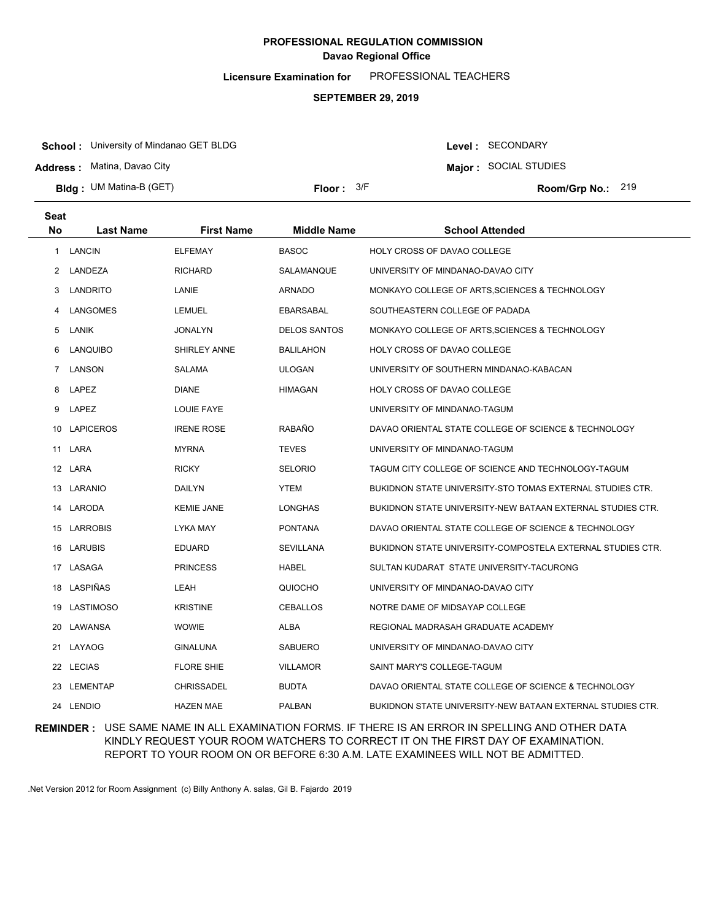**Licensure Examination for**  PROFESSIONAL TEACHERS

### **SEPTEMBER 29, 2019**

**School :** University of Mindanao GET BLDG

**Address :** Matina, Davao City

**Bldg : Floor : Room/Grp No.:** UM Matina-B (GET)

Floor:  $3/F$  Room/Grp No.: 219

Level : SECONDARY **Major :** SOCIAL STUDIES

| Seat<br><b>No</b> | <b>Last Name</b> | <b>First Name</b> | <b>Middle Name</b>  | <b>School Attended</b>                                           |
|-------------------|------------------|-------------------|---------------------|------------------------------------------------------------------|
|                   |                  |                   |                     |                                                                  |
| 1                 | <b>LANCIN</b>    | <b>ELFEMAY</b>    | <b>BASOC</b>        | HOLY CROSS OF DAVAO COLLEGE                                      |
| 2                 | LANDEZA          | <b>RICHARD</b>    | SALAMANQUE          | UNIVERSITY OF MINDANAO-DAVAO CITY                                |
| 3                 | LANDRITO         | LANIE             | ARNADO              | MONKAYO COLLEGE OF ARTS, SCIENCES & TECHNOLOGY                   |
| 4                 | LANGOMES         | <b>LEMUEL</b>     | <b>EBARSABAL</b>    | SOUTHEASTERN COLLEGE OF PADADA                                   |
| 5                 | LANIK            | <b>JONALYN</b>    | <b>DELOS SANTOS</b> | MONKAYO COLLEGE OF ARTS, SCIENCES & TECHNOLOGY                   |
| 6                 | <b>LANQUIBO</b>  | SHIRLEY ANNE      | <b>BALILAHON</b>    | HOLY CROSS OF DAVAO COLLEGE                                      |
| 7                 | LANSON           | <b>SALAMA</b>     | <b>ULOGAN</b>       | UNIVERSITY OF SOUTHERN MINDANAO-KABACAN                          |
| 8                 | LAPEZ            | <b>DIANE</b>      | <b>HIMAGAN</b>      | HOLY CROSS OF DAVAO COLLEGE                                      |
| 9                 | LAPEZ            | <b>LOUIE FAYE</b> |                     | UNIVERSITY OF MINDANAO-TAGUM                                     |
| 10                | <b>LAPICEROS</b> | <b>IRENE ROSE</b> | RABAÑO              | DAVAO ORIENTAL STATE COLLEGE OF SCIENCE & TECHNOLOGY             |
|                   | 11 LARA          | <b>MYRNA</b>      | <b>TEVES</b>        | UNIVERSITY OF MINDANAO-TAGUM                                     |
|                   | 12 LARA          | <b>RICKY</b>      | <b>SELORIO</b>      | TAGUM CITY COLLEGE OF SCIENCE AND TECHNOLOGY-TAGUM               |
|                   | 13 LARANIO       | <b>DAILYN</b>     | <b>YTEM</b>         | <b>BUKIDNON STATE UNIVERSITY-STO TOMAS EXTERNAL STUDIES CTR.</b> |
|                   | 14 LARODA        | <b>KEMIE JANE</b> | LONGHAS             | BUKIDNON STATE UNIVERSITY-NEW BATAAN EXTERNAL STUDIES CTR.       |
|                   | 15 LARROBIS      | LYKA MAY          | <b>PONTANA</b>      | DAVAO ORIENTAL STATE COLLEGE OF SCIENCE & TECHNOLOGY             |
|                   | 16 LARUBIS       | <b>EDUARD</b>     | <b>SEVILLANA</b>    | BUKIDNON STATE UNIVERSITY-COMPOSTELA EXTERNAL STUDIES CTR.       |
|                   | 17 LASAGA        | <b>PRINCESS</b>   | <b>HABEL</b>        | SULTAN KUDARAT STATE UNIVERSITY-TACURONG                         |
|                   | 18 LASPIÑAS      | LEAH              | QUIOCHO             | UNIVERSITY OF MINDANAO-DAVAO CITY                                |
|                   | 19 LASTIMOSO     | <b>KRISTINE</b>   | <b>CEBALLOS</b>     | NOTRE DAME OF MIDSAYAP COLLEGE                                   |
|                   | 20 LAWANSA       | <b>WOWIE</b>      | <b>ALBA</b>         | REGIONAL MADRASAH GRADUATE ACADEMY                               |
|                   | 21 LAYAOG        | <b>GINALUNA</b>   | <b>SABUERO</b>      | UNIVERSITY OF MINDANAO-DAVAO CITY                                |
|                   | 22 LECIAS        | <b>FLORE SHIE</b> | <b>VILLAMOR</b>     | SAINT MARY'S COLLEGE-TAGUM                                       |
| 23                | LEMENTAP         | <b>CHRISSADEL</b> | <b>BUDTA</b>        | DAVAO ORIENTAL STATE COLLEGE OF SCIENCE & TECHNOLOGY             |
|                   | 24 LENDIO        | <b>HAZEN MAE</b>  | <b>PALBAN</b>       | BUKIDNON STATE UNIVERSITY-NEW BATAAN EXTERNAL STUDIES CTR.       |

### **REMINDER :** USE SAME NAME IN ALL EXAMINATION FORMS. IF THERE IS AN ERROR IN SPELLING AND OTHER DATA KINDLY REQUEST YOUR ROOM WATCHERS TO CORRECT IT ON THE FIRST DAY OF EXAMINATION. REPORT TO YOUR ROOM ON OR BEFORE 6:30 A.M. LATE EXAMINEES WILL NOT BE ADMITTED.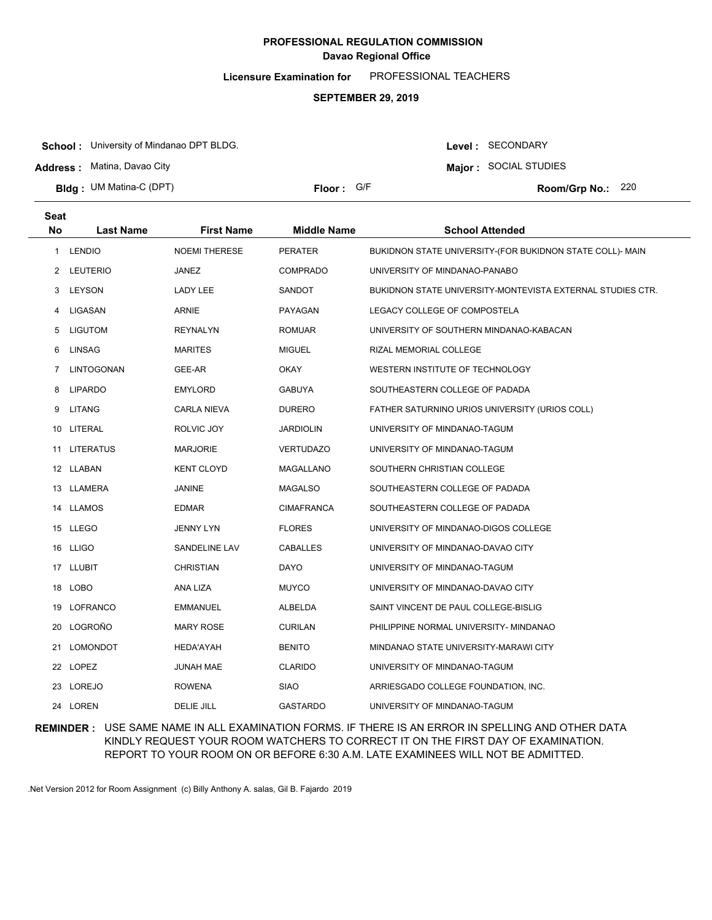**Licensure Examination for**  PROFESSIONAL TEACHERS

### **SEPTEMBER 29, 2019**

**School :** University of Mindanao DPT BLDG.

**Address :** Matina, Davao City

**Bldg : Floor : Room/Grp No.:** UM Matina-C (DPT)

Floor: G/F Room/Grp No.: 220

Level : SECONDARY **Major :** SOCIAL STUDIES

| <b>Seat</b>  |                   |                      |                    |                                                            |
|--------------|-------------------|----------------------|--------------------|------------------------------------------------------------|
| <b>No</b>    | <b>Last Name</b>  | <b>First Name</b>    | <b>Middle Name</b> | <b>School Attended</b>                                     |
| $\mathbf{1}$ | <b>LENDIO</b>     | <b>NOEMI THERESE</b> | <b>PERATER</b>     | BUKIDNON STATE UNIVERSITY-(FOR BUKIDNON STATE COLL)- MAIN  |
| $^{2}$       | LEUTERIO          | JANEZ                | <b>COMPRADO</b>    | UNIVERSITY OF MINDANAO-PANABO                              |
| 3            | LEYSON            | LADY LEE             | SANDOT             | BUKIDNON STATE UNIVERSITY-MONTEVISTA EXTERNAL STUDIES CTR. |
| 4            | LIGASAN           | <b>ARNIE</b>         | PAYAGAN            | LEGACY COLLEGE OF COMPOSTELA                               |
| 5            | LIGUTOM           | <b>REYNALYN</b>      | <b>ROMUAR</b>      | UNIVERSITY OF SOUTHERN MINDANAO-KABACAN                    |
| 6            | <b>LINSAG</b>     | <b>MARITES</b>       | <b>MIGUEL</b>      | RIZAL MEMORIAL COLLEGE                                     |
| 7            | <b>LINTOGONAN</b> | GEE-AR               | <b>OKAY</b>        | WESTERN INSTITUTE OF TECHNOLOGY                            |
| 8            | <b>LIPARDO</b>    | <b>EMYLORD</b>       | <b>GABUYA</b>      | SOUTHEASTERN COLLEGE OF PADADA                             |
| 9            | <b>LITANG</b>     | <b>CARLA NIEVA</b>   | <b>DURERO</b>      | FATHER SATURNINO URIOS UNIVERSITY (URIOS COLL)             |
|              | 10 LITERAL        | ROLVIC JOY           | <b>JARDIOLIN</b>   | UNIVERSITY OF MINDANAO-TAGUM                               |
|              | 11 LITERATUS      | <b>MARJORIE</b>      | <b>VERTUDAZO</b>   | UNIVERSITY OF MINDANAO-TAGUM                               |
|              | 12 LLABAN         | <b>KENT CLOYD</b>    | MAGALLANO          | SOUTHERN CHRISTIAN COLLEGE                                 |
|              | 13 LLAMERA        | <b>JANINE</b>        | <b>MAGALSO</b>     | SOUTHEASTERN COLLEGE OF PADADA                             |
|              | 14 LLAMOS         | <b>EDMAR</b>         | <b>CIMAFRANCA</b>  | SOUTHEASTERN COLLEGE OF PADADA                             |
|              | 15 LLEGO          | <b>JENNY LYN</b>     | <b>FLORES</b>      | UNIVERSITY OF MINDANAO-DIGOS COLLEGE                       |
|              | 16 LLIGO          | SANDELINE LAV        | <b>CABALLES</b>    | UNIVERSITY OF MINDANAO-DAVAO CITY                          |
|              | 17 LLUBIT         | <b>CHRISTIAN</b>     | <b>DAYO</b>        | UNIVERSITY OF MINDANAO-TAGUM                               |
|              | 18 LOBO           | ANA LIZA             | <b>MUYCO</b>       | UNIVERSITY OF MINDANAO-DAVAO CITY                          |
|              | 19 LOFRANCO       | EMMANUEL             | ALBELDA            | SAINT VINCENT DE PAUL COLLEGE-BISLIG                       |
| 20           | LOGROÑO           | <b>MARY ROSE</b>     | <b>CURILAN</b>     | PHILIPPINE NORMAL UNIVERSITY- MINDANAO                     |
| 21           | <b>LOMONDOT</b>   | <b>HEDA'AYAH</b>     | <b>BENITO</b>      | MINDANAO STATE UNIVERSITY-MARAWI CITY                      |
|              | 22 LOPEZ          | <b>JUNAH MAE</b>     | <b>CLARIDO</b>     | UNIVERSITY OF MINDANAO-TAGUM                               |
|              | 23 LOREJO         | <b>ROWENA</b>        | <b>SIAO</b>        | ARRIESGADO COLLEGE FOUNDATION, INC.                        |
|              | 24 LOREN          | <b>DELIE JILL</b>    | <b>GASTARDO</b>    | UNIVERSITY OF MINDANAO-TAGUM                               |

**REMINDER :** USE SAME NAME IN ALL EXAMINATION FORMS. IF THERE IS AN ERROR IN SPELLING AND OTHER DATA KINDLY REQUEST YOUR ROOM WATCHERS TO CORRECT IT ON THE FIRST DAY OF EXAMINATION. REPORT TO YOUR ROOM ON OR BEFORE 6:30 A.M. LATE EXAMINEES WILL NOT BE ADMITTED.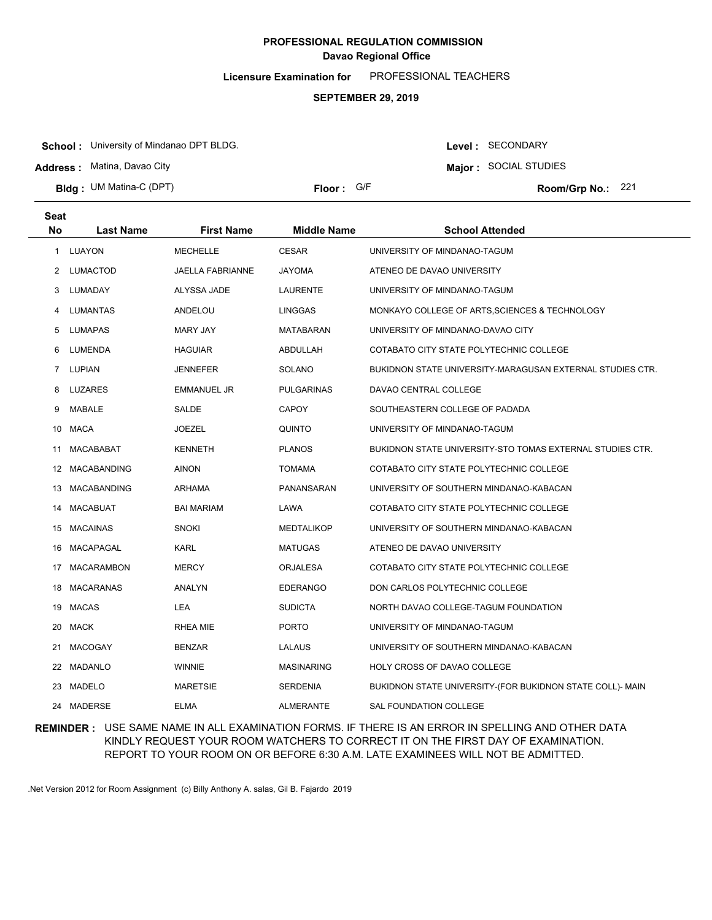**Licensure Examination for**  PROFESSIONAL TEACHERS

### **SEPTEMBER 29, 2019**

**School :** University of Mindanao DPT BLDG.

**Address :** Matina, Davao City

**Bldg : Floor : Room/Grp No.:** UM Matina-C (DPT)

**Major :** SOCIAL STUDIES Floor: G/F Room/Grp No.: 221

Level : SECONDARY

| <b>Seat</b> |                   |                    |                    |                                                           |
|-------------|-------------------|--------------------|--------------------|-----------------------------------------------------------|
| <b>No</b>   | <b>Last Name</b>  | <b>First Name</b>  | <b>Middle Name</b> | <b>School Attended</b>                                    |
|             | 1 LUAYON          | <b>MECHELLE</b>    | <b>CESAR</b>       | UNIVERSITY OF MINDANAO-TAGUM                              |
| 2           | <b>LUMACTOD</b>   | JAELLA FABRIANNE   | <b>JAYOMA</b>      | ATENEO DE DAVAO UNIVERSITY                                |
| 3           | LUMADAY           | ALYSSA JADE        | <b>LAURENTE</b>    | UNIVERSITY OF MINDANAO-TAGUM                              |
| 4           | LUMANTAS          | ANDELOU            | <b>LINGGAS</b>     | MONKAYO COLLEGE OF ARTS, SCIENCES & TECHNOLOGY            |
| 5           | LUMAPAS           | <b>MARY JAY</b>    | MATABARAN          | UNIVERSITY OF MINDANAO-DAVAO CITY                         |
| 6           | LUMENDA           | <b>HAGUIAR</b>     | <b>ABDULLAH</b>    | COTABATO CITY STATE POLYTECHNIC COLLEGE                   |
|             | 7 LUPIAN          | <b>JENNEFER</b>    | <b>SOLANO</b>      | BUKIDNON STATE UNIVERSITY-MARAGUSAN EXTERNAL STUDIES CTR. |
| 8           | LUZARES           | <b>EMMANUEL JR</b> | <b>PULGARINAS</b>  | DAVAO CENTRAL COLLEGE                                     |
| 9           | MABALE            | SALDE              | <b>CAPOY</b>       | SOUTHEASTERN COLLEGE OF PADADA                            |
|             | 10 MACA           | <b>JOEZEL</b>      | <b>QUINTO</b>      | UNIVERSITY OF MINDANAO-TAGUM                              |
| 11          | MACABABAT         | <b>KENNETH</b>     | <b>PLANOS</b>      | BUKIDNON STATE UNIVERSITY-STO TOMAS EXTERNAL STUDIES CTR. |
|             | 12 MACABANDING    | <b>AINON</b>       | <b>TOMAMA</b>      | COTABATO CITY STATE POLYTECHNIC COLLEGE                   |
|             | 13 MACABANDING    | <b>ARHAMA</b>      | PANANSARAN         | UNIVERSITY OF SOUTHERN MINDANAO-KABACAN                   |
| 14          | MACABUAT          | <b>BAI MARIAM</b>  | LAWA               | COTABATO CITY STATE POLYTECHNIC COLLEGE                   |
| 15          | MACAINAS          | <b>SNOKI</b>       | <b>MEDTALIKOP</b>  | UNIVERSITY OF SOUTHERN MINDANAO-KABACAN                   |
| 16.         | MACAPAGAL         | <b>KARL</b>        | <b>MATUGAS</b>     | ATENEO DE DAVAO UNIVERSITY                                |
| 17          | <b>MACARAMBON</b> | <b>MERCY</b>       | <b>ORJALESA</b>    | COTABATO CITY STATE POLYTECHNIC COLLEGE                   |
| 18          | <b>MACARANAS</b>  | <b>ANALYN</b>      | <b>EDERANGO</b>    | DON CARLOS POLYTECHNIC COLLEGE                            |
| 19          | MACAS             | LEA                | <b>SUDICTA</b>     | NORTH DAVAO COLLEGE-TAGUM FOUNDATION                      |
| 20          | MACK              | RHEA MIE           | <b>PORTO</b>       | UNIVERSITY OF MINDANAO-TAGUM                              |
| 21          | <b>MACOGAY</b>    | <b>BENZAR</b>      | LALAUS             | UNIVERSITY OF SOUTHERN MINDANAO-KABACAN                   |
|             | 22 MADANLO        | <b>WINNIE</b>      | <b>MASINARING</b>  | HOLY CROSS OF DAVAO COLLEGE                               |
| 23.         | MADELO            | <b>MARETSIE</b>    | <b>SERDENIA</b>    | BUKIDNON STATE UNIVERSITY-(FOR BUKIDNON STATE COLL)- MAIN |
|             | 24 MADERSE        | <b>ELMA</b>        | <b>ALMERANTE</b>   | SAL FOUNDATION COLLEGE                                    |

### **REMINDER :** USE SAME NAME IN ALL EXAMINATION FORMS. IF THERE IS AN ERROR IN SPELLING AND OTHER DATA KINDLY REQUEST YOUR ROOM WATCHERS TO CORRECT IT ON THE FIRST DAY OF EXAMINATION. REPORT TO YOUR ROOM ON OR BEFORE 6:30 A.M. LATE EXAMINEES WILL NOT BE ADMITTED.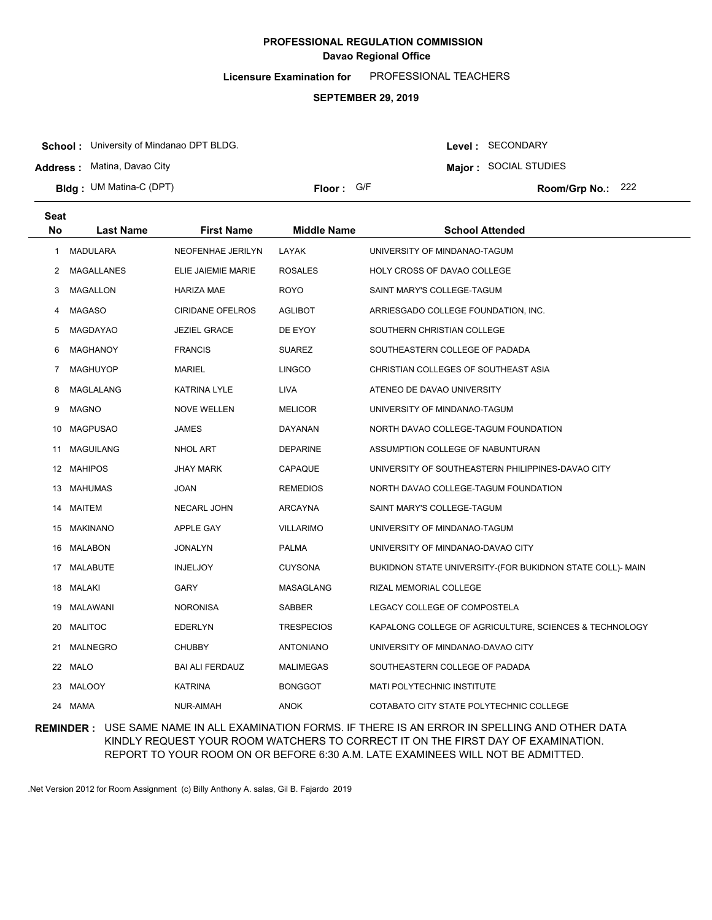**Licensure Examination for**  PROFESSIONAL TEACHERS

### **SEPTEMBER 29, 2019**

**School :** University of Mindanao DPT BLDG.

**Address :** Matina, Davao City

**Bldg : Floor : Room/Grp No.:** UM Matina-C (DPT)

Floor: G/F Room/Grp No.: 222

**Major :** SOCIAL STUDIES

Level : SECONDARY

| <b>Seat</b> |                  |                         |                    |                                                           |
|-------------|------------------|-------------------------|--------------------|-----------------------------------------------------------|
| <b>No</b>   | <b>Last Name</b> | <b>First Name</b>       | <b>Middle Name</b> | <b>School Attended</b>                                    |
| 1           | <b>MADULARA</b>  | NEOFENHAE JERILYN       | LAYAK              | UNIVERSITY OF MINDANAO-TAGUM                              |
| 2           | MAGALLANES       | ELIE JAIEMIE MARIE      | <b>ROSALES</b>     | HOLY CROSS OF DAVAO COLLEGE                               |
| 3           | <b>MAGALLON</b>  | <b>HARIZA MAE</b>       | <b>ROYO</b>        | SAINT MARY'S COLLEGE-TAGUM                                |
| 4           | <b>MAGASO</b>    | <b>CIRIDANE OFELROS</b> | AGLIBOT            | ARRIESGADO COLLEGE FOUNDATION, INC.                       |
| 5           | <b>MAGDAYAO</b>  | <b>JEZIEL GRACE</b>     | DE EYOY            | SOUTHERN CHRISTIAN COLLEGE                                |
| 6           | <b>MAGHANOY</b>  | <b>FRANCIS</b>          | <b>SUAREZ</b>      | SOUTHEASTERN COLLEGE OF PADADA                            |
| 7           | <b>MAGHUYOP</b>  | MARIEL                  | <b>LINGCO</b>      | CHRISTIAN COLLEGES OF SOUTHEAST ASIA                      |
| 8           | MAGLALANG        | KATRINA LYLE            | <b>LIVA</b>        | ATENEO DE DAVAO UNIVERSITY                                |
| 9           | <b>MAGNO</b>     | <b>NOVE WELLEN</b>      | <b>MELICOR</b>     | UNIVERSITY OF MINDANAO-TAGUM                              |
| 10          | <b>MAGPUSAO</b>  | <b>JAMES</b>            | DAYANAN            | NORTH DAVAO COLLEGE-TAGUM FOUNDATION                      |
| 11          | <b>MAGUILANG</b> | NHOL ART                | <b>DEPARINE</b>    | ASSUMPTION COLLEGE OF NABUNTURAN                          |
|             | 12 MAHIPOS       | <b>JHAY MARK</b>        | CAPAQUE            | UNIVERSITY OF SOUTHEASTERN PHILIPPINES-DAVAO CITY         |
| 13          | MAHUMAS          | JOAN                    | <b>REMEDIOS</b>    | NORTH DAVAO COLLEGE-TAGUM FOUNDATION                      |
|             | 14 MAITEM        | NECARL JOHN             | ARCAYNA            | SAINT MARY'S COLLEGE-TAGUM                                |
|             | 15 MAKINANO      | APPLE GAY               | <b>VILLARIMO</b>   | UNIVERSITY OF MINDANAO-TAGUM                              |
| 16          | MALABON          | <b>JONALYN</b>          | <b>PALMA</b>       | UNIVERSITY OF MINDANAO-DAVAO CITY                         |
| 17          | MALABUTE         | <b>INJELJOY</b>         | <b>CUYSONA</b>     | BUKIDNON STATE UNIVERSITY-(FOR BUKIDNON STATE COLL)- MAIN |
| 18          | MALAKI           | GARY                    | MASAGLANG          | RIZAL MEMORIAL COLLEGE                                    |
| 19          | MALAWANI         | <b>NORONISA</b>         | <b>SABBER</b>      | LEGACY COLLEGE OF COMPOSTELA                              |
| 20          | <b>MALITOC</b>   | <b>EDERLYN</b>          | <b>TRESPECIOS</b>  | KAPALONG COLLEGE OF AGRICULTURE, SCIENCES & TECHNOLOGY    |
| 21          | <b>MALNEGRO</b>  | <b>CHUBBY</b>           | <b>ANTONIANO</b>   | UNIVERSITY OF MINDANAO-DAVAO CITY                         |
| 22          | <b>MALO</b>      | <b>BAI ALI FERDAUZ</b>  | <b>MALIMEGAS</b>   | SOUTHEASTERN COLLEGE OF PADADA                            |
| 23          | <b>MALOOY</b>    | <b>KATRINA</b>          | <b>BONGGOT</b>     | <b>MATI POLYTECHNIC INSTITUTE</b>                         |
|             | 24 MAMA          | NUR-AIMAH               | <b>ANOK</b>        | COTABATO CITY STATE POLYTECHNIC COLLEGE                   |

### **REMINDER :** USE SAME NAME IN ALL EXAMINATION FORMS. IF THERE IS AN ERROR IN SPELLING AND OTHER DATA KINDLY REQUEST YOUR ROOM WATCHERS TO CORRECT IT ON THE FIRST DAY OF EXAMINATION. REPORT TO YOUR ROOM ON OR BEFORE 6:30 A.M. LATE EXAMINEES WILL NOT BE ADMITTED.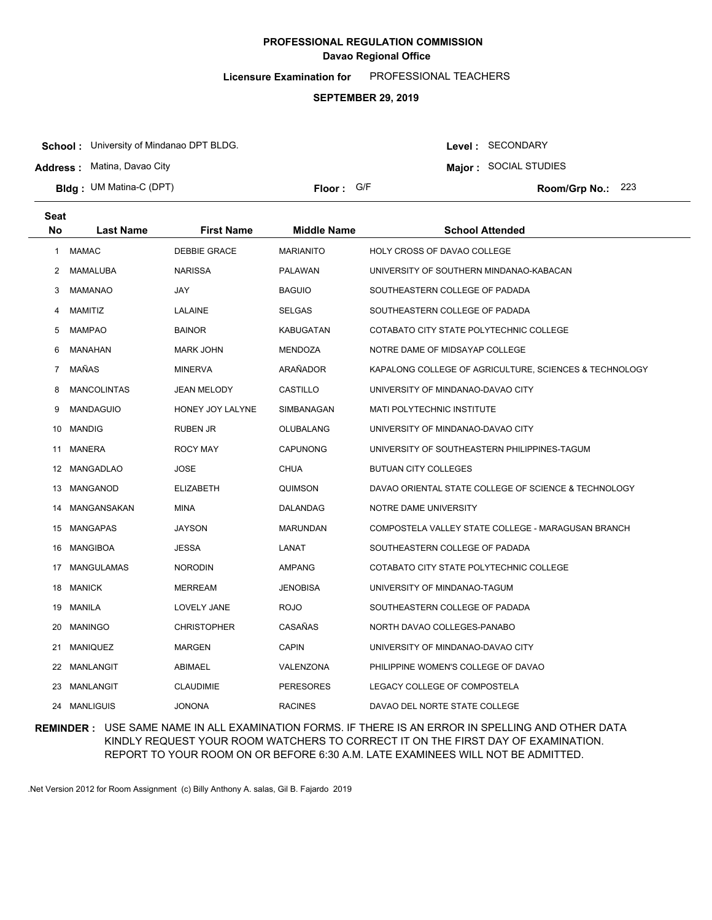**Licensure Examination for**  PROFESSIONAL TEACHERS

### **SEPTEMBER 29, 2019**

**School :** University of Mindanao DPT BLDG.

**Address :** Matina, Davao City

**Bldg : Floor : Room/Grp No.:** UM Matina-C (DPT)

Floor: G/F Room/Grp No.: 223

Level : SECONDARY **Major :** SOCIAL STUDIES

| <b>Seat</b>    |                    |                     |                    |                                                        |
|----------------|--------------------|---------------------|--------------------|--------------------------------------------------------|
| <b>No</b>      | Last Name          | <b>First Name</b>   | <b>Middle Name</b> | <b>School Attended</b>                                 |
| 1              | <b>MAMAC</b>       | <b>DEBBIE GRACE</b> | <b>MARIANITO</b>   | HOLY CROSS OF DAVAO COLLEGE                            |
| 2              | MAMALUBA           | <b>NARISSA</b>      | <b>PALAWAN</b>     | UNIVERSITY OF SOUTHERN MINDANAO-KABACAN                |
| 3              | <b>MAMANAO</b>     | JAY                 | <b>BAGUIO</b>      | SOUTHEASTERN COLLEGE OF PADADA                         |
| 4              | MAMITIZ            | LALAINE             | <b>SELGAS</b>      | SOUTHEASTERN COLLEGE OF PADADA                         |
| 5              | <b>MAMPAO</b>      | <b>BAINOR</b>       | KABUGATAN          | COTABATO CITY STATE POLYTECHNIC COLLEGE                |
| 6              | MANAHAN            | <b>MARK JOHN</b>    | <b>MENDOZA</b>     | NOTRE DAME OF MIDSAYAP COLLEGE                         |
| $\overline{7}$ | MAÑAS              | <b>MINERVA</b>      | ARAÑADOR           | KAPALONG COLLEGE OF AGRICULTURE, SCIENCES & TECHNOLOGY |
| 8              | <b>MANCOLINTAS</b> | JEAN MELODY         | CASTILLO           | UNIVERSITY OF MINDANAO-DAVAO CITY                      |
| 9              | <b>MANDAGUIO</b>   | HONEY JOY LALYNE    | SIMBANAGAN         | <b>MATI POLYTECHNIC INSTITUTE</b>                      |
| 10             | <b>MANDIG</b>      | <b>RUBEN JR</b>     | OLUBALANG          | UNIVERSITY OF MINDANAO-DAVAO CITY                      |
| 11             | <b>MANERA</b>      | <b>ROCY MAY</b>     | <b>CAPUNONG</b>    | UNIVERSITY OF SOUTHEASTERN PHILIPPINES-TAGUM           |
| 12             | MANGADLAO          | JOSE                | <b>CHUA</b>        | <b>BUTUAN CITY COLLEGES</b>                            |
| 13             | MANGANOD           | <b>ELIZABETH</b>    | QUIMSON            | DAVAO ORIENTAL STATE COLLEGE OF SCIENCE & TECHNOLOGY   |
| 14             | MANGANSAKAN        | MINA                | DALANDAG           | NOTRE DAME UNIVERSITY                                  |
|                | 15 MANGAPAS        | <b>JAYSON</b>       | <b>MARUNDAN</b>    | COMPOSTELA VALLEY STATE COLLEGE - MARAGUSAN BRANCH     |
| 16             | MANGIBOA           | <b>JESSA</b>        | LANAT              | SOUTHEASTERN COLLEGE OF PADADA                         |
| 17             | <b>MANGULAMAS</b>  | <b>NORODIN</b>      | <b>AMPANG</b>      | COTABATO CITY STATE POLYTECHNIC COLLEGE                |
| 18             | <b>MANICK</b>      | <b>MERREAM</b>      | <b>JENOBISA</b>    | UNIVERSITY OF MINDANAO-TAGUM                           |
| 19             | MANILA             | LOVELY JANE         | <b>ROJO</b>        | SOUTHEASTERN COLLEGE OF PADADA                         |
| 20             | <b>MANINGO</b>     | <b>CHRISTOPHER</b>  | CASAÑAS            | NORTH DAVAO COLLEGES-PANABO                            |
| 21             | <b>MANIQUEZ</b>    | <b>MARGEN</b>       | <b>CAPIN</b>       | UNIVERSITY OF MINDANAO-DAVAO CITY                      |
| 22             | MANLANGIT          | ABIMAEL             | VALENZONA          | PHILIPPINE WOMEN'S COLLEGE OF DAVAO                    |
| 23             | MANLANGIT          | <b>CLAUDIMIE</b>    | <b>PERESORES</b>   | LEGACY COLLEGE OF COMPOSTELA                           |
|                | 24 MANLIGUIS       | <b>JONONA</b>       | <b>RACINES</b>     | DAVAO DEL NORTE STATE COLLEGE                          |

### **REMINDER :** USE SAME NAME IN ALL EXAMINATION FORMS. IF THERE IS AN ERROR IN SPELLING AND OTHER DATA KINDLY REQUEST YOUR ROOM WATCHERS TO CORRECT IT ON THE FIRST DAY OF EXAMINATION. REPORT TO YOUR ROOM ON OR BEFORE 6:30 A.M. LATE EXAMINEES WILL NOT BE ADMITTED.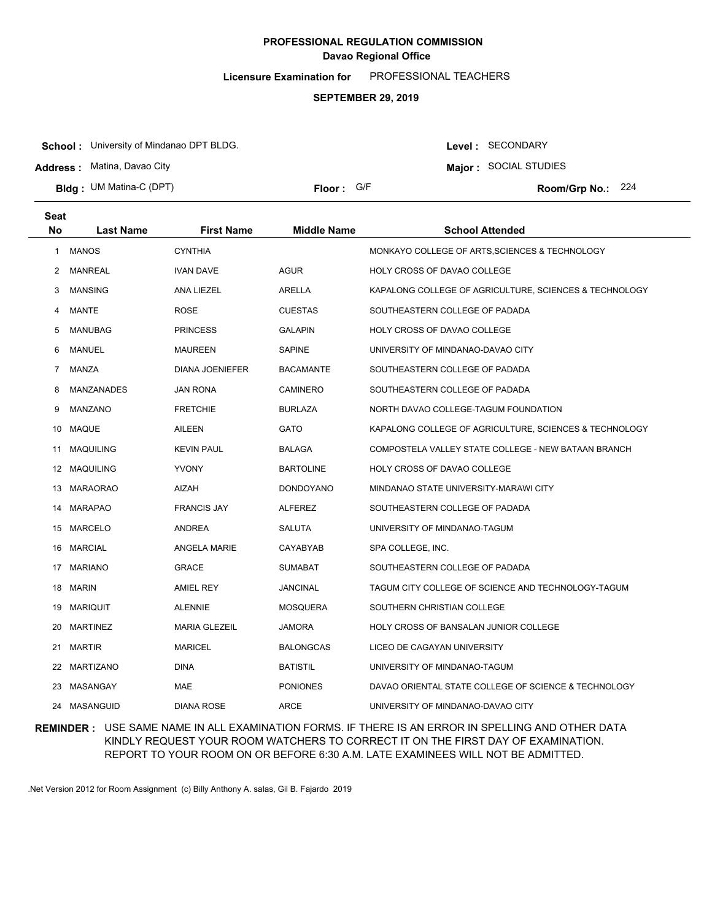**Licensure Examination for**  PROFESSIONAL TEACHERS

### **SEPTEMBER 29, 2019**

**School :** University of Mindanao DPT BLDG.

**Address :** Matina, Davao City

**Bldg : Floor : Room/Grp No.:** UM Matina-C (DPT)

Floor: G/F Room/Grp No.: 224

Level : SECONDARY **Major :** SOCIAL STUDIES

| <b>Seat</b>           |                   |                      |                  |                                                        |
|-----------------------|-------------------|----------------------|------------------|--------------------------------------------------------|
| No                    | <b>Last Name</b>  | <b>First Name</b>    | Middle Name      | <b>School Attended</b>                                 |
| 1                     | <b>MANOS</b>      | <b>CYNTHIA</b>       |                  | MONKAYO COLLEGE OF ARTS, SCIENCES & TECHNOLOGY         |
| $\mathbf{2}^{\prime}$ | <b>MANREAL</b>    | <b>IVAN DAVE</b>     | <b>AGUR</b>      | HOLY CROSS OF DAVAO COLLEGE                            |
| 3                     | <b>MANSING</b>    | ANA LIEZEL           | <b>ARELLA</b>    | KAPALONG COLLEGE OF AGRICULTURE, SCIENCES & TECHNOLOGY |
| 4                     | <b>MANTE</b>      | <b>ROSE</b>          | <b>CUESTAS</b>   | SOUTHEASTERN COLLEGE OF PADADA                         |
| 5                     | MANUBAG           | <b>PRINCESS</b>      | <b>GALAPIN</b>   | <b>HOLY CROSS OF DAVAO COLLEGE</b>                     |
| 6                     | MANUEL            | <b>MAUREEN</b>       | <b>SAPINE</b>    | UNIVERSITY OF MINDANAO-DAVAO CITY                      |
| $\overline{7}$        | MANZA             | DIANA JOENIEFER      | <b>BACAMANTE</b> | SOUTHEASTERN COLLEGE OF PADADA                         |
| 8                     | <b>MANZANADES</b> | <b>JAN RONA</b>      | <b>CAMINERO</b>  | SOUTHEASTERN COLLEGE OF PADADA                         |
| 9                     | MANZANO           | <b>FRETCHIE</b>      | <b>BURLAZA</b>   | NORTH DAVAO COLLEGE-TAGUM FOUNDATION                   |
|                       | 10 MAQUE          | <b>AILEEN</b>        | <b>GATO</b>      | KAPALONG COLLEGE OF AGRICULTURE, SCIENCES & TECHNOLOGY |
| 11                    | <b>MAQUILING</b>  | <b>KEVIN PAUL</b>    | <b>BALAGA</b>    | COMPOSTELA VALLEY STATE COLLEGE - NEW BATAAN BRANCH    |
|                       | 12 MAQUILING      | <b>YVONY</b>         | <b>BARTOLINE</b> | HOLY CROSS OF DAVAO COLLEGE                            |
|                       | 13 MARAORAO       | AIZAH                | <b>DONDOYANO</b> | MINDANAO STATE UNIVERSITY-MARAWI CITY                  |
|                       | 14 MARAPAO        | <b>FRANCIS JAY</b>   | <b>ALFEREZ</b>   | SOUTHEASTERN COLLEGE OF PADADA                         |
|                       | 15 MARCELO        | ANDREA               | <b>SALUTA</b>    | UNIVERSITY OF MINDANAO-TAGUM                           |
| 16                    | MARCIAL           | <b>ANGELA MARIE</b>  | CAYABYAB         | SPA COLLEGE, INC.                                      |
|                       | 17 MARIANO        | <b>GRACE</b>         | <b>SUMABAT</b>   | SOUTHEASTERN COLLEGE OF PADADA                         |
| 18                    | <b>MARIN</b>      | <b>AMIEL REY</b>     | <b>JANCINAL</b>  | TAGUM CITY COLLEGE OF SCIENCE AND TECHNOLOGY-TAGUM     |
| 19                    | MARIQUIT          | <b>ALENNIE</b>       | <b>MOSQUERA</b>  | SOUTHERN CHRISTIAN COLLEGE                             |
| 20                    | <b>MARTINEZ</b>   | <b>MARIA GLEZEIL</b> | <b>JAMORA</b>    | HOLY CROSS OF BANSALAN JUNIOR COLLEGE                  |
| 21                    | <b>MARTIR</b>     | <b>MARICEL</b>       | <b>BALONGCAS</b> | LICEO DE CAGAYAN UNIVERSITY                            |
| 22                    | MARTIZANO         | <b>DINA</b>          | <b>BATISTIL</b>  | UNIVERSITY OF MINDANAO-TAGUM                           |
| 23                    | MASANGAY          | <b>MAE</b>           | <b>PONIONES</b>  | DAVAO ORIENTAL STATE COLLEGE OF SCIENCE & TECHNOLOGY   |
| 24                    | <b>MASANGUID</b>  | <b>DIANA ROSE</b>    | <b>ARCE</b>      | UNIVERSITY OF MINDANAO-DAVAO CITY                      |

## **REMINDER :** USE SAME NAME IN ALL EXAMINATION FORMS. IF THERE IS AN ERROR IN SPELLING AND OTHER DATA KINDLY REQUEST YOUR ROOM WATCHERS TO CORRECT IT ON THE FIRST DAY OF EXAMINATION. REPORT TO YOUR ROOM ON OR BEFORE 6:30 A.M. LATE EXAMINEES WILL NOT BE ADMITTED.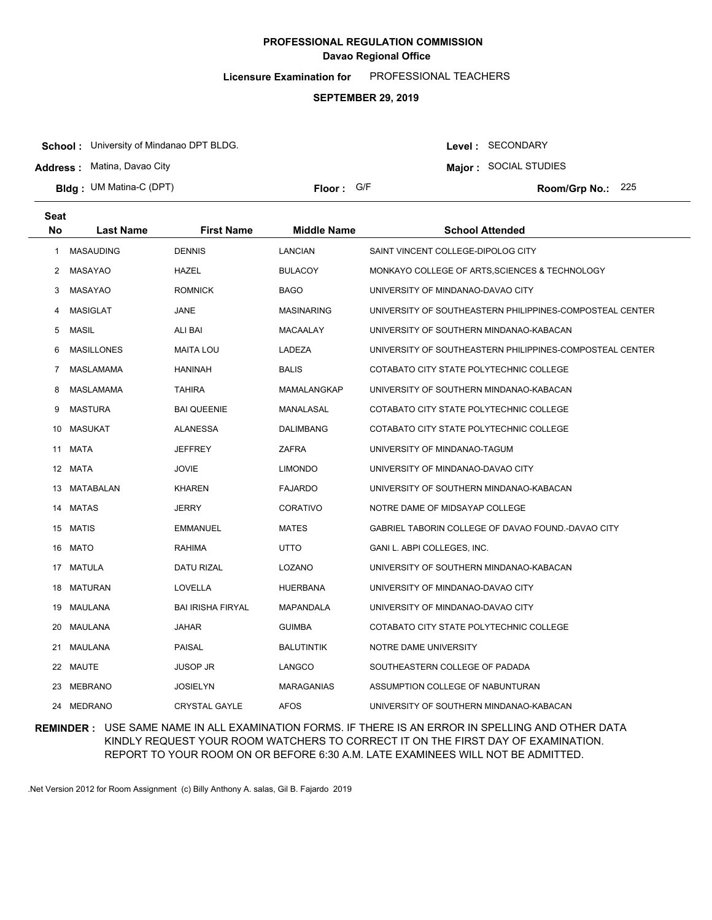**Licensure Examination for**  PROFESSIONAL TEACHERS

#### **SEPTEMBER 29, 2019**

**School :** University of Mindanao DPT BLDG.

**Address :** Matina, Davao City

**Bldg : Floor : Room/Grp No.:** UM Matina-C (DPT)

Floor: G/F **225** Room/Grp No.: 225

Level : SECONDARY **Major :** SOCIAL STUDIES

| Seat      |                   |                          |                    |                                                          |
|-----------|-------------------|--------------------------|--------------------|----------------------------------------------------------|
| <b>No</b> | <b>Last Name</b>  | <b>First Name</b>        | <b>Middle Name</b> | <b>School Attended</b>                                   |
| -1        | <b>MASAUDING</b>  | <b>DENNIS</b>            | <b>LANCIAN</b>     | SAINT VINCENT COLLEGE-DIPOLOG CITY                       |
| 2         | MASAYAO           | HAZEL                    | <b>BULACOY</b>     | MONKAYO COLLEGE OF ARTS, SCIENCES & TECHNOLOGY           |
| 3         | <b>MASAYAO</b>    | <b>ROMNICK</b>           | <b>BAGO</b>        | UNIVERSITY OF MINDANAO-DAVAO CITY                        |
| 4         | MASIGLAT          | JANE                     | <b>MASINARING</b>  | UNIVERSITY OF SOUTHEASTERN PHILIPPINES-COMPOSTEAL CENTER |
| 5         | <b>MASIL</b>      | ALI BAI                  | MACAALAY           | UNIVERSITY OF SOUTHERN MINDANAO-KABACAN                  |
| 6         | <b>MASILLONES</b> | <b>MAITA LOU</b>         | LADEZA             | UNIVERSITY OF SOUTHEASTERN PHILIPPINES-COMPOSTEAL CENTER |
| 7         | MASLAMAMA         | <b>HANINAH</b>           | <b>BALIS</b>       | COTABATO CITY STATE POLYTECHNIC COLLEGE                  |
| 8         | MASLAMAMA         | <b>TAHIRA</b>            | MAMALANGKAP        | UNIVERSITY OF SOUTHERN MINDANAO-KABACAN                  |
| 9         | <b>MASTURA</b>    | <b>BAI QUEENIE</b>       | MANALASAL          | COTABATO CITY STATE POLYTECHNIC COLLEGE                  |
| 10        | <b>MASUKAT</b>    | <b>ALANESSA</b>          | DALIMBANG          | COTABATO CITY STATE POLYTECHNIC COLLEGE                  |
| 11        | MATA              | JEFFREY                  | ZAFRA              | UNIVERSITY OF MINDANAO-TAGUM                             |
| 12        | MATA              | <b>JOVIE</b>             | <b>LIMONDO</b>     | UNIVERSITY OF MINDANAO-DAVAO CITY                        |
| 13        | MATABALAN         | <b>KHAREN</b>            | <b>FAJARDO</b>     | UNIVERSITY OF SOUTHERN MINDANAO-KABACAN                  |
| 14        | <b>MATAS</b>      | <b>JERRY</b>             | <b>CORATIVO</b>    | NOTRE DAME OF MIDSAYAP COLLEGE                           |
|           | 15 MATIS          | <b>EMMANUEL</b>          | <b>MATES</b>       | GABRIEL TABORIN COLLEGE OF DAVAO FOUND.-DAVAO CITY       |
|           | 16 MATO           | <b>RAHIMA</b>            | UTTO               | GANI L. ABPI COLLEGES, INC.                              |
|           | 17 MATULA         | DATU RIZAL               | LOZANO             | UNIVERSITY OF SOUTHERN MINDANAO-KABACAN                  |
|           | 18 MATURAN        | LOVELLA                  | HUERBANA           | UNIVERSITY OF MINDANAO-DAVAO CITY                        |
|           | 19 MAULANA        | <b>BAI IRISHA FIRYAL</b> | <b>MAPANDALA</b>   | UNIVERSITY OF MINDANAO-DAVAO CITY                        |
| 20        | MAULANA           | <b>JAHAR</b>             | <b>GUIMBA</b>      | COTABATO CITY STATE POLYTECHNIC COLLEGE                  |
| 21        | MAULANA           | <b>PAISAL</b>            | <b>BALUTINTIK</b>  | NOTRE DAME UNIVERSITY                                    |
| 22        | MAUTE             | <b>JUSOP JR</b>          | LANGCO             | SOUTHEASTERN COLLEGE OF PADADA                           |
| 23        | MEBRANO           | JOSIELYN                 | <b>MARAGANIAS</b>  | ASSUMPTION COLLEGE OF NABUNTURAN                         |
|           | 24 MEDRANO        | <b>CRYSTAL GAYLE</b>     | <b>AFOS</b>        | UNIVERSITY OF SOUTHERN MINDANAO-KABACAN                  |

### **REMINDER :** USE SAME NAME IN ALL EXAMINATION FORMS. IF THERE IS AN ERROR IN SPELLING AND OTHER DATA KINDLY REQUEST YOUR ROOM WATCHERS TO CORRECT IT ON THE FIRST DAY OF EXAMINATION. REPORT TO YOUR ROOM ON OR BEFORE 6:30 A.M. LATE EXAMINEES WILL NOT BE ADMITTED.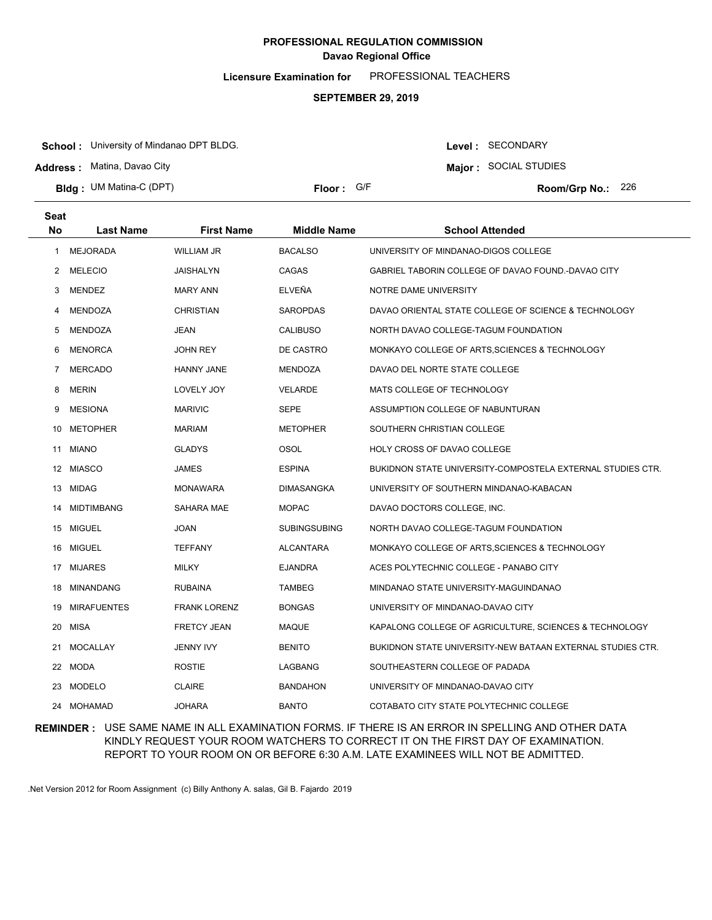**Licensure Examination for**  PROFESSIONAL TEACHERS

### **SEPTEMBER 29, 2019**

**School :** University of Mindanao DPT BLDG.

**Address :** Matina, Davao City

**Bldg : Floor : Room/Grp No.:** UM Matina-C (DPT)

**Major :** SOCIAL STUDIES Floor: G/F **226 Room/Grp No.: 226** 

Level : SECONDARY

| <b>Seat</b>    |                    |                     |                     |                                                            |
|----------------|--------------------|---------------------|---------------------|------------------------------------------------------------|
| <b>No</b>      | <b>Last Name</b>   | <b>First Name</b>   | <b>Middle Name</b>  | <b>School Attended</b>                                     |
| 1              | <b>MEJORADA</b>    | <b>WILLIAM JR</b>   | <b>BACALSO</b>      | UNIVERSITY OF MINDANAO-DIGOS COLLEGE                       |
| $\overline{2}$ | <b>MELECIO</b>     | JAISHALYN           | CAGAS               | GABRIEL TABORIN COLLEGE OF DAVAO FOUND.-DAVAO CITY         |
| 3              | MENDEZ             | <b>MARY ANN</b>     | ELVEÑA              | NOTRE DAME UNIVERSITY                                      |
| 4              | MENDOZA            | <b>CHRISTIAN</b>    | <b>SAROPDAS</b>     | DAVAO ORIENTAL STATE COLLEGE OF SCIENCE & TECHNOLOGY       |
| 5              | <b>MENDOZA</b>     | JEAN                | <b>CALIBUSO</b>     | NORTH DAVAO COLLEGE-TAGUM FOUNDATION                       |
| 6              | <b>MENORCA</b>     | <b>JOHN REY</b>     | DE CASTRO           | MONKAYO COLLEGE OF ARTS, SCIENCES & TECHNOLOGY             |
| 7              | <b>MERCADO</b>     | <b>HANNY JANE</b>   | <b>MENDOZA</b>      | DAVAO DEL NORTE STATE COLLEGE                              |
| 8              | <b>MERIN</b>       | LOVELY JOY          | <b>VELARDE</b>      | MATS COLLEGE OF TECHNOLOGY                                 |
| 9              | <b>MESIONA</b>     | <b>MARIVIC</b>      | <b>SEPE</b>         | ASSUMPTION COLLEGE OF NABUNTURAN                           |
| 10             | METOPHER           | <b>MARIAM</b>       | <b>METOPHER</b>     | SOUTHERN CHRISTIAN COLLEGE                                 |
| 11             | <b>MIANO</b>       | <b>GLADYS</b>       | <b>OSOL</b>         | <b>HOLY CROSS OF DAVAO COLLEGE</b>                         |
|                | 12 MIASCO          | <b>JAMES</b>        | <b>ESPINA</b>       | BUKIDNON STATE UNIVERSITY-COMPOSTELA EXTERNAL STUDIES CTR. |
|                | 13 MIDAG           | <b>MONAWARA</b>     | <b>DIMASANGKA</b>   | UNIVERSITY OF SOUTHERN MINDANAO-KABACAN                    |
| 14             | <b>MIDTIMBANG</b>  | SAHARA MAE          | <b>MOPAC</b>        | DAVAO DOCTORS COLLEGE, INC.                                |
|                | 15 MIGUEL          | <b>JOAN</b>         | <b>SUBINGSUBING</b> | NORTH DAVAO COLLEGE-TAGUM FOUNDATION                       |
|                | 16 MIGUEL          | <b>TEFFANY</b>      | <b>ALCANTARA</b>    | MONKAYO COLLEGE OF ARTS, SCIENCES & TECHNOLOGY             |
|                | 17 MIJARES         | <b>MILKY</b>        | <b>EJANDRA</b>      | ACES POLYTECHNIC COLLEGE - PANABO CITY                     |
| 18             | <b>MINANDANG</b>   | <b>RUBAINA</b>      | <b>TAMBEG</b>       | MINDANAO STATE UNIVERSITY-MAGUINDANAO                      |
| 19             | <b>MIRAFUENTES</b> | <b>FRANK LORENZ</b> | <b>BONGAS</b>       | UNIVERSITY OF MINDANAO-DAVAO CITY                          |
| 20             | <b>MISA</b>        | <b>FRETCY JEAN</b>  | MAQUE               | KAPALONG COLLEGE OF AGRICULTURE, SCIENCES & TECHNOLOGY     |
| 21             | <b>MOCALLAY</b>    | <b>JENNY IVY</b>    | <b>BENITO</b>       | BUKIDNON STATE UNIVERSITY-NEW BATAAN EXTERNAL STUDIES CTR. |
|                | 22 MODA            | <b>ROSTIE</b>       | LAGBANG             | SOUTHEASTERN COLLEGE OF PADADA                             |
| 23             | <b>MODELO</b>      | <b>CLAIRE</b>       | <b>BANDAHON</b>     | UNIVERSITY OF MINDANAO-DAVAO CITY                          |
|                | 24 MOHAMAD         | <b>JOHARA</b>       | <b>BANTO</b>        | COTABATO CITY STATE POLYTECHNIC COLLEGE                    |

### **REMINDER :** USE SAME NAME IN ALL EXAMINATION FORMS. IF THERE IS AN ERROR IN SPELLING AND OTHER DATA KINDLY REQUEST YOUR ROOM WATCHERS TO CORRECT IT ON THE FIRST DAY OF EXAMINATION. REPORT TO YOUR ROOM ON OR BEFORE 6:30 A.M. LATE EXAMINEES WILL NOT BE ADMITTED.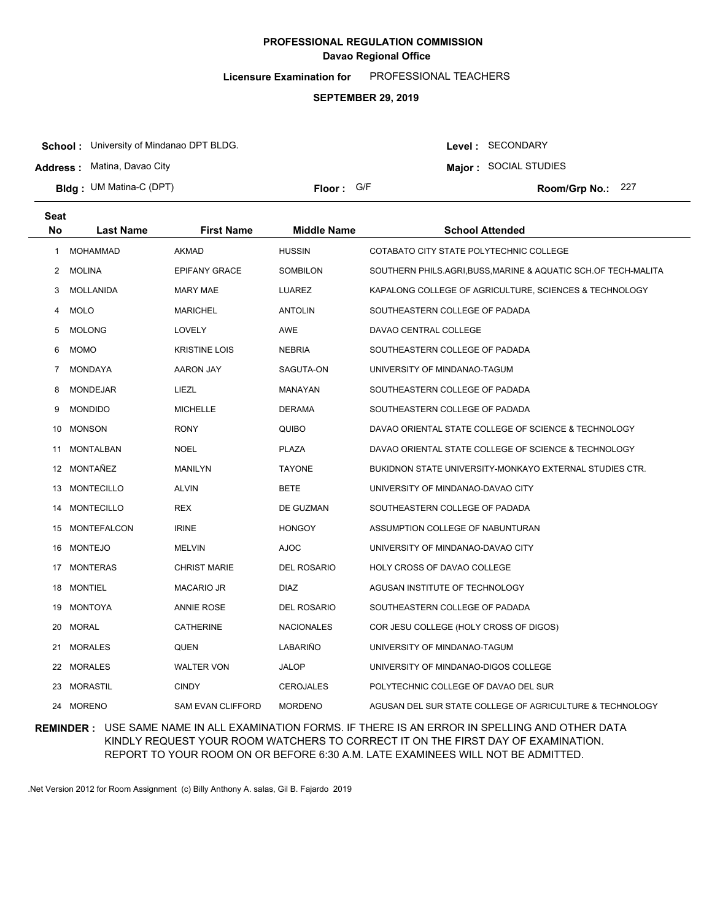**Licensure Examination for**  PROFESSIONAL TEACHERS

### **SEPTEMBER 29, 2019**

**School :** University of Mindanao DPT BLDG.

**Address :** Matina, Davao City

**Bldg : Floor : Room/Grp No.:** UM Matina-C (DPT)

Floor: G/F Room/Grp No.: 227

Level : SECONDARY **Major :** SOCIAL STUDIES

| <b>Seat</b><br>No | <b>Last Name</b>  | <b>First Name</b>        | <b>Middle Name</b> | <b>School Attended</b>                                       |
|-------------------|-------------------|--------------------------|--------------------|--------------------------------------------------------------|
| 1.                | MOHAMMAD          | AKMAD                    | <b>HUSSIN</b>      | COTABATO CITY STATE POLYTECHNIC COLLEGE                      |
| 2                 | <b>MOLINA</b>     | <b>EPIFANY GRACE</b>     | SOMBILON           | SOUTHERN PHILS.AGRI,BUSS,MARINE & AQUATIC SCH.OF TECH-MALITA |
| 3                 | MOLLANIDA         | <b>MARY MAE</b>          | <b>LUAREZ</b>      | KAPALONG COLLEGE OF AGRICULTURE, SCIENCES & TECHNOLOGY       |
| 4                 | <b>MOLO</b>       | <b>MARICHEL</b>          | <b>ANTOLIN</b>     | SOUTHEASTERN COLLEGE OF PADADA                               |
| 5                 | <b>MOLONG</b>     | LOVELY                   | <b>AWE</b>         | DAVAO CENTRAL COLLEGE                                        |
| 6                 | <b>MOMO</b>       | <b>KRISTINE LOIS</b>     | <b>NEBRIA</b>      | SOUTHEASTERN COLLEGE OF PADADA                               |
| 7                 | <b>MONDAYA</b>    | <b>AARON JAY</b>         | SAGUTA-ON          | UNIVERSITY OF MINDANAO-TAGUM                                 |
| 8                 | <b>MONDEJAR</b>   | LIEZL                    | MANAYAN            | SOUTHEASTERN COLLEGE OF PADADA                               |
| 9                 | <b>MONDIDO</b>    | <b>MICHELLE</b>          | <b>DERAMA</b>      | SOUTHEASTERN COLLEGE OF PADADA                               |
| 10                | <b>MONSON</b>     | <b>RONY</b>              | QUIBO              | DAVAO ORIENTAL STATE COLLEGE OF SCIENCE & TECHNOLOGY         |
| 11                | <b>MONTALBAN</b>  | <b>NOEL</b>              | <b>PLAZA</b>       | DAVAO ORIENTAL STATE COLLEGE OF SCIENCE & TECHNOLOGY         |
|                   | 12 MONTAÑEZ       | MANILYN                  | <b>TAYONE</b>      | BUKIDNON STATE UNIVERSITY-MONKAYO EXTERNAL STUDIES CTR.      |
| 13                | MONTECILLO        | <b>ALVIN</b>             | <b>BETE</b>        | UNIVERSITY OF MINDANAO-DAVAO CITY                            |
| 14                | <b>MONTECILLO</b> | <b>REX</b>               | DE GUZMAN          | SOUTHEASTERN COLLEGE OF PADADA                               |
|                   | 15 MONTEFALCON    | <b>IRINE</b>             | <b>HONGOY</b>      | ASSUMPTION COLLEGE OF NABUNTURAN                             |
|                   | 16 MONTEJO        | <b>MELVIN</b>            | <b>AJOC</b>        | UNIVERSITY OF MINDANAO-DAVAO CITY                            |
|                   | 17 MONTERAS       | <b>CHRIST MARIE</b>      | <b>DEL ROSARIO</b> | HOLY CROSS OF DAVAO COLLEGE                                  |
|                   | 18 MONTIEL        | <b>MACARIO JR</b>        | <b>DIAZ</b>        | AGUSAN INSTITUTE OF TECHNOLOGY                               |
| 19                | MONTOYA           | <b>ANNIE ROSE</b>        | <b>DEL ROSARIO</b> | SOUTHEASTERN COLLEGE OF PADADA                               |
| 20                | <b>MORAL</b>      | CATHERINE                | <b>NACIONALES</b>  | COR JESU COLLEGE (HOLY CROSS OF DIGOS)                       |
| 21                | <b>MORALES</b>    | QUEN                     | LABARIÑO           | UNIVERSITY OF MINDANAO-TAGUM                                 |
|                   | 22 MORALES        | <b>WALTER VON</b>        | JALOP              | UNIVERSITY OF MINDANAO-DIGOS COLLEGE                         |
| 23.               | MORASTIL          | <b>CINDY</b>             | <b>CEROJALES</b>   | POLYTECHNIC COLLEGE OF DAVAO DEL SUR                         |
|                   | 24 MORENO         | <b>SAM EVAN CLIFFORD</b> | <b>MORDENO</b>     | AGUSAN DEL SUR STATE COLLEGE OF AGRICULTURE & TECHNOLOGY     |

### **REMINDER :** USE SAME NAME IN ALL EXAMINATION FORMS. IF THERE IS AN ERROR IN SPELLING AND OTHER DATA KINDLY REQUEST YOUR ROOM WATCHERS TO CORRECT IT ON THE FIRST DAY OF EXAMINATION. REPORT TO YOUR ROOM ON OR BEFORE 6:30 A.M. LATE EXAMINEES WILL NOT BE ADMITTED.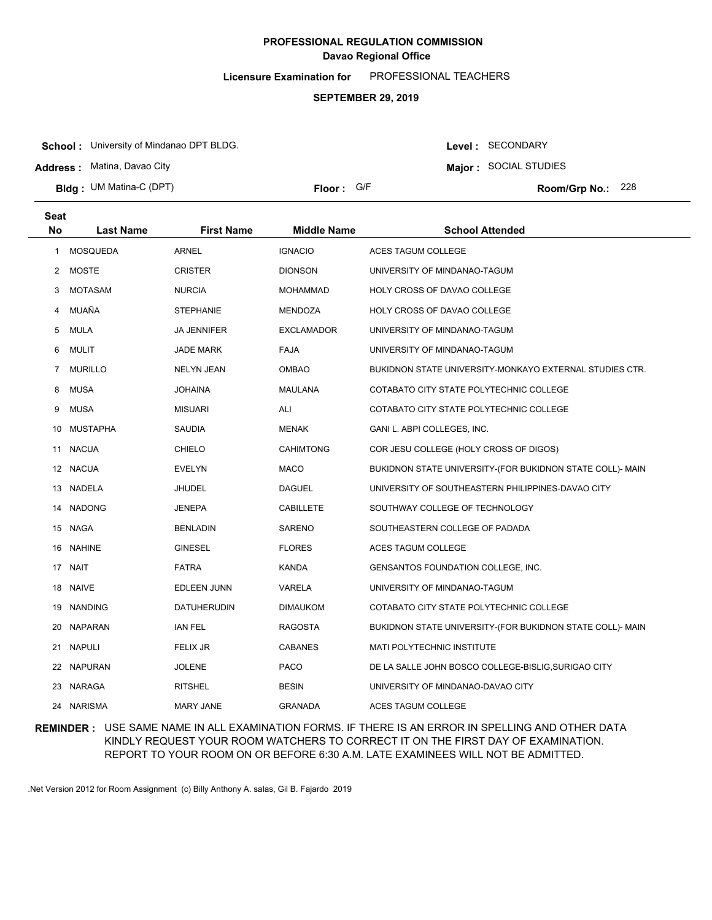**Licensure Examination for**  PROFESSIONAL TEACHERS

### **SEPTEMBER 29, 2019**

**School :** University of Mindanao DPT BLDG.

**Address :** Matina, Davao City

**Bldg : Floor : Room/Grp No.:** UM Matina-C (DPT)

Floor: G/F Room/Grp No.: 228

Level : SECONDARY **Major :** SOCIAL STUDIES

| Seat<br>No   | <b>Last Name</b> | <b>First Name</b>  | <b>Middle Name</b> | <b>School Attended</b>                                    |
|--------------|------------------|--------------------|--------------------|-----------------------------------------------------------|
| $\mathbf{1}$ | <b>MOSQUEDA</b>  | <b>ARNEL</b>       | <b>IGNACIO</b>     | <b>ACES TAGUM COLLEGE</b>                                 |
|              | 2 MOSTE          | <b>CRISTER</b>     | <b>DIONSON</b>     | UNIVERSITY OF MINDANAO-TAGUM                              |
| 3            | <b>MOTASAM</b>   | <b>NURCIA</b>      | <b>MOHAMMAD</b>    | HOLY CROSS OF DAVAO COLLEGE                               |
| 4            | MUAÑA            | <b>STEPHANIE</b>   | <b>MENDOZA</b>     | HOLY CROSS OF DAVAO COLLEGE                               |
| 5            | MULA             | <b>JA JENNIFER</b> | <b>EXCLAMADOR</b>  | UNIVERSITY OF MINDANAO-TAGUM                              |
| 6            | <b>MULIT</b>     | <b>JADE MARK</b>   | <b>FAJA</b>        | UNIVERSITY OF MINDANAO-TAGUM                              |
| 7            | <b>MURILLO</b>   | <b>NELYN JEAN</b>  | <b>OMBAO</b>       | BUKIDNON STATE UNIVERSITY-MONKAYO EXTERNAL STUDIES CTR.   |
| 8            | <b>MUSA</b>      | <b>JOHAINA</b>     | MAULANA            | COTABATO CITY STATE POLYTECHNIC COLLEGE                   |
| 9            | MUSA             | <b>MISUARI</b>     | ALI                | COTABATO CITY STATE POLYTECHNIC COLLEGE                   |
| 10           | MUSTAPHA         | <b>SAUDIA</b>      | <b>MENAK</b>       | GANI L. ABPI COLLEGES, INC.                               |
| 11           | <b>NACUA</b>     | <b>CHIELO</b>      | <b>CAHIMTONG</b>   | COR JESU COLLEGE (HOLY CROSS OF DIGOS)                    |
| 12           | <b>NACUA</b>     | <b>EVELYN</b>      | <b>MACO</b>        | BUKIDNON STATE UNIVERSITY-(FOR BUKIDNON STATE COLL)- MAIN |
| 13           | NADELA           | <b>JHUDEL</b>      | <b>DAGUEL</b>      | UNIVERSITY OF SOUTHEASTERN PHILIPPINES-DAVAO CITY         |
| 14           | <b>NADONG</b>    | <b>JENEPA</b>      | <b>CABILLETE</b>   | SOUTHWAY COLLEGE OF TECHNOLOGY                            |
|              | 15 NAGA          | <b>BENLADIN</b>    | <b>SARENO</b>      | SOUTHEASTERN COLLEGE OF PADADA                            |
|              | 16 NAHINE        | <b>GINESEL</b>     | <b>FLORES</b>      | <b>ACES TAGUM COLLEGE</b>                                 |
|              | 17 NAIT          | <b>FATRA</b>       | <b>KANDA</b>       | GENSANTOS FOUNDATION COLLEGE, INC.                        |
|              | 18 NAIVE         | <b>EDLEEN JUNN</b> | VARELA             | UNIVERSITY OF MINDANAO-TAGUM                              |
|              | 19 NANDING       | <b>DATUHERUDIN</b> | <b>DIMAUKOM</b>    | COTABATO CITY STATE POLYTECHNIC COLLEGE                   |
|              | 20 NAPARAN       | <b>IAN FEL</b>     | <b>RAGOSTA</b>     | BUKIDNON STATE UNIVERSITY-(FOR BUKIDNON STATE COLL)- MAIN |
|              | 21 NAPULI        | <b>FELIX JR</b>    | <b>CABANES</b>     | <b>MATI POLYTECHNIC INSTITUTE</b>                         |
| 22           | NAPURAN          | <b>JOLENE</b>      | <b>PACO</b>        | DE LA SALLE JOHN BOSCO COLLEGE-BISLIG, SURIGAO CITY       |
|              | 23 NARAGA        | <b>RITSHEL</b>     | <b>BESIN</b>       | UNIVERSITY OF MINDANAO-DAVAO CITY                         |
|              | 24 NARISMA       | MARY JANE          | <b>GRANADA</b>     | ACES TAGUM COLLEGE                                        |

### **REMINDER :** USE SAME NAME IN ALL EXAMINATION FORMS. IF THERE IS AN ERROR IN SPELLING AND OTHER DATA KINDLY REQUEST YOUR ROOM WATCHERS TO CORRECT IT ON THE FIRST DAY OF EXAMINATION. REPORT TO YOUR ROOM ON OR BEFORE 6:30 A.M. LATE EXAMINEES WILL NOT BE ADMITTED.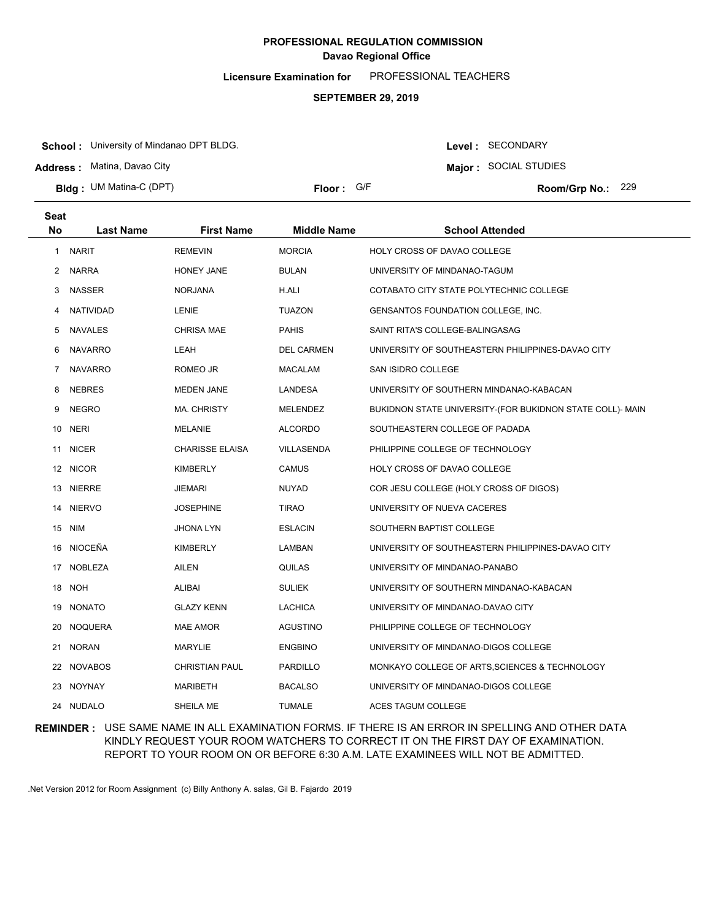**Licensure Examination for**  PROFESSIONAL TEACHERS

### **SEPTEMBER 29, 2019**

**School :** University of Mindanao DPT BLDG.

**Address :** Matina, Davao City

**Bldg : Floor : Room/Grp No.:** UM Matina-C (DPT)

**Major :** SOCIAL STUDIES Floor: G/F Room/Grp No.: 229

Level : SECONDARY

| <b>Seat</b>  |                  |                        |                    |                                                           |
|--------------|------------------|------------------------|--------------------|-----------------------------------------------------------|
| <b>No</b>    | <b>Last Name</b> | <b>First Name</b>      | <b>Middle Name</b> | <b>School Attended</b>                                    |
| $\mathbf{1}$ | <b>NARIT</b>     | <b>REMEVIN</b>         | <b>MORCIA</b>      | <b>HOLY CROSS OF DAVAO COLLEGE</b>                        |
|              | 2 NARRA          | HONEY JANE             | <b>BULAN</b>       | UNIVERSITY OF MINDANAO-TAGUM                              |
| 3            | <b>NASSER</b>    | <b>NORJANA</b>         | H.ALI              | COTABATO CITY STATE POLYTECHNIC COLLEGE                   |
| 4            | <b>NATIVIDAD</b> | LENIE                  | <b>TUAZON</b>      | <b>GENSANTOS FOUNDATION COLLEGE, INC.</b>                 |
| 5            | <b>NAVALES</b>   | <b>CHRISA MAE</b>      | <b>PAHIS</b>       | SAINT RITA'S COLLEGE-BALINGASAG                           |
| 6            | <b>NAVARRO</b>   | LEAH                   | <b>DEL CARMEN</b>  | UNIVERSITY OF SOUTHEASTERN PHILIPPINES-DAVAO CITY         |
| 7            | <b>NAVARRO</b>   | ROMEO JR               | <b>MACALAM</b>     | SAN ISIDRO COLLEGE                                        |
| 8            | <b>NEBRES</b>    | <b>MEDEN JANE</b>      | LANDESA            | UNIVERSITY OF SOUTHERN MINDANAO-KABACAN                   |
| 9            | <b>NEGRO</b>     | <b>MA. CHRISTY</b>     | MELENDEZ           | BUKIDNON STATE UNIVERSITY-(FOR BUKIDNON STATE COLL)- MAIN |
| 10           | <b>NERI</b>      | <b>MELANIE</b>         | <b>ALCORDO</b>     | SOUTHEASTERN COLLEGE OF PADADA                            |
| 11           | <b>NICER</b>     | <b>CHARISSE ELAISA</b> | VILLASENDA         | PHILIPPINE COLLEGE OF TECHNOLOGY                          |
|              | 12 NICOR         | <b>KIMBERLY</b>        | <b>CAMUS</b>       | HOLY CROSS OF DAVAO COLLEGE                               |
|              | 13 NIERRE        | JIEMARI                | <b>NUYAD</b>       | COR JESU COLLEGE (HOLY CROSS OF DIGOS)                    |
|              | 14 NIERVO        | <b>JOSEPHINE</b>       | <b>TIRAO</b>       | UNIVERSITY OF NUEVA CACERES                               |
|              | 15 NIM           | <b>JHONA LYN</b>       | <b>ESLACIN</b>     | SOUTHERN BAPTIST COLLEGE                                  |
|              | 16 NIOCEÑA       | <b>KIMBERLY</b>        | LAMBAN             | UNIVERSITY OF SOUTHEASTERN PHILIPPINES-DAVAO CITY         |
|              | 17 NOBLEZA       | <b>AILEN</b>           | QUILAS             | UNIVERSITY OF MINDANAO-PANABO                             |
|              | 18 NOH           | <b>ALIBAI</b>          | <b>SULIEK</b>      | UNIVERSITY OF SOUTHERN MINDANAO-KABACAN                   |
| 19           | NONATO           | <b>GLAZY KENN</b>      | LACHICA            | UNIVERSITY OF MINDANAO-DAVAO CITY                         |
| 20           | <b>NOQUERA</b>   | <b>MAE AMOR</b>        | AGUSTINO           | PHILIPPINE COLLEGE OF TECHNOLOGY                          |
| 21           | NORAN            | MARYLIE                | <b>ENGBINO</b>     | UNIVERSITY OF MINDANAO-DIGOS COLLEGE                      |
|              | 22 NOVABOS       | <b>CHRISTIAN PAUL</b>  | PARDILLO           | MONKAYO COLLEGE OF ARTS, SCIENCES & TECHNOLOGY            |
|              | 23 NOYNAY        | MARIBETH               | <b>BACALSO</b>     | UNIVERSITY OF MINDANAO-DIGOS COLLEGE                      |
|              | 24 NUDALO        | SHEILA ME              | <b>TUMALE</b>      | ACES TAGUM COLLEGE                                        |

### **REMINDER :** USE SAME NAME IN ALL EXAMINATION FORMS. IF THERE IS AN ERROR IN SPELLING AND OTHER DATA KINDLY REQUEST YOUR ROOM WATCHERS TO CORRECT IT ON THE FIRST DAY OF EXAMINATION. REPORT TO YOUR ROOM ON OR BEFORE 6:30 A.M. LATE EXAMINEES WILL NOT BE ADMITTED.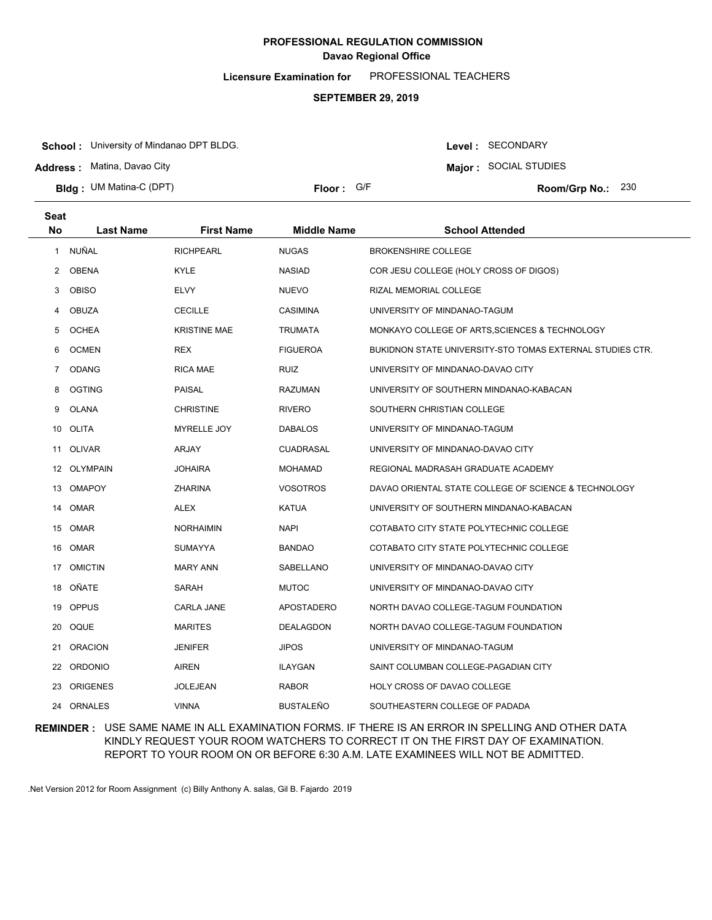**Licensure Examination for**  PROFESSIONAL TEACHERS

### **SEPTEMBER 29, 2019**

**School :** University of Mindanao DPT BLDG.

**Address :** Matina, Davao City

**Bldg : Floor : Room/Grp No.:** UM Matina-C (DPT)

Floor: G/F Room/Grp No.: 230

Level : SECONDARY **Major :** SOCIAL STUDIES

| <b>Seat</b> |                  |                     |                    |                                                           |
|-------------|------------------|---------------------|--------------------|-----------------------------------------------------------|
| <b>No</b>   | <b>Last Name</b> | <b>First Name</b>   | <b>Middle Name</b> | <b>School Attended</b>                                    |
| 1           | NUÑAL            | <b>RICHPEARL</b>    | <b>NUGAS</b>       | <b>BROKENSHIRE COLLEGE</b>                                |
| 2           | <b>OBENA</b>     | <b>KYLE</b>         | <b>NASIAD</b>      | COR JESU COLLEGE (HOLY CROSS OF DIGOS)                    |
| 3           | <b>OBISO</b>     | <b>ELVY</b>         | <b>NUEVO</b>       | RIZAL MEMORIAL COLLEGE                                    |
| 4           | <b>OBUZA</b>     | <b>CECILLE</b>      | <b>CASIMINA</b>    | UNIVERSITY OF MINDANAO-TAGUM                              |
| 5           | <b>OCHEA</b>     | <b>KRISTINE MAE</b> | <b>TRUMATA</b>     | MONKAYO COLLEGE OF ARTS, SCIENCES & TECHNOLOGY            |
| 6           | <b>OCMEN</b>     | <b>REX</b>          | <b>FIGUEROA</b>    | BUKIDNON STATE UNIVERSITY-STO TOMAS EXTERNAL STUDIES CTR. |
| 7           | <b>ODANG</b>     | <b>RICA MAE</b>     | <b>RUIZ</b>        | UNIVERSITY OF MINDANAO-DAVAO CITY                         |
| 8           | <b>OGTING</b>    | <b>PAISAL</b>       | <b>RAZUMAN</b>     | UNIVERSITY OF SOUTHERN MINDANAO-KABACAN                   |
| 9           | <b>OLANA</b>     | <b>CHRISTINE</b>    | <b>RIVERO</b>      | SOUTHERN CHRISTIAN COLLEGE                                |
| 10          | OLITA            | <b>MYRELLE JOY</b>  | <b>DABALOS</b>     | UNIVERSITY OF MINDANAO-TAGUM                              |
| 11          | <b>OLIVAR</b>    | ARJAY               | <b>CUADRASAL</b>   | UNIVERSITY OF MINDANAO-DAVAO CITY                         |
| 12          | <b>OLYMPAIN</b>  | <b>JOHAIRA</b>      | <b>MOHAMAD</b>     | REGIONAL MADRASAH GRADUATE ACADEMY                        |
| 13          | <b>OMAPOY</b>    | <b>ZHARINA</b>      | <b>VOSOTROS</b>    | DAVAO ORIENTAL STATE COLLEGE OF SCIENCE & TECHNOLOGY      |
| 14          | OMAR             | <b>ALEX</b>         | <b>KATUA</b>       | UNIVERSITY OF SOUTHERN MINDANAO-KABACAN                   |
| 15          | OMAR             | <b>NORHAIMIN</b>    | <b>NAPI</b>        | COTABATO CITY STATE POLYTECHNIC COLLEGE                   |
| 16          | OMAR             | <b>SUMAYYA</b>      | <b>BANDAO</b>      | COTABATO CITY STATE POLYTECHNIC COLLEGE                   |
| 17          | <b>OMICTIN</b>   | <b>MARY ANN</b>     | SABELLANO          | UNIVERSITY OF MINDANAO-DAVAO CITY                         |
| 18          | OÑATE            | SARAH               | <b>MUTOC</b>       | UNIVERSITY OF MINDANAO-DAVAO CITY                         |
| 19          | <b>OPPUS</b>     | <b>CARLA JANE</b>   | APOSTADERO         | NORTH DAVAO COLLEGE-TAGUM FOUNDATION                      |
| 20          | OQUE             | <b>MARITES</b>      | DEALAGDON          | NORTH DAVAO COLLEGE-TAGUM FOUNDATION                      |
| 21          | <b>ORACION</b>   | <b>JENIFER</b>      | <b>JIPOS</b>       | UNIVERSITY OF MINDANAO-TAGUM                              |
| 22          | <b>ORDONIO</b>   | <b>AIREN</b>        | <b>ILAYGAN</b>     | SAINT COLUMBAN COLLEGE-PAGADIAN CITY                      |
| 23          | <b>ORIGENES</b>  | <b>JOLEJEAN</b>     | <b>RABOR</b>       | HOLY CROSS OF DAVAO COLLEGE                               |
| 24          | <b>ORNALES</b>   | <b>VINNA</b>        | <b>BUSTALEÑO</b>   | SOUTHEASTERN COLLEGE OF PADADA                            |

**REMINDER :** USE SAME NAME IN ALL EXAMINATION FORMS. IF THERE IS AN ERROR IN SPELLING AND OTHER DATA KINDLY REQUEST YOUR ROOM WATCHERS TO CORRECT IT ON THE FIRST DAY OF EXAMINATION. REPORT TO YOUR ROOM ON OR BEFORE 6:30 A.M. LATE EXAMINEES WILL NOT BE ADMITTED.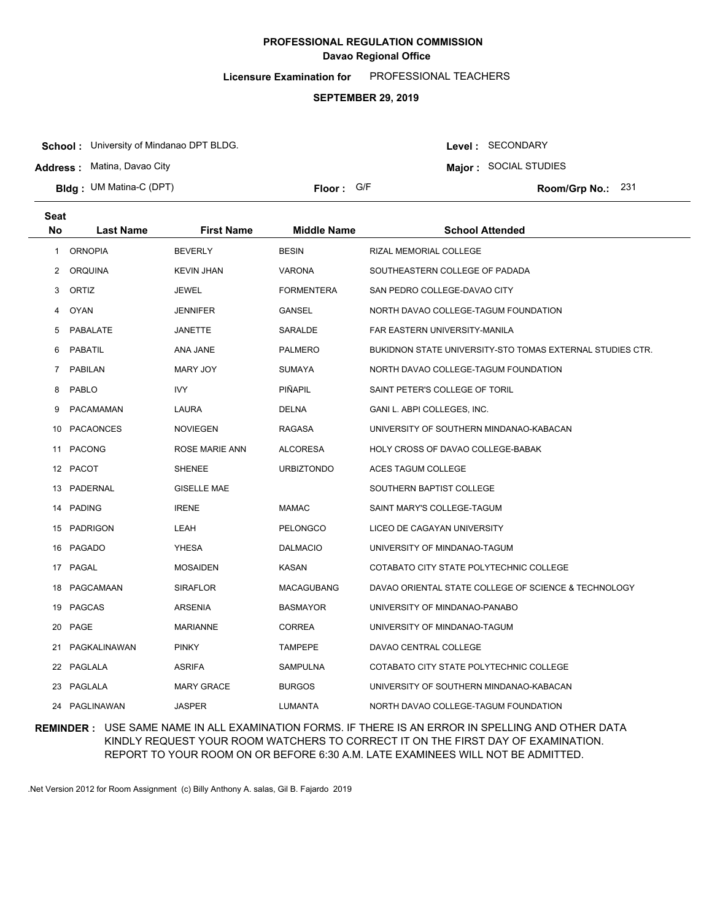**Licensure Examination for**  PROFESSIONAL TEACHERS

### **SEPTEMBER 29, 2019**

**School :** University of Mindanao DPT BLDG.

**Address :** Matina, Davao City

**Bldg : Floor : Room/Grp No.:** UM Matina-C (DPT)

Floor: G/F Room/Grp No.: 231

Level : SECONDARY **Major :** SOCIAL STUDIES

| Seat           |                  |                    |                    |                                                                  |
|----------------|------------------|--------------------|--------------------|------------------------------------------------------------------|
| <b>No</b>      | <b>Last Name</b> | <b>First Name</b>  | <b>Middle Name</b> | <b>School Attended</b>                                           |
| 1              | <b>ORNOPIA</b>   | <b>BEVERLY</b>     | <b>BESIN</b>       | <b>RIZAL MEMORIAL COLLEGE</b>                                    |
| $\mathbf{2}$   | ORQUINA          | <b>KEVIN JHAN</b>  | <b>VARONA</b>      | SOUTHEASTERN COLLEGE OF PADADA                                   |
| 3              | ORTIZ            | <b>JEWEL</b>       | <b>FORMENTERA</b>  | SAN PEDRO COLLEGE-DAVAO CITY                                     |
| 4              | <b>OYAN</b>      | <b>JENNIFER</b>    | GANSEL             | NORTH DAVAO COLLEGE-TAGUM FOUNDATION                             |
| 5              | PABALATE         | <b>JANETTE</b>     | SARALDE            | FAR EASTERN UNIVERSITY-MANILA                                    |
| 6              | <b>PABATIL</b>   | ANA JANE           | <b>PALMERO</b>     | <b>BUKIDNON STATE UNIVERSITY-STO TOMAS EXTERNAL STUDIES CTR.</b> |
| $\overline{7}$ | <b>PABILAN</b>   | MARY JOY           | <b>SUMAYA</b>      | NORTH DAVAO COLLEGE-TAGUM FOUNDATION                             |
| 8              | <b>PABLO</b>     | IVY                | <b>PIÑAPIL</b>     | SAINT PETER'S COLLEGE OF TORIL                                   |
| 9              | PACAMAMAN        | LAURA              | <b>DELNA</b>       | GANI L. ABPI COLLEGES, INC.                                      |
|                | 10 PACAONCES     | <b>NOVIEGEN</b>    | <b>RAGASA</b>      | UNIVERSITY OF SOUTHERN MINDANAO-KABACAN                          |
|                | 11 PACONG        | ROSE MARIE ANN     | <b>ALCORESA</b>    | HOLY CROSS OF DAVAO COLLEGE-BABAK                                |
|                | 12 PACOT         | <b>SHENEE</b>      | <b>URBIZTONDO</b>  | ACES TAGUM COLLEGE                                               |
|                | 13 PADERNAL      | <b>GISELLE MAE</b> |                    | SOUTHERN BAPTIST COLLEGE                                         |
|                | 14 PADING        | <b>IRENE</b>       | <b>MAMAC</b>       | SAINT MARY'S COLLEGE-TAGUM                                       |
|                | 15 PADRIGON      | LEAH               | <b>PELONGCO</b>    | LICEO DE CAGAYAN UNIVERSITY                                      |
|                | 16 PAGADO        | <b>YHESA</b>       | <b>DALMACIO</b>    | UNIVERSITY OF MINDANAO-TAGUM                                     |
|                | 17 PAGAL         | <b>MOSAIDEN</b>    | KASAN              | COTABATO CITY STATE POLYTECHNIC COLLEGE                          |
|                | 18 PAGCAMAAN     | <b>SIRAFLOR</b>    | <b>MACAGUBANG</b>  | DAVAO ORIENTAL STATE COLLEGE OF SCIENCE & TECHNOLOGY             |
|                | 19 PAGCAS        | <b>ARSENIA</b>     | <b>BASMAYOR</b>    | UNIVERSITY OF MINDANAO-PANABO                                    |
|                | 20 PAGE          | <b>MARIANNE</b>    | <b>CORREA</b>      | UNIVERSITY OF MINDANAO-TAGUM                                     |
| 21             | PAGKALINAWAN     | <b>PINKY</b>       | <b>TAMPEPE</b>     | DAVAO CENTRAL COLLEGE                                            |
|                | 22 PAGLALA       | <b>ASRIFA</b>      | SAMPULNA           | COTABATO CITY STATE POLYTECHNIC COLLEGE                          |
|                | 23 PAGLALA       | <b>MARY GRACE</b>  | <b>BURGOS</b>      | UNIVERSITY OF SOUTHERN MINDANAO-KABACAN                          |
|                | 24 PAGLINAWAN    | <b>JASPER</b>      | LUMANTA            | NORTH DAVAO COLLEGE-TAGUM FOUNDATION                             |

### **REMINDER :** USE SAME NAME IN ALL EXAMINATION FORMS. IF THERE IS AN ERROR IN SPELLING AND OTHER DATA KINDLY REQUEST YOUR ROOM WATCHERS TO CORRECT IT ON THE FIRST DAY OF EXAMINATION. REPORT TO YOUR ROOM ON OR BEFORE 6:30 A.M. LATE EXAMINEES WILL NOT BE ADMITTED.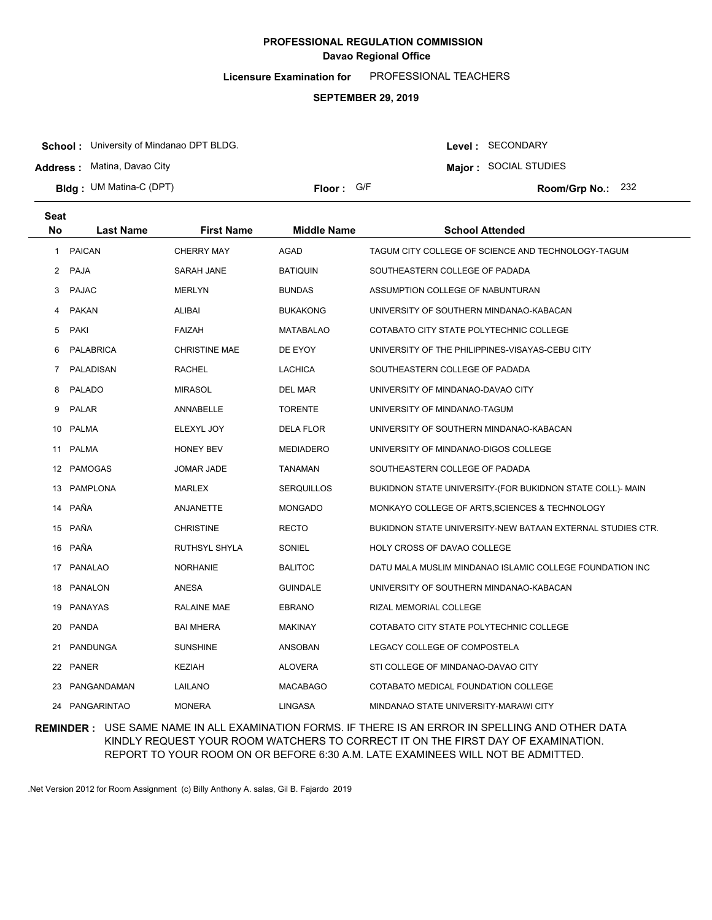**Licensure Examination for**  PROFESSIONAL TEACHERS

### **SEPTEMBER 29, 2019**

**School :** University of Mindanao DPT BLDG.

**Address :** Matina, Davao City

**Bldg : Floor : Room/Grp No.:** UM Matina-C (DPT)

Floor: G/F Room/Grp No.: 232

Level : SECONDARY **Major :** SOCIAL STUDIES

| <b>Seat</b> |                  |                      |                    |                                                            |
|-------------|------------------|----------------------|--------------------|------------------------------------------------------------|
| <b>No</b>   | <b>Last Name</b> | <b>First Name</b>    | <b>Middle Name</b> | <b>School Attended</b>                                     |
| 1.          | <b>PAICAN</b>    | <b>CHERRY MAY</b>    | AGAD               | TAGUM CITY COLLEGE OF SCIENCE AND TECHNOLOGY-TAGUM         |
|             | 2 PAJA           | SARAH JANE           | <b>BATIQUIN</b>    | SOUTHEASTERN COLLEGE OF PADADA                             |
| 3           | <b>PAJAC</b>     | <b>MERLYN</b>        | <b>BUNDAS</b>      | ASSUMPTION COLLEGE OF NABUNTURAN                           |
| 4           | <b>PAKAN</b>     | <b>ALIBAI</b>        | <b>BUKAKONG</b>    | UNIVERSITY OF SOUTHERN MINDANAO-KABACAN                    |
| 5           | PAKI             | <b>FAIZAH</b>        | MATABALAO          | COTABATO CITY STATE POLYTECHNIC COLLEGE                    |
| 6           | PALABRICA        | <b>CHRISTINE MAE</b> | DE EYOY            | UNIVERSITY OF THE PHILIPPINES-VISAYAS-CEBU CITY            |
| 7           | <b>PALADISAN</b> | <b>RACHEL</b>        | <b>LACHICA</b>     | SOUTHEASTERN COLLEGE OF PADADA                             |
| 8           | <b>PALADO</b>    | <b>MIRASOL</b>       | DEL MAR            | UNIVERSITY OF MINDANAO-DAVAO CITY                          |
| 9           | <b>PALAR</b>     | ANNABELLE            | <b>TORENTE</b>     | UNIVERSITY OF MINDANAO-TAGUM                               |
|             | 10 PALMA         | ELEXYL JOY           | DELA FLOR          | UNIVERSITY OF SOUTHERN MINDANAO-KABACAN                    |
|             | 11 PALMA         | <b>HONEY BEV</b>     | MEDIADERO          | UNIVERSITY OF MINDANAO-DIGOS COLLEGE                       |
|             | 12 PAMOGAS       | <b>JOMAR JADE</b>    | <b>TANAMAN</b>     | SOUTHEASTERN COLLEGE OF PADADA                             |
|             | 13 PAMPLONA      | MARLEX               | <b>SERQUILLOS</b>  | BUKIDNON STATE UNIVERSITY-(FOR BUKIDNON STATE COLL)- MAIN  |
|             | 14 PAÑA          | ANJANETTE            | <b>MONGADO</b>     | MONKAYO COLLEGE OF ARTS, SCIENCES & TECHNOLOGY             |
|             | 15 PAÑA          | <b>CHRISTINE</b>     | <b>RECTO</b>       | BUKIDNON STATE UNIVERSITY-NEW BATAAN EXTERNAL STUDIES CTR. |
|             | 16 PAÑA          | RUTHSYL SHYLA        | SONIEL             | HOLY CROSS OF DAVAO COLLEGE                                |
|             | 17 PANALAO       | <b>NORHANIE</b>      | <b>BALITOC</b>     | DATU MALA MUSLIM MINDANAO ISLAMIC COLLEGE FOUNDATION INC   |
|             | 18 PANALON       | ANESA                | <b>GUINDALE</b>    | UNIVERSITY OF SOUTHERN MINDANAO-KABACAN                    |
|             | 19 PANAYAS       | <b>RALAINE MAE</b>   | <b>EBRANO</b>      | RIZAL MEMORIAL COLLEGE                                     |
|             | 20 PANDA         | <b>BAI MHERA</b>     | <b>MAKINAY</b>     | COTABATO CITY STATE POLYTECHNIC COLLEGE                    |
| 21          | PANDUNGA         | <b>SUNSHINE</b>      | ANSOBAN            | LEGACY COLLEGE OF COMPOSTELA                               |
|             | 22 PANER         | <b>KEZIAH</b>        | <b>ALOVERA</b>     | STI COLLEGE OF MINDANAO-DAVAO CITY                         |
| 23          | PANGANDAMAN      | LAILANO              | <b>MACABAGO</b>    | COTABATO MEDICAL FOUNDATION COLLEGE                        |
|             | 24 PANGARINTAO   | <b>MONERA</b>        | <b>LINGASA</b>     | MINDANAO STATE UNIVERSITY-MARAWI CITY                      |

**REMINDER :** USE SAME NAME IN ALL EXAMINATION FORMS. IF THERE IS AN ERROR IN SPELLING AND OTHER DATA KINDLY REQUEST YOUR ROOM WATCHERS TO CORRECT IT ON THE FIRST DAY OF EXAMINATION. REPORT TO YOUR ROOM ON OR BEFORE 6:30 A.M. LATE EXAMINEES WILL NOT BE ADMITTED.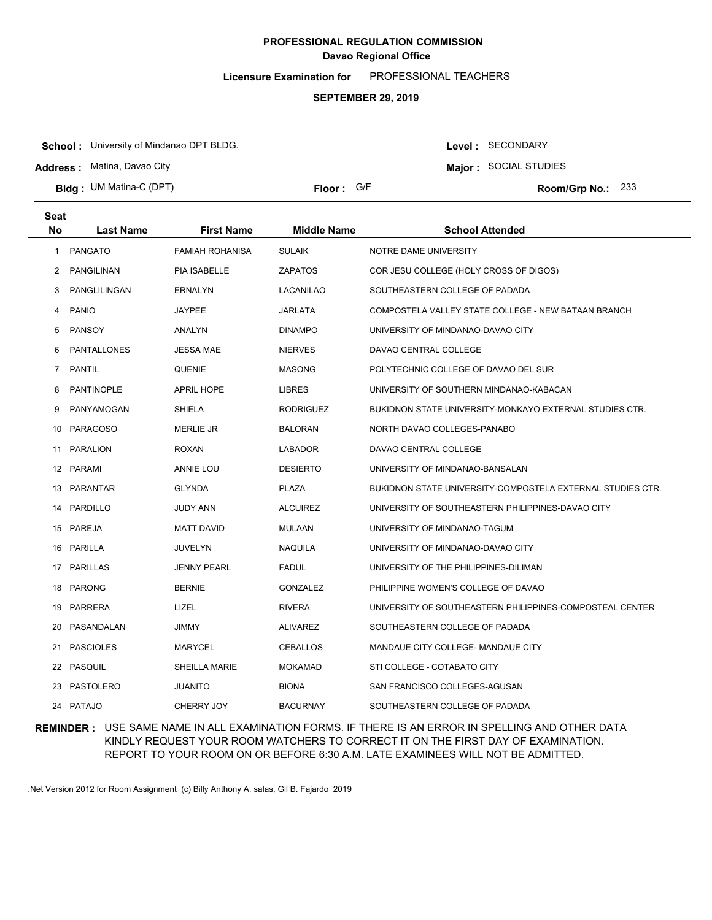**Licensure Examination for**  PROFESSIONAL TEACHERS

### **SEPTEMBER 29, 2019**

**School :** University of Mindanao DPT BLDG.

**Address :** Matina, Davao City

**Bldg : Floor : Room/Grp No.:** UM Matina-C (DPT)

Floor: G/F Room/Grp No.: 233

Level : SECONDARY **Major :** SOCIAL STUDIES

| <b>Seat</b>  |                    |                        |                    |                                                            |
|--------------|--------------------|------------------------|--------------------|------------------------------------------------------------|
| <b>No</b>    | <b>Last Name</b>   | First Name             | <b>Middle Name</b> | <b>School Attended</b>                                     |
| $\mathbf{1}$ | <b>PANGATO</b>     | <b>FAMIAH ROHANISA</b> | <b>SULAIK</b>      | NOTRE DAME UNIVERSITY                                      |
| 2            | PANGILINAN         | <b>PIA ISABELLE</b>    | <b>ZAPATOS</b>     | COR JESU COLLEGE (HOLY CROSS OF DIGOS)                     |
| 3            | PANGLILINGAN       | <b>ERNALYN</b>         | <b>LACANILAO</b>   | SOUTHEASTERN COLLEGE OF PADADA                             |
| 4            | <b>PANIO</b>       | <b>JAYPEE</b>          | <b>JARLATA</b>     | COMPOSTELA VALLEY STATE COLLEGE - NEW BATAAN BRANCH        |
| 5            | PANSOY             | <b>ANALYN</b>          | <b>DINAMPO</b>     | UNIVERSITY OF MINDANAO-DAVAO CITY                          |
| 6            | <b>PANTALLONES</b> | <b>JESSA MAE</b>       | <b>NIERVES</b>     | DAVAO CENTRAL COLLEGE                                      |
| 7            | PANTIL             | QUENIE                 | <b>MASONG</b>      | POLYTECHNIC COLLEGE OF DAVAO DEL SUR                       |
| 8            | <b>PANTINOPLE</b>  | <b>APRIL HOPE</b>      | <b>LIBRES</b>      | UNIVERSITY OF SOUTHERN MINDANAO-KABACAN                    |
| 9            | PANYAMOGAN         | <b>SHIELA</b>          | <b>RODRIGUEZ</b>   | BUKIDNON STATE UNIVERSITY-MONKAYO EXTERNAL STUDIES CTR.    |
|              | 10 PARAGOSO        | <b>MERLIE JR</b>       | <b>BALORAN</b>     | NORTH DAVAO COLLEGES-PANABO                                |
|              | 11 PARALION        | <b>ROXAN</b>           | <b>LABADOR</b>     | DAVAO CENTRAL COLLEGE                                      |
|              | 12 PARAMI          | ANNIE LOU              | <b>DESIERTO</b>    | UNIVERSITY OF MINDANAO-BANSALAN                            |
|              | 13 PARANTAR        | <b>GLYNDA</b>          | <b>PLAZA</b>       | BUKIDNON STATE UNIVERSITY-COMPOSTELA EXTERNAL STUDIES CTR. |
|              | 14 PARDILLO        | <b>JUDY ANN</b>        | <b>ALCUIREZ</b>    | UNIVERSITY OF SOUTHEASTERN PHILIPPINES-DAVAO CITY          |
|              | 15 PAREJA          | <b>MATT DAVID</b>      | <b>MULAAN</b>      | UNIVERSITY OF MINDANAO-TAGUM                               |
|              | 16 PARILLA         | JUVELYN                | NAQUILA            | UNIVERSITY OF MINDANAO-DAVAO CITY                          |
|              | 17 PARILLAS        | <b>JENNY PEARL</b>     | <b>FADUL</b>       | UNIVERSITY OF THE PHILIPPINES-DILIMAN                      |
|              | 18 PARONG          | <b>BERNIE</b>          | <b>GONZALEZ</b>    | PHILIPPINE WOMEN'S COLLEGE OF DAVAO                        |
| 19           | PARRERA            | LIZEL                  | <b>RIVERA</b>      | UNIVERSITY OF SOUTHEASTERN PHILIPPINES-COMPOSTEAL CENTER   |
| 20           | PASANDALAN         | <b>JIMMY</b>           | <b>ALIVAREZ</b>    | SOUTHEASTERN COLLEGE OF PADADA                             |
| 21           | <b>PASCIOLES</b>   | <b>MARYCEL</b>         | <b>CEBALLOS</b>    | MANDAUE CITY COLLEGE- MANDAUE CITY                         |
|              | 22 PASQUIL         | <b>SHEILLA MARIE</b>   | <b>MOKAMAD</b>     | STI COLLEGE - COTABATO CITY                                |
| 23.          | PASTOLERO          | <b>JUANITO</b>         | <b>BIONA</b>       | SAN FRANCISCO COLLEGES-AGUSAN                              |
|              | 24 PATAJO          | CHERRY JOY             | <b>BACURNAY</b>    | SOUTHEASTERN COLLEGE OF PADADA                             |

### **REMINDER :** USE SAME NAME IN ALL EXAMINATION FORMS. IF THERE IS AN ERROR IN SPELLING AND OTHER DATA KINDLY REQUEST YOUR ROOM WATCHERS TO CORRECT IT ON THE FIRST DAY OF EXAMINATION. REPORT TO YOUR ROOM ON OR BEFORE 6:30 A.M. LATE EXAMINEES WILL NOT BE ADMITTED.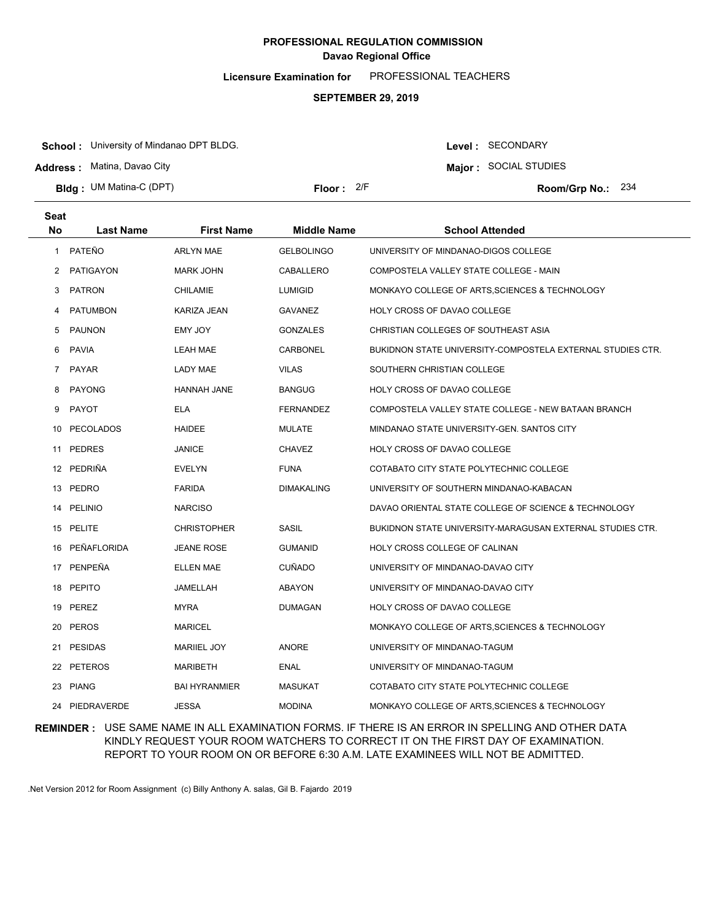**Licensure Examination for**  PROFESSIONAL TEACHERS

### **SEPTEMBER 29, 2019**

**School :** University of Mindanao DPT BLDG.

**Address :** Matina, Davao City

**Bldg : Floor : Room/Grp No.:** UM Matina-C (DPT)

**Major :** SOCIAL STUDIES Floor: 2/F Room/Grp No.: 234

Level : SECONDARY

| <b>Seat</b><br>No. | Last Name       | <b>First Name</b>    | <b>Middle Name</b> | <b>School Attended</b>                                     |
|--------------------|-----------------|----------------------|--------------------|------------------------------------------------------------|
| $\mathbf{1}$       | PATEÑO          | <b>ARLYN MAE</b>     | <b>GELBOLINGO</b>  | UNIVERSITY OF MINDANAO-DIGOS COLLEGE                       |
| 2                  | PATIGAYON       | <b>MARK JOHN</b>     | CABALLERO          | COMPOSTELA VALLEY STATE COLLEGE - MAIN                     |
| 3                  | <b>PATRON</b>   | CHILAMIE             | <b>LUMIGID</b>     | MONKAYO COLLEGE OF ARTS, SCIENCES & TECHNOLOGY             |
| 4                  | <b>PATUMBON</b> | KARIZA JEAN          | GAVANEZ            | HOLY CROSS OF DAVAO COLLEGE                                |
| 5                  | <b>PAUNON</b>   | EMY JOY              | <b>GONZALES</b>    | CHRISTIAN COLLEGES OF SOUTHEAST ASIA                       |
| 6                  | PAVIA           | <b>LEAH MAE</b>      | CARBONEL           | BUKIDNON STATE UNIVERSITY-COMPOSTELA EXTERNAL STUDIES CTR. |
| $\overline{7}$     | <b>PAYAR</b>    | <b>LADY MAE</b>      | <b>VILAS</b>       | SOUTHERN CHRISTIAN COLLEGE                                 |
| 8                  | <b>PAYONG</b>   | <b>HANNAH JANE</b>   | <b>BANGUG</b>      | HOLY CROSS OF DAVAO COLLEGE                                |
| 9                  | <b>PAYOT</b>    | <b>ELA</b>           | <b>FERNANDEZ</b>   | COMPOSTELA VALLEY STATE COLLEGE - NEW BATAAN BRANCH        |
| 10                 | PECOLADOS       | <b>HAIDEE</b>        | <b>MULATE</b>      | MINDANAO STATE UNIVERSITY-GEN. SANTOS CITY                 |
| 11                 | <b>PEDRES</b>   | <b>JANICE</b>        | <b>CHAVEZ</b>      | HOLY CROSS OF DAVAO COLLEGE                                |
|                    | 12 PEDRIÑA      | <b>EVELYN</b>        | <b>FUNA</b>        | COTABATO CITY STATE POLYTECHNIC COLLEGE                    |
| 13                 | PEDRO           | <b>FARIDA</b>        | <b>DIMAKALING</b>  | UNIVERSITY OF SOUTHERN MINDANAO-KABACAN                    |
| 14                 | <b>PELINIO</b>  | <b>NARCISO</b>       |                    | DAVAO ORIENTAL STATE COLLEGE OF SCIENCE & TECHNOLOGY       |
| 15                 | PELITE          | <b>CHRISTOPHER</b>   | SASIL              | BUKIDNON STATE UNIVERSITY-MARAGUSAN EXTERNAL STUDIES CTR.  |
| 16                 | PEÑAFLORIDA     | JEANE ROSE           | <b>GUMANID</b>     | HOLY CROSS COLLEGE OF CALINAN                              |
|                    | 17 PENPEÑA      | <b>ELLEN MAE</b>     | <b>CUÑADO</b>      | UNIVERSITY OF MINDANAO-DAVAO CITY                          |
|                    | 18 PEPITO       | JAMELLAH             | ABAYON             | UNIVERSITY OF MINDANAO-DAVAO CITY                          |
|                    | 19 PEREZ        | <b>MYRA</b>          | DUMAGAN            | HOLY CROSS OF DAVAO COLLEGE                                |
|                    | 20 PEROS        | <b>MARICEL</b>       |                    | MONKAYO COLLEGE OF ARTS, SCIENCES & TECHNOLOGY             |
|                    | 21 PESIDAS      | <b>MARIIEL JOY</b>   | <b>ANORE</b>       | UNIVERSITY OF MINDANAO-TAGUM                               |
|                    | 22 PETEROS      | <b>MARIBETH</b>      | <b>ENAL</b>        | UNIVERSITY OF MINDANAO-TAGUM                               |
|                    | 23 PIANG        | <b>BAI HYRANMIER</b> | <b>MASUKAT</b>     | COTABATO CITY STATE POLYTECHNIC COLLEGE                    |
|                    | 24 PIEDRAVERDE  | <b>JESSA</b>         | <b>MODINA</b>      | MONKAYO COLLEGE OF ARTS, SCIENCES & TECHNOLOGY             |

### **REMINDER :** USE SAME NAME IN ALL EXAMINATION FORMS. IF THERE IS AN ERROR IN SPELLING AND OTHER DATA KINDLY REQUEST YOUR ROOM WATCHERS TO CORRECT IT ON THE FIRST DAY OF EXAMINATION. REPORT TO YOUR ROOM ON OR BEFORE 6:30 A.M. LATE EXAMINEES WILL NOT BE ADMITTED.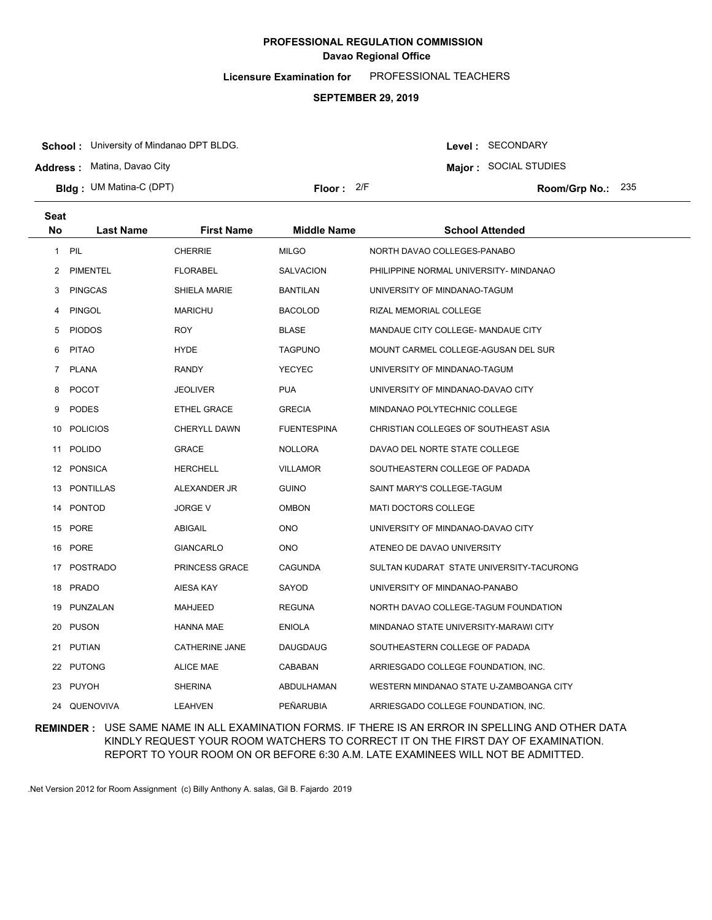**Licensure Examination for**  PROFESSIONAL TEACHERS

### **SEPTEMBER 29, 2019**

**School :** University of Mindanao DPT BLDG.

**Address :** Matina, Davao City

**Bldg : Floor : Room/Grp No.:** UM Matina-C (DPT)

Floor: 2/F Room/Grp No.: 235

**Major :** SOCIAL STUDIES

Level : SECONDARY

| <b>Seat</b>  |                  |                       |                    |                                          |
|--------------|------------------|-----------------------|--------------------|------------------------------------------|
| <b>No</b>    | <b>Last Name</b> | <b>First Name</b>     | <b>Middle Name</b> | <b>School Attended</b>                   |
| $\mathbf{1}$ | PIL              | <b>CHERRIE</b>        | <b>MILGO</b>       | NORTH DAVAO COLLEGES-PANABO              |
| 2            | <b>PIMENTEL</b>  | <b>FLORABEL</b>       | <b>SALVACION</b>   | PHILIPPINE NORMAL UNIVERSITY- MINDANAO   |
| 3            | <b>PINGCAS</b>   | <b>SHIELA MARIE</b>   | <b>BANTILAN</b>    | UNIVERSITY OF MINDANAO-TAGUM             |
| 4            | <b>PINGOL</b>    | <b>MARICHU</b>        | <b>BACOLOD</b>     | RIZAL MEMORIAL COLLEGE                   |
| 5            | <b>PIODOS</b>    | <b>ROY</b>            | <b>BLASE</b>       | MANDAUE CITY COLLEGE- MANDAUE CITY       |
| 6            | <b>PITAO</b>     | <b>HYDE</b>           | <b>TAGPUNO</b>     | MOUNT CARMEL COLLEGE-AGUSAN DEL SUR      |
|              | 7 PLANA          | <b>RANDY</b>          | <b>YECYEC</b>      | UNIVERSITY OF MINDANAO-TAGUM             |
| 8            | <b>POCOT</b>     | <b>JEOLIVER</b>       | <b>PUA</b>         | UNIVERSITY OF MINDANAO-DAVAO CITY        |
| 9            | <b>PODES</b>     | <b>ETHEL GRACE</b>    | <b>GRECIA</b>      | MINDANAO POLYTECHNIC COLLEGE             |
|              | 10 POLICIOS      | <b>CHERYLL DAWN</b>   | <b>FUENTESPINA</b> | CHRISTIAN COLLEGES OF SOUTHEAST ASIA     |
|              | 11 POLIDO        | <b>GRACE</b>          | <b>NOLLORA</b>     | DAVAO DEL NORTE STATE COLLEGE            |
|              | 12 PONSICA       | <b>HERCHELL</b>       | <b>VILLAMOR</b>    | SOUTHEASTERN COLLEGE OF PADADA           |
|              | 13 PONTILLAS     | ALEXANDER JR          | <b>GUINO</b>       | SAINT MARY'S COLLEGE-TAGUM               |
|              | 14 PONTOD        | <b>JORGE V</b>        | <b>OMBON</b>       | <b>MATI DOCTORS COLLEGE</b>              |
|              | 15 PORE          | ABIGAIL               | <b>ONO</b>         | UNIVERSITY OF MINDANAO-DAVAO CITY        |
| 16           | PORE             | <b>GIANCARLO</b>      | <b>ONO</b>         | ATENEO DE DAVAO UNIVERSITY               |
|              | 17 POSTRADO      | PRINCESS GRACE        | <b>CAGUNDA</b>     | SULTAN KUDARAT STATE UNIVERSITY-TACURONG |
|              | 18 PRADO         | <b>AIESA KAY</b>      | SAYOD              | UNIVERSITY OF MINDANAO-PANABO            |
|              | 19 PUNZALAN      | MAHJEED               | <b>REGUNA</b>      | NORTH DAVAO COLLEGE-TAGUM FOUNDATION     |
|              | 20 PUSON         | <b>HANNA MAE</b>      | <b>ENIOLA</b>      | MINDANAO STATE UNIVERSITY-MARAWI CITY    |
|              | 21 PUTIAN        | <b>CATHERINE JANE</b> | <b>DAUGDAUG</b>    | SOUTHEASTERN COLLEGE OF PADADA           |
|              | 22 PUTONG        | <b>ALICE MAE</b>      | CABABAN            | ARRIESGADO COLLEGE FOUNDATION, INC.      |
|              | 23 PUYOH         | <b>SHERINA</b>        | ABDULHAMAN         | WESTERN MINDANAO STATE U-ZAMBOANGA CITY  |
|              | 24 QUENOVIVA     | <b>LEAHVEN</b>        | PEÑARUBIA          | ARRIESGADO COLLEGE FOUNDATION, INC.      |

### **REMINDER :** USE SAME NAME IN ALL EXAMINATION FORMS. IF THERE IS AN ERROR IN SPELLING AND OTHER DATA KINDLY REQUEST YOUR ROOM WATCHERS TO CORRECT IT ON THE FIRST DAY OF EXAMINATION. REPORT TO YOUR ROOM ON OR BEFORE 6:30 A.M. LATE EXAMINEES WILL NOT BE ADMITTED.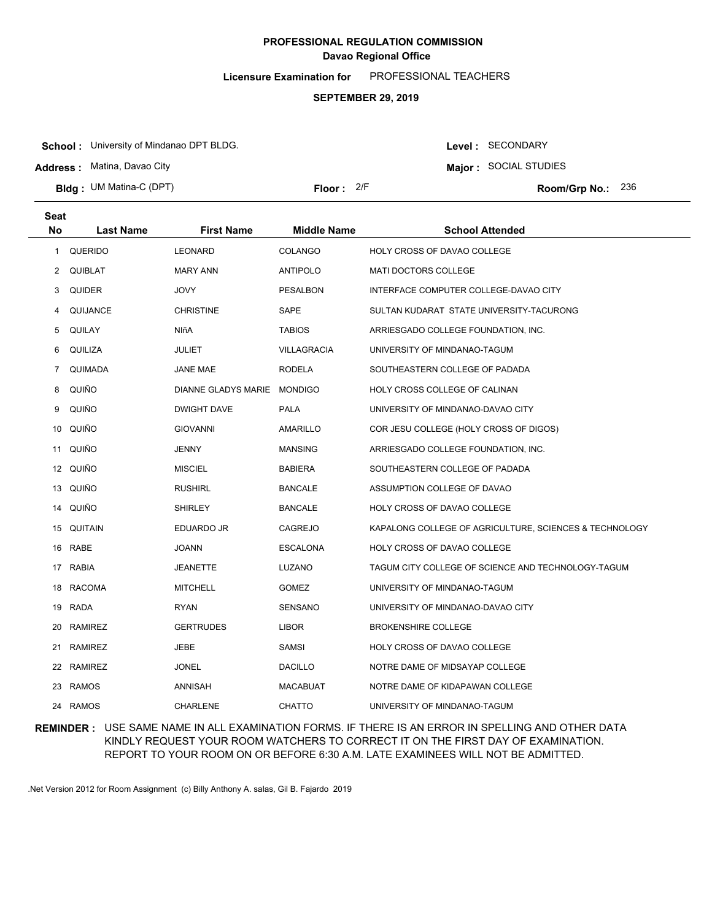**Licensure Examination for**  PROFESSIONAL TEACHERS

### **SEPTEMBER 29, 2019**

**School :** University of Mindanao DPT BLDG.

**Address :** Matina, Davao City

**Bldg : Floor : Room/Grp No.:** UM Matina-C (DPT)

**Major :** SOCIAL STUDIES Floor: 2/F Room/Grp No.: 236

Level : SECONDARY

| Seat<br>No | <b>Last Name</b> | <b>First Name</b>           | <b>Middle Name</b> | <b>School Attended</b>                                 |
|------------|------------------|-----------------------------|--------------------|--------------------------------------------------------|
|            |                  |                             |                    |                                                        |
| 1          | <b>QUERIDO</b>   | <b>LEONARD</b>              | <b>COLANGO</b>     | HOLY CROSS OF DAVAO COLLEGE                            |
|            | 2 QUIBLAT        | <b>MARY ANN</b>             | <b>ANTIPOLO</b>    | MATI DOCTORS COLLEGE                                   |
| 3          | <b>QUIDER</b>    | JOVY                        | <b>PESALBON</b>    | INTERFACE COMPUTER COLLEGE-DAVAO CITY                  |
| 4          | QUIJANCE         | <b>CHRISTINE</b>            | SAPE               | SULTAN KUDARAT STATE UNIVERSITY-TACURONG               |
| 5          | <b>QUILAY</b>    | NIñA                        | <b>TABIOS</b>      | ARRIESGADO COLLEGE FOUNDATION, INC.                    |
| 6          | QUILIZA          | <b>JULIET</b>               | <b>VILLAGRACIA</b> | UNIVERSITY OF MINDANAO-TAGUM                           |
| 7          | QUIMADA          | JANE MAE                    | <b>RODELA</b>      | SOUTHEASTERN COLLEGE OF PADADA                         |
| 8          | QUIÑO            | DIANNE GLADYS MARIE MONDIGO |                    | HOLY CROSS COLLEGE OF CALINAN                          |
| 9          | QUIÑO            | <b>DWIGHT DAVE</b>          | PALA               | UNIVERSITY OF MINDANAO-DAVAO CITY                      |
| 10         | QUIÑO            | <b>GIOVANNI</b>             | AMARILLO           | COR JESU COLLEGE (HOLY CROSS OF DIGOS)                 |
| 11         | QUIÑO            | <b>JENNY</b>                | <b>MANSING</b>     | ARRIESGADO COLLEGE FOUNDATION, INC.                    |
|            | 12 QUIÑO         | <b>MISCIEL</b>              | <b>BABIERA</b>     | SOUTHEASTERN COLLEGE OF PADADA                         |
|            | 13 QUIÑO         | <b>RUSHIRL</b>              | <b>BANCALE</b>     | ASSUMPTION COLLEGE OF DAVAO                            |
|            | 14 QUIÑO         | <b>SHIRLEY</b>              | <b>BANCALE</b>     | HOLY CROSS OF DAVAO COLLEGE                            |
|            | 15 QUITAIN       | EDUARDO JR                  | <b>CAGREJO</b>     | KAPALONG COLLEGE OF AGRICULTURE, SCIENCES & TECHNOLOGY |
|            | 16 RABE          | JOANN                       | <b>ESCALONA</b>    | HOLY CROSS OF DAVAO COLLEGE                            |
|            | 17 RABIA         | JEANETTE                    | LUZANO             | TAGUM CITY COLLEGE OF SCIENCE AND TECHNOLOGY-TAGUM     |
|            | 18 RACOMA        | <b>MITCHELL</b>             | <b>GOMEZ</b>       | UNIVERSITY OF MINDANAO-TAGUM                           |
|            | 19 RADA          | RYAN                        | SENSANO            | UNIVERSITY OF MINDANAO-DAVAO CITY                      |
| 20         | <b>RAMIREZ</b>   | <b>GERTRUDES</b>            | <b>LIBOR</b>       | <b>BROKENSHIRE COLLEGE</b>                             |
| 21         | <b>RAMIREZ</b>   | <b>JEBE</b>                 | <b>SAMSI</b>       | HOLY CROSS OF DAVAO COLLEGE                            |
|            | 22 RAMIREZ       | JONEL                       | <b>DACILLO</b>     | NOTRE DAME OF MIDSAYAP COLLEGE                         |
|            | 23 RAMOS         | ANNISAH                     | MACABUAT           | NOTRE DAME OF KIDAPAWAN COLLEGE                        |
|            | 24 RAMOS         | <b>CHARLENE</b>             | <b>CHATTO</b>      | UNIVERSITY OF MINDANAO-TAGUM                           |

### **REMINDER :** USE SAME NAME IN ALL EXAMINATION FORMS. IF THERE IS AN ERROR IN SPELLING AND OTHER DATA KINDLY REQUEST YOUR ROOM WATCHERS TO CORRECT IT ON THE FIRST DAY OF EXAMINATION. REPORT TO YOUR ROOM ON OR BEFORE 6:30 A.M. LATE EXAMINEES WILL NOT BE ADMITTED.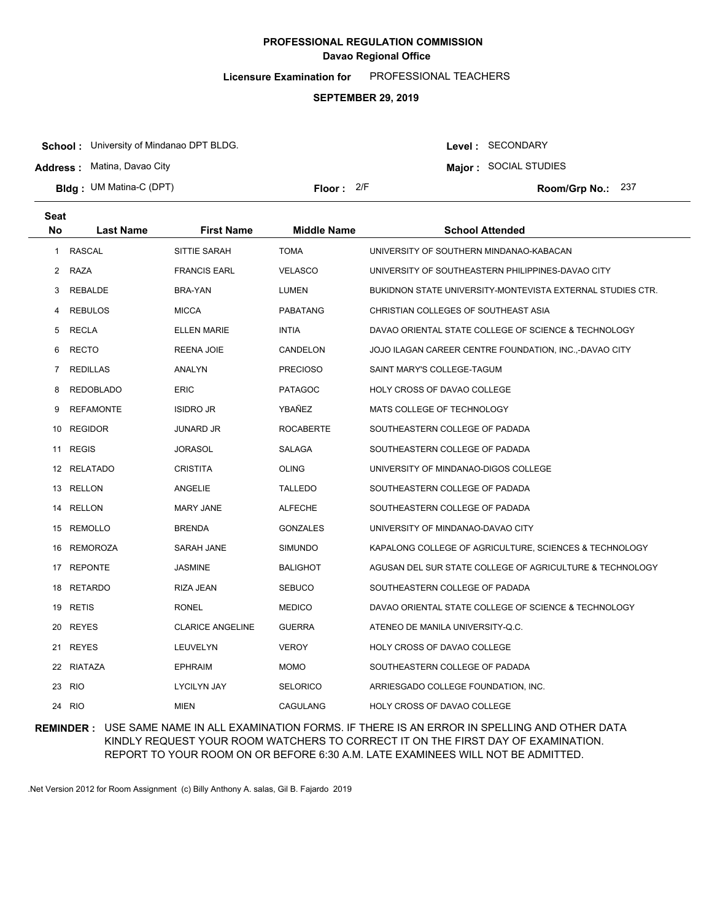**Licensure Examination for**  PROFESSIONAL TEACHERS

### **SEPTEMBER 29, 2019**

**School :** University of Mindanao DPT BLDG.

**Address :** Matina, Davao City

**Bldg : Floor : Room/Grp No.:** UM Matina-C (DPT)

Floor: 2/F Room/Grp No.: 237

Level : SECONDARY **Major :** SOCIAL STUDIES

| <b>Seat</b><br>No | <b>Last Name</b> | <b>First Name</b>       | <b>Middle Name</b> | <b>School Attended</b>                                     |
|-------------------|------------------|-------------------------|--------------------|------------------------------------------------------------|
| 1                 | <b>RASCAL</b>    | SITTIE SARAH            | <b>TOMA</b>        | UNIVERSITY OF SOUTHERN MINDANAO-KABACAN                    |
| $\mathbf{2}$      | RAZA             | <b>FRANCIS EARL</b>     | <b>VELASCO</b>     | UNIVERSITY OF SOUTHEASTERN PHILIPPINES-DAVAO CITY          |
| 3                 | REBALDE          | BRA-YAN                 | <b>LUMEN</b>       | BUKIDNON STATE UNIVERSITY-MONTEVISTA EXTERNAL STUDIES CTR. |
| 4                 | <b>REBULOS</b>   | <b>MICCA</b>            | <b>PABATANG</b>    | CHRISTIAN COLLEGES OF SOUTHEAST ASIA                       |
| 5                 | RECLA            | <b>ELLEN MARIE</b>      | <b>INTIA</b>       | DAVAO ORIENTAL STATE COLLEGE OF SCIENCE & TECHNOLOGY       |
| 6                 | <b>RECTO</b>     | <b>REENA JOIE</b>       | CANDELON           | JOJO ILAGAN CAREER CENTRE FOUNDATION, INC.,-DAVAO CITY     |
| $\overline{7}$    | <b>REDILLAS</b>  | ANALYN                  | <b>PRECIOSO</b>    | SAINT MARY'S COLLEGE-TAGUM                                 |
| 8                 | <b>REDOBLADO</b> | <b>ERIC</b>             | <b>PATAGOC</b>     | HOLY CROSS OF DAVAO COLLEGE                                |
| 9                 | <b>REFAMONTE</b> | <b>ISIDRO JR</b>        | YBAÑEZ             | MATS COLLEGE OF TECHNOLOGY                                 |
| 10                | <b>REGIDOR</b>   | JUNARD JR               | <b>ROCABERTE</b>   | SOUTHEASTERN COLLEGE OF PADADA                             |
| 11                | <b>REGIS</b>     | JORASOL                 | SALAGA             | SOUTHEASTERN COLLEGE OF PADADA                             |
|                   | 12 RELATADO      | <b>CRISTITA</b>         | <b>OLING</b>       | UNIVERSITY OF MINDANAO-DIGOS COLLEGE                       |
|                   | 13 RELLON        | ANGELIE                 | TALLEDO            | SOUTHEASTERN COLLEGE OF PADADA                             |
| 14                | <b>RELLON</b>    | <b>MARY JANE</b>        | <b>ALFECHE</b>     | SOUTHEASTERN COLLEGE OF PADADA                             |
|                   | 15 REMOLLO       | <b>BRENDA</b>           | <b>GONZALES</b>    | UNIVERSITY OF MINDANAO-DAVAO CITY                          |
| 16                | <b>REMOROZA</b>  | SARAH JANE              | <b>SIMUNDO</b>     | KAPALONG COLLEGE OF AGRICULTURE, SCIENCES & TECHNOLOGY     |
| 17                | <b>REPONTE</b>   | <b>JASMINE</b>          | <b>BALIGHOT</b>    | AGUSAN DEL SUR STATE COLLEGE OF AGRICULTURE & TECHNOLOGY   |
|                   | 18 RETARDO       | <b>RIZA JEAN</b>        | <b>SEBUCO</b>      | SOUTHEASTERN COLLEGE OF PADADA                             |
|                   | 19 RETIS         | RONEL                   | <b>MEDICO</b>      | DAVAO ORIENTAL STATE COLLEGE OF SCIENCE & TECHNOLOGY       |
|                   | 20 REYES         | <b>CLARICE ANGELINE</b> | <b>GUERRA</b>      | ATENEO DE MANILA UNIVERSITY-Q.C.                           |
|                   | 21 REYES         | LEUVELYN                | <b>VEROY</b>       | HOLY CROSS OF DAVAO COLLEGE                                |
|                   | 22 RIATAZA       | <b>EPHRAIM</b>          | <b>MOMO</b>        | SOUTHEASTERN COLLEGE OF PADADA                             |
| 23                | <b>RIO</b>       | <b>LYCILYN JAY</b>      | <b>SELORICO</b>    | ARRIESGADO COLLEGE FOUNDATION, INC.                        |
| 24                | <b>RIO</b>       | MIEN                    | <b>CAGULANG</b>    | HOLY CROSS OF DAVAO COLLEGE                                |

### **REMINDER :** USE SAME NAME IN ALL EXAMINATION FORMS. IF THERE IS AN ERROR IN SPELLING AND OTHER DATA KINDLY REQUEST YOUR ROOM WATCHERS TO CORRECT IT ON THE FIRST DAY OF EXAMINATION. REPORT TO YOUR ROOM ON OR BEFORE 6:30 A.M. LATE EXAMINEES WILL NOT BE ADMITTED.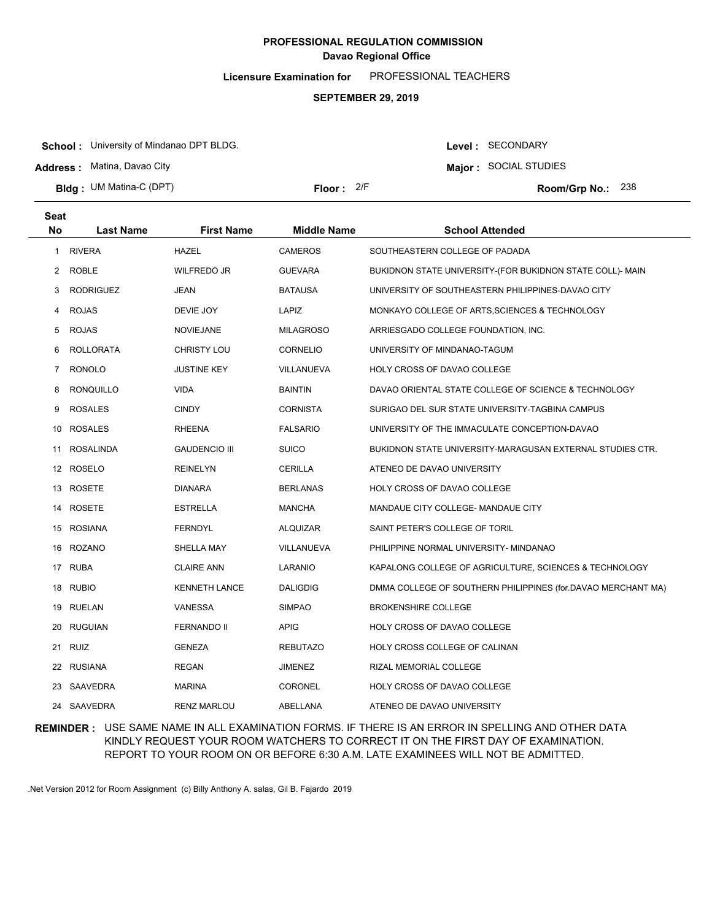**Licensure Examination for**  PROFESSIONAL TEACHERS

### **SEPTEMBER 29, 2019**

**School :** University of Mindanao DPT BLDG.

**Address :** Matina, Davao City

**Seat**

**Bldg : Floor : Room/Grp No.:** UM Matina-C (DPT)

Floor: 2/F Room/Grp No.: 238

Level : SECONDARY **Major :** SOCIAL STUDIES

| əeal           |                  |                      |                    |                                                              |
|----------------|------------------|----------------------|--------------------|--------------------------------------------------------------|
| <b>No</b>      | <b>Last Name</b> | <b>First Name</b>    | <b>Middle Name</b> | <b>School Attended</b>                                       |
|                | 1 RIVERA         | <b>HAZEL</b>         | <b>CAMEROS</b>     | SOUTHEASTERN COLLEGE OF PADADA                               |
| 2              | <b>ROBLE</b>     | <b>WILFREDO JR</b>   | <b>GUEVARA</b>     | BUKIDNON STATE UNIVERSITY-(FOR BUKIDNON STATE COLL)- MAIN    |
| 3              | <b>RODRIGUEZ</b> | JEAN                 | <b>BATAUSA</b>     | UNIVERSITY OF SOUTHEASTERN PHILIPPINES-DAVAO CITY            |
| 4              | <b>ROJAS</b>     | DEVIE JOY            | LAPIZ              | MONKAYO COLLEGE OF ARTS, SCIENCES & TECHNOLOGY               |
| 5              | <b>ROJAS</b>     | <b>NOVIEJANE</b>     | <b>MILAGROSO</b>   | ARRIESGADO COLLEGE FOUNDATION, INC.                          |
| 6              | <b>ROLLORATA</b> | <b>CHRISTY LOU</b>   | CORNELIO           | UNIVERSITY OF MINDANAO-TAGUM                                 |
| $\overline{7}$ | <b>RONOLO</b>    | <b>JUSTINE KEY</b>   | VILLANUEVA         | HOLY CROSS OF DAVAO COLLEGE                                  |
| 8              | <b>RONQUILLO</b> | <b>VIDA</b>          | <b>BAINTIN</b>     | DAVAO ORIENTAL STATE COLLEGE OF SCIENCE & TECHNOLOGY         |
| 9              | <b>ROSALES</b>   | <b>CINDY</b>         | <b>CORNISTA</b>    | SURIGAO DEL SUR STATE UNIVERSITY-TAGBINA CAMPUS              |
| 10             | <b>ROSALES</b>   | <b>RHEENA</b>        | <b>FALSARIO</b>    | UNIVERSITY OF THE IMMACULATE CONCEPTION-DAVAO                |
| 11             | ROSALINDA        | <b>GAUDENCIO III</b> | <b>SUICO</b>       | BUKIDNON STATE UNIVERSITY-MARAGUSAN EXTERNAL STUDIES CTR.    |
|                | 12 ROSELO        | <b>REINELYN</b>      | CERILLA            | ATENEO DE DAVAO UNIVERSITY                                   |
|                | 13 ROSETE        | <b>DIANARA</b>       | <b>BERLANAS</b>    | HOLY CROSS OF DAVAO COLLEGE                                  |
|                | 14 ROSETE        | <b>ESTRELLA</b>      | MANCHA             | MANDAUE CITY COLLEGE- MANDAUE CITY                           |
|                | 15 ROSIANA       | <b>FERNDYL</b>       | <b>ALQUIZAR</b>    | SAINT PETER'S COLLEGE OF TORIL                               |
|                | 16 ROZANO        | SHELLA MAY           | VILLANUEVA         | PHILIPPINE NORMAL UNIVERSITY- MINDANAO                       |
|                | 17 RUBA          | <b>CLAIRE ANN</b>    | LARANIO            | KAPALONG COLLEGE OF AGRICULTURE, SCIENCES & TECHNOLOGY       |
| 18             | RUBIO            | <b>KENNETH LANCE</b> | <b>DALIGDIG</b>    | DMMA COLLEGE OF SOUTHERN PHILIPPINES (for DAVAO MERCHANT MA) |
|                | 19 RUELAN        | VANESSA              | <b>SIMPAO</b>      | <b>BROKENSHIRE COLLEGE</b>                                   |
| 20             | <b>RUGUIAN</b>   | <b>FERNANDO II</b>   | APIG               | HOLY CROSS OF DAVAO COLLEGE                                  |
|                | 21 RUIZ          | <b>GENEZA</b>        | <b>REBUTAZO</b>    | HOLY CROSS COLLEGE OF CALINAN                                |
|                | 22 RUSIANA       | <b>REGAN</b>         | JIMENEZ            | RIZAL MEMORIAL COLLEGE                                       |
| 23             | SAAVEDRA         | <b>MARINA</b>        | CORONEL            | HOLY CROSS OF DAVAO COLLEGE                                  |
|                | 24 SAAVEDRA      | <b>RENZ MARLOU</b>   | ABELLANA           | ATENEO DE DAVAO UNIVERSITY                                   |

## **REMINDER :** USE SAME NAME IN ALL EXAMINATION FORMS. IF THERE IS AN ERROR IN SPELLING AND OTHER DATA KINDLY REQUEST YOUR ROOM WATCHERS TO CORRECT IT ON THE FIRST DAY OF EXAMINATION. REPORT TO YOUR ROOM ON OR BEFORE 6:30 A.M. LATE EXAMINEES WILL NOT BE ADMITTED.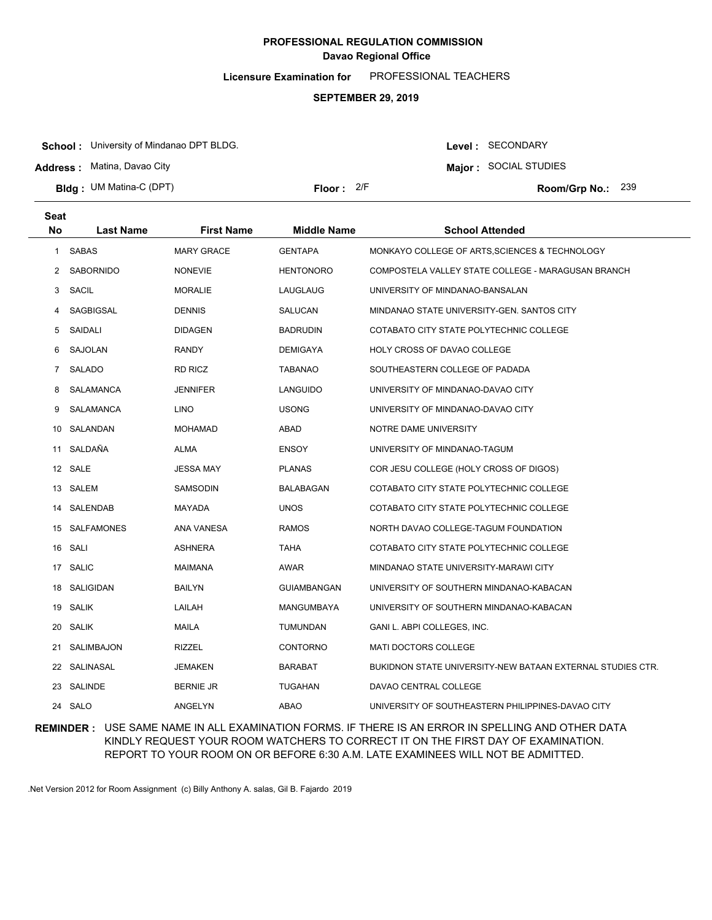**Licensure Examination for**  PROFESSIONAL TEACHERS

### **SEPTEMBER 29, 2019**

**School :** University of Mindanao DPT BLDG.

**Address :** Matina, Davao City

**Bldg : Floor : Room/Grp No.:** UM Matina-C (DPT)

Floor: 2/F Room/Grp No.: 239

Level : SECONDARY **Major :** SOCIAL STUDIES

| <b>Seat</b>    |                  |                   |                    |                                                            |
|----------------|------------------|-------------------|--------------------|------------------------------------------------------------|
| No             | <b>Last Name</b> | <b>First Name</b> | Middle Name        | <b>School Attended</b>                                     |
| $\mathbf{1}$   | <b>SABAS</b>     | <b>MARY GRACE</b> | <b>GENTAPA</b>     | MONKAYO COLLEGE OF ARTS, SCIENCES & TECHNOLOGY             |
| 2              | <b>SABORNIDO</b> | <b>NONEVIE</b>    | <b>HENTONORO</b>   | COMPOSTELA VALLEY STATE COLLEGE - MARAGUSAN BRANCH         |
| 3              | SACIL            | <b>MORALIE</b>    | LAUGLAUG           | UNIVERSITY OF MINDANAO-BANSALAN                            |
| 4              | SAGBIGSAL        | <b>DENNIS</b>     | SALUCAN            | MINDANAO STATE UNIVERSITY-GEN. SANTOS CITY                 |
| 5              | SAIDALI          | <b>DIDAGEN</b>    | <b>BADRUDIN</b>    | COTABATO CITY STATE POLYTECHNIC COLLEGE                    |
| 6              | SAJOLAN          | <b>RANDY</b>      | <b>DEMIGAYA</b>    | HOLY CROSS OF DAVAO COLLEGE                                |
| $\overline{7}$ | SALADO           | <b>RD RICZ</b>    | <b>TABANAO</b>     | SOUTHEASTERN COLLEGE OF PADADA                             |
| 8              | SALAMANCA        | <b>JENNIFER</b>   | LANGUIDO           | UNIVERSITY OF MINDANAO-DAVAO CITY                          |
| 9              | SALAMANCA        | <b>LINO</b>       | <b>USONG</b>       | UNIVERSITY OF MINDANAO-DAVAO CITY                          |
| 10             | SALANDAN         | <b>MOHAMAD</b>    | <b>ABAD</b>        | NOTRE DAME UNIVERSITY                                      |
| 11             | SALDAÑA          | ALMA              | <b>ENSOY</b>       | UNIVERSITY OF MINDANAO-TAGUM                               |
|                | 12 SALE          | <b>JESSA MAY</b>  | <b>PLANAS</b>      | COR JESU COLLEGE (HOLY CROSS OF DIGOS)                     |
|                | 13 SALEM         | SAMSODIN          | <b>BALABAGAN</b>   | COTABATO CITY STATE POLYTECHNIC COLLEGE                    |
|                | 14 SALENDAB      | MAYADA            | <b>UNOS</b>        | COTABATO CITY STATE POLYTECHNIC COLLEGE                    |
|                | 15 SALFAMONES    | <b>ANA VANESA</b> | <b>RAMOS</b>       | NORTH DAVAO COLLEGE-TAGUM FOUNDATION                       |
|                | 16 SALI          | <b>ASHNERA</b>    | <b>TAHA</b>        | COTABATO CITY STATE POLYTECHNIC COLLEGE                    |
|                | 17 SALIC         | <b>MAIMANA</b>    | AWAR               | MINDANAO STATE UNIVERSITY-MARAWI CITY                      |
| 18             | SALIGIDAN        | <b>BAILYN</b>     | <b>GUIAMBANGAN</b> | UNIVERSITY OF SOUTHERN MINDANAO-KABACAN                    |
| 19             | <b>SALIK</b>     | LAILAH            | MANGUMBAYA         | UNIVERSITY OF SOUTHERN MINDANAO-KABACAN                    |
| 20             | <b>SALIK</b>     | MAILA             | <b>TUMUNDAN</b>    | GANI L. ABPI COLLEGES, INC.                                |
| 21             | SALIMBAJON       | <b>RIZZEL</b>     | <b>CONTORNO</b>    | <b>MATI DOCTORS COLLEGE</b>                                |
|                | 22 SALINASAL     | <b>JEMAKEN</b>    | <b>BARABAT</b>     | BUKIDNON STATE UNIVERSITY-NEW BATAAN EXTERNAL STUDIES CTR. |
| 23             | SALINDE          | <b>BERNIE JR</b>  | <b>TUGAHAN</b>     | DAVAO CENTRAL COLLEGE                                      |
|                | 24 SALO          | ANGELYN           | <b>ABAO</b>        | UNIVERSITY OF SOUTHEASTERN PHILIPPINES-DAVAO CITY          |

**REMINDER :** USE SAME NAME IN ALL EXAMINATION FORMS. IF THERE IS AN ERROR IN SPELLING AND OTHER DATA KINDLY REQUEST YOUR ROOM WATCHERS TO CORRECT IT ON THE FIRST DAY OF EXAMINATION. REPORT TO YOUR ROOM ON OR BEFORE 6:30 A.M. LATE EXAMINEES WILL NOT BE ADMITTED.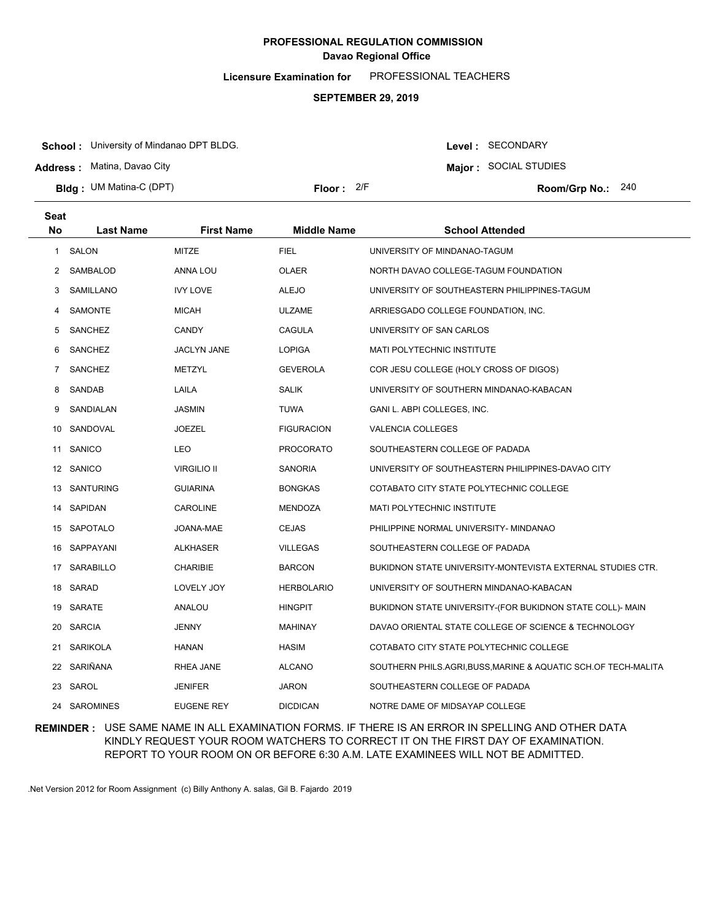**Licensure Examination for**  PROFESSIONAL TEACHERS

### **SEPTEMBER 29, 2019**

**School :** University of Mindanao DPT BLDG.

**Address :** Matina, Davao City

**Bldg : Floor : Room/Grp No.:** UM Matina-C (DPT)

Floor: 2/F Room/Grp No.: 240

**Major :** SOCIAL STUDIES

Level : SECONDARY

| <b>Seat</b> |                  |                    |                    |                                                              |
|-------------|------------------|--------------------|--------------------|--------------------------------------------------------------|
| <b>No</b>   | <b>Last Name</b> | <b>First Name</b>  | <b>Middle Name</b> | <b>School Attended</b>                                       |
| 1           | <b>SALON</b>     | MITZE              | <b>FIEL</b>        | UNIVERSITY OF MINDANAO-TAGUM                                 |
| 2           | SAMBALOD         | ANNA LOU           | <b>OLAER</b>       | NORTH DAVAO COLLEGE-TAGUM FOUNDATION                         |
| 3           | SAMILLANO        | <b>IVY LOVE</b>    | <b>ALEJO</b>       | UNIVERSITY OF SOUTHEASTERN PHILIPPINES-TAGUM                 |
| 4           | <b>SAMONTE</b>   | <b>MICAH</b>       | <b>ULZAME</b>      | ARRIESGADO COLLEGE FOUNDATION, INC.                          |
| 5           | <b>SANCHEZ</b>   | <b>CANDY</b>       | <b>CAGULA</b>      | UNIVERSITY OF SAN CARLOS                                     |
| 6           | <b>SANCHEZ</b>   | <b>JACLYN JANE</b> | <b>LOPIGA</b>      | MATI POLYTECHNIC INSTITUTE                                   |
| 7           | <b>SANCHEZ</b>   | METZYL             | <b>GEVEROLA</b>    | COR JESU COLLEGE (HOLY CROSS OF DIGOS)                       |
| 8           | SANDAB           | LAILA              | <b>SALIK</b>       | UNIVERSITY OF SOUTHERN MINDANAO-KABACAN                      |
| 9           | SANDIALAN        | <b>JASMIN</b>      | TUWA               | GANI L. ABPI COLLEGES, INC.                                  |
| 10          | SANDOVAL         | <b>JOEZEL</b>      | <b>FIGURACION</b>  | <b>VALENCIA COLLEGES</b>                                     |
| 11          | SANICO           | <b>LEO</b>         | PROCORATO          | SOUTHEASTERN COLLEGE OF PADADA                               |
|             | 12 SANICO        | <b>VIRGILIO II</b> | SANORIA            | UNIVERSITY OF SOUTHEASTERN PHILIPPINES-DAVAO CITY            |
| 13          | <b>SANTURING</b> | <b>GUIARINA</b>    | <b>BONGKAS</b>     | COTABATO CITY STATE POLYTECHNIC COLLEGE                      |
|             | 14 SAPIDAN       | <b>CAROLINE</b>    | MENDOZA            | <b>MATI POLYTECHNIC INSTITUTE</b>                            |
|             | 15 SAPOTALO      | JOANA-MAE          | <b>CEJAS</b>       | PHILIPPINE NORMAL UNIVERSITY- MINDANAO                       |
|             | 16 SAPPAYANI     | <b>ALKHASER</b>    | <b>VILLEGAS</b>    | SOUTHEASTERN COLLEGE OF PADADA                               |
|             | 17 SARABILLO     | <b>CHARIBIE</b>    | <b>BARCON</b>      | BUKIDNON STATE UNIVERSITY-MONTEVISTA EXTERNAL STUDIES CTR.   |
|             | 18 SARAD         | LOVELY JOY         | <b>HERBOLARIO</b>  | UNIVERSITY OF SOUTHERN MINDANAO-KABACAN                      |
|             | 19 SARATE        | ANALOU             | <b>HINGPIT</b>     | BUKIDNON STATE UNIVERSITY-(FOR BUKIDNON STATE COLL)- MAIN    |
| 20          | <b>SARCIA</b>    | <b>JENNY</b>       | <b>MAHINAY</b>     | DAVAO ORIENTAL STATE COLLEGE OF SCIENCE & TECHNOLOGY         |
|             | 21 SARIKOLA      | HANAN              | <b>HASIM</b>       | COTABATO CITY STATE POLYTECHNIC COLLEGE                      |
|             | 22 SARIÑANA      | RHEA JANE          | <b>ALCANO</b>      | SOUTHERN PHILS.AGRI,BUSS,MARINE & AQUATIC SCH.OF TECH-MALITA |
| 23          | SAROL            | <b>JENIFER</b>     | JARON              | SOUTHEASTERN COLLEGE OF PADADA                               |
| 24          | <b>SAROMINES</b> | <b>EUGENE REY</b>  | <b>DICDICAN</b>    | NOTRE DAME OF MIDSAYAP COLLEGE                               |

### **REMINDER :** USE SAME NAME IN ALL EXAMINATION FORMS. IF THERE IS AN ERROR IN SPELLING AND OTHER DATA KINDLY REQUEST YOUR ROOM WATCHERS TO CORRECT IT ON THE FIRST DAY OF EXAMINATION. REPORT TO YOUR ROOM ON OR BEFORE 6:30 A.M. LATE EXAMINEES WILL NOT BE ADMITTED.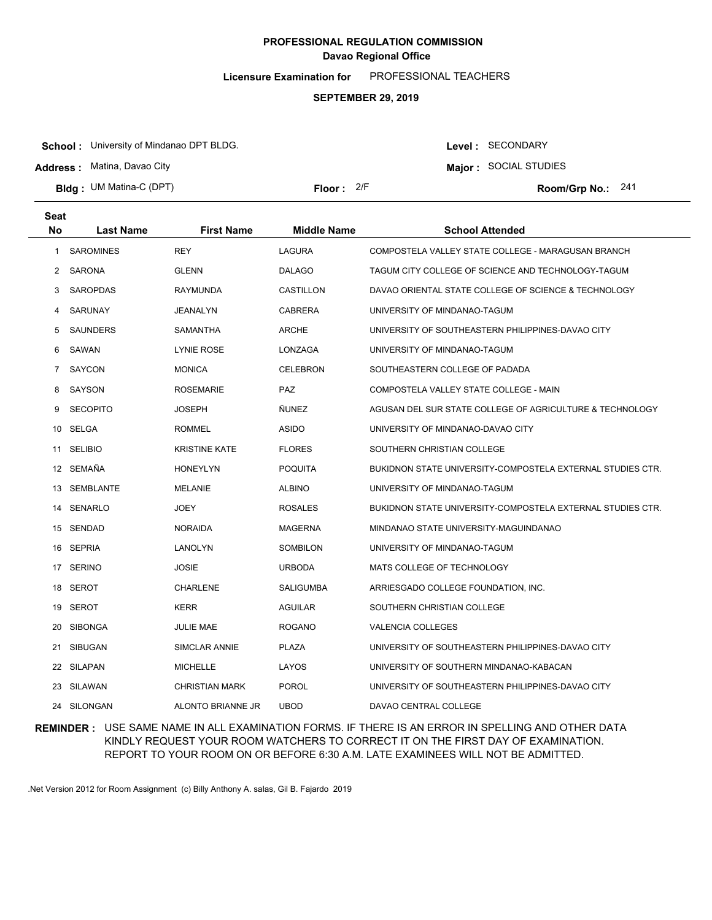**Licensure Examination for**  PROFESSIONAL TEACHERS

#### **SEPTEMBER 29, 2019**

**School :** University of Mindanao DPT BLDG.

**Address :** Matina, Davao City

**Seat**

**Bldg : Floor : Room/Grp No.:** UM Matina-C (DPT)

Floor: 2/F Room/Grp No.: 241

Level : SECONDARY **Major :** SOCIAL STUDIES

| əeal           |                  |                       |                    |                                                            |
|----------------|------------------|-----------------------|--------------------|------------------------------------------------------------|
| <b>No</b>      | <b>Last Name</b> | <b>First Name</b>     | <b>Middle Name</b> | <b>School Attended</b>                                     |
| 1.             | <b>SAROMINES</b> | <b>REY</b>            | LAGURA             | COMPOSTELA VALLEY STATE COLLEGE - MARAGUSAN BRANCH         |
| 2              | SARONA           | <b>GLENN</b>          | <b>DALAGO</b>      | TAGUM CITY COLLEGE OF SCIENCE AND TECHNOLOGY-TAGUM         |
| 3              | <b>SAROPDAS</b>  | RAYMUNDA              | CASTILLON          | DAVAO ORIENTAL STATE COLLEGE OF SCIENCE & TECHNOLOGY       |
| 4              | SARUNAY          | JEANALYN              | <b>CABRERA</b>     | UNIVERSITY OF MINDANAO-TAGUM                               |
| 5              | <b>SAUNDERS</b>  | SAMANTHA              | <b>ARCHE</b>       | UNIVERSITY OF SOUTHEASTERN PHILIPPINES-DAVAO CITY          |
| 6              | SAWAN            | <b>LYNIE ROSE</b>     | LONZAGA            | UNIVERSITY OF MINDANAO-TAGUM                               |
| $\overline{7}$ | SAYCON           | <b>MONICA</b>         | <b>CELEBRON</b>    | SOUTHEASTERN COLLEGE OF PADADA                             |
| 8              | SAYSON           | <b>ROSEMARIE</b>      | PAZ                | COMPOSTELA VALLEY STATE COLLEGE - MAIN                     |
| 9              | <b>SECOPITO</b>  | <b>JOSEPH</b>         | <b>ÑUNEZ</b>       | AGUSAN DEL SUR STATE COLLEGE OF AGRICULTURE & TECHNOLOGY   |
|                | 10 SELGA         | <b>ROMMEL</b>         | <b>ASIDO</b>       | UNIVERSITY OF MINDANAO-DAVAO CITY                          |
| 11             | <b>SELIBIO</b>   | <b>KRISTINE KATE</b>  | <b>FLORES</b>      | SOUTHERN CHRISTIAN COLLEGE                                 |
|                | 12 SEMAÑA        | <b>HONEYLYN</b>       | <b>POQUITA</b>     | BUKIDNON STATE UNIVERSITY-COMPOSTELA EXTERNAL STUDIES CTR. |
|                | 13 SEMBLANTE     | <b>MELANIE</b>        | <b>ALBINO</b>      | UNIVERSITY OF MINDANAO-TAGUM                               |
|                | 14 SENARLO       | JOEY                  | <b>ROSALES</b>     | BUKIDNON STATE UNIVERSITY-COMPOSTELA EXTERNAL STUDIES CTR. |
|                | 15 SENDAD        | <b>NORAIDA</b>        | <b>MAGERNA</b>     | MINDANAO STATE UNIVERSITY-MAGUINDANAO                      |
|                | 16 SEPRIA        | LANOLYN               | SOMBILON           | UNIVERSITY OF MINDANAO-TAGUM                               |
|                | 17 SERINO        | <b>JOSIE</b>          | <b>URBODA</b>      | MATS COLLEGE OF TECHNOLOGY                                 |
|                | 18 SEROT         | CHARLENE              | <b>SALIGUMBA</b>   | ARRIESGADO COLLEGE FOUNDATION, INC.                        |
|                | 19 SEROT         | <b>KERR</b>           | <b>AGUILAR</b>     | SOUTHERN CHRISTIAN COLLEGE                                 |
| 20             | <b>SIBONGA</b>   | JULIE MAE             | <b>ROGANO</b>      | <b>VALENCIA COLLEGES</b>                                   |
| 21             | SIBUGAN          | SIMCLAR ANNIE         | <b>PLAZA</b>       | UNIVERSITY OF SOUTHEASTERN PHILIPPINES-DAVAO CITY          |
|                | 22 SILAPAN       | <b>MICHELLE</b>       | LAYOS              | UNIVERSITY OF SOUTHERN MINDANAO-KABACAN                    |
|                | 23 SILAWAN       | <b>CHRISTIAN MARK</b> | <b>POROL</b>       | UNIVERSITY OF SOUTHEASTERN PHILIPPINES-DAVAO CITY          |
|                | 24 SILONGAN      | ALONTO BRIANNE JR     | <b>UBOD</b>        | DAVAO CENTRAL COLLEGE                                      |

### **REMINDER :** USE SAME NAME IN ALL EXAMINATION FORMS. IF THERE IS AN ERROR IN SPELLING AND OTHER DATA KINDLY REQUEST YOUR ROOM WATCHERS TO CORRECT IT ON THE FIRST DAY OF EXAMINATION. REPORT TO YOUR ROOM ON OR BEFORE 6:30 A.M. LATE EXAMINEES WILL NOT BE ADMITTED.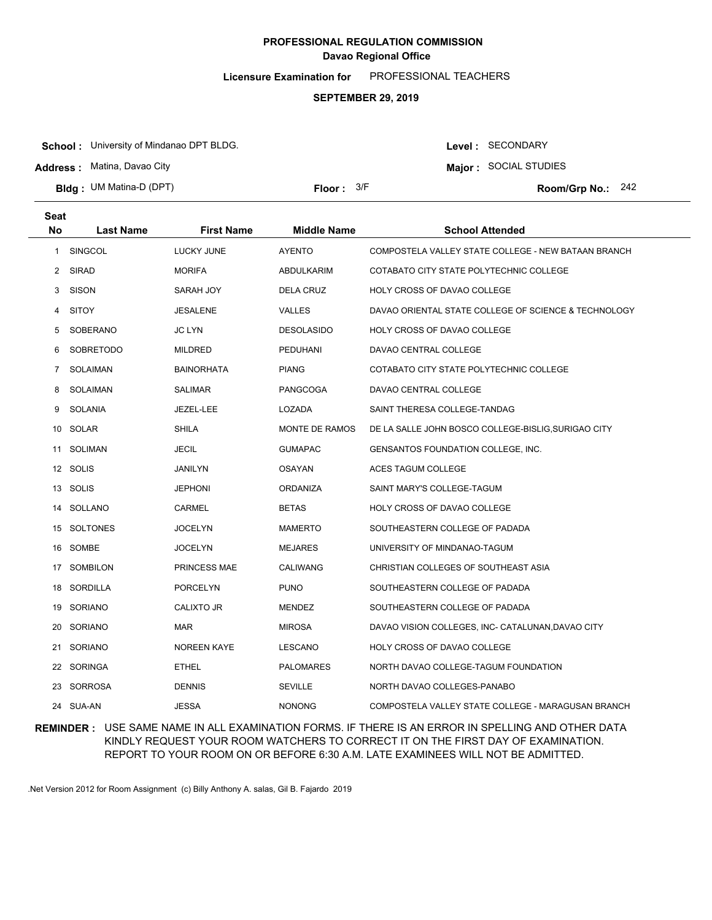**Licensure Examination for**  PROFESSIONAL TEACHERS

### **SEPTEMBER 29, 2019**

**School :** University of Mindanao DPT BLDG.

**Address :** Matina, Davao City

**Bldg : Floor : Room/Grp No.:** UM Matina-D (DPT)

Floor:  $3/F$  Room/Grp No.: 242

Level : SECONDARY **Major :** SOCIAL STUDIES

| <b>Seat</b>  |                  |                    |                    |                                                      |
|--------------|------------------|--------------------|--------------------|------------------------------------------------------|
| <b>No</b>    | <b>Last Name</b> | <b>First Name</b>  | <b>Middle Name</b> | <b>School Attended</b>                               |
| $\mathbf{1}$ | SINGCOL          | LUCKY JUNE         | <b>AYENTO</b>      | COMPOSTELA VALLEY STATE COLLEGE - NEW BATAAN BRANCH  |
| $\mathbf{2}$ | <b>SIRAD</b>     | <b>MORIFA</b>      | <b>ABDULKARIM</b>  | COTABATO CITY STATE POLYTECHNIC COLLEGE              |
| 3            | <b>SISON</b>     | SARAH JOY          | <b>DELA CRUZ</b>   | HOLY CROSS OF DAVAO COLLEGE                          |
| 4            | <b>SITOY</b>     | JESALENE           | <b>VALLES</b>      | DAVAO ORIENTAL STATE COLLEGE OF SCIENCE & TECHNOLOGY |
| 5            | SOBERANO         | <b>JC LYN</b>      | <b>DESOLASIDO</b>  | HOLY CROSS OF DAVAO COLLEGE                          |
| 6            | <b>SOBRETODO</b> | MILDRED            | PEDUHANI           | DAVAO CENTRAL COLLEGE                                |
| 7            | <b>SOLAIMAN</b>  | <b>BAINORHATA</b>  | <b>PIANG</b>       | COTABATO CITY STATE POLYTECHNIC COLLEGE              |
| 8            | SOLAIMAN         | <b>SALIMAR</b>     | PANGCOGA           | DAVAO CENTRAL COLLEGE                                |
| 9            | SOLANIA          | JEZEL-LEE          | LOZADA             | SAINT THERESA COLLEGE-TANDAG                         |
|              | 10 SOLAR         | <b>SHILA</b>       | MONTE DE RAMOS     | DE LA SALLE JOHN BOSCO COLLEGE-BISLIG, SURIGAO CITY  |
| 11           | <b>SOLIMAN</b>   | JECIL              | <b>GUMAPAC</b>     | GENSANTOS FOUNDATION COLLEGE, INC.                   |
|              | 12 SOLIS         | JANILYN            | <b>OSAYAN</b>      | ACES TAGUM COLLEGE                                   |
|              | 13 SOLIS         | <b>JEPHONI</b>     | <b>ORDANIZA</b>    | SAINT MARY'S COLLEGE-TAGUM                           |
|              | 14 SOLLANO       | CARMEL             | <b>BETAS</b>       | HOLY CROSS OF DAVAO COLLEGE                          |
|              | 15 SOLTONES      | <b>JOCELYN</b>     | <b>MAMERTO</b>     | SOUTHEASTERN COLLEGE OF PADADA                       |
|              | 16 SOMBE         | JOCELYN            | <b>MEJARES</b>     | UNIVERSITY OF MINDANAO-TAGUM                         |
|              | 17 SOMBILON      | PRINCESS MAE       | <b>CALIWANG</b>    | CHRISTIAN COLLEGES OF SOUTHEAST ASIA                 |
|              | 18 SORDILLA      | PORCELYN           | <b>PUNO</b>        | SOUTHEASTERN COLLEGE OF PADADA                       |
|              | 19 SORIANO       | <b>CALIXTO JR</b>  | MENDEZ             | SOUTHEASTERN COLLEGE OF PADADA                       |
|              | 20 SORIANO       | <b>MAR</b>         | <b>MIROSA</b>      | DAVAO VISION COLLEGES, INC- CATALUNAN, DAVAO CITY    |
|              | 21 SORIANO       | <b>NOREEN KAYE</b> | LESCANO            | <b>HOLY CROSS OF DAVAO COLLEGE</b>                   |
|              | 22 SORINGA       | <b>ETHEL</b>       | <b>PALOMARES</b>   | NORTH DAVAO COLLEGE-TAGUM FOUNDATION                 |
|              | 23 SORROSA       | <b>DENNIS</b>      | <b>SEVILLE</b>     | NORTH DAVAO COLLEGES-PANABO                          |
|              | 24 SUA-AN        | <b>JESSA</b>       | <b>NONONG</b>      | COMPOSTELA VALLEY STATE COLLEGE - MARAGUSAN BRANCH   |

### **REMINDER :** USE SAME NAME IN ALL EXAMINATION FORMS. IF THERE IS AN ERROR IN SPELLING AND OTHER DATA KINDLY REQUEST YOUR ROOM WATCHERS TO CORRECT IT ON THE FIRST DAY OF EXAMINATION. REPORT TO YOUR ROOM ON OR BEFORE 6:30 A.M. LATE EXAMINEES WILL NOT BE ADMITTED.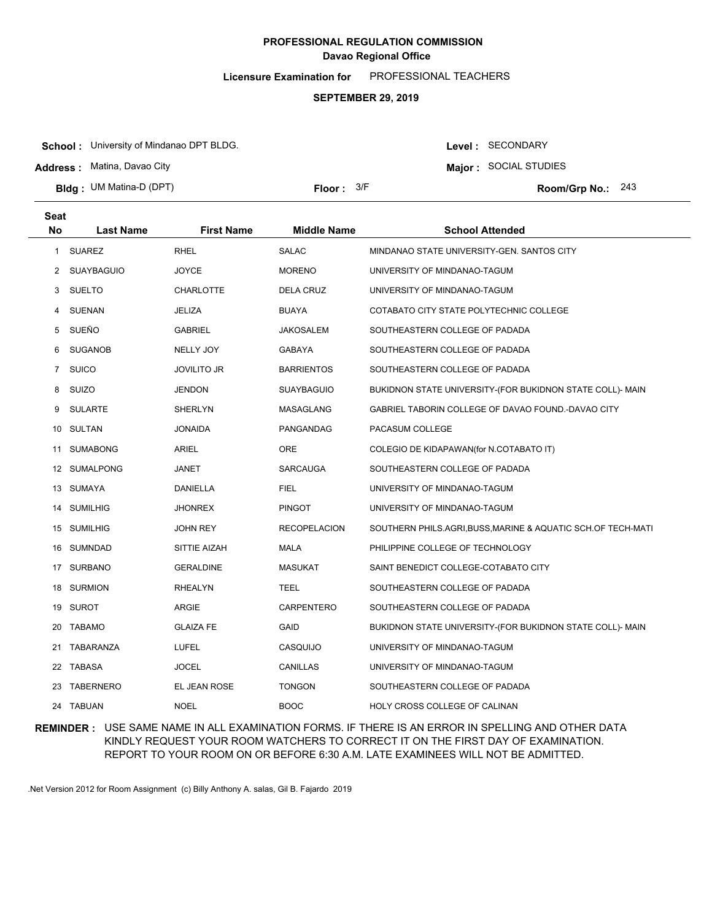**Licensure Examination for**  PROFESSIONAL TEACHERS

### **SEPTEMBER 29, 2019**

**School :** University of Mindanao DPT BLDG.

**Address :** Matina, Davao City

**Seat**

**Bldg : Floor : Room/Grp No.:** UM Matina-D (DPT)

Floor:  $3/F$  Room/Grp No.: 243

Level : SECONDARY **Major :** SOCIAL STUDIES

| əeat         |                  |                    |                     |                                                            |
|--------------|------------------|--------------------|---------------------|------------------------------------------------------------|
| <b>No</b>    | <b>Last Name</b> | <b>First Name</b>  | <b>Middle Name</b>  | <b>School Attended</b>                                     |
| $\mathbf{1}$ | SUAREZ           | <b>RHEL</b>        | <b>SALAC</b>        | MINDANAO STATE UNIVERSITY-GEN. SANTOS CITY                 |
| 2            | SUAYBAGUIO       | <b>JOYCE</b>       | <b>MORENO</b>       | UNIVERSITY OF MINDANAO-TAGUM                               |
| 3            | SUELTO           | <b>CHARLOTTE</b>   | <b>DELA CRUZ</b>    | UNIVERSITY OF MINDANAO-TAGUM                               |
| 4            | <b>SUENAN</b>    | <b>JELIZA</b>      | <b>BUAYA</b>        | COTABATO CITY STATE POLYTECHNIC COLLEGE                    |
| 5            | SUEÑO            | <b>GABRIEL</b>     | JAKOSALEM           | SOUTHEASTERN COLLEGE OF PADADA                             |
| 6            | <b>SUGANOB</b>   | NELLY JOY          | <b>GABAYA</b>       | SOUTHEASTERN COLLEGE OF PADADA                             |
| $7^{\circ}$  | SUICO            | <b>JOVILITO JR</b> | <b>BARRIENTOS</b>   | SOUTHEASTERN COLLEGE OF PADADA                             |
| 8            | <b>SUIZO</b>     | <b>JENDON</b>      | <b>SUAYBAGUIO</b>   | BUKIDNON STATE UNIVERSITY-(FOR BUKIDNON STATE COLL)- MAIN  |
| 9            | <b>SULARTE</b>   | <b>SHERLYN</b>     | MASAGLANG           | GABRIEL TABORIN COLLEGE OF DAVAO FOUND.-DAVAO CITY         |
|              | 10 SULTAN        | <b>JONAIDA</b>     | PANGANDAG           | PACASUM COLLEGE                                            |
| 11           | <b>SUMABONG</b>  | ARIEL              | ORE                 | COLEGIO DE KIDAPAWAN(for N.COTABATO IT)                    |
|              | 12 SUMALPONG     | JANET              | <b>SARCAUGA</b>     | SOUTHEASTERN COLLEGE OF PADADA                             |
|              | 13 SUMAYA        | DANIELLA           | <b>FIEL</b>         | UNIVERSITY OF MINDANAO-TAGUM                               |
|              | 14 SUMILHIG      | <b>JHONREX</b>     | <b>PINGOT</b>       | UNIVERSITY OF MINDANAO-TAGUM                               |
|              | 15 SUMILHIG      | <b>JOHN REY</b>    | <b>RECOPELACION</b> | SOUTHERN PHILS.AGRI,BUSS,MARINE & AQUATIC SCH.OF TECH-MATI |
|              | 16 SUMNDAD       | SITTIE AIZAH       | <b>MALA</b>         | PHILIPPINE COLLEGE OF TECHNOLOGY                           |
|              | 17 SURBANO       | <b>GERALDINE</b>   | <b>MASUKAT</b>      | SAINT BENEDICT COLLEGE-COTABATO CITY                       |
|              | 18 SURMION       | <b>RHEALYN</b>     | TEEL                | SOUTHEASTERN COLLEGE OF PADADA                             |
|              | 19 SUROT         | ARGIE              | <b>CARPENTERO</b>   | SOUTHEASTERN COLLEGE OF PADADA                             |
| 20           | <b>TABAMO</b>    | <b>GLAIZA FE</b>   | GAID                | BUKIDNON STATE UNIVERSITY-(FOR BUKIDNON STATE COLL)- MAIN  |
| 21           | TABARANZA        | LUFEL              | CASQUIJO            | UNIVERSITY OF MINDANAO-TAGUM                               |
|              | 22 TABASA        | <b>JOCEL</b>       | CANILLAS            | UNIVERSITY OF MINDANAO-TAGUM                               |
|              | 23 TABERNERO     | EL JEAN ROSE       | <b>TONGON</b>       | SOUTHEASTERN COLLEGE OF PADADA                             |
|              | 24 TABUAN        | <b>NOEL</b>        | <b>BOOC</b>         | HOLY CROSS COLLEGE OF CALINAN                              |

### **REMINDER :** USE SAME NAME IN ALL EXAMINATION FORMS. IF THERE IS AN ERROR IN SPELLING AND OTHER DATA KINDLY REQUEST YOUR ROOM WATCHERS TO CORRECT IT ON THE FIRST DAY OF EXAMINATION. REPORT TO YOUR ROOM ON OR BEFORE 6:30 A.M. LATE EXAMINEES WILL NOT BE ADMITTED.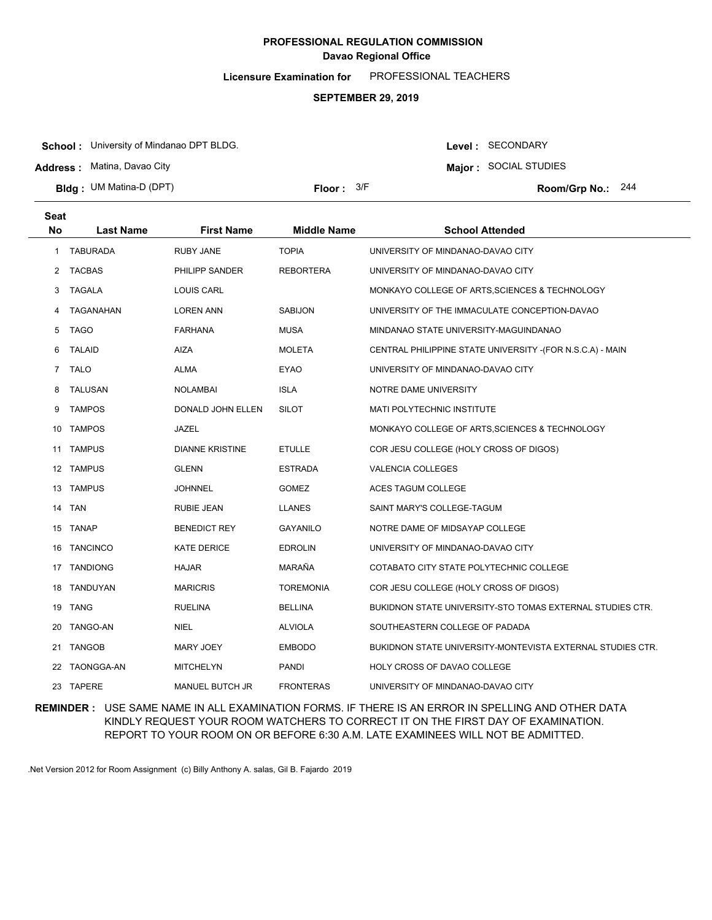**Licensure Examination for**  PROFESSIONAL TEACHERS

### **SEPTEMBER 29, 2019**

**School :** University of Mindanao DPT BLDG.

**Address :** Matina, Davao City

**Bldg : Floor : Room/Grp No.:** UM Matina-D (DPT)

Floor:  $3/F$  Room/Grp No.: 244

**Major :** SOCIAL STUDIES

Level : SECONDARY

| <b>Seat</b>    |                  |                        |                    |                                                            |
|----------------|------------------|------------------------|--------------------|------------------------------------------------------------|
| <b>No</b>      | <b>Last Name</b> | <b>First Name</b>      | <b>Middle Name</b> | <b>School Attended</b>                                     |
| $\mathbf{1}$   | <b>TABURADA</b>  | <b>RUBY JANE</b>       | <b>TOPIA</b>       | UNIVERSITY OF MINDANAO-DAVAO CITY                          |
|                | 2 TACBAS         | PHILIPP SANDER         | <b>REBORTERA</b>   | UNIVERSITY OF MINDANAO-DAVAO CITY                          |
| 3              | TAGALA           | <b>LOUIS CARL</b>      |                    | MONKAYO COLLEGE OF ARTS, SCIENCES & TECHNOLOGY             |
| 4              | TAGANAHAN        | <b>LOREN ANN</b>       | <b>SABIJON</b>     | UNIVERSITY OF THE IMMACULATE CONCEPTION-DAVAO              |
| 5              | <b>TAGO</b>      | <b>FARHANA</b>         | <b>MUSA</b>        | MINDANAO STATE UNIVERSITY-MAGUINDANAO                      |
| 6              | <b>TALAID</b>    | AIZA                   | <b>MOLETA</b>      | CENTRAL PHILIPPINE STATE UNIVERSITY - (FOR N.S.C.A) - MAIN |
| $\overline{7}$ | <b>TALO</b>      | ALMA                   | EYAO               | UNIVERSITY OF MINDANAO-DAVAO CITY                          |
| 8              | <b>TALUSAN</b>   | <b>NOLAMBAI</b>        | <b>ISLA</b>        | NOTRE DAME UNIVERSITY                                      |
| 9              | <b>TAMPOS</b>    | DONALD JOHN ELLEN      | <b>SILOT</b>       | MATI POLYTECHNIC INSTITUTE                                 |
| 10             | <b>TAMPOS</b>    | JAZEL                  |                    | MONKAYO COLLEGE OF ARTS, SCIENCES & TECHNOLOGY             |
| 11             | <b>TAMPUS</b>    | <b>DIANNE KRISTINE</b> | <b>ETULLE</b>      | COR JESU COLLEGE (HOLY CROSS OF DIGOS)                     |
| 12             | <b>TAMPUS</b>    | <b>GLENN</b>           | <b>ESTRADA</b>     | <b>VALENCIA COLLEGES</b>                                   |
| 13             | <b>TAMPUS</b>    | JOHNNEL                | <b>GOMEZ</b>       | ACES TAGUM COLLEGE                                         |
| 14             | <b>TAN</b>       | RUBIE JEAN             | <b>LLANES</b>      | SAINT MARY'S COLLEGE-TAGUM                                 |
|                | 15 TANAP         | <b>BENEDICT REY</b>    | <b>GAYANILO</b>    | NOTRE DAME OF MIDSAYAP COLLEGE                             |
| 16             | <b>TANCINCO</b>  | <b>KATE DERICE</b>     | <b>EDROLIN</b>     | UNIVERSITY OF MINDANAO-DAVAO CITY                          |
|                | 17 TANDIONG      | <b>HAJAR</b>           | MARAÑA             | COTABATO CITY STATE POLYTECHNIC COLLEGE                    |
| 18             | TANDUYAN         | <b>MARICRIS</b>        | <b>TOREMONIA</b>   | COR JESU COLLEGE (HOLY CROSS OF DIGOS)                     |
|                | 19 TANG          | <b>RUELINA</b>         | <b>BELLINA</b>     | BUKIDNON STATE UNIVERSITY-STO TOMAS EXTERNAL STUDIES CTR.  |
| 20             | TANGO-AN         | <b>NIEL</b>            | <b>ALVIOLA</b>     | SOUTHEASTERN COLLEGE OF PADADA                             |
| 21             | <b>TANGOB</b>    | <b>MARY JOEY</b>       | <b>EMBODO</b>      | BUKIDNON STATE UNIVERSITY-MONTEVISTA EXTERNAL STUDIES CTR. |
| 22             | TAONGGA-AN       | <b>MITCHELYN</b>       | PANDI              | HOLY CROSS OF DAVAO COLLEGE                                |
|                | 23 TAPERE        | MANUEL BUTCH JR        | <b>FRONTERAS</b>   | UNIVERSITY OF MINDANAO-DAVAO CITY                          |

**REMINDER :** USE SAME NAME IN ALL EXAMINATION FORMS. IF THERE IS AN ERROR IN SPELLING AND OTHER DATA KINDLY REQUEST YOUR ROOM WATCHERS TO CORRECT IT ON THE FIRST DAY OF EXAMINATION. REPORT TO YOUR ROOM ON OR BEFORE 6:30 A.M. LATE EXAMINEES WILL NOT BE ADMITTED.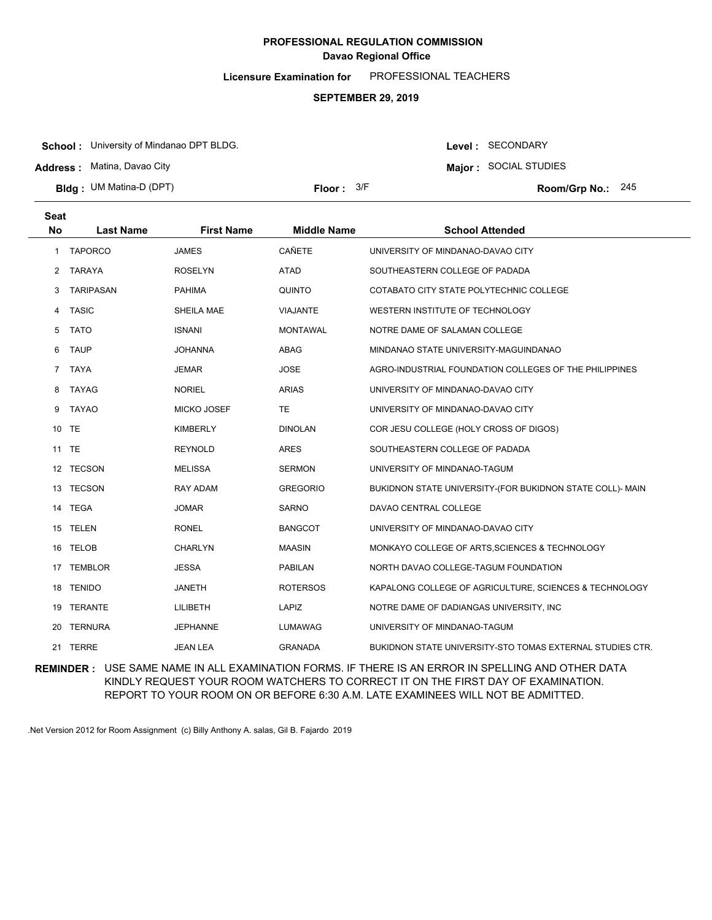**Licensure Examination for**  PROFESSIONAL TEACHERS

### **SEPTEMBER 29, 2019**

**School :** University of Mindanao DPT BLDG.

**Address :** Matina, Davao City

**Major :** SOCIAL STUDIES

Level : SECONDARY

**Bldg : Floor : Room/Grp No.:** UM Matina-D (DPT) **Seat** Floor:  $3/F$  Room/Grp No.: 245

| No | <b>Last Name</b> | <b>First Name</b>  | <b>Middle Name</b> | <b>School Attended</b>                                    |
|----|------------------|--------------------|--------------------|-----------------------------------------------------------|
| 1  | TAPORCO          | <b>JAMES</b>       | CAÑETE             | UNIVERSITY OF MINDANAO-DAVAO CITY                         |
| 2  | <b>TARAYA</b>    | <b>ROSELYN</b>     | ATAD               | SOUTHEASTERN COLLEGE OF PADADA                            |
| 3  | <b>TARIPASAN</b> | <b>PAHIMA</b>      | QUINTO             | COTABATO CITY STATE POLYTECHNIC COLLEGE                   |
| 4  | <b>TASIC</b>     | SHEILA MAE         | <b>VIAJANTE</b>    | WESTERN INSTITUTE OF TECHNOLOGY                           |
| 5  | <b>TATO</b>      | <b>ISNANI</b>      | <b>MONTAWAL</b>    | NOTRE DAME OF SALAMAN COLLEGE                             |
| 6  | <b>TAUP</b>      | <b>JOHANNA</b>     | ABAG               | MINDANAO STATE UNIVERSITY-MAGUINDANAO                     |
| 7  | <b>TAYA</b>      | <b>JEMAR</b>       | <b>JOSE</b>        | AGRO-INDUSTRIAL FOUNDATION COLLEGES OF THE PHILIPPINES    |
| 8  | TAYAG            | <b>NORIEL</b>      | <b>ARIAS</b>       | UNIVERSITY OF MINDANAO-DAVAO CITY                         |
| 9  | TAYAO            | <b>MICKO JOSEF</b> | <b>TE</b>          | UNIVERSITY OF MINDANAO-DAVAO CITY                         |
| 10 | TE               | <b>KIMBERLY</b>    | <b>DINOLAN</b>     | COR JESU COLLEGE (HOLY CROSS OF DIGOS)                    |
|    | 11 TE            | <b>REYNOLD</b>     | <b>ARES</b>        | SOUTHEASTERN COLLEGE OF PADADA                            |
| 12 | <b>TECSON</b>    | <b>MELISSA</b>     | <b>SERMON</b>      | UNIVERSITY OF MINDANAO-TAGUM                              |
| 13 | <b>TECSON</b>    | <b>RAY ADAM</b>    | <b>GREGORIO</b>    | BUKIDNON STATE UNIVERSITY-(FOR BUKIDNON STATE COLL)- MAIN |
|    | 14 TEGA          | <b>JOMAR</b>       | <b>SARNO</b>       | DAVAO CENTRAL COLLEGE                                     |
| 15 | TELEN            | <b>RONEL</b>       | <b>BANGCOT</b>     | UNIVERSITY OF MINDANAO-DAVAO CITY                         |
|    | 16 TELOB         | <b>CHARLYN</b>     | <b>MAASIN</b>      | MONKAYO COLLEGE OF ARTS, SCIENCES & TECHNOLOGY            |
| 17 | <b>TEMBLOR</b>   | <b>JESSA</b>       | <b>PABILAN</b>     | NORTH DAVAO COLLEGE-TAGUM FOUNDATION                      |
| 18 | <b>TENIDO</b>    | <b>JANETH</b>      | <b>ROTERSOS</b>    | KAPALONG COLLEGE OF AGRICULTURE, SCIENCES & TECHNOLOGY    |
|    | 19 TERANTE       | LILIBETH           | LAPIZ              | NOTRE DAME OF DADIANGAS UNIVERSITY, INC.                  |
| 20 | <b>TERNURA</b>   | <b>JEPHANNE</b>    | LUMAWAG            | UNIVERSITY OF MINDANAO-TAGUM                              |
|    | 21 TERRE         | <b>JEAN LEA</b>    | <b>GRANADA</b>     | BUKIDNON STATE UNIVERSITY-STO TOMAS EXTERNAL STUDIES CTR. |

**REMINDER :** USE SAME NAME IN ALL EXAMINATION FORMS. IF THERE IS AN ERROR IN SPELLING AND OTHER DATA KINDLY REQUEST YOUR ROOM WATCHERS TO CORRECT IT ON THE FIRST DAY OF EXAMINATION. REPORT TO YOUR ROOM ON OR BEFORE 6:30 A.M. LATE EXAMINEES WILL NOT BE ADMITTED.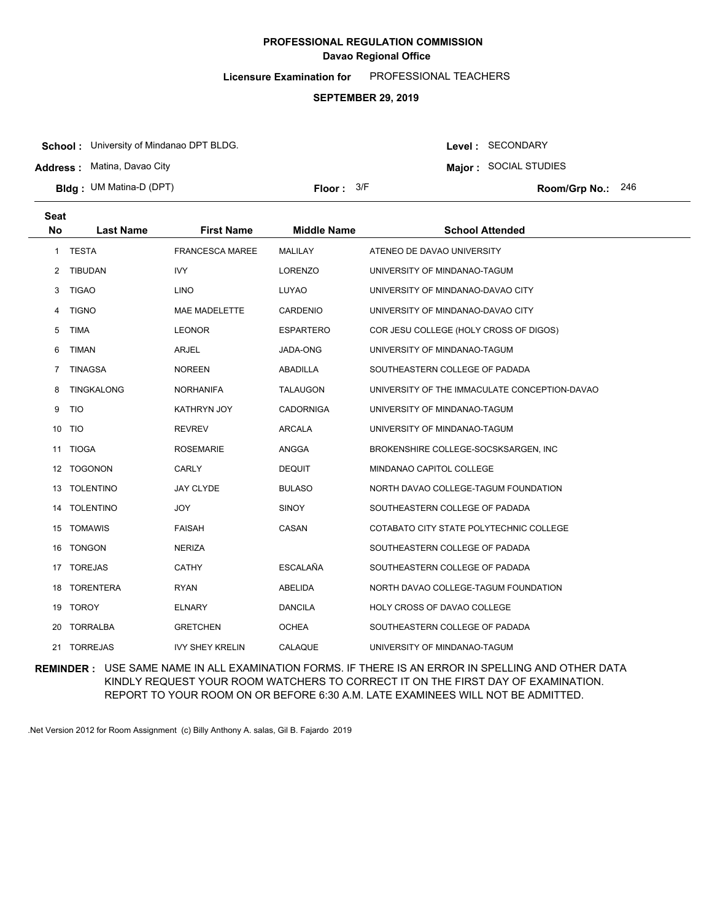**Licensure Examination for**  PROFESSIONAL TEACHERS

#### **SEPTEMBER 29, 2019**

**School :** University of Mindanao DPT BLDG.

**Address :** Matina, Davao City

**Bldg : Floor : Room/Grp No.:** UM Matina-D (DPT)

Floor:  $3/F$  Room/Grp No.: 246

**Major :** SOCIAL STUDIES

Level : SECONDARY

**Last Name First Name Middle Name School Attended Seat No** 1 TESTA FRANCESCA MAREE MALILAY ATENEO DE DAVAO UNIVERSITY 2 TIBUDAN IVY IVY LORENZO UNIVERSITY OF MINDANAO-TAGUM 3 TIGAO LINO LUYAO UNIVERSITY OF MINDANAO-DAVAO CITY 4 TIGNO MAE MADELETTE CARDENIO UNIVERSITY OF MINDANAO-DAVAO CITY 5 TIMA LEONOR ESPARTERO COR JESU COLLEGE (HOLY CROSS OF DIGOS) 6 TIMAN ARJEL JADA-ONG UNIVERSITY OF MINDANAO-TAGUM 7 TINAGSA NOREEN ABADILLA SOUTHEASTERN COLLEGE OF PADADA 8 TINGKALONG NORHANIFA TALAUGON UNIVERSITY OF THE IMMACULATE CONCEPTION-DAVAO 9 TIO KATHRYN JOY CADORNIGA UNIVERSITY OF MINDANAO-TAGUM 10 TIO REVREV ARCALA UNIVERSITY OF MINDANAO-TAGUM 11 TIOGA ROSEMARIE ANGGA BROKENSHIRE COLLEGE-SOCSKSARGEN, INC 12 TOGONON CARLY DEQUIT MINDANAO CAPITOL COLLEGE 13 TOLENTINO JAY CLYDE BULASO NORTH DAVAO COLLEGE-TAGUM FOUNDATION 14 TOLENTINO JOY SINOY SOUTHEASTERN COLLEGE OF PADADA 15 TOMAWIS FAISAH CASAN COTABATO CITY STATE POLYTECHNIC COLLEGE 16 TONGON NERIZA NERIZA SOUTHEASTERN COLLEGE OF PADADA 17 TOREJAS CATHY ESCALAÑA SOUTHEASTERN COLLEGE OF PADADA 18 TORENTERA RYAN ABELIDA NORTH DAVAO COLLEGE-TAGUM FOUNDATION 19 TOROY ELNARY DANCILA HOLY CROSS OF DAVAO COLLEGE 20 TORRALBA GRETCHEN OCHEA SOUTHEASTERN COLLEGE OF PADADA 21 TORREJAS IVY SHEY KRELIN CALAQUE UNIVERSITY OF MINDANAO-TAGUM

**REMINDER :** USE SAME NAME IN ALL EXAMINATION FORMS. IF THERE IS AN ERROR IN SPELLING AND OTHER DATA KINDLY REQUEST YOUR ROOM WATCHERS TO CORRECT IT ON THE FIRST DAY OF EXAMINATION. REPORT TO YOUR ROOM ON OR BEFORE 6:30 A.M. LATE EXAMINEES WILL NOT BE ADMITTED.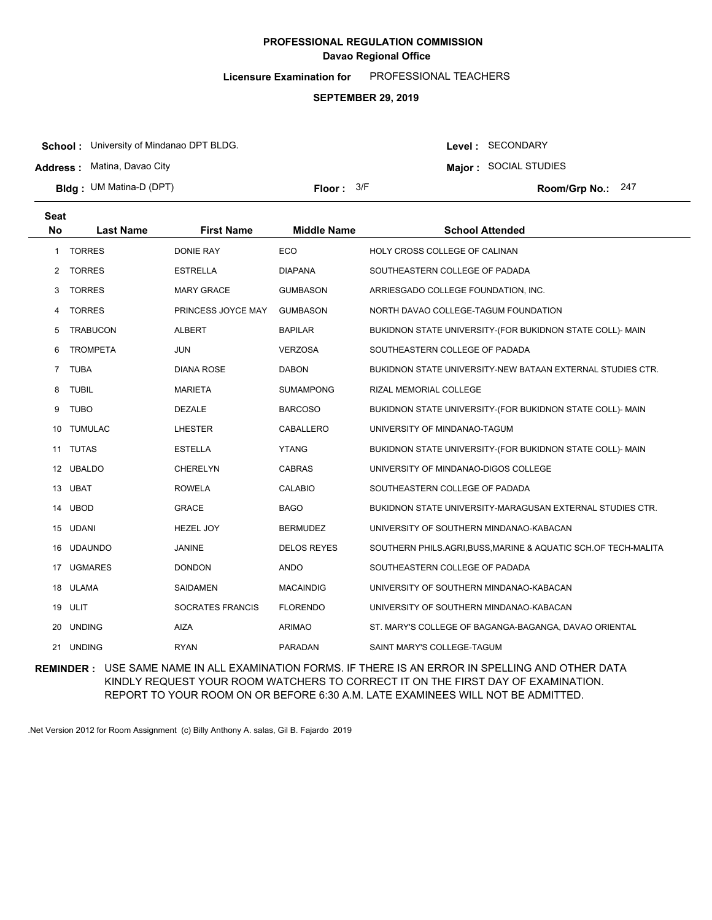**Licensure Examination for**  PROFESSIONAL TEACHERS

### **SEPTEMBER 29, 2019**

**School :** University of Mindanao DPT BLDG.

**Address :** Matina, Davao City

**Major :** SOCIAL STUDIES

Level : SECONDARY

|      | <b>Bldg: UM Matina-D (DPT)</b> |                   | Floor: $3/F$       |                               | Room/Grp No.: 247 |  |
|------|--------------------------------|-------------------|--------------------|-------------------------------|-------------------|--|
| Seat |                                |                   |                    |                               |                   |  |
| No   | Last Name                      | <b>First Name</b> | <b>Middle Name</b> | <b>School Attended</b>        |                   |  |
|      | <b>TORRES</b>                  | DONIE RAY         | ECO                | HOLY CROSS COLLEGE OF CALINAN |                   |  |

| 2              | <b>TORRES</b>   | <b>ESTRELLA</b>         | <b>DIAPANA</b>     | SOUTHEASTERN COLLEGE OF PADADA                                 |
|----------------|-----------------|-------------------------|--------------------|----------------------------------------------------------------|
| 3              | <b>TORRES</b>   | <b>MARY GRACE</b>       | <b>GUMBASON</b>    | ARRIESGADO COLLEGE FOUNDATION, INC.                            |
| 4              | <b>TORRES</b>   | PRINCESS JOYCE MAY      | <b>GUMBASON</b>    | NORTH DAVAO COLLEGE-TAGUM FOUNDATION                           |
| 5              | <b>TRABUCON</b> | <b>ALBERT</b>           | <b>BAPILAR</b>     | BUKIDNON STATE UNIVERSITY-(FOR BUKIDNON STATE COLL)- MAIN      |
| 6              | <b>TROMPETA</b> | <b>JUN</b>              | <b>VERZOSA</b>     | SOUTHEASTERN COLLEGE OF PADADA                                 |
| $\overline{7}$ | <b>TUBA</b>     | <b>DIANA ROSE</b>       | <b>DABON</b>       | BUKIDNON STATE UNIVERSITY-NEW BATAAN EXTERNAL STUDIES CTR.     |
| 8              | <b>TUBIL</b>    | <b>MARIETA</b>          | <b>SUMAMPONG</b>   | <b>RIZAL MEMORIAL COLLEGE</b>                                  |
| 9              | <b>TUBO</b>     | <b>DEZALE</b>           | <b>BARCOSO</b>     | BUKIDNON STATE UNIVERSITY-(FOR BUKIDNON STATE COLL)- MAIN      |
| 10             | <b>TUMULAC</b>  | <b>LHESTER</b>          | CABALLERO          | UNIVERSITY OF MINDANAO-TAGUM                                   |
| 11             | <b>TUTAS</b>    | <b>ESTELLA</b>          | <b>YTANG</b>       | BUKIDNON STATE UNIVERSITY-(FOR BUKIDNON STATE COLL)- MAIN      |
| 12             | <b>UBALDO</b>   | <b>CHERELYN</b>         | <b>CABRAS</b>      | UNIVERSITY OF MINDANAO-DIGOS COLLEGE                           |
|                | 13 UBAT         | <b>ROWELA</b>           | <b>CALABIO</b>     | SOUTHEASTERN COLLEGE OF PADADA                                 |
| 14             | <b>UBOD</b>     | <b>GRACE</b>            | <b>BAGO</b>        | BUKIDNON STATE UNIVERSITY-MARAGUSAN EXTERNAL STUDIES CTR.      |
| 15             | <b>UDANI</b>    | <b>HEZEL JOY</b>        | <b>BERMUDEZ</b>    | UNIVERSITY OF SOUTHERN MINDANAO-KABACAN                        |
| 16             | <b>UDAUNDO</b>  | <b>JANINE</b>           | <b>DELOS REYES</b> | SOUTHERN PHILS.AGRI, BUSS, MARINE & AQUATIC SCH.OF TECH-MALITA |
| 17             | <b>UGMARES</b>  | <b>DONDON</b>           | <b>ANDO</b>        | SOUTHEASTERN COLLEGE OF PADADA                                 |
| 18             | <b>ULAMA</b>    | <b>SAIDAMEN</b>         | <b>MACAINDIG</b>   | UNIVERSITY OF SOUTHERN MINDANAO-KABACAN                        |
|                | 19 ULIT         | <b>SOCRATES FRANCIS</b> | <b>FLORENDO</b>    | UNIVERSITY OF SOUTHERN MINDANAO-KABACAN                        |
| 20             | <b>UNDING</b>   | <b>AIZA</b>             | <b>ARIMAO</b>      | ST. MARY'S COLLEGE OF BAGANGA-BAGANGA, DAVAO ORIENTAL          |
| 21             | <b>UNDING</b>   | <b>RYAN</b>             | <b>PARADAN</b>     | SAINT MARY'S COLLEGE-TAGUM                                     |
|                |                 |                         |                    |                                                                |

**REMINDER :** USE SAME NAME IN ALL EXAMINATION FORMS. IF THERE IS AN ERROR IN SPELLING AND OTHER DATA KINDLY REQUEST YOUR ROOM WATCHERS TO CORRECT IT ON THE FIRST DAY OF EXAMINATION. REPORT TO YOUR ROOM ON OR BEFORE 6:30 A.M. LATE EXAMINEES WILL NOT BE ADMITTED.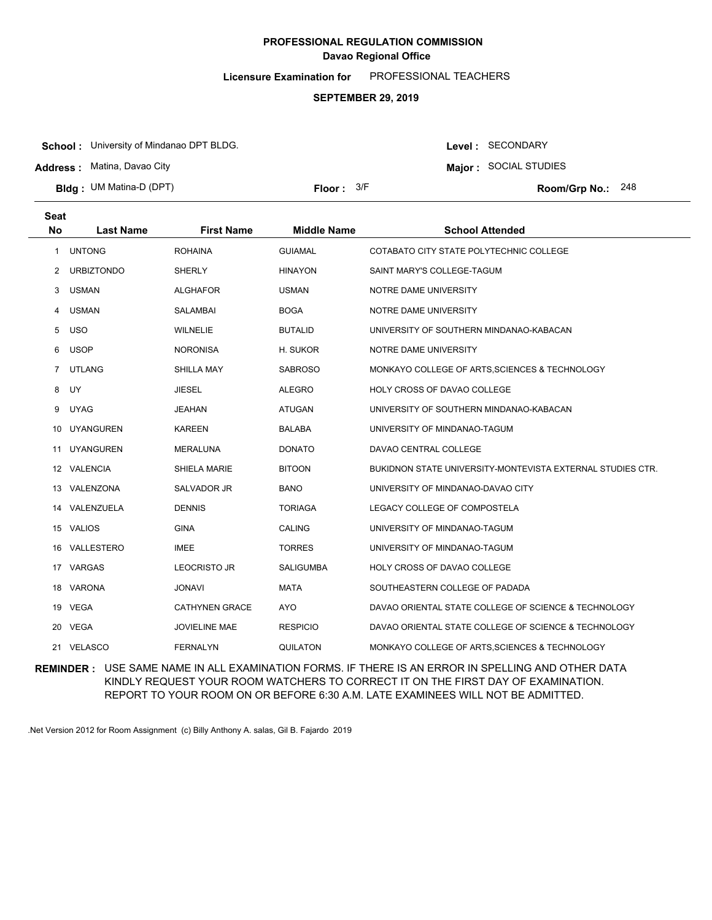**Licensure Examination for**  PROFESSIONAL TEACHERS

### **SEPTEMBER 29, 2019**

**School :** University of Mindanao DPT BLDG.

**Address :** Matina, Davao City

**Seat**

**Bldg : Floor : Room/Grp No.:** UM Matina-D (DPT)

Floor:  $3/F$  Room/Grp No.: 248

Level : SECONDARY **Major :** SOCIAL STUDIES

| อeaเ      |                   |                       |                    |                                                            |
|-----------|-------------------|-----------------------|--------------------|------------------------------------------------------------|
| <b>No</b> | <b>Last Name</b>  | <b>First Name</b>     | <b>Middle Name</b> | <b>School Attended</b>                                     |
| 1         | <b>UNTONG</b>     | <b>ROHAINA</b>        | <b>GUIAMAL</b>     | COTABATO CITY STATE POLYTECHNIC COLLEGE                    |
| 2         | <b>URBIZTONDO</b> | <b>SHERLY</b>         | <b>HINAYON</b>     | SAINT MARY'S COLLEGE-TAGUM                                 |
| 3         | <b>USMAN</b>      | <b>ALGHAFOR</b>       | <b>USMAN</b>       | NOTRE DAME UNIVERSITY                                      |
| 4         | <b>USMAN</b>      | <b>SALAMBAI</b>       | <b>BOGA</b>        | NOTRE DAME UNIVERSITY                                      |
| 5         | <b>USO</b>        | <b>WILNELIE</b>       | <b>BUTALID</b>     | UNIVERSITY OF SOUTHERN MINDANAO-KABACAN                    |
| 6         | <b>USOP</b>       | <b>NORONISA</b>       | H. SUKOR           | NOTRE DAME UNIVERSITY                                      |
| 7         | <b>UTLANG</b>     | <b>SHILLA MAY</b>     | <b>SABROSO</b>     | MONKAYO COLLEGE OF ARTS, SCIENCES & TECHNOLOGY             |
| 8         | UY                | JIESEL                | <b>ALEGRO</b>      | <b>HOLY CROSS OF DAVAO COLLEGE</b>                         |
| 9         | <b>UYAG</b>       | JEAHAN                | <b>ATUGAN</b>      | UNIVERSITY OF SOUTHERN MINDANAO-KABACAN                    |
| 10        | <b>UYANGUREN</b>  | <b>KAREEN</b>         | <b>BALABA</b>      | UNIVERSITY OF MINDANAO-TAGUM                               |
| 11        | <b>UYANGUREN</b>  | <b>MERALUNA</b>       | <b>DONATO</b>      | DAVAO CENTRAL COLLEGE                                      |
|           | 12 VALENCIA       | SHIELA MARIE          | <b>BITOON</b>      | BUKIDNON STATE UNIVERSITY-MONTEVISTA EXTERNAL STUDIES CTR. |
|           | 13 VALENZONA      | <b>SALVADOR JR</b>    | <b>BANO</b>        | UNIVERSITY OF MINDANAO-DAVAO CITY                          |
| 14        | VALENZUELA        | <b>DENNIS</b>         | <b>TORIAGA</b>     | LEGACY COLLEGE OF COMPOSTELA                               |
|           | 15 VALIOS         | <b>GINA</b>           | <b>CALING</b>      | UNIVERSITY OF MINDANAO-TAGUM                               |
|           | 16 VALLESTERO     | <b>IMEE</b>           | <b>TORRES</b>      | UNIVERSITY OF MINDANAO-TAGUM                               |
| 17        | VARGAS            | <b>LEOCRISTO JR</b>   | <b>SALIGUMBA</b>   | HOLY CROSS OF DAVAO COLLEGE                                |
|           | 18 VARONA         | JONAVI                | <b>MATA</b>        | SOUTHEASTERN COLLEGE OF PADADA                             |
|           | 19 VEGA           | <b>CATHYNEN GRACE</b> | <b>AYO</b>         | DAVAO ORIENTAL STATE COLLEGE OF SCIENCE & TECHNOLOGY       |
| 20        | <b>VEGA</b>       | <b>JOVIELINE MAE</b>  | <b>RESPICIO</b>    | DAVAO ORIENTAL STATE COLLEGE OF SCIENCE & TECHNOLOGY       |
|           | 21 VELASCO        | <b>FERNALYN</b>       | <b>QUILATON</b>    | MONKAYO COLLEGE OF ARTS, SCIENCES & TECHNOLOGY             |

**REMINDER :** USE SAME NAME IN ALL EXAMINATION FORMS. IF THERE IS AN ERROR IN SPELLING AND OTHER DATA KINDLY REQUEST YOUR ROOM WATCHERS TO CORRECT IT ON THE FIRST DAY OF EXAMINATION. REPORT TO YOUR ROOM ON OR BEFORE 6:30 A.M. LATE EXAMINEES WILL NOT BE ADMITTED.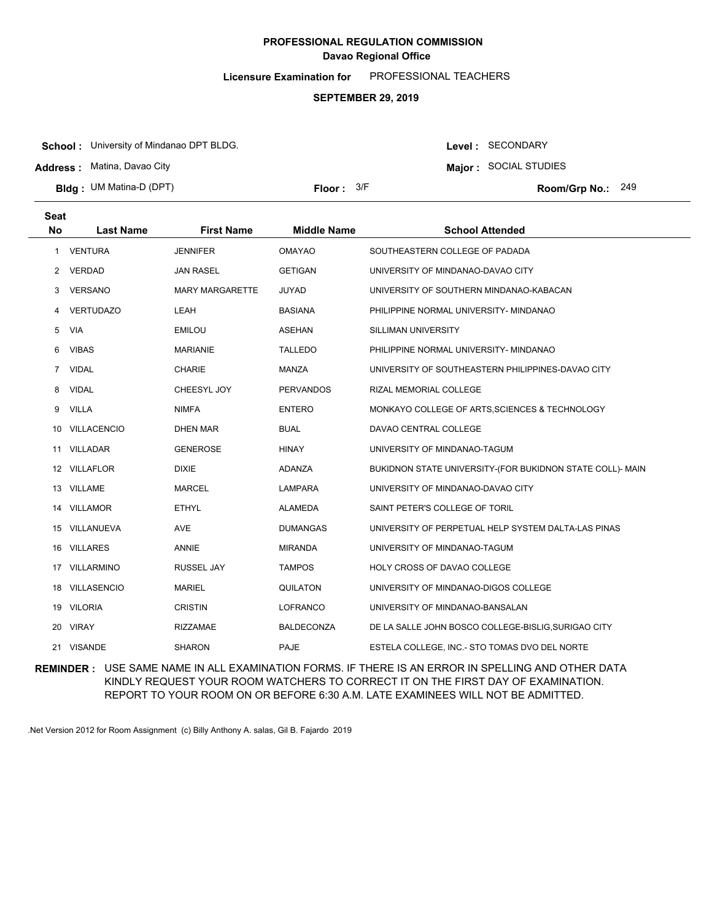**Licensure Examination for**  PROFESSIONAL TEACHERS

### **SEPTEMBER 29, 2019**

**School :** University of Mindanao DPT BLDG.

**Address :** Matina, Davao City

**Bldg : Floor : Room/Grp No.:** UM Matina-D (DPT)

Floor:  $3/F$  Room/Grp No.: 249

**Major :** SOCIAL STUDIES

Level : SECONDARY

| <b>Seat</b><br><b>No</b> | <b>Last Name</b>   | <b>First Name</b>      | <b>Middle Name</b> | <b>School Attended</b>                                    |
|--------------------------|--------------------|------------------------|--------------------|-----------------------------------------------------------|
| 1                        | <b>VENTURA</b>     | <b>JENNIFER</b>        | <b>OMAYAO</b>      | SOUTHEASTERN COLLEGE OF PADADA                            |
| 2                        | VERDAD             | <b>JAN RASEL</b>       | <b>GETIGAN</b>     | UNIVERSITY OF MINDANAO-DAVAO CITY                         |
| 3                        | <b>VERSANO</b>     | <b>MARY MARGARETTE</b> | <b>JUYAD</b>       | UNIVERSITY OF SOUTHERN MINDANAO-KABACAN                   |
|                          |                    |                        |                    |                                                           |
| 4                        | <b>VERTUDAZO</b>   | LEAH                   | <b>BASIANA</b>     | PHILIPPINE NORMAL UNIVERSITY- MINDANAO                    |
| 5                        | <b>VIA</b>         | <b>EMILOU</b>          | <b>ASEHAN</b>      | <b>SILLIMAN UNIVERSITY</b>                                |
| 6                        | <b>VIBAS</b>       | <b>MARIANIE</b>        | <b>TALLEDO</b>     | PHILIPPINE NORMAL UNIVERSITY- MINDANAO                    |
| 7                        | <b>VIDAL</b>       | <b>CHARIE</b>          | MANZA              | UNIVERSITY OF SOUTHEASTERN PHILIPPINES-DAVAO CITY         |
| 8                        | <b>VIDAL</b>       | CHEESYL JOY            | <b>PERVANDOS</b>   | RIZAL MEMORIAL COLLEGE                                    |
| 9                        | <b>VILLA</b>       | <b>NIMFA</b>           | <b>ENTERO</b>      | MONKAYO COLLEGE OF ARTS, SCIENCES & TECHNOLOGY            |
| 10                       | <b>VILLACENCIO</b> | DHEN MAR               | <b>BUAL</b>        | DAVAO CENTRAL COLLEGE                                     |
| 11                       | <b>VILLADAR</b>    | <b>GENEROSE</b>        | <b>HINAY</b>       | UNIVERSITY OF MINDANAO-TAGUM                              |
|                          | 12 VILLAFLOR       | <b>DIXIE</b>           | ADANZA             | BUKIDNON STATE UNIVERSITY-(FOR BUKIDNON STATE COLL)- MAIN |
|                          | 13 VILLAME         | <b>MARCEL</b>          | <b>LAMPARA</b>     | UNIVERSITY OF MINDANAO-DAVAO CITY                         |
| 14                       | <b>VILLAMOR</b>    | <b>ETHYL</b>           | <b>ALAMEDA</b>     | SAINT PETER'S COLLEGE OF TORIL                            |
| 15                       | VILLANUEVA         | <b>AVE</b>             | <b>DUMANGAS</b>    | UNIVERSITY OF PERPETUAL HELP SYSTEM DALTA-LAS PINAS       |
| 16                       | <b>VILLARES</b>    | ANNIE                  | <b>MIRANDA</b>     | UNIVERSITY OF MINDANAO-TAGUM                              |
| 17                       | VILLARMINO         | <b>RUSSEL JAY</b>      | <b>TAMPOS</b>      | HOLY CROSS OF DAVAO COLLEGE                               |
| 18                       | <b>VILLASENCIO</b> | <b>MARIEL</b>          | <b>QUILATON</b>    | UNIVERSITY OF MINDANAO-DIGOS COLLEGE                      |
| 19                       | <b>VILORIA</b>     | <b>CRISTIN</b>         | <b>LOFRANCO</b>    | UNIVERSITY OF MINDANAO-BANSALAN                           |
| 20                       | <b>VIRAY</b>       | <b>RIZZAMAE</b>        | <b>BALDECONZA</b>  | DE LA SALLE JOHN BOSCO COLLEGE-BISLIG, SURIGAO CITY       |
| 21                       | <b>VISANDE</b>     | <b>SHARON</b>          | PAJE               | ESTELA COLLEGE, INC.- STO TOMAS DVO DEL NORTE             |
|                          |                    |                        |                    |                                                           |

**REMINDER :** USE SAME NAME IN ALL EXAMINATION FORMS. IF THERE IS AN ERROR IN SPELLING AND OTHER DATA KINDLY REQUEST YOUR ROOM WATCHERS TO CORRECT IT ON THE FIRST DAY OF EXAMINATION. REPORT TO YOUR ROOM ON OR BEFORE 6:30 A.M. LATE EXAMINEES WILL NOT BE ADMITTED.